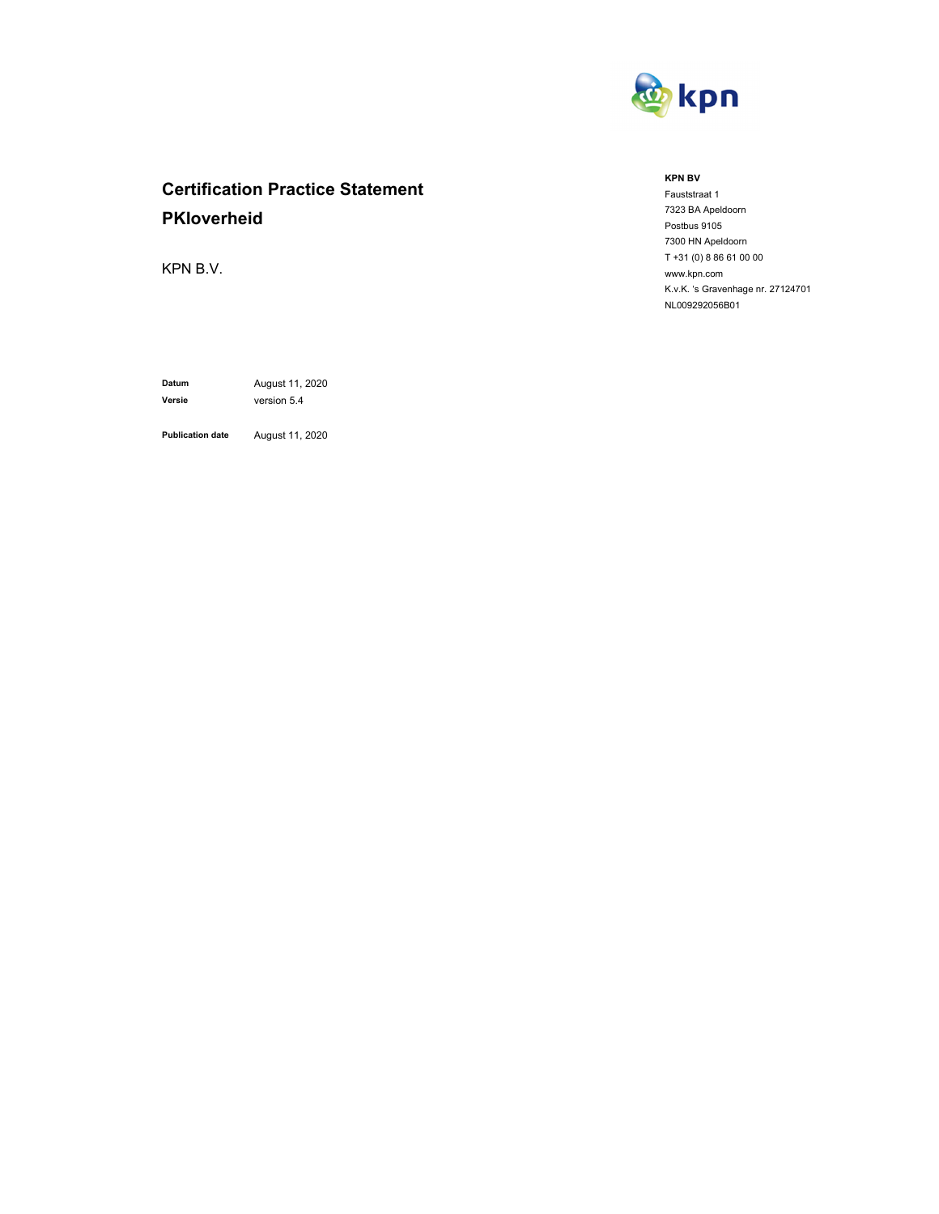

# **Certification Practice Statement PKIoverheid**

KPN B.V.

**Versie** version 5.4

**Datum** August 11, 2020

**Publication date** August 11, 2020

#### **KPN BV**

Fauststraat 1 7323 BA Apeldoorn Postbus 9105 7300 HN Apeldoorn T +31 (0) 8 86 61 00 00 www.kpn.com K.v.K. 's Gravenhage nr. 27124701 NL009292056B01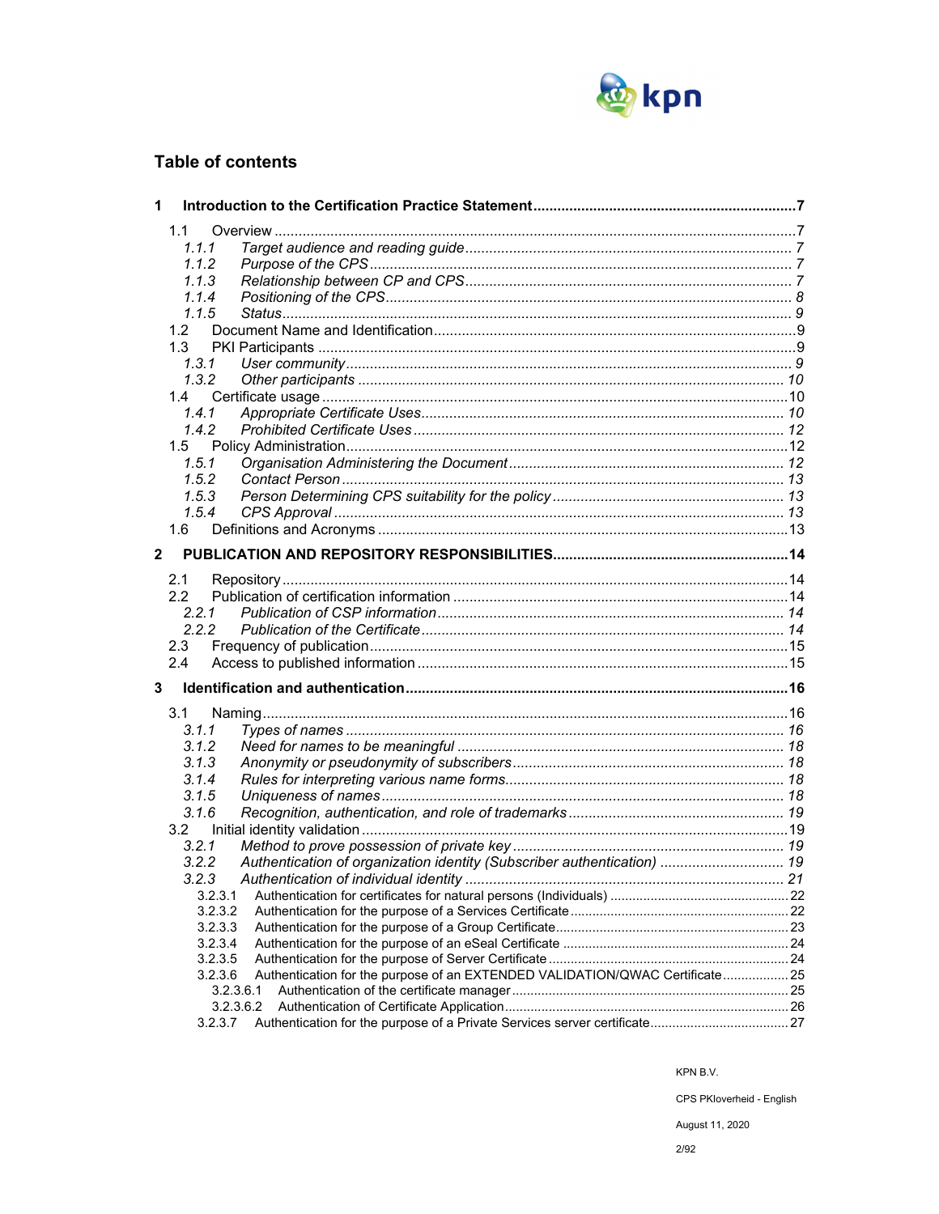

## **Table of contents**

| 1                       |                                                                                         |  |
|-------------------------|-----------------------------------------------------------------------------------------|--|
|                         | 1.1                                                                                     |  |
|                         | 1.1.1                                                                                   |  |
|                         | 1.1.2                                                                                   |  |
|                         | 1.1.3                                                                                   |  |
|                         | 1.1.4                                                                                   |  |
|                         | 1.1.5                                                                                   |  |
|                         | 1.2 <sub>1</sub>                                                                        |  |
|                         | 1.3                                                                                     |  |
|                         | 1, 3, 1                                                                                 |  |
|                         | 1.3.2                                                                                   |  |
|                         | 1.4                                                                                     |  |
|                         | 1.4.1                                                                                   |  |
|                         | 1.4.2                                                                                   |  |
|                         | 1.5                                                                                     |  |
|                         | 1.5.1                                                                                   |  |
|                         | 1.5.2                                                                                   |  |
|                         | 1.5.3                                                                                   |  |
|                         | 1.5.4                                                                                   |  |
|                         | 1.6                                                                                     |  |
|                         |                                                                                         |  |
| $\overline{\mathbf{2}}$ |                                                                                         |  |
|                         | 2.1                                                                                     |  |
|                         | 2.2                                                                                     |  |
|                         | 2.2.1                                                                                   |  |
|                         | 2.2.2                                                                                   |  |
|                         | 2.3                                                                                     |  |
|                         | 2.4                                                                                     |  |
| 3                       |                                                                                         |  |
|                         |                                                                                         |  |
|                         | 3.1                                                                                     |  |
|                         | 3.1.1                                                                                   |  |
|                         | 3.1.2                                                                                   |  |
|                         | 3.1.3                                                                                   |  |
|                         | 3.1.4                                                                                   |  |
|                         | 3.1.5                                                                                   |  |
|                         | 3.1.6                                                                                   |  |
|                         | 3.2                                                                                     |  |
|                         | 3.2.1                                                                                   |  |
|                         | Authentication of organization identity (Subscriber authentication)  19<br>3.2.2        |  |
|                         | 3.2.3                                                                                   |  |
|                         | 3.2.3.1                                                                                 |  |
|                         | 3.2.3.2                                                                                 |  |
|                         | 3.2.3.3                                                                                 |  |
|                         | 3.2.3.4                                                                                 |  |
|                         | 3.2.3.5                                                                                 |  |
|                         | Authentication for the purpose of an EXTENDED VALIDATION/QWAC Certificate 25<br>3.2.3.6 |  |
|                         | 3.2.3.6.1                                                                               |  |
|                         | 3.2.3.6.2                                                                               |  |
|                         | 3.2.3.7                                                                                 |  |

KPN B.V.

CPS PKloverheid - English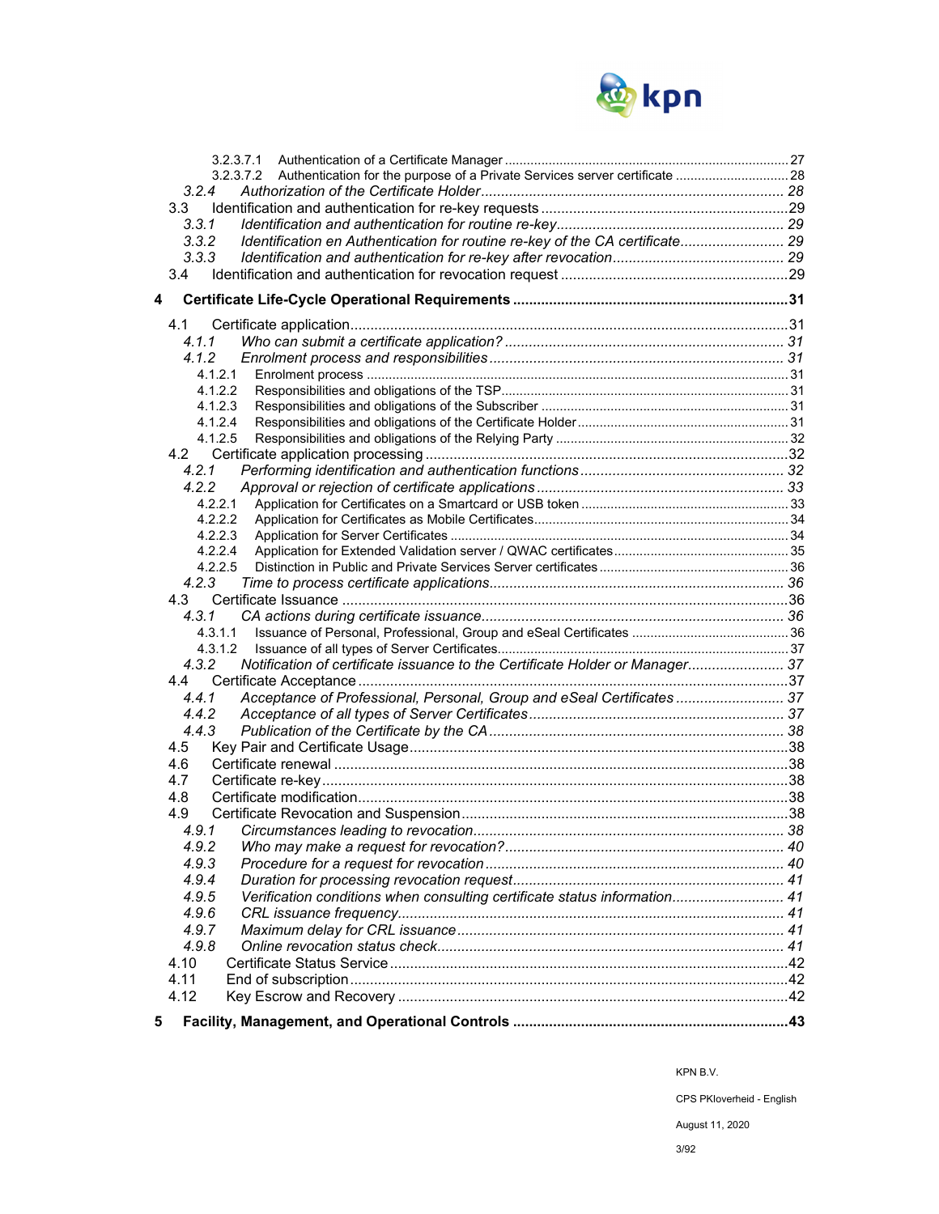

| 3.2.4                                                                                       |  |
|---------------------------------------------------------------------------------------------|--|
| 3.3                                                                                         |  |
| 3.3.1                                                                                       |  |
| Identification en Authentication for routine re-key of the CA certificate 29<br>3.3.2       |  |
| 3.3.3                                                                                       |  |
| 3.4                                                                                         |  |
| 4                                                                                           |  |
|                                                                                             |  |
|                                                                                             |  |
| 4.1.1                                                                                       |  |
| 4.1.2                                                                                       |  |
| 4.1.2.1<br>4.1.2.2                                                                          |  |
| 4.1.2.3                                                                                     |  |
| 4.1.2.4                                                                                     |  |
| 4.1.2.5                                                                                     |  |
|                                                                                             |  |
| 4.2.1                                                                                       |  |
| 4.2.2                                                                                       |  |
| 4.2.2.1                                                                                     |  |
| 4222                                                                                        |  |
| 4.2.2.3                                                                                     |  |
| 4.2.2.4                                                                                     |  |
| 4.2.2.5                                                                                     |  |
| 4.2.3                                                                                       |  |
|                                                                                             |  |
| 4.3.1                                                                                       |  |
| 4.3.1.1                                                                                     |  |
| 4.3.1.2                                                                                     |  |
| Notification of certificate issuance to the Certificate Holder or Manager 37<br>4.3.2       |  |
| 4.4                                                                                         |  |
| Acceptance of Professional, Personal, Group and eSeal Certificates  37<br>4.4.1             |  |
| 4.4.2                                                                                       |  |
| 4.4.3                                                                                       |  |
| 4.5                                                                                         |  |
| 4.6                                                                                         |  |
| 4.7                                                                                         |  |
| 4.8                                                                                         |  |
| 4.9                                                                                         |  |
| 4.9.1<br>4.9.2                                                                              |  |
|                                                                                             |  |
| 4.9.3                                                                                       |  |
| 4.9.4<br>Verification conditions when consulting certificate status information 41<br>4.9.5 |  |
| 4.9.6                                                                                       |  |
| 4.9.7                                                                                       |  |
| 4.9.8                                                                                       |  |
| 4.10                                                                                        |  |
| 4.11                                                                                        |  |
| 4.12                                                                                        |  |
|                                                                                             |  |
| 5                                                                                           |  |

CPS PKIoverheid - English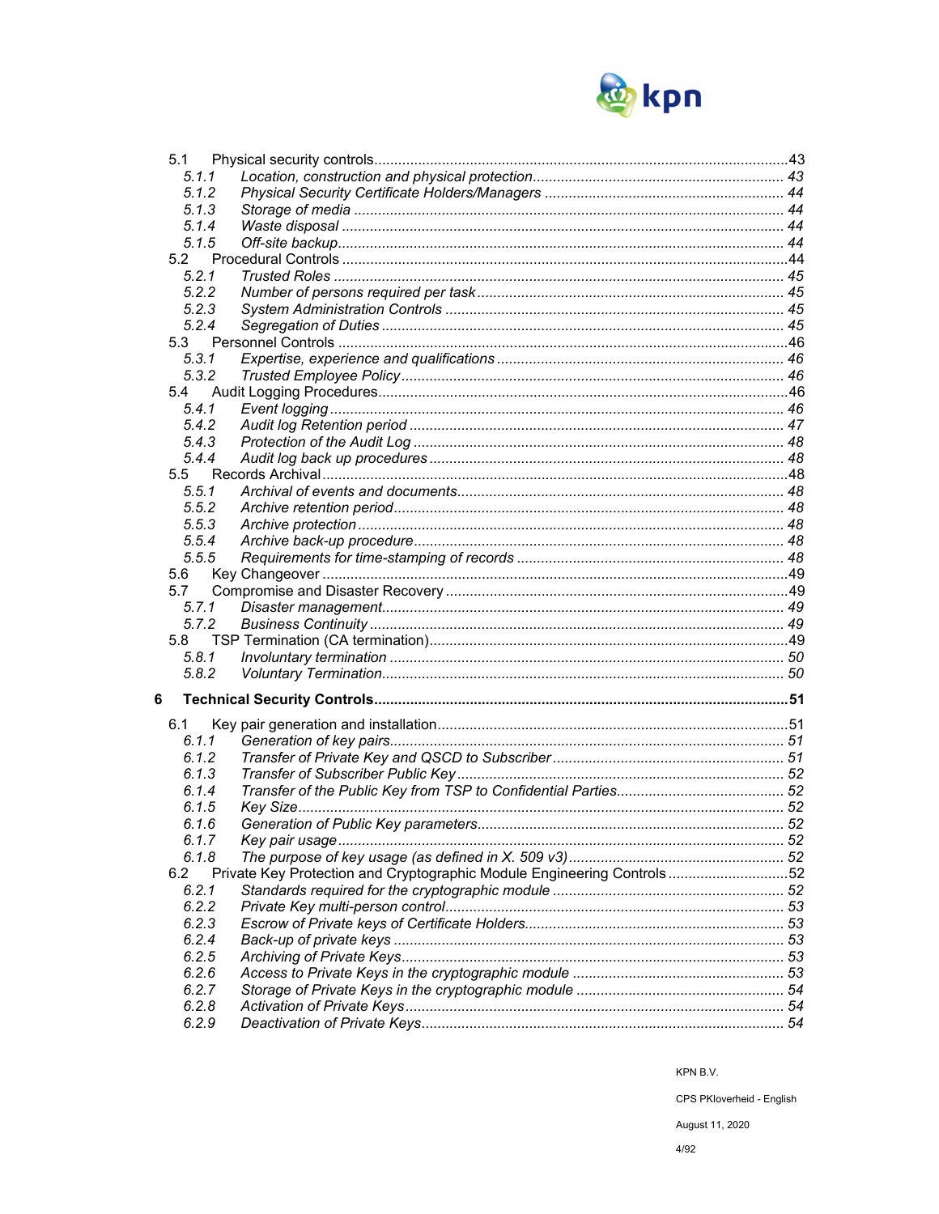

| 5.1            |                                                                        |  |
|----------------|------------------------------------------------------------------------|--|
| 5.1.1          |                                                                        |  |
| 5.1.2          |                                                                        |  |
| 5.1.3          |                                                                        |  |
| 5.1.4          |                                                                        |  |
| 5.1.5          |                                                                        |  |
| 5.2            |                                                                        |  |
| 5.2.1          |                                                                        |  |
| 5.2.2          |                                                                        |  |
| 5.2.3          |                                                                        |  |
| 5.2.4          |                                                                        |  |
| 5.3            |                                                                        |  |
| 5.3.1          |                                                                        |  |
| 5.3.2          |                                                                        |  |
| 5.4            |                                                                        |  |
| 5.4.1          |                                                                        |  |
| 5.4.2          |                                                                        |  |
| 5.4.3          |                                                                        |  |
| 5.4.4          |                                                                        |  |
|                |                                                                        |  |
| 5.5            |                                                                        |  |
| 5.5.1          |                                                                        |  |
| 5.5.2          |                                                                        |  |
| 5.5.3          |                                                                        |  |
| 5.5.4          |                                                                        |  |
| 5.5.5          |                                                                        |  |
| 5.6            |                                                                        |  |
| 5.7            |                                                                        |  |
| 5.7.1          |                                                                        |  |
| 5.7.2          |                                                                        |  |
| 5.8            |                                                                        |  |
| 5.8.1          |                                                                        |  |
| 5.8.2          |                                                                        |  |
| 6              |                                                                        |  |
| 6.1            |                                                                        |  |
| 6.1.1          |                                                                        |  |
| 6.1.2          |                                                                        |  |
| 6.1.3          |                                                                        |  |
| 6.1.4          |                                                                        |  |
| 6.1.5          |                                                                        |  |
| 6.1.6          |                                                                        |  |
| 6.1.7          |                                                                        |  |
| 6.1.8          |                                                                        |  |
| 6.2            | Private Key Protection and Cryptographic Module Engineering Controls52 |  |
| 6.2.1          |                                                                        |  |
| 6.2.2          |                                                                        |  |
| 6.2.3          |                                                                        |  |
|                |                                                                        |  |
| 6.2.4          |                                                                        |  |
| 6.2.5          |                                                                        |  |
| 6.2.6          |                                                                        |  |
| 6.2.7          |                                                                        |  |
|                |                                                                        |  |
| 6.2.8<br>6.2.9 |                                                                        |  |

KPN B.V.

CPS PKloverheid - English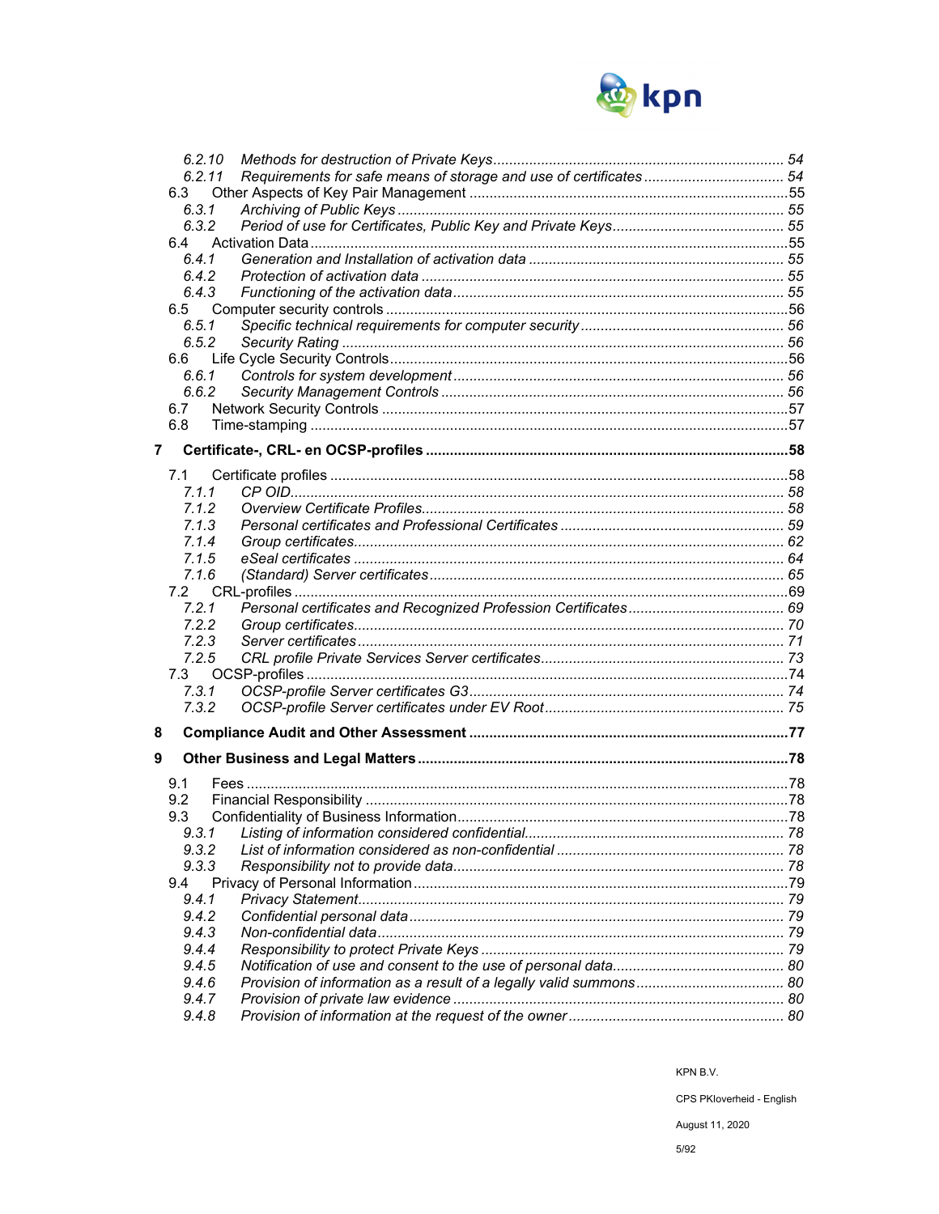

|                | 6.2.10 |  |
|----------------|--------|--|
|                | 6.2.11 |  |
|                | 6.3    |  |
|                | 6.3.1  |  |
|                | 6.3.2  |  |
|                | 6.4    |  |
|                | 6.4.1  |  |
|                | 6.4.2  |  |
|                | 6.4.3  |  |
|                | 6.5    |  |
|                | 6.5.1  |  |
|                | 6.5.2  |  |
|                | 6.6    |  |
|                | 6.6.1  |  |
|                | 6.6.2  |  |
|                | 6.7    |  |
|                | 6.8    |  |
| $\overline{7}$ |        |  |
|                |        |  |
|                | 7.1    |  |
|                | 7.1.1  |  |
|                | 7.1.2  |  |
|                | 7.1.3  |  |
|                | 7.1.4  |  |
|                | 7.1.5  |  |
|                | 7.1.6  |  |
|                | 7.2    |  |
|                | 7.2.1  |  |
|                | 7.2.2  |  |
|                | 7.2.3  |  |
|                | 7.2.5  |  |
|                | 7.3    |  |
|                | 7.3.1  |  |
|                | 7.3.2  |  |
| 8              |        |  |
|                |        |  |
| 9              |        |  |
|                | 9.1    |  |
|                | 9.2    |  |
|                | 9.3    |  |
|                |        |  |
|                | 9.3.2  |  |
|                | 9.3.3  |  |
|                | 9.4    |  |
|                | 9.4.1  |  |
|                | 9.4.2  |  |
|                | 9.4.3  |  |
|                | 9.4.4  |  |
|                | 9.4.5  |  |
|                | 9.4.6  |  |
|                | 9.4.7  |  |
|                | 9.4.8  |  |
|                |        |  |

KPN B.V.

CPS PKloverheid - English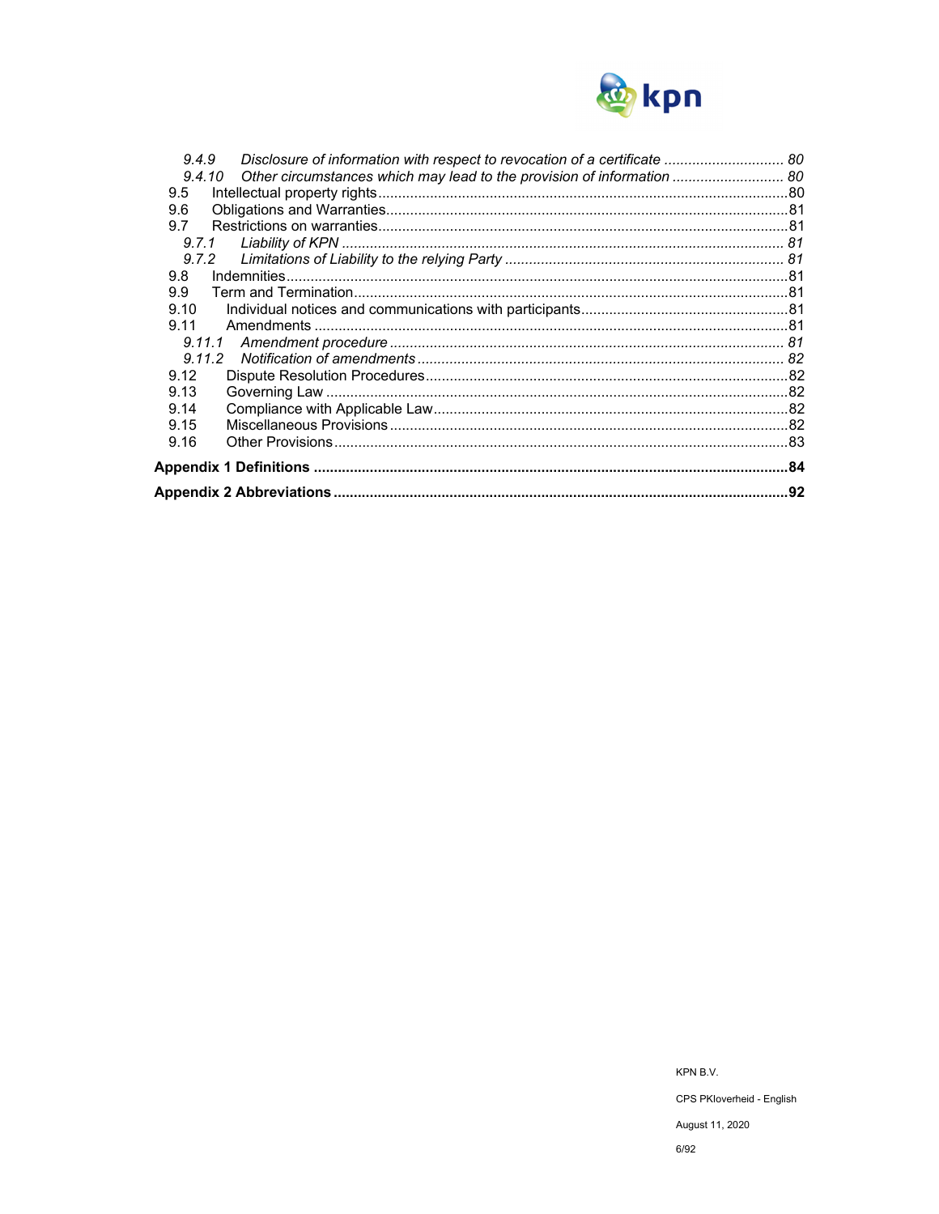

| 9.4.9                                                                            |     |
|----------------------------------------------------------------------------------|-----|
| Other circumstances which may lead to the provision of information  80<br>9,4,10 |     |
| 9.5                                                                              |     |
| 9.6                                                                              |     |
| 9.7                                                                              |     |
| 9.7.1                                                                            |     |
| 9.7.2                                                                            |     |
| 9.8                                                                              |     |
| 9.9                                                                              |     |
| 9.10                                                                             |     |
| 9.11                                                                             |     |
| 9.11.1                                                                           |     |
| 9.11.2                                                                           |     |
| 9.12                                                                             |     |
| 9.13                                                                             |     |
| 9.14                                                                             |     |
| 9.15                                                                             |     |
| 9.16                                                                             |     |
|                                                                                  |     |
|                                                                                  | .92 |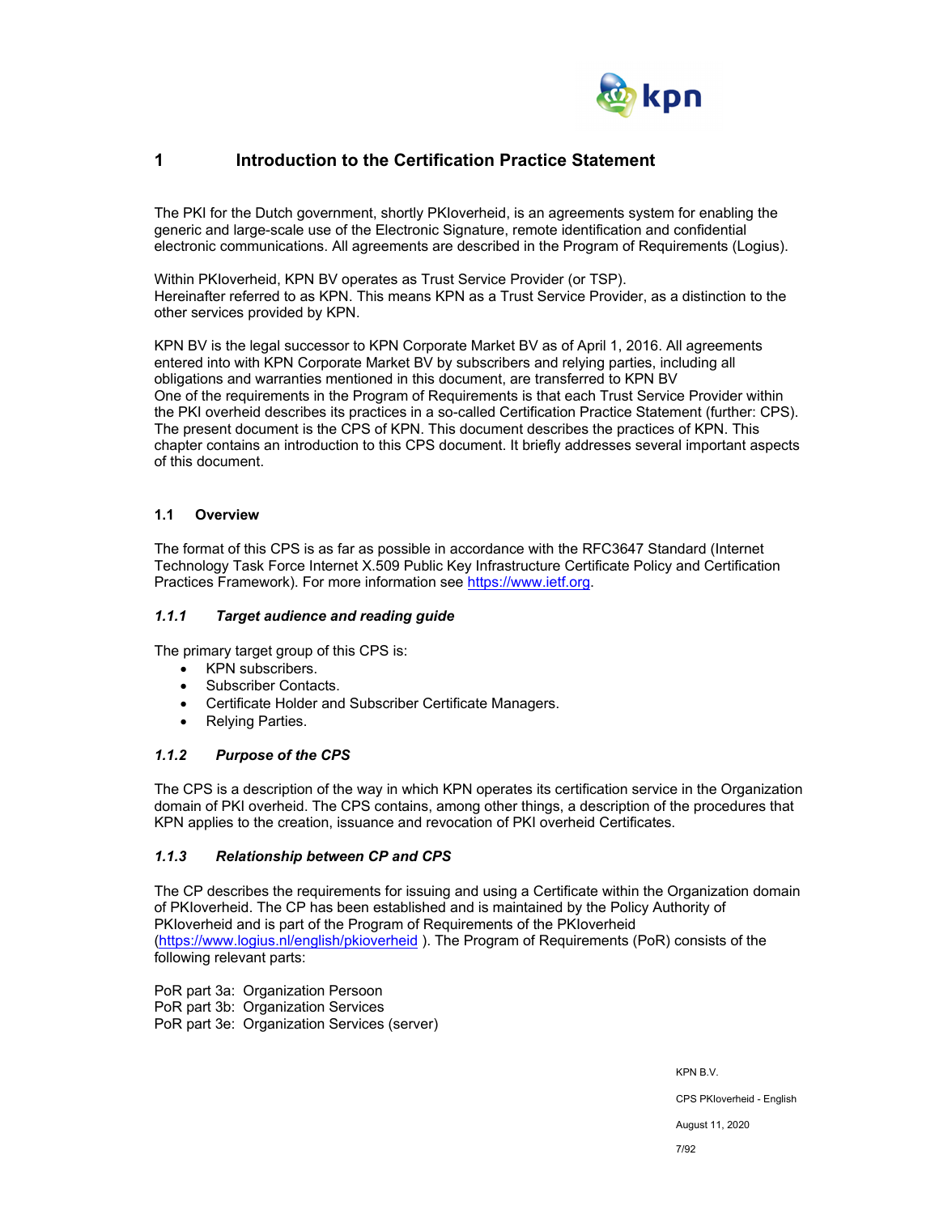

## **1 Introduction to the Certification Practice Statement**

The PKI for the Dutch government, shortly PKIoverheid, is an agreements system for enabling the generic and large-scale use of the Electronic Signature, remote identification and confidential electronic communications. All agreements are described in the Program of Requirements (Logius).

Within PKIoverheid, KPN BV operates as Trust Service Provider (or TSP). Hereinafter referred to as KPN. This means KPN as a Trust Service Provider, as a distinction to the other services provided by KPN.

KPN BV is the legal successor to KPN Corporate Market BV as of April 1, 2016. All agreements entered into with KPN Corporate Market BV by subscribers and relying parties, including all obligations and warranties mentioned in this document, are transferred to KPN BV One of the requirements in the Program of Requirements is that each Trust Service Provider within the PKI overheid describes its practices in a so-called Certification Practice Statement (further: CPS). The present document is the CPS of KPN. This document describes the practices of KPN. This chapter contains an introduction to this CPS document. It briefly addresses several important aspects of this document.

## **1.1 Overview**

The format of this CPS is as far as possible in accordance with the RFC3647 Standard (Internet Technology Task Force Internet X.509 Public Key Infrastructure Certificate Policy and Certification Practices Framework). For more information see https://www.ietf.org.

#### *1.1.1 Target audience and reading guide*

The primary target group of this CPS is:

- KPN subscribers.
- Subscriber Contacts.
- Certificate Holder and Subscriber Certificate Managers.
- Relying Parties.

## *1.1.2 Purpose of the CPS*

The CPS is a description of the way in which KPN operates its certification service in the Organization domain of PKI overheid. The CPS contains, among other things, a description of the procedures that KPN applies to the creation, issuance and revocation of PKI overheid Certificates.

#### *1.1.3 Relationship between CP and CPS*

The CP describes the requirements for issuing and using a Certificate within the Organization domain of PKIoverheid. The CP has been established and is maintained by the Policy Authority of PKIoverheid and is part of the Program of Requirements of the PKIoverheid (https://www.logius.nl/english/pkioverheid ). The Program of Requirements (PoR) consists of the following relevant parts:

PoR part 3a: Organization Persoon PoR part 3b: Organization Services PoR part 3e: Organization Services (server)

KPN B.V.

CPS PKIoverheid - English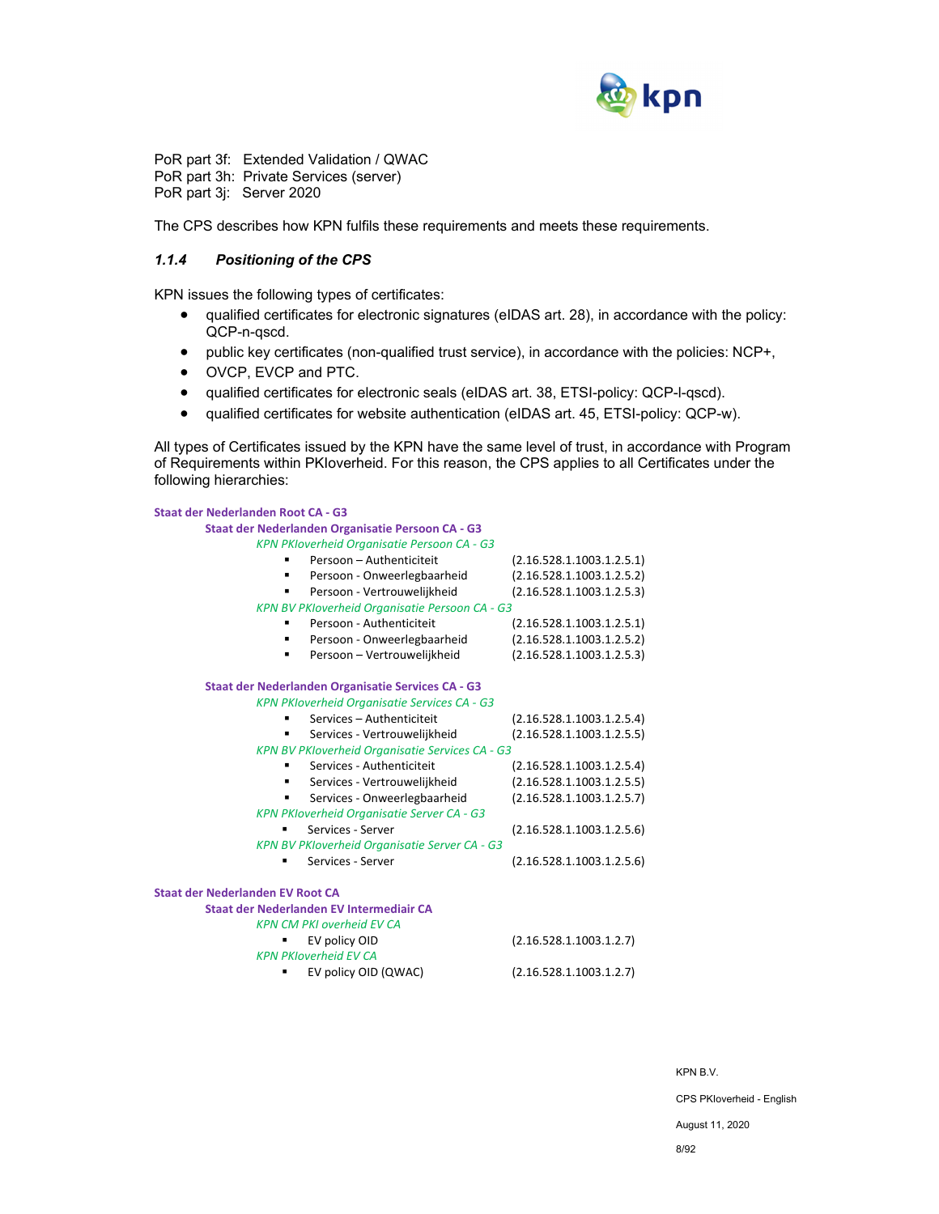

PoR part 3f: Extended Validation / QWAC PoR part 3h: Private Services (server) PoR part 3j: Server 2020

The CPS describes how KPN fulfils these requirements and meets these requirements.

### *1.1.4 Positioning of the CPS*

KPN issues the following types of certificates:

- qualified certificates for electronic signatures (eIDAS art. 28), in accordance with the policy: QCP-n-qscd.
- public key certificates (non-qualified trust service), in accordance with the policies: NCP+,
- OVCP, EVCP and PTC.
- qualified certificates for electronic seals (eIDAS art. 38, ETSI-policy: QCP-l-qscd).
- qualified certificates for website authentication (eIDAS art. 45, ETSI-policy: QCP-w).

All types of Certificates issued by the KPN have the same level of trust, in accordance with Program of Requirements within PKIoverheid. For this reason, the CPS applies to all Certificates under the following hierarchies:

| <b>Staat der Nederlanden Root CA - G3</b>           |                           |  |  |  |
|-----------------------------------------------------|---------------------------|--|--|--|
| Staat der Nederlanden Organisatie Persoon CA - G3   |                           |  |  |  |
| KPN PKIoverheid Organisatie Persoon CA - G3         |                           |  |  |  |
| Persoon - Authenticiteit                            | (2.16.528.1.1003.1.2.5.1) |  |  |  |
| Persoon - Onweerlegbaarheid<br>٠                    | (2.16.528.1.1003.1.2.5.2) |  |  |  |
| Persoon - Vertrouwelijkheid<br>٠                    | (2.16.528.1.1003.1.2.5.3) |  |  |  |
| KPN BV PKIoverheid Organisatie Persoon CA - G3      |                           |  |  |  |
| Persoon - Authenticiteit                            | (2.16.528.1.1003.1.2.5.1) |  |  |  |
| Persoon - Onweerlegbaarheid                         | (2.16.528.1.1003.1.2.5.2) |  |  |  |
| Persoon - Vertrouwelijkheid                         | (2.16.528.1.1003.1.2.5.3) |  |  |  |
| Staat der Nederlanden Organisatie Services CA - G3  |                           |  |  |  |
| <b>KPN PKIoverheid Organisatie Services CA - G3</b> |                           |  |  |  |
| Services - Authenticiteit                           | (2.16.528.1.1003.1.2.5.4) |  |  |  |
| Services - Vertrouwelijkheid                        | (2.16.528.1.1003.1.2.5.5) |  |  |  |
| KPN BV PKIoverheid Organisatie Services CA - G3     |                           |  |  |  |
| Services - Authenticiteit                           | (2.16.528.1.1003.1.2.5.4) |  |  |  |
| Services - Vertrouwelijkheid                        | (2.16.528.1.1003.1.2.5.5) |  |  |  |
| Services - Onweerlegbaarheid<br>٠                   | (2.16.528.1.1003.1.2.5.7) |  |  |  |
| <b>KPN PKIoverheid Organisatie Server CA - G3</b>   |                           |  |  |  |
| Services - Server                                   | (2.16.528.1.1003.1.2.5.6) |  |  |  |
| KPN BV PKIoverheid Organisatie Server CA - G3       |                           |  |  |  |
| Services - Server                                   | (2.16.528.1.1003.1.2.5.6) |  |  |  |
| <b>Staat der Nederlanden EV Root CA</b>             |                           |  |  |  |
| Staat der Nederlanden EV Intermediair CA            |                           |  |  |  |
| <b>KPN CM PKI overheid EV CA</b>                    |                           |  |  |  |
| EV policy OID                                       | (2.16.528.1.1003.1.2.7)   |  |  |  |
| <b>KPN PKIoverheid EV CA</b>                        |                           |  |  |  |
| EV policy OID (QWAC)                                | (2.16.528.1.1003.1.2.7)   |  |  |  |

KPN B.V. CPS PKIoverheid - English August 11, 2020 8/92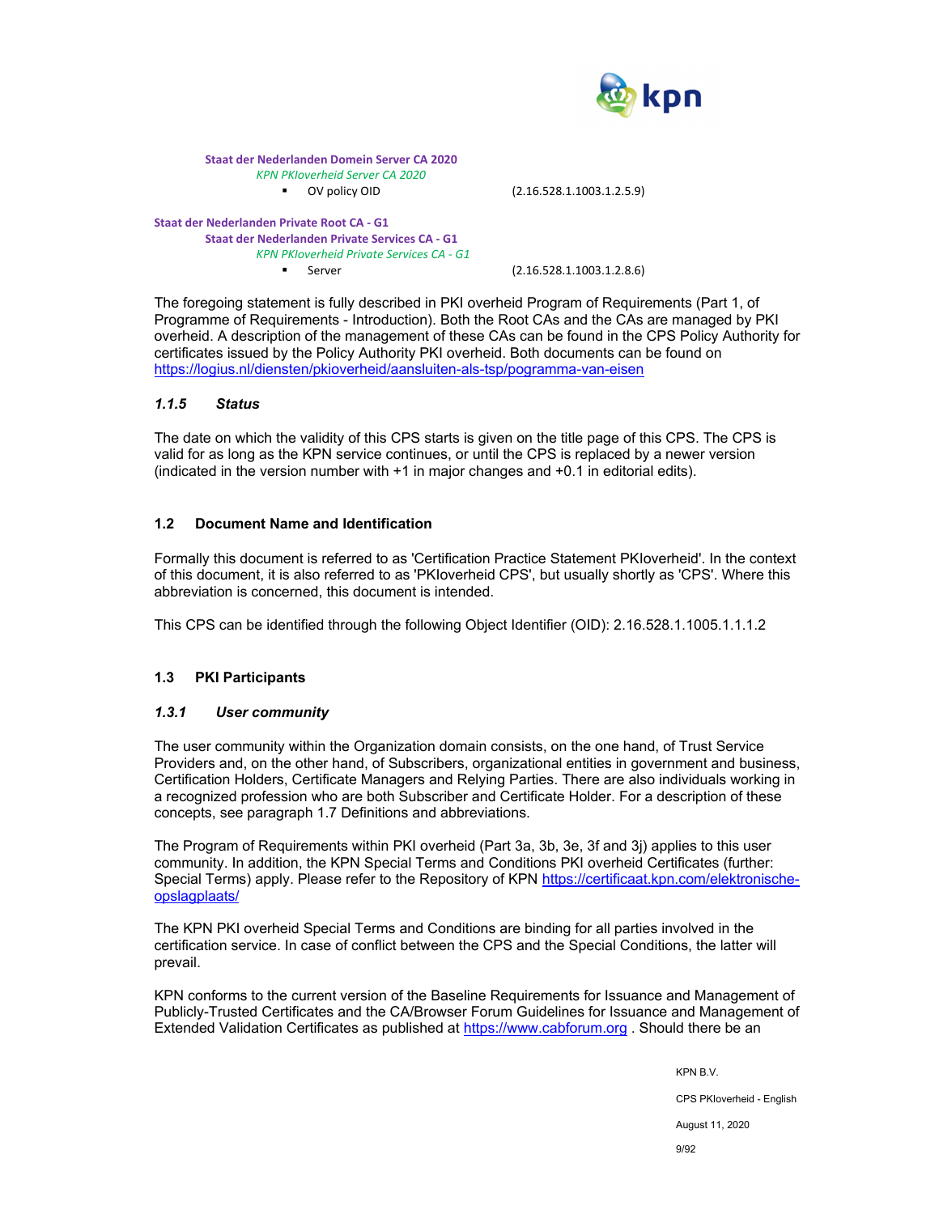

**Staat der Nederlanden Domein Server CA 2020**  *KPN PKIoverheid Server CA 2020* ■ OV policy OID (2.16.528.1.1003.1.2.5.9)

**Staat der Nederlanden Private Root CA ‐ G1 Staat der Nederlanden Private Services CA ‐ G1**  *KPN PKIoverheid Private Services CA ‐ G1* ■ Server (2.16.528.1.1003.1.2.8.6)

The foregoing statement is fully described in PKI overheid Program of Requirements (Part 1, of Programme of Requirements - Introduction). Both the Root CAs and the CAs are managed by PKI overheid. A description of the management of these CAs can be found in the CPS Policy Authority for certificates issued by the Policy Authority PKI overheid. Both documents can be found on https://logius.nl/diensten/pkioverheid/aansluiten-als-tsp/pogramma-van-eisen

### *1.1.5 Status*

The date on which the validity of this CPS starts is given on the title page of this CPS. The CPS is valid for as long as the KPN service continues, or until the CPS is replaced by a newer version (indicated in the version number with +1 in major changes and +0.1 in editorial edits).

## **1.2 Document Name and Identification**

Formally this document is referred to as 'Certification Practice Statement PKIoverheid'. In the context of this document, it is also referred to as 'PKIoverheid CPS', but usually shortly as 'CPS'. Where this abbreviation is concerned, this document is intended.

This CPS can be identified through the following Object Identifier (OID): 2.16.528.1.1005.1.1.1.2

## **1.3 PKI Participants**

## *1.3.1 User community*

The user community within the Organization domain consists, on the one hand, of Trust Service Providers and, on the other hand, of Subscribers, organizational entities in government and business, Certification Holders, Certificate Managers and Relying Parties. There are also individuals working in a recognized profession who are both Subscriber and Certificate Holder. For a description of these concepts, see paragraph 1.7 Definitions and abbreviations.

The Program of Requirements within PKI overheid (Part 3a, 3b, 3e, 3f and 3j) applies to this user community. In addition, the KPN Special Terms and Conditions PKI overheid Certificates (further: Special Terms) apply. Please refer to the Repository of KPN https://certificaat.kpn.com/elektronischeopslagplaats/

The KPN PKI overheid Special Terms and Conditions are binding for all parties involved in the certification service. In case of conflict between the CPS and the Special Conditions, the latter will prevail.

KPN conforms to the current version of the Baseline Requirements for Issuance and Management of Publicly-Trusted Certificates and the CA/Browser Forum Guidelines for Issuance and Management of Extended Validation Certificates as published at https://www.cabforum.org . Should there be an

KPN B.V.

CPS PKIoverheid - English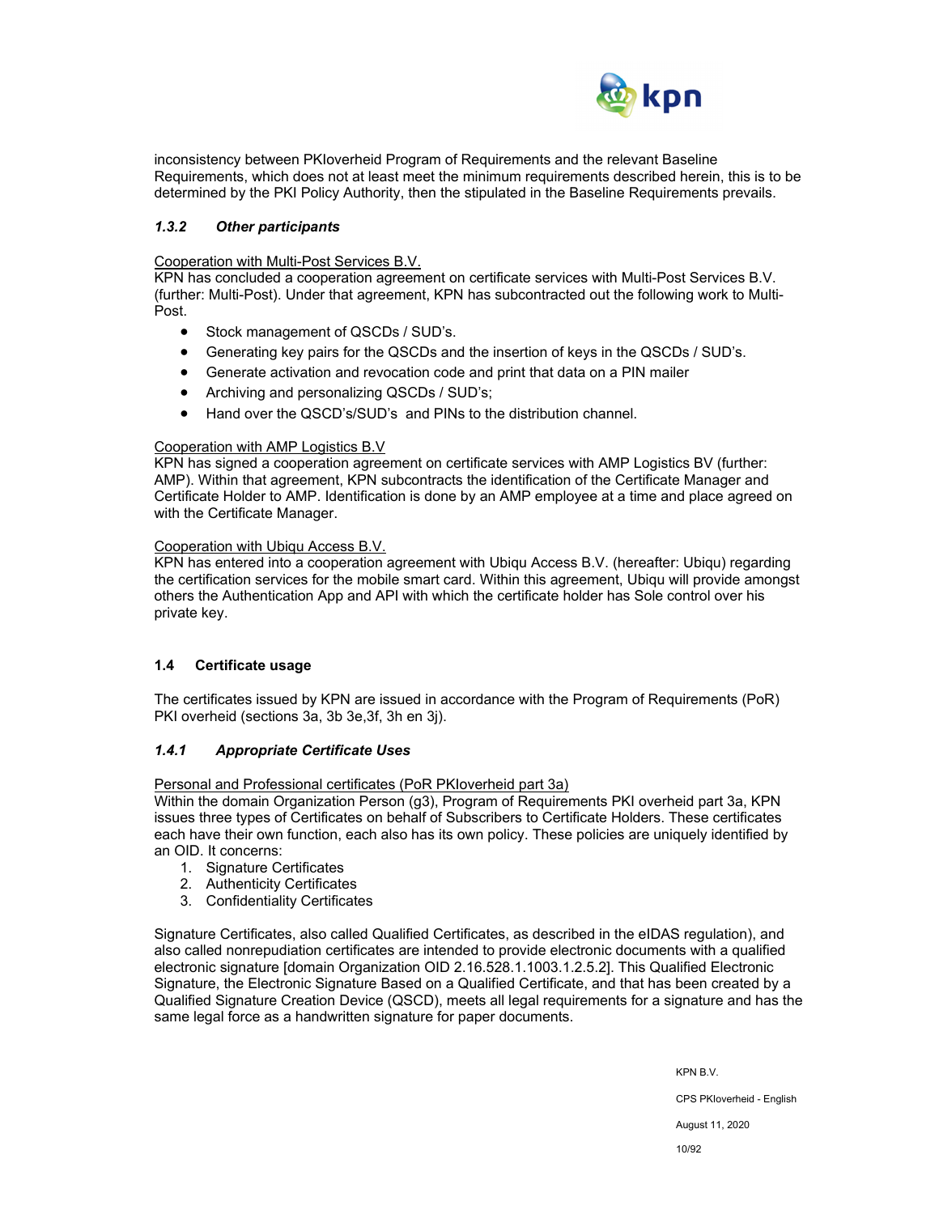

inconsistency between PKIoverheid Program of Requirements and the relevant Baseline Requirements, which does not at least meet the minimum requirements described herein, this is to be determined by the PKI Policy Authority, then the stipulated in the Baseline Requirements prevails.

## *1.3.2 Other participants*

Cooperation with Multi-Post Services B.V.

KPN has concluded a cooperation agreement on certificate services with Multi-Post Services B.V. (further: Multi-Post). Under that agreement, KPN has subcontracted out the following work to Multi-Post.

- Stock management of QSCDs / SUD's.
- Generating key pairs for the QSCDs and the insertion of keys in the QSCDs / SUD's.
- Generate activation and revocation code and print that data on a PIN mailer
- Archiving and personalizing QSCDs / SUD's;
- Hand over the QSCD's/SUD's and PINs to the distribution channel.

#### Cooperation with AMP Logistics B.V

KPN has signed a cooperation agreement on certificate services with AMP Logistics BV (further: AMP). Within that agreement, KPN subcontracts the identification of the Certificate Manager and Certificate Holder to AMP. Identification is done by an AMP employee at a time and place agreed on with the Certificate Manager.

#### Cooperation with Ubiqu Access B.V.

KPN has entered into a cooperation agreement with Ubiqu Access B.V. (hereafter: Ubiqu) regarding the certification services for the mobile smart card. Within this agreement, Ubiqu will provide amongst others the Authentication App and API with which the certificate holder has Sole control over his private key.

## **1.4 Certificate usage**

The certificates issued by KPN are issued in accordance with the Program of Requirements (PoR) PKI overheid (sections 3a, 3b 3e,3f, 3h en 3j).

## *1.4.1 Appropriate Certificate Uses*

Personal and Professional certificates (PoR PKIoverheid part 3a)

Within the domain Organization Person (g3), Program of Requirements PKI overheid part 3a, KPN issues three types of Certificates on behalf of Subscribers to Certificate Holders. These certificates each have their own function, each also has its own policy. These policies are uniquely identified by an OID. It concerns:

- 1. Signature Certificates
- 2. Authenticity Certificates
- 3. Confidentiality Certificates

Signature Certificates, also called Qualified Certificates, as described in the eIDAS regulation), and also called nonrepudiation certificates are intended to provide electronic documents with a qualified electronic signature [domain Organization OID 2.16.528.1.1003.1.2.5.2]. This Qualified Electronic Signature, the Electronic Signature Based on a Qualified Certificate, and that has been created by a Qualified Signature Creation Device (QSCD), meets all legal requirements for a signature and has the same legal force as a handwritten signature for paper documents.

KPN B.V.

CPS PKIoverheid - English

August 11, 2020

10/92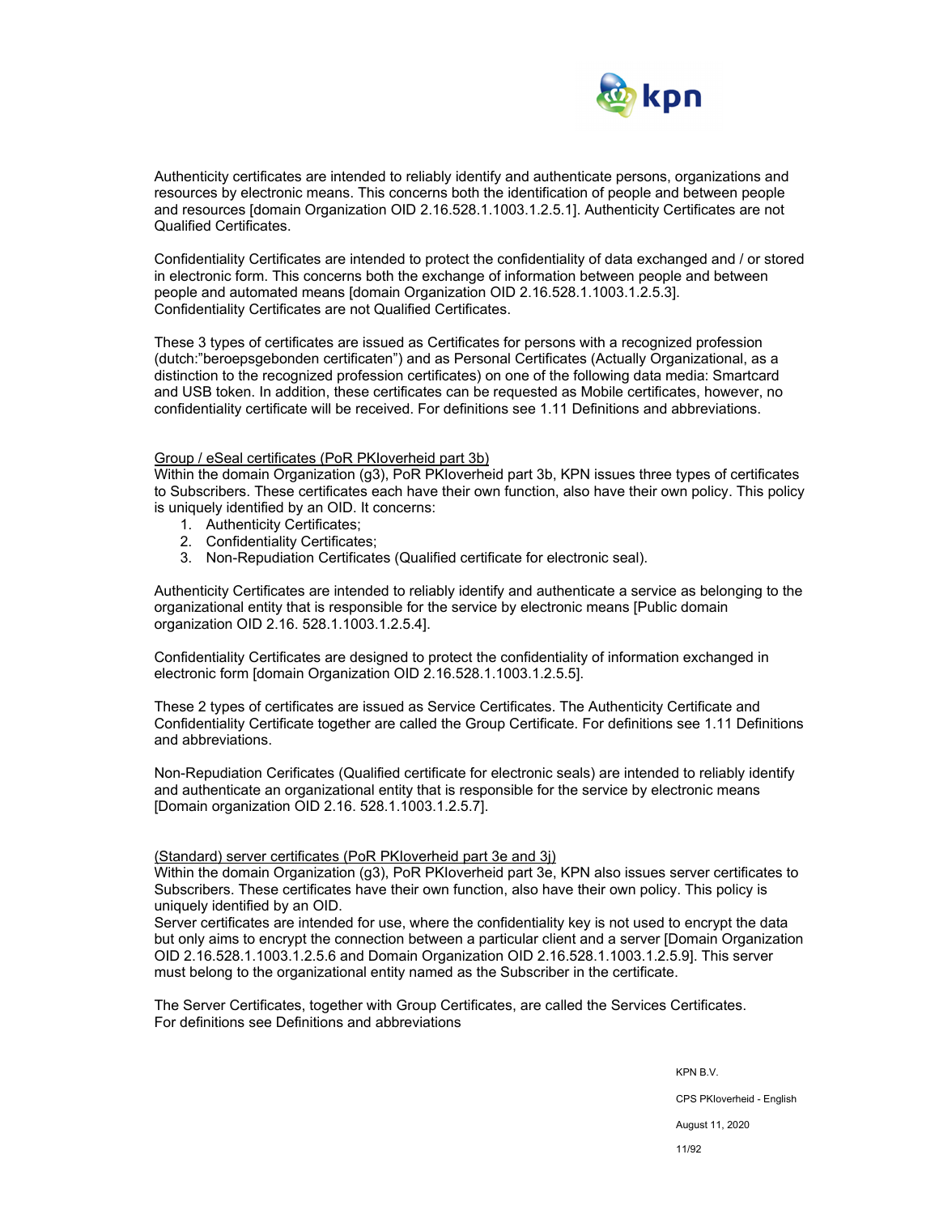

Authenticity certificates are intended to reliably identify and authenticate persons, organizations and resources by electronic means. This concerns both the identification of people and between people and resources [domain Organization OID 2.16.528.1.1003.1.2.5.1]. Authenticity Certificates are not Qualified Certificates.

Confidentiality Certificates are intended to protect the confidentiality of data exchanged and / or stored in electronic form. This concerns both the exchange of information between people and between people and automated means [domain Organization OID 2.16.528.1.1003.1.2.5.3]. Confidentiality Certificates are not Qualified Certificates.

These 3 types of certificates are issued as Certificates for persons with a recognized profession (dutch:"beroepsgebonden certificaten") and as Personal Certificates (Actually Organizational, as a distinction to the recognized profession certificates) on one of the following data media: Smartcard and USB token. In addition, these certificates can be requested as Mobile certificates, however, no confidentiality certificate will be received. For definitions see 1.11 Definitions and abbreviations.

#### Group / eSeal certificates (PoR PKIoverheid part 3b)

Within the domain Organization (g3), PoR PKIoverheid part 3b, KPN issues three types of certificates to Subscribers. These certificates each have their own function, also have their own policy. This policy is uniquely identified by an OID. It concerns:

- 1. Authenticity Certificates;
- 2. Confidentiality Certificates;
- 3. Non-Repudiation Certificates (Qualified certificate for electronic seal).

Authenticity Certificates are intended to reliably identify and authenticate a service as belonging to the organizational entity that is responsible for the service by electronic means [Public domain organization OID 2.16. 528.1.1003.1.2.5.4].

Confidentiality Certificates are designed to protect the confidentiality of information exchanged in electronic form [domain Organization OID 2.16.528.1.1003.1.2.5.5].

These 2 types of certificates are issued as Service Certificates. The Authenticity Certificate and Confidentiality Certificate together are called the Group Certificate. For definitions see 1.11 Definitions and abbreviations.

Non-Repudiation Cerificates (Qualified certificate for electronic seals) are intended to reliably identify and authenticate an organizational entity that is responsible for the service by electronic means [Domain organization OID 2.16. 528.1.1003.1.2.5.7].

#### (Standard) server certificates (PoR PKIoverheid part 3e and 3j)

Within the domain Organization (g3), PoR PKIoverheid part 3e, KPN also issues server certificates to Subscribers. These certificates have their own function, also have their own policy. This policy is uniquely identified by an OID.

Server certificates are intended for use, where the confidentiality key is not used to encrypt the data but only aims to encrypt the connection between a particular client and a server [Domain Organization OID 2.16.528.1.1003.1.2.5.6 and Domain Organization OID 2.16.528.1.1003.1.2.5.9]. This server must belong to the organizational entity named as the Subscriber in the certificate.

The Server Certificates, together with Group Certificates, are called the Services Certificates. For definitions see Definitions and abbreviations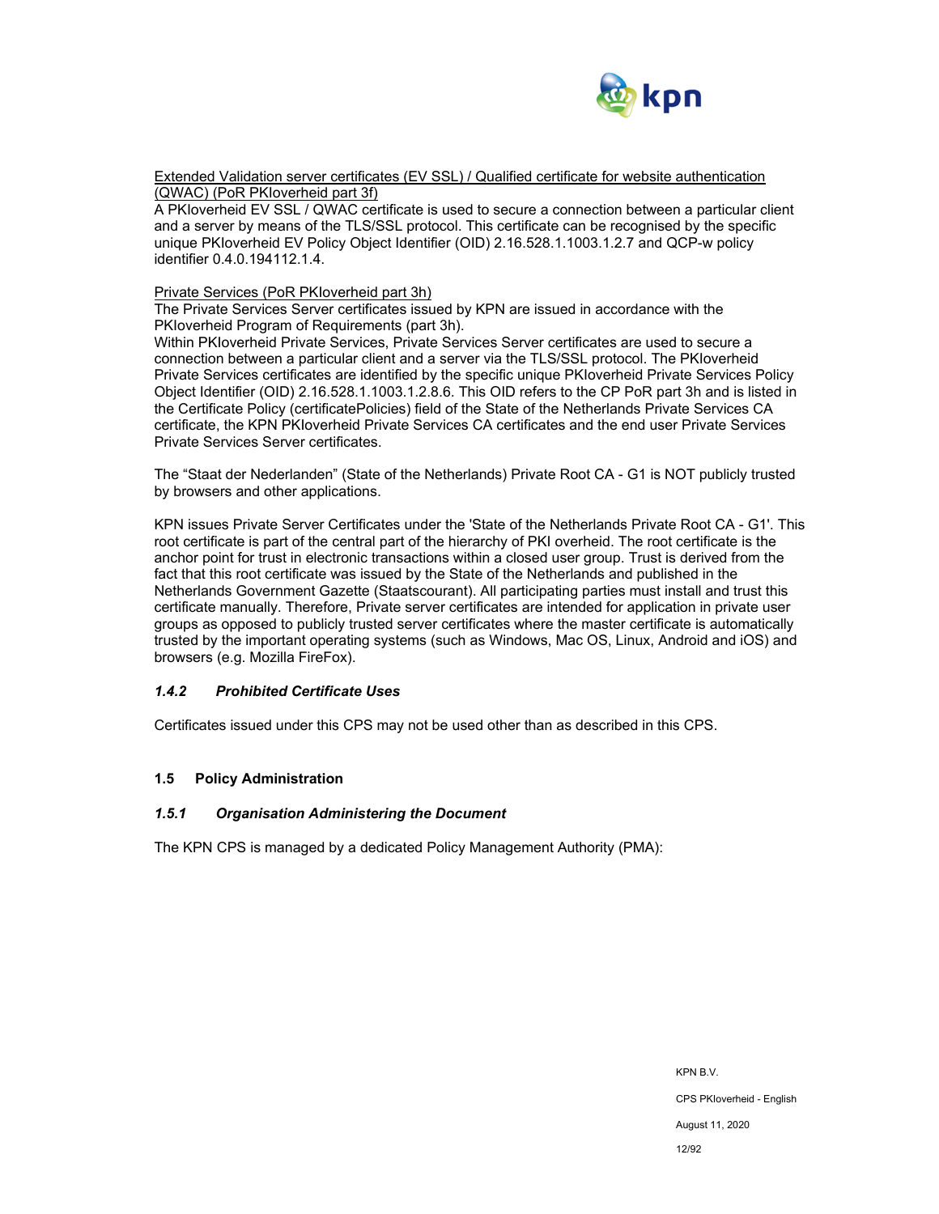

Extended Validation server certificates (EV SSL) / Qualified certificate for website authentication (QWAC) (PoR PKIoverheid part 3f)

A PKIoverheid EV SSL / QWAC certificate is used to secure a connection between a particular client and a server by means of the TLS/SSL protocol. This certificate can be recognised by the specific unique PKIoverheid EV Policy Object Identifier (OID) 2.16.528.1.1003.1.2.7 and QCP-w policy identifier 0.4.0.194112.1.4.

#### Private Services (PoR PKIoverheid part 3h)

The Private Services Server certificates issued by KPN are issued in accordance with the PKIoverheid Program of Requirements (part 3h).

Within PKIoverheid Private Services, Private Services Server certificates are used to secure a connection between a particular client and a server via the TLS/SSL protocol. The PKIoverheid Private Services certificates are identified by the specific unique PKIoverheid Private Services Policy Object Identifier (OID) 2.16.528.1.1003.1.2.8.6. This OID refers to the CP PoR part 3h and is listed in the Certificate Policy (certificatePolicies) field of the State of the Netherlands Private Services CA certificate, the KPN PKIoverheid Private Services CA certificates and the end user Private Services Private Services Server certificates.

The "Staat der Nederlanden" (State of the Netherlands) Private Root CA - G1 is NOT publicly trusted by browsers and other applications.

KPN issues Private Server Certificates under the 'State of the Netherlands Private Root CA - G1'. This root certificate is part of the central part of the hierarchy of PKI overheid. The root certificate is the anchor point for trust in electronic transactions within a closed user group. Trust is derived from the fact that this root certificate was issued by the State of the Netherlands and published in the Netherlands Government Gazette (Staatscourant). All participating parties must install and trust this certificate manually. Therefore, Private server certificates are intended for application in private user groups as opposed to publicly trusted server certificates where the master certificate is automatically trusted by the important operating systems (such as Windows, Mac OS, Linux, Android and iOS) and browsers (e.g. Mozilla FireFox).

#### *1.4.2 Prohibited Certificate Uses*

Certificates issued under this CPS may not be used other than as described in this CPS.

#### **1.5 Policy Administration**

#### *1.5.1 Organisation Administering the Document*

The KPN CPS is managed by a dedicated Policy Management Authority (PMA):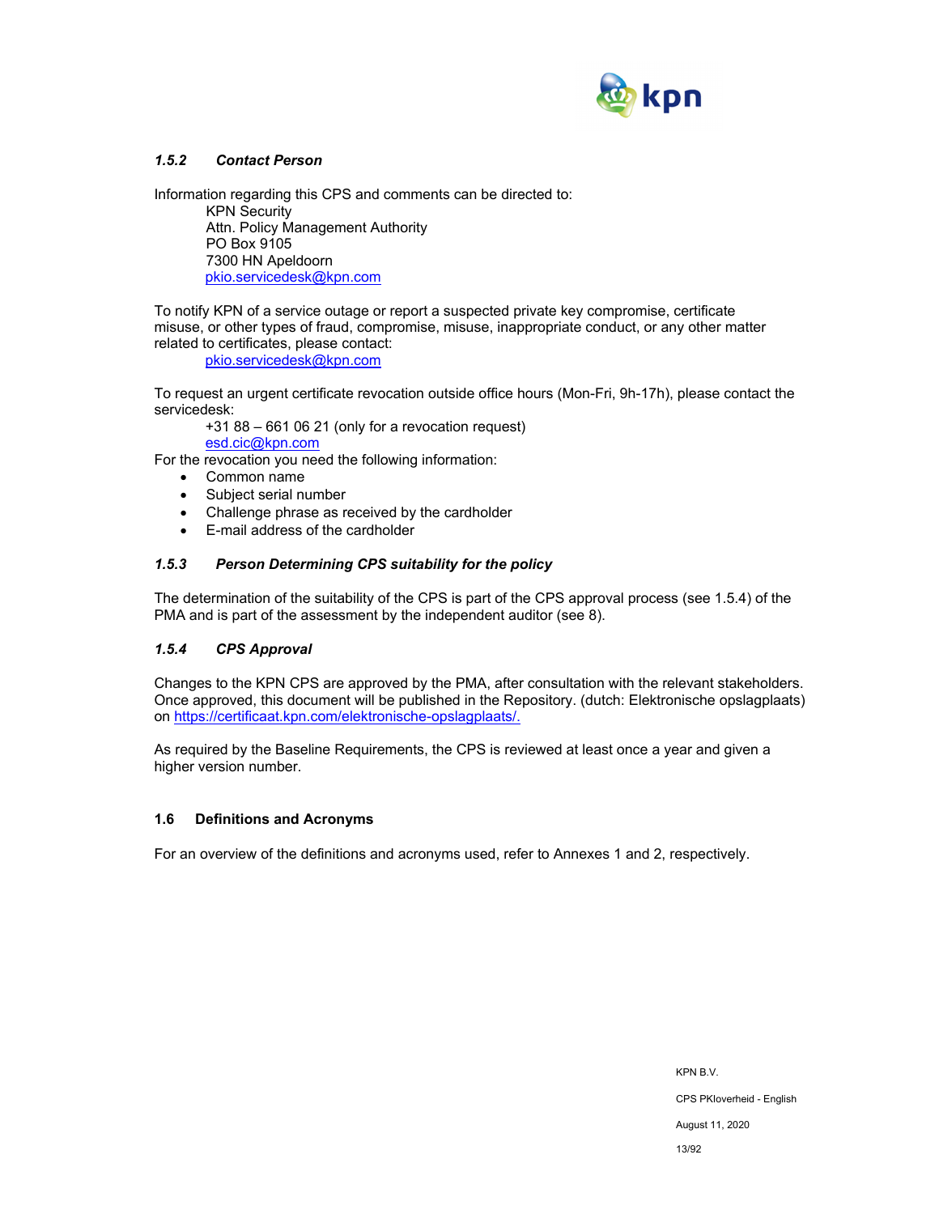

## *1.5.2 Contact Person*

Information regarding this CPS and comments can be directed to:

KPN Security Attn. Policy Management Authority PO Box 9105 7300 HN Apeldoorn pkio.servicedesk@kpn.com

To notify KPN of a service outage or report a suspected private key compromise, certificate misuse, or other types of fraud, compromise, misuse, inappropriate conduct, or any other matter related to certificates, please contact:

pkio.servicedesk@kpn.com

To request an urgent certificate revocation outside office hours (Mon-Fri, 9h-17h), please contact the servicedesk:

+31 88 – 661 06 21 (only for a revocation request) esd.cic@kpn.com

For the revocation you need the following information:

- Common name
- Subject serial number
- Challenge phrase as received by the cardholder
- E-mail address of the cardholder

## *1.5.3 Person Determining CPS suitability for the policy*

The determination of the suitability of the CPS is part of the CPS approval process (see 1.5.4) of the PMA and is part of the assessment by the independent auditor (see 8).

## *1.5.4 CPS Approval*

Changes to the KPN CPS are approved by the PMA, after consultation with the relevant stakeholders. Once approved, this document will be published in the Repository. (dutch: Elektronische opslagplaats) on https://certificaat.kpn.com/elektronische-opslagplaats/.

As required by the Baseline Requirements, the CPS is reviewed at least once a year and given a higher version number.

## **1.6 Definitions and Acronyms**

For an overview of the definitions and acronyms used, refer to Annexes 1 and 2, respectively.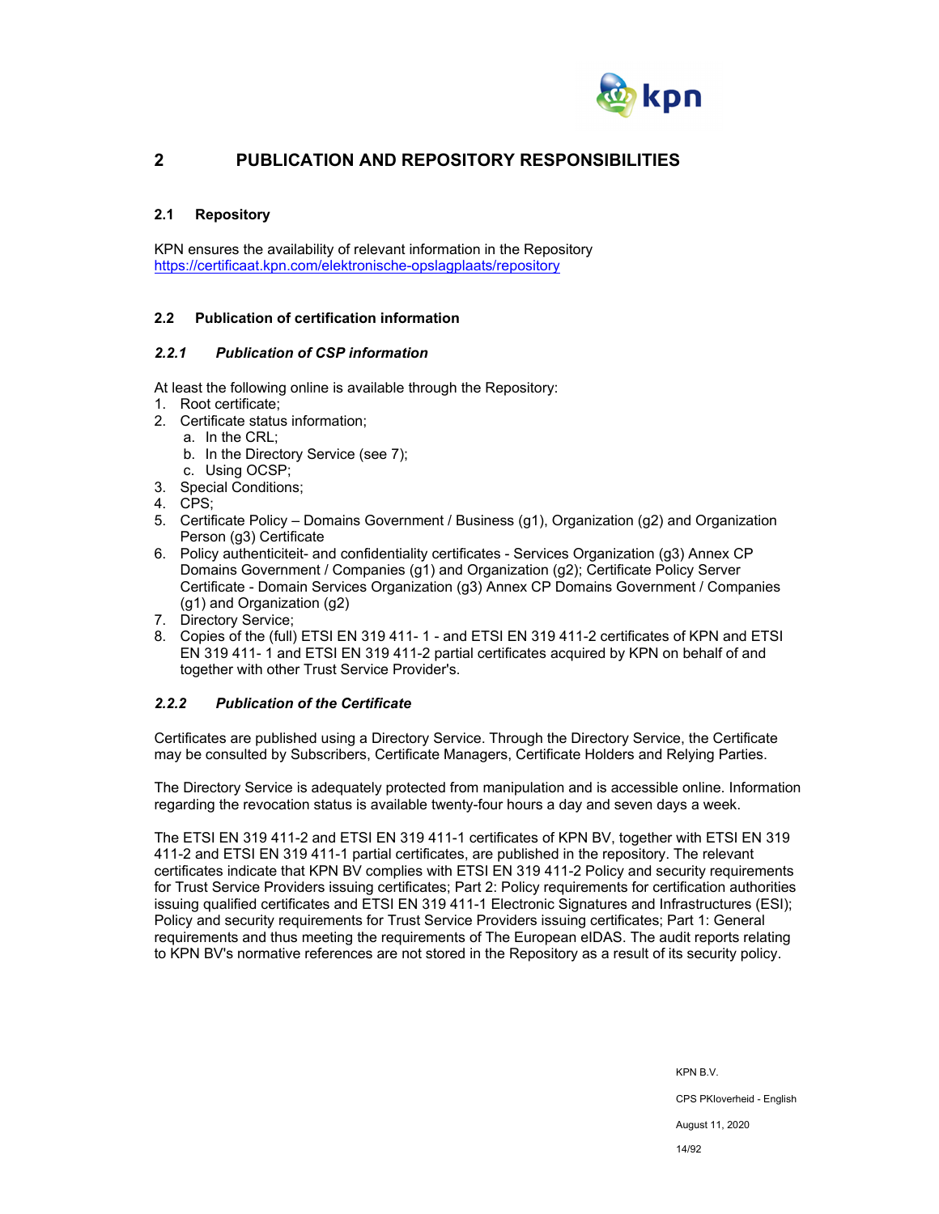

## **2 PUBLICATION AND REPOSITORY RESPONSIBILITIES**

## **2.1 Repository**

KPN ensures the availability of relevant information in the Repository https://certificaat.kpn.com/elektronische-opslagplaats/repository

## **2.2 Publication of certification information**

### *2.2.1 Publication of CSP information*

At least the following online is available through the Repository:

- 1. Root certificate;
- 2. Certificate status information;
	- a. In the CRL;
	- b. In the Directory Service (see 7);
	- c. Using OCSP;
- 3. Special Conditions;
- 4. CPS;
- 5. Certificate Policy Domains Government / Business (g1), Organization (g2) and Organization Person (g3) Certificate
- 6. Policy authenticiteit- and confidentiality certificates Services Organization (g3) Annex CP Domains Government / Companies (g1) and Organization (g2); Certificate Policy Server Certificate - Domain Services Organization (g3) Annex CP Domains Government / Companies (g1) and Organization (g2)
- 7. Directory Service;
- 8. Copies of the (full) ETSI EN 319 411- 1 and ETSI EN 319 411-2 certificates of KPN and ETSI EN 319 411- 1 and ETSI EN 319 411-2 partial certificates acquired by KPN on behalf of and together with other Trust Service Provider's.

## *2.2.2 Publication of the Certificate*

Certificates are published using a Directory Service. Through the Directory Service, the Certificate may be consulted by Subscribers, Certificate Managers, Certificate Holders and Relying Parties.

The Directory Service is adequately protected from manipulation and is accessible online. Information regarding the revocation status is available twenty-four hours a day and seven days a week.

The ETSI EN 319 411-2 and ETSI EN 319 411-1 certificates of KPN BV, together with ETSI EN 319 411-2 and ETSI EN 319 411-1 partial certificates, are published in the repository. The relevant certificates indicate that KPN BV complies with ETSI EN 319 411-2 Policy and security requirements for Trust Service Providers issuing certificates; Part 2: Policy requirements for certification authorities issuing qualified certificates and ETSI EN 319 411-1 Electronic Signatures and Infrastructures (ESI); Policy and security requirements for Trust Service Providers issuing certificates; Part 1: General requirements and thus meeting the requirements of The European eIDAS. The audit reports relating to KPN BV's normative references are not stored in the Repository as a result of its security policy.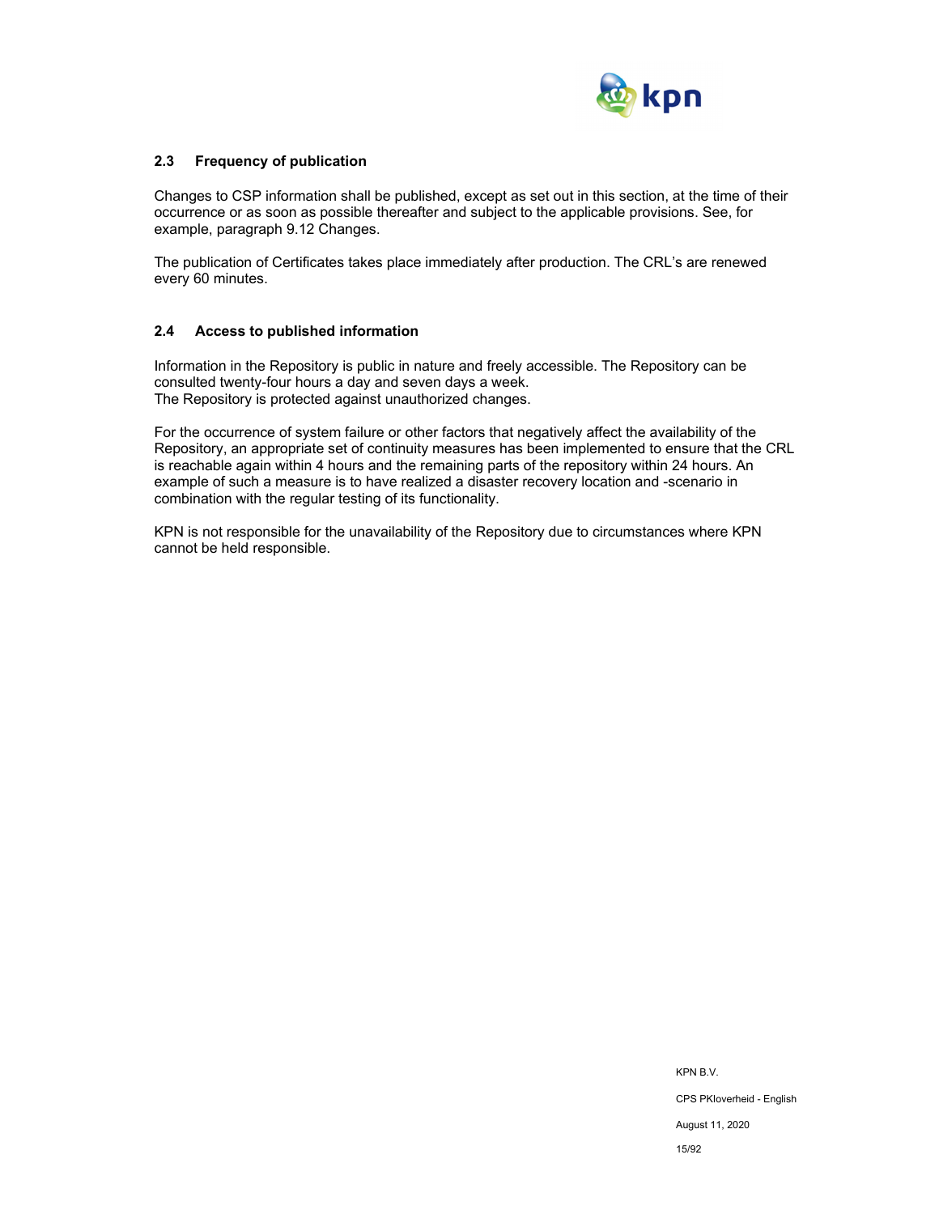

## **2.3 Frequency of publication**

Changes to CSP information shall be published, except as set out in this section, at the time of their occurrence or as soon as possible thereafter and subject to the applicable provisions. See, for example, paragraph 9.12 Changes.

The publication of Certificates takes place immediately after production. The CRL's are renewed every 60 minutes.

### **2.4 Access to published information**

Information in the Repository is public in nature and freely accessible. The Repository can be consulted twenty-four hours a day and seven days a week. The Repository is protected against unauthorized changes.

For the occurrence of system failure or other factors that negatively affect the availability of the Repository, an appropriate set of continuity measures has been implemented to ensure that the CRL is reachable again within 4 hours and the remaining parts of the repository within 24 hours. An example of such a measure is to have realized a disaster recovery location and -scenario in combination with the regular testing of its functionality.

KPN is not responsible for the unavailability of the Repository due to circumstances where KPN cannot be held responsible.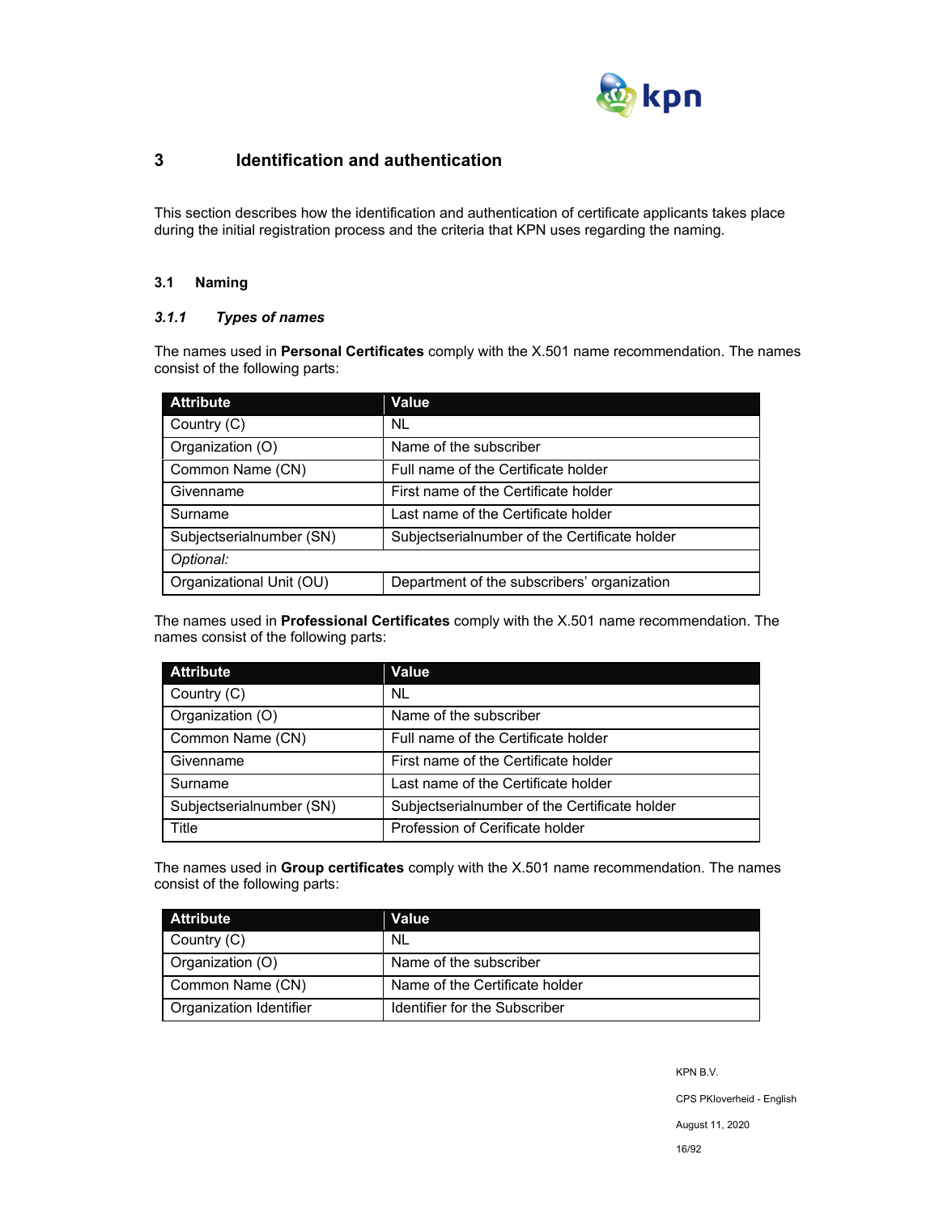

## **3 Identification and authentication**

This section describes how the identification and authentication of certificate applicants takes place during the initial registration process and the criteria that KPN uses regarding the naming.

## **3.1 Naming**

## *3.1.1 Types of names*

The names used in **Personal Certificates** comply with the X.501 name recommendation. The names consist of the following parts:

| <b>Attribute</b>         | Value                                         |
|--------------------------|-----------------------------------------------|
| Country (C)              | <b>NL</b>                                     |
| Organization (O)         | Name of the subscriber                        |
| Common Name (CN)         | Full name of the Certificate holder           |
| Givenname                | First name of the Certificate holder          |
| Surname                  | Last name of the Certificate holder           |
| Subjectserialnumber (SN) | Subjectserialnumber of the Certificate holder |
| Optional:                |                                               |
| Organizational Unit (OU) | Department of the subscribers' organization   |

The names used in **Professional Certificates** comply with the X.501 name recommendation. The names consist of the following parts:

| <b>Attribute</b>         | Value                                         |
|--------------------------|-----------------------------------------------|
| Country (C)              | NL                                            |
| Organization (O)         | Name of the subscriber                        |
| Common Name (CN)         | Full name of the Certificate holder           |
| Givenname                | First name of the Certificate holder          |
| Surname                  | Last name of the Certificate holder           |
| Subjectserialnumber (SN) | Subjectserialnumber of the Certificate holder |
| Title                    | Profession of Cerificate holder               |

The names used in **Group certificates** comply with the X.501 name recommendation. The names consist of the following parts:

| <b>Attribute</b>        | Value                          |
|-------------------------|--------------------------------|
| Country (C)             | NL                             |
| Organization (O)        | Name of the subscriber         |
| Common Name (CN)        | Name of the Certificate holder |
| Organization Identifier | Identifier for the Subscriber  |

KPN B.V.

CPS PKIoverheid - English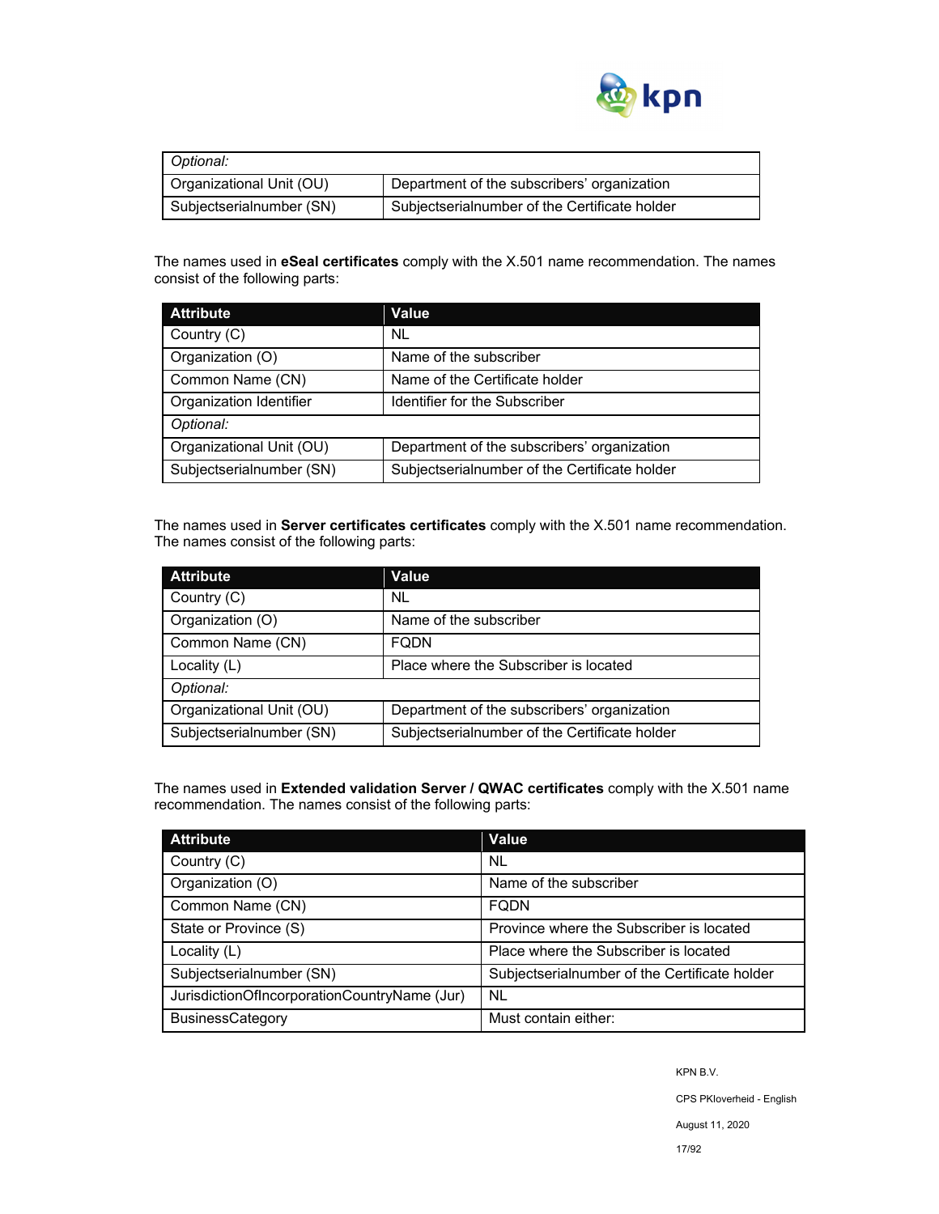

| Optional:                |                                               |  |
|--------------------------|-----------------------------------------------|--|
| Organizational Unit (OU) | Department of the subscribers' organization   |  |
| Subjectserialnumber (SN) | Subjectserialnumber of the Certificate holder |  |

The names used in **eSeal certificates** comply with the X.501 name recommendation. The names consist of the following parts:

| <b>Attribute</b>         | Value                                         |  |
|--------------------------|-----------------------------------------------|--|
| Country (C)              | NL.                                           |  |
| Organization (O)         | Name of the subscriber                        |  |
| Common Name (CN)         | Name of the Certificate holder                |  |
| Organization Identifier  | Identifier for the Subscriber                 |  |
| Optional:                |                                               |  |
| Organizational Unit (OU) | Department of the subscribers' organization   |  |
| Subjectserialnumber (SN) | Subjectserialnumber of the Certificate holder |  |

The names used in **Server certificates certificates** comply with the X.501 name recommendation. The names consist of the following parts:

| <b>Attribute</b>         | Value                                         |
|--------------------------|-----------------------------------------------|
| Country (C)              | NL.                                           |
| Organization (O)         | Name of the subscriber                        |
| Common Name (CN)         | <b>FODN</b>                                   |
| Locality (L)             | Place where the Subscriber is located         |
| Optional:                |                                               |
| Organizational Unit (OU) | Department of the subscribers' organization   |
| Subjectserialnumber (SN) | Subjectserialnumber of the Certificate holder |

The names used in **Extended validation Server / QWAC certificates** comply with the X.501 name recommendation. The names consist of the following parts:

| <b>Attribute</b>                             | <b>Value</b>                                  |
|----------------------------------------------|-----------------------------------------------|
| Country (C)                                  | <b>NL</b>                                     |
| Organization (O)                             | Name of the subscriber                        |
| Common Name (CN)                             | <b>FODN</b>                                   |
| State or Province (S)                        | Province where the Subscriber is located      |
| Locality $(L)$                               | Place where the Subscriber is located         |
| Subjectserialnumber (SN)                     | Subjectserialnumber of the Certificate holder |
| JurisdictionOfIncorporationCountryName (Jur) | <b>NL</b>                                     |
| <b>BusinessCategory</b>                      | Must contain either:                          |

KPN B.V.

CPS PKIoverheid - English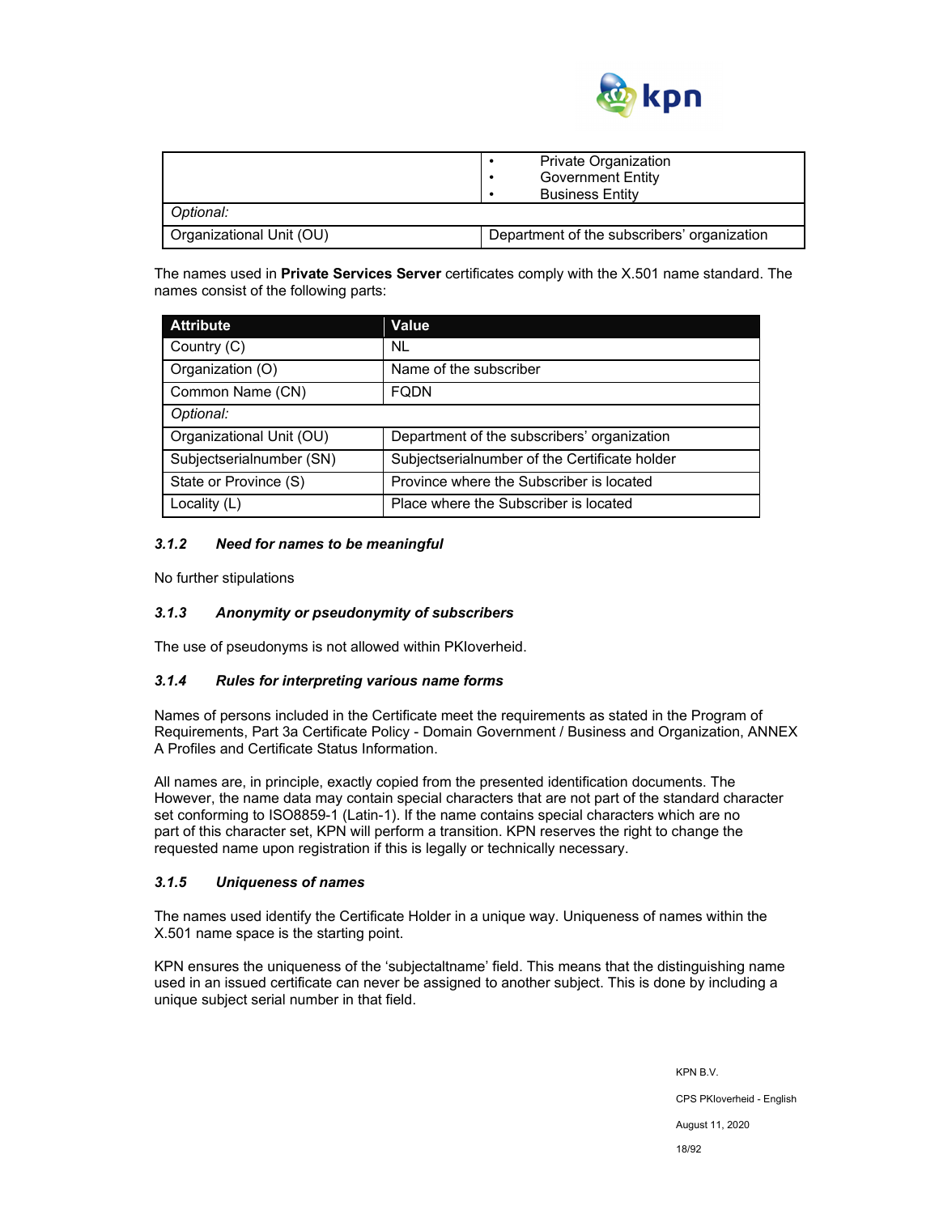

|                          | <b>Private Organization</b><br><b>Government Entity</b><br><b>Business Entity</b> |
|--------------------------|-----------------------------------------------------------------------------------|
| Optional:                |                                                                                   |
| Organizational Unit (OU) | Department of the subscribers' organization                                       |

The names used in **Private Services Server** certificates comply with the X.501 name standard. The names consist of the following parts:

| <b>Attribute</b>         | Value                                         |
|--------------------------|-----------------------------------------------|
| Country (C)              | NL                                            |
| Organization (O)         | Name of the subscriber                        |
| Common Name (CN)         | <b>FQDN</b>                                   |
| Optional:                |                                               |
| Organizational Unit (OU) | Department of the subscribers' organization   |
| Subjectserialnumber (SN) | Subjectserialnumber of the Certificate holder |
| State or Province (S)    | Province where the Subscriber is located      |
| Locality (L)             | Place where the Subscriber is located         |

### *3.1.2 Need for names to be meaningful*

No further stipulations

## *3.1.3 Anonymity or pseudonymity of subscribers*

The use of pseudonyms is not allowed within PKIoverheid.

#### *3.1.4 Rules for interpreting various name forms*

Names of persons included in the Certificate meet the requirements as stated in the Program of Requirements, Part 3a Certificate Policy - Domain Government / Business and Organization, ANNEX A Profiles and Certificate Status Information.

All names are, in principle, exactly copied from the presented identification documents. The However, the name data may contain special characters that are not part of the standard character set conforming to ISO8859-1 (Latin-1). If the name contains special characters which are no part of this character set, KPN will perform a transition. KPN reserves the right to change the requested name upon registration if this is legally or technically necessary.

#### *3.1.5 Uniqueness of names*

The names used identify the Certificate Holder in a unique way. Uniqueness of names within the X.501 name space is the starting point.

KPN ensures the uniqueness of the 'subjectaltname' field. This means that the distinguishing name used in an issued certificate can never be assigned to another subject. This is done by including a unique subject serial number in that field.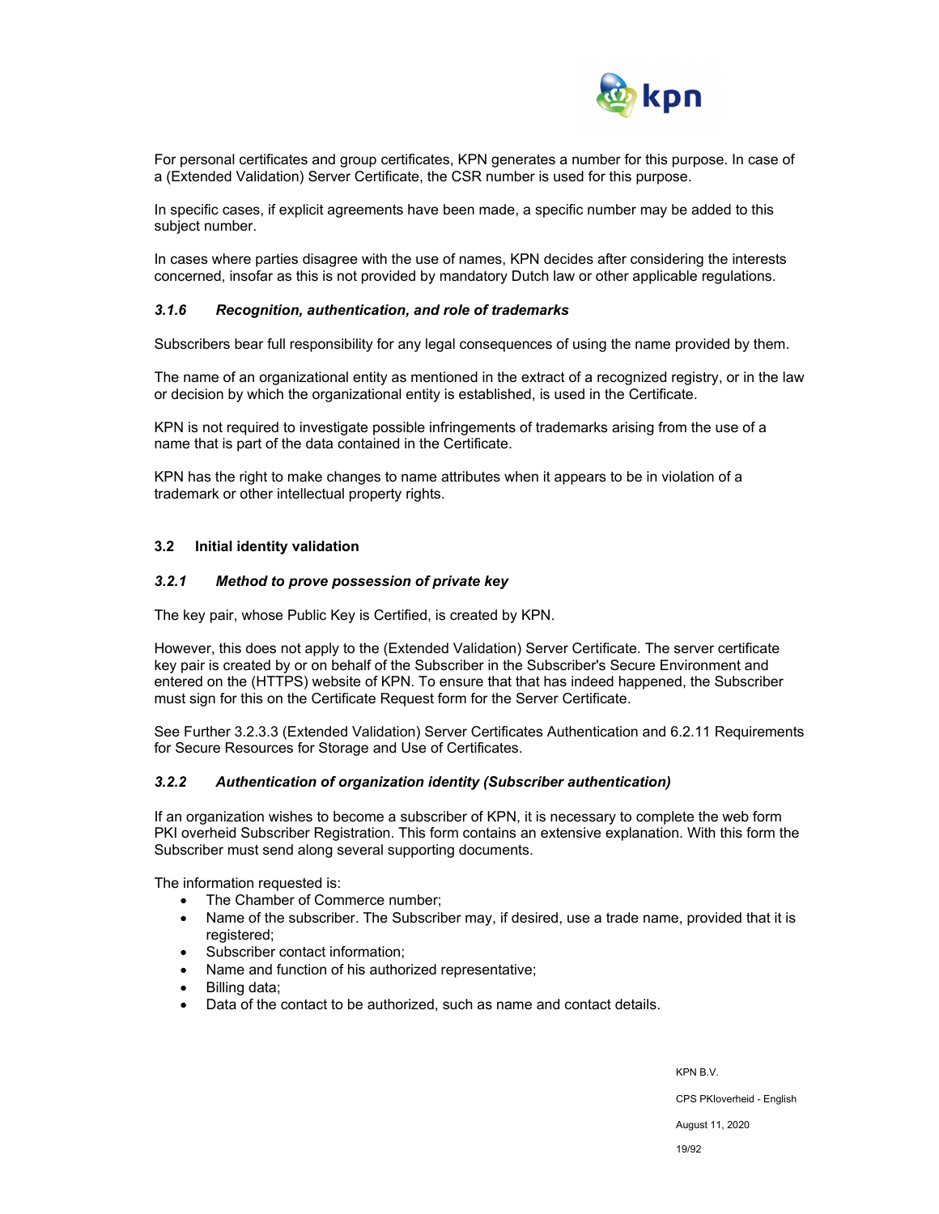

For personal certificates and group certificates, KPN generates a number for this purpose. In case of a (Extended Validation) Server Certificate, the CSR number is used for this purpose.

In specific cases, if explicit agreements have been made, a specific number may be added to this subject number.

In cases where parties disagree with the use of names, KPN decides after considering the interests concerned, insofar as this is not provided by mandatory Dutch law or other applicable regulations.

#### *3.1.6 Recognition, authentication, and role of trademarks*

Subscribers bear full responsibility for any legal consequences of using the name provided by them.

The name of an organizational entity as mentioned in the extract of a recognized registry, or in the law or decision by which the organizational entity is established, is used in the Certificate.

KPN is not required to investigate possible infringements of trademarks arising from the use of a name that is part of the data contained in the Certificate.

KPN has the right to make changes to name attributes when it appears to be in violation of a trademark or other intellectual property rights.

#### **3.2 Initial identity validation**

#### *3.2.1 Method to prove possession of private key*

The key pair, whose Public Key is Certified, is created by KPN.

However, this does not apply to the (Extended Validation) Server Certificate. The server certificate key pair is created by or on behalf of the Subscriber in the Subscriber's Secure Environment and entered on the (HTTPS) website of KPN. To ensure that that has indeed happened, the Subscriber must sign for this on the Certificate Request form for the Server Certificate.

See Further 3.2.3.3 (Extended Validation) Server Certificates Authentication and 6.2.11 Requirements for Secure Resources for Storage and Use of Certificates.

#### *3.2.2 Authentication of organization identity (Subscriber authentication)*

If an organization wishes to become a subscriber of KPN, it is necessary to complete the web form PKI overheid Subscriber Registration. This form contains an extensive explanation. With this form the Subscriber must send along several supporting documents.

The information requested is:

- The Chamber of Commerce number;
- Name of the subscriber. The Subscriber may, if desired, use a trade name, provided that it is registered;
- Subscriber contact information;
- Name and function of his authorized representative;
- Billing data;
- Data of the contact to be authorized, such as name and contact details.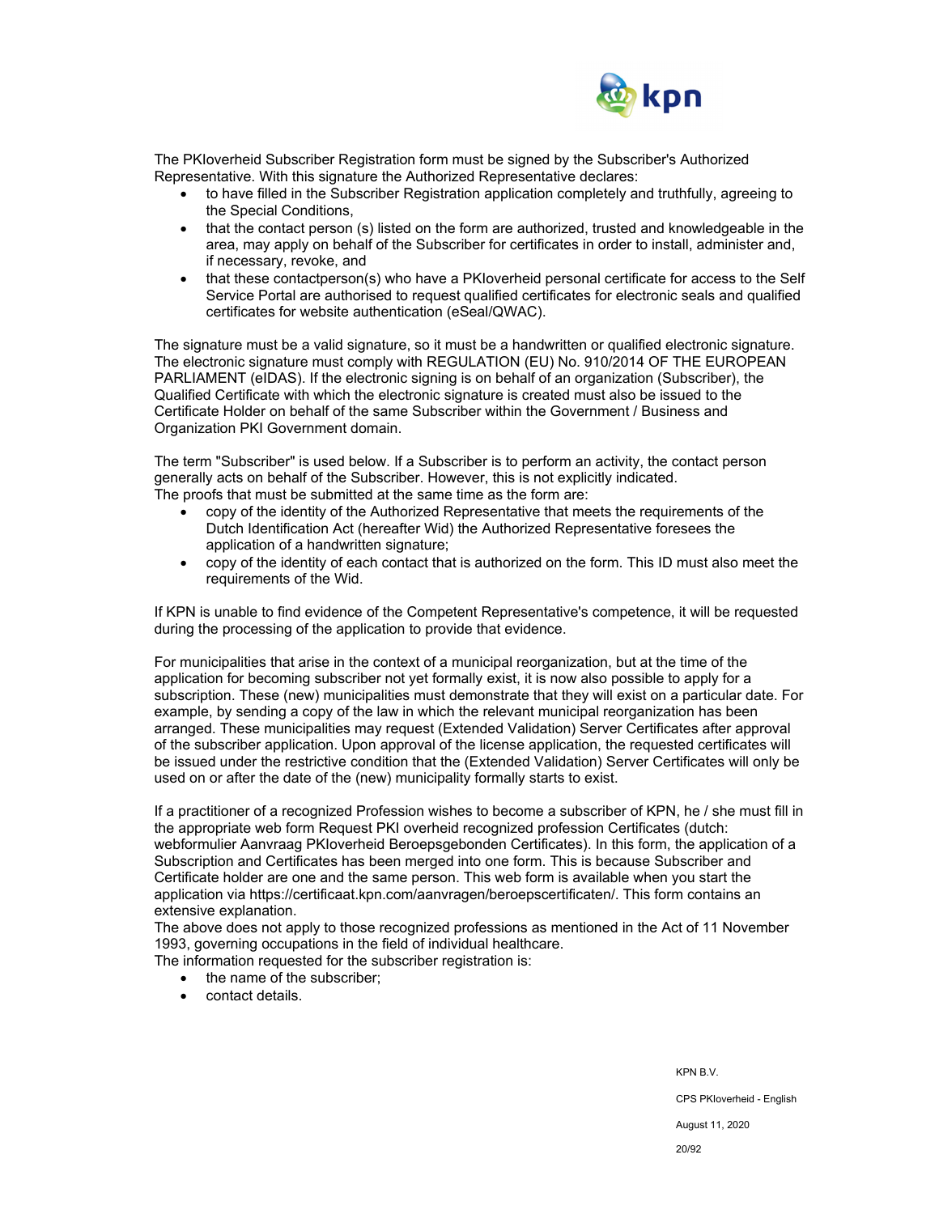

The PKIoverheid Subscriber Registration form must be signed by the Subscriber's Authorized Representative. With this signature the Authorized Representative declares:

- to have filled in the Subscriber Registration application completely and truthfully, agreeing to the Special Conditions,
- that the contact person (s) listed on the form are authorized, trusted and knowledgeable in the area, may apply on behalf of the Subscriber for certificates in order to install, administer and, if necessary, revoke, and
- that these contactperson(s) who have a PKIoverheid personal certificate for access to the Self Service Portal are authorised to request qualified certificates for electronic seals and qualified certificates for website authentication (eSeal/QWAC).

The signature must be a valid signature, so it must be a handwritten or qualified electronic signature. The electronic signature must comply with REGULATION (EU) No. 910/2014 OF THE EUROPEAN PARLIAMENT (eIDAS). If the electronic signing is on behalf of an organization (Subscriber), the Qualified Certificate with which the electronic signature is created must also be issued to the Certificate Holder on behalf of the same Subscriber within the Government / Business and Organization PKI Government domain.

The term "Subscriber" is used below. If a Subscriber is to perform an activity, the contact person generally acts on behalf of the Subscriber. However, this is not explicitly indicated. The proofs that must be submitted at the same time as the form are:

- copy of the identity of the Authorized Representative that meets the requirements of the Dutch Identification Act (hereafter Wid) the Authorized Representative foresees the application of a handwritten signature;
- copy of the identity of each contact that is authorized on the form. This ID must also meet the requirements of the Wid.

If KPN is unable to find evidence of the Competent Representative's competence, it will be requested during the processing of the application to provide that evidence.

For municipalities that arise in the context of a municipal reorganization, but at the time of the application for becoming subscriber not yet formally exist, it is now also possible to apply for a subscription. These (new) municipalities must demonstrate that they will exist on a particular date. For example, by sending a copy of the law in which the relevant municipal reorganization has been arranged. These municipalities may request (Extended Validation) Server Certificates after approval of the subscriber application. Upon approval of the license application, the requested certificates will be issued under the restrictive condition that the (Extended Validation) Server Certificates will only be used on or after the date of the (new) municipality formally starts to exist.

If a practitioner of a recognized Profession wishes to become a subscriber of KPN, he / she must fill in the appropriate web form Request PKI overheid recognized profession Certificates (dutch: webformulier Aanvraag PKIoverheid Beroepsgebonden Certificates). In this form, the application of a Subscription and Certificates has been merged into one form. This is because Subscriber and Certificate holder are one and the same person. This web form is available when you start the application via https://certificaat.kpn.com/aanvragen/beroepscertificaten/. This form contains an extensive explanation.

The above does not apply to those recognized professions as mentioned in the Act of 11 November 1993, governing occupations in the field of individual healthcare.

The information requested for the subscriber registration is:

- the name of the subscriber;
- contact details.

KPN B.V. CPS PKIoverheid - English August 11, 2020 20/92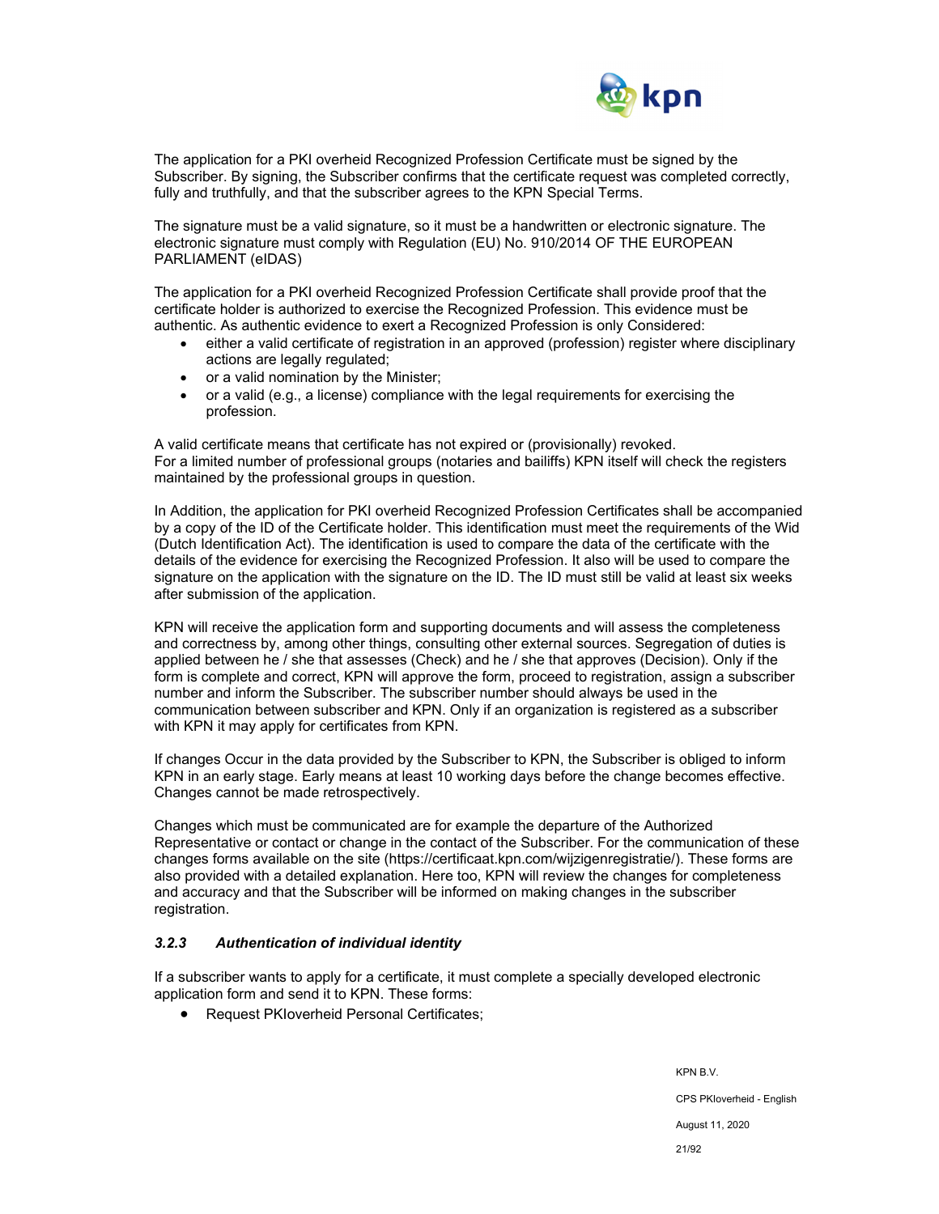

The application for a PKI overheid Recognized Profession Certificate must be signed by the Subscriber. By signing, the Subscriber confirms that the certificate request was completed correctly, fully and truthfully, and that the subscriber agrees to the KPN Special Terms.

The signature must be a valid signature, so it must be a handwritten or electronic signature. The electronic signature must comply with Regulation (EU) No. 910/2014 OF THE EUROPEAN PARLIAMENT (eIDAS)

The application for a PKI overheid Recognized Profession Certificate shall provide proof that the certificate holder is authorized to exercise the Recognized Profession. This evidence must be authentic. As authentic evidence to exert a Recognized Profession is only Considered:

- either a valid certificate of registration in an approved (profession) register where disciplinary actions are legally regulated;
- or a valid nomination by the Minister;
- or a valid (e.g., a license) compliance with the legal requirements for exercising the profession.

A valid certificate means that certificate has not expired or (provisionally) revoked. For a limited number of professional groups (notaries and bailiffs) KPN itself will check the registers maintained by the professional groups in question.

In Addition, the application for PKI overheid Recognized Profession Certificates shall be accompanied by a copy of the ID of the Certificate holder. This identification must meet the requirements of the Wid (Dutch Identification Act). The identification is used to compare the data of the certificate with the details of the evidence for exercising the Recognized Profession. It also will be used to compare the signature on the application with the signature on the ID. The ID must still be valid at least six weeks after submission of the application.

KPN will receive the application form and supporting documents and will assess the completeness and correctness by, among other things, consulting other external sources. Segregation of duties is applied between he / she that assesses (Check) and he / she that approves (Decision). Only if the form is complete and correct, KPN will approve the form, proceed to registration, assign a subscriber number and inform the Subscriber. The subscriber number should always be used in the communication between subscriber and KPN. Only if an organization is registered as a subscriber with KPN it may apply for certificates from KPN.

If changes Occur in the data provided by the Subscriber to KPN, the Subscriber is obliged to inform KPN in an early stage. Early means at least 10 working days before the change becomes effective. Changes cannot be made retrospectively.

Changes which must be communicated are for example the departure of the Authorized Representative or contact or change in the contact of the Subscriber. For the communication of these changes forms available on the site (https://certificaat.kpn.com/wijzigenregistratie/). These forms are also provided with a detailed explanation. Here too, KPN will review the changes for completeness and accuracy and that the Subscriber will be informed on making changes in the subscriber registration.

## *3.2.3 Authentication of individual identity*

If a subscriber wants to apply for a certificate, it must complete a specially developed electronic application form and send it to KPN. These forms:

Request PKIoverheid Personal Certificates;

KPN B.V. CPS PKIoverheid - English August 11, 2020 21/92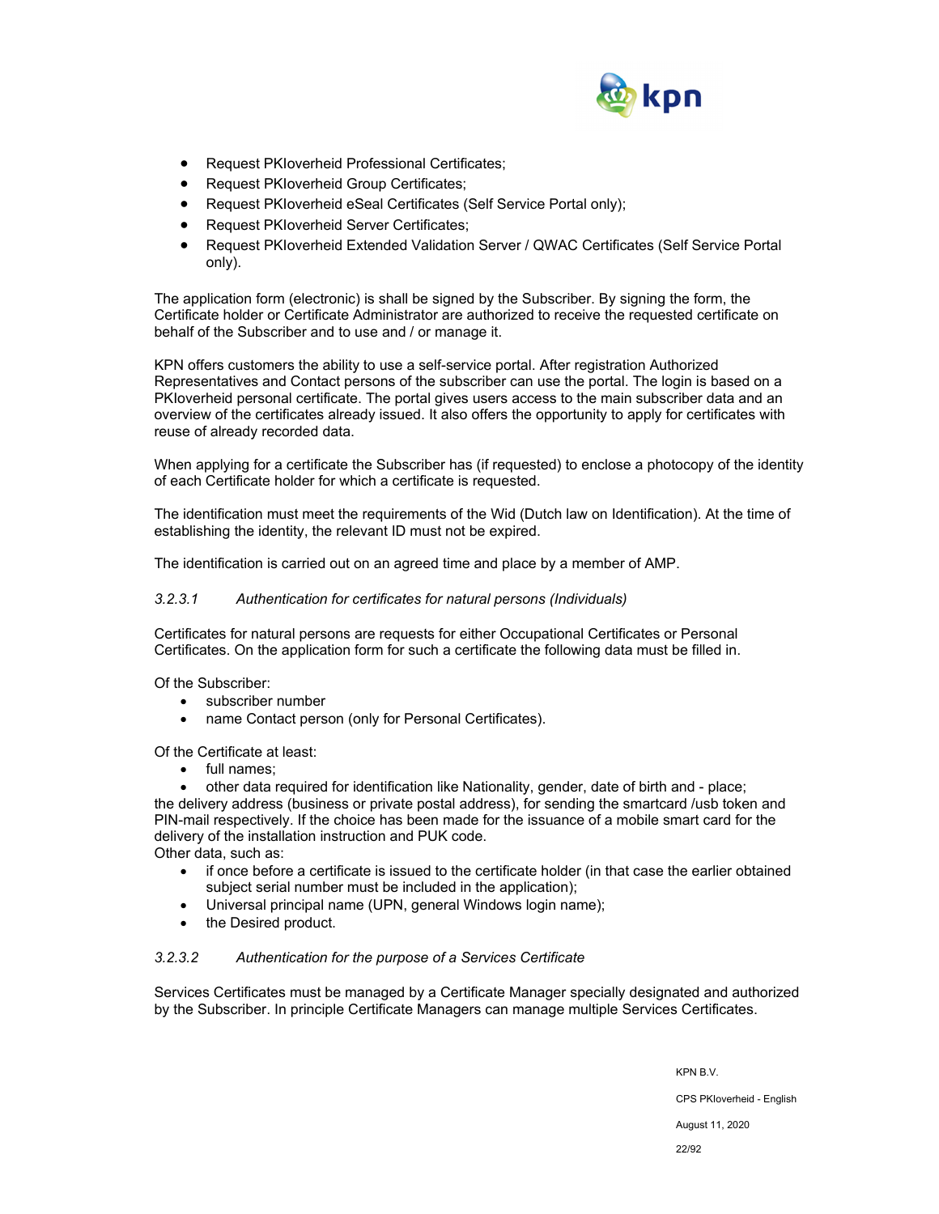

- Request PKIoverheid Professional Certificates;
- Request PKIoverheid Group Certificates;
- Request PKIoverheid eSeal Certificates (Self Service Portal only);
- Request PKIoverheid Server Certificates;
- Request PKIoverheid Extended Validation Server / QWAC Certificates (Self Service Portal only).

The application form (electronic) is shall be signed by the Subscriber. By signing the form, the Certificate holder or Certificate Administrator are authorized to receive the requested certificate on behalf of the Subscriber and to use and / or manage it.

KPN offers customers the ability to use a self-service portal. After registration Authorized Representatives and Contact persons of the subscriber can use the portal. The login is based on a PKIoverheid personal certificate. The portal gives users access to the main subscriber data and an overview of the certificates already issued. It also offers the opportunity to apply for certificates with reuse of already recorded data.

When applying for a certificate the Subscriber has (if requested) to enclose a photocopy of the identity of each Certificate holder for which a certificate is requested.

The identification must meet the requirements of the Wid (Dutch law on Identification). At the time of establishing the identity, the relevant ID must not be expired.

The identification is carried out on an agreed time and place by a member of AMP.

## *3.2.3.1 Authentication for certificates for natural persons (Individuals)*

Certificates for natural persons are requests for either Occupational Certificates or Personal Certificates. On the application form for such a certificate the following data must be filled in.

Of the Subscriber:

- subscriber number
- name Contact person (only for Personal Certificates).

Of the Certificate at least:

• full names;

 other data required for identification like Nationality, gender, date of birth and - place; the delivery address (business or private postal address), for sending the smartcard /usb token and PIN-mail respectively. If the choice has been made for the issuance of a mobile smart card for the delivery of the installation instruction and PUK code.

Other data, such as:

- if once before a certificate is issued to the certificate holder (in that case the earlier obtained subject serial number must be included in the application);
- Universal principal name (UPN, general Windows login name);
- the Desired product.

## *3.2.3.2 Authentication for the purpose of a Services Certificate*

Services Certificates must be managed by a Certificate Manager specially designated and authorized by the Subscriber. In principle Certificate Managers can manage multiple Services Certificates.

> KPN B.V. CPS PKIoverheid - English August 11, 2020

22/92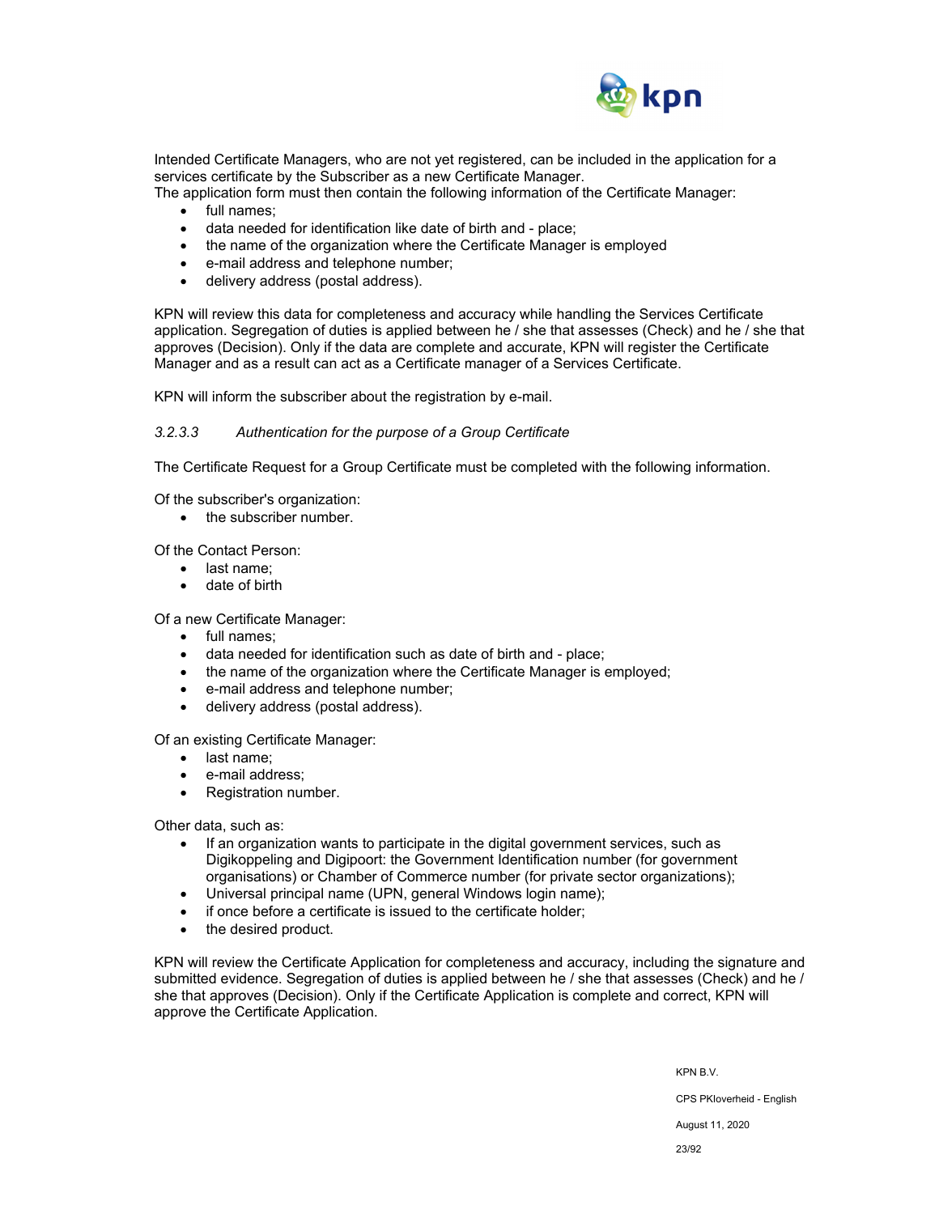

Intended Certificate Managers, who are not yet registered, can be included in the application for a services certificate by the Subscriber as a new Certificate Manager.

The application form must then contain the following information of the Certificate Manager:

- full names;
- data needed for identification like date of birth and place;
- the name of the organization where the Certificate Manager is employed
- e-mail address and telephone number;
- delivery address (postal address).

KPN will review this data for completeness and accuracy while handling the Services Certificate application. Segregation of duties is applied between he / she that assesses (Check) and he / she that approves (Decision). Only if the data are complete and accurate, KPN will register the Certificate Manager and as a result can act as a Certificate manager of a Services Certificate.

KPN will inform the subscriber about the registration by e-mail.

#### *3.2.3.3 Authentication for the purpose of a Group Certificate*

The Certificate Request for a Group Certificate must be completed with the following information.

Of the subscriber's organization:

• the subscriber number.

Of the Contact Person:

- last name:
- date of birth

Of a new Certificate Manager:

- full names;
- data needed for identification such as date of birth and place;
- the name of the organization where the Certificate Manager is employed;
- e-mail address and telephone number;
- delivery address (postal address).

Of an existing Certificate Manager:

- last name:
- e-mail address;
- Registration number.

Other data, such as:

- If an organization wants to participate in the digital government services, such as Digikoppeling and Digipoort: the Government Identification number (for government organisations) or Chamber of Commerce number (for private sector organizations);
- Universal principal name (UPN, general Windows login name);
- if once before a certificate is issued to the certificate holder;
- the desired product.

KPN will review the Certificate Application for completeness and accuracy, including the signature and submitted evidence. Segregation of duties is applied between he / she that assesses (Check) and he / she that approves (Decision). Only if the Certificate Application is complete and correct, KPN will approve the Certificate Application.

> KPN B.V. CPS PKIoverheid - English August 11, 2020

> > 23/92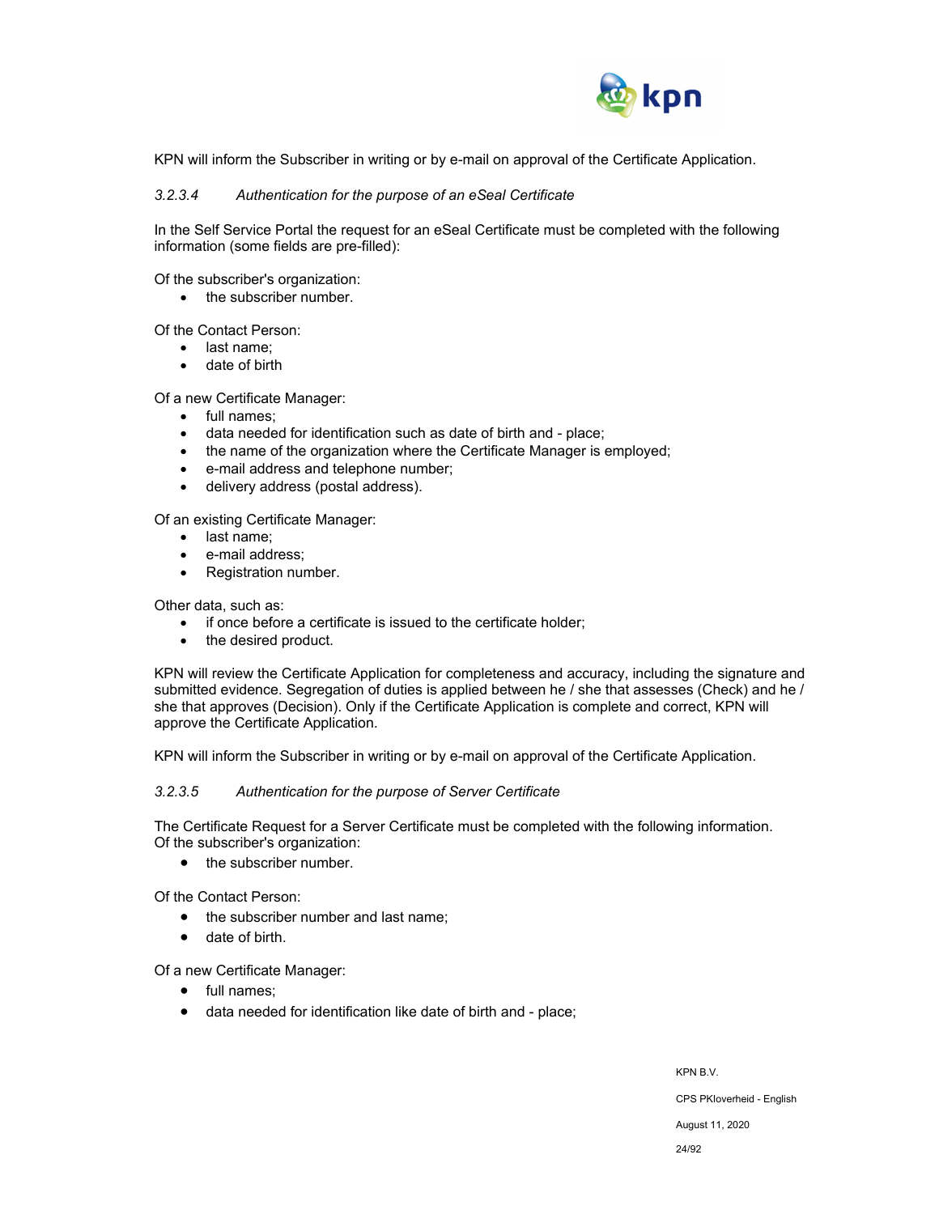

KPN will inform the Subscriber in writing or by e-mail on approval of the Certificate Application.

### *3.2.3.4 Authentication for the purpose of an eSeal Certificate*

In the Self Service Portal the request for an eSeal Certificate must be completed with the following information (some fields are pre-filled):

Of the subscriber's organization:

• the subscriber number.

Of the Contact Person:

- last name:
- date of birth

Of a new Certificate Manager:

- full names:
- data needed for identification such as date of birth and place;
- the name of the organization where the Certificate Manager is employed;
- e-mail address and telephone number;
- delivery address (postal address).

Of an existing Certificate Manager:

- last name;
- e-mail address;
- Registration number.

Other data, such as:

- if once before a certificate is issued to the certificate holder;
- the desired product.

KPN will review the Certificate Application for completeness and accuracy, including the signature and submitted evidence. Segregation of duties is applied between he / she that assesses (Check) and he / she that approves (Decision). Only if the Certificate Application is complete and correct, KPN will approve the Certificate Application.

KPN will inform the Subscriber in writing or by e-mail on approval of the Certificate Application.

#### *3.2.3.5 Authentication for the purpose of Server Certificate*

The Certificate Request for a Server Certificate must be completed with the following information. Of the subscriber's organization:

• the subscriber number.

Of the Contact Person:

- the subscriber number and last name;
- date of birth.

Of a new Certificate Manager:

- full names:
- data needed for identification like date of birth and place;

KPN B.V.

CPS PKIoverheid - English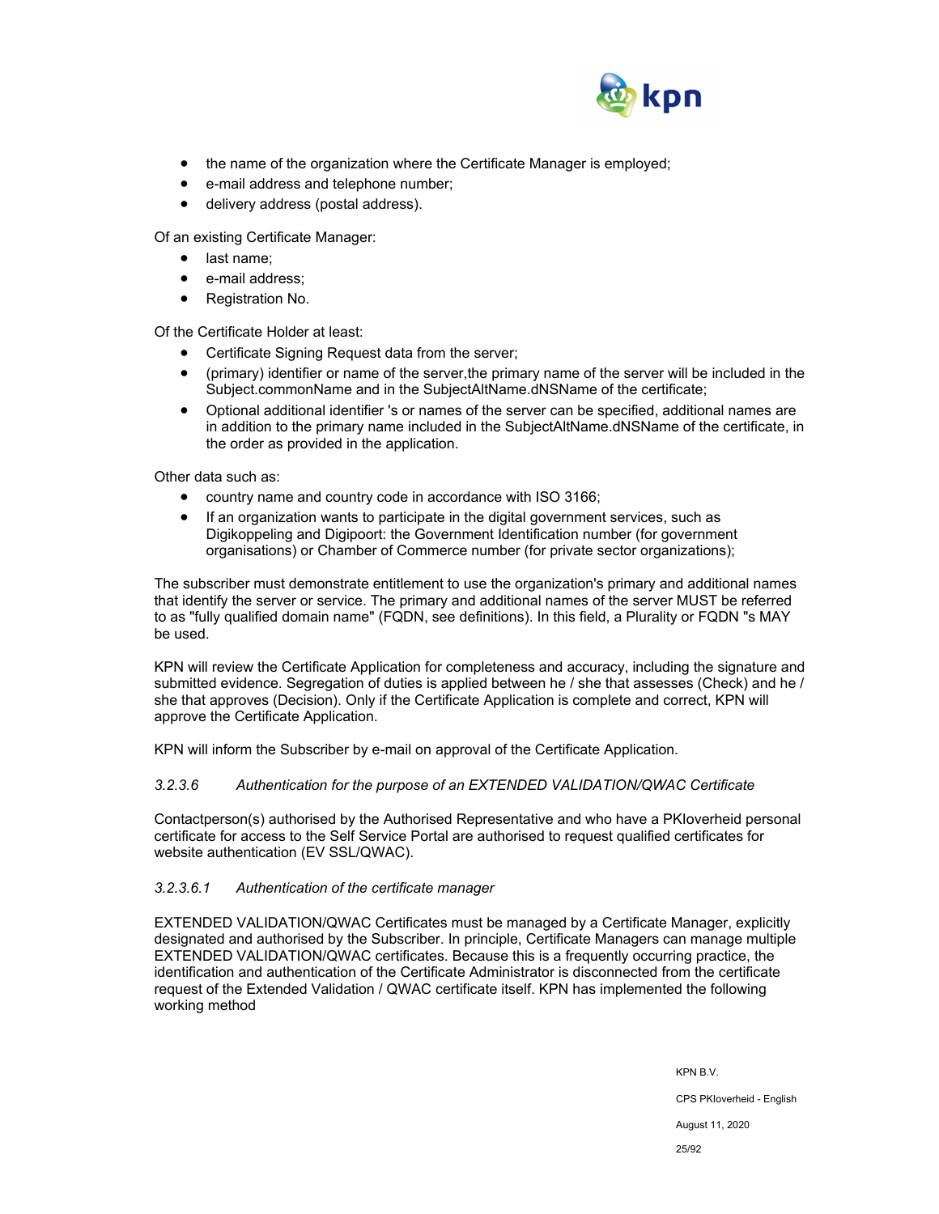

- the name of the organization where the Certificate Manager is employed;
- e-mail address and telephone number;
- delivery address (postal address).

Of an existing Certificate Manager:

- last name;
- e-mail address;
- Registration No.

Of the Certificate Holder at least:

- Certificate Signing Request data from the server;
- (primary) identifier or name of the server,the primary name of the server will be included in the Subject.commonName and in the SubjectAltName.dNSName of the certificate;
- Optional additional identifier 's or names of the server can be specified, additional names are in addition to the primary name included in the SubjectAltName.dNSName of the certificate, in the order as provided in the application.

Other data such as:

- country name and country code in accordance with ISO 3166;
- If an organization wants to participate in the digital government services, such as Digikoppeling and Digipoort: the Government Identification number (for government organisations) or Chamber of Commerce number (for private sector organizations);

The subscriber must demonstrate entitlement to use the organization's primary and additional names that identify the server or service. The primary and additional names of the server MUST be referred to as "fully qualified domain name" (FQDN, see definitions). In this field, a Plurality or FQDN "s MAY be used.

KPN will review the Certificate Application for completeness and accuracy, including the signature and submitted evidence. Segregation of duties is applied between he / she that assesses (Check) and he / she that approves (Decision). Only if the Certificate Application is complete and correct, KPN will approve the Certificate Application.

KPN will inform the Subscriber by e-mail on approval of the Certificate Application.

## *3.2.3.6 Authentication for the purpose of an EXTENDED VALIDATION/QWAC Certificate*

Contactperson(s) authorised by the Authorised Representative and who have a PKIoverheid personal certificate for access to the Self Service Portal are authorised to request qualified certificates for website authentication (EV SSL/QWAC).

## *3.2.3.6.1 Authentication of the certificate manager*

EXTENDED VALIDATION/QWAC Certificates must be managed by a Certificate Manager, explicitly designated and authorised by the Subscriber. In principle, Certificate Managers can manage multiple EXTENDED VALIDATION/QWAC certificates. Because this is a frequently occurring practice, the identification and authentication of the Certificate Administrator is disconnected from the certificate request of the Extended Validation / QWAC certificate itself. KPN has implemented the following working method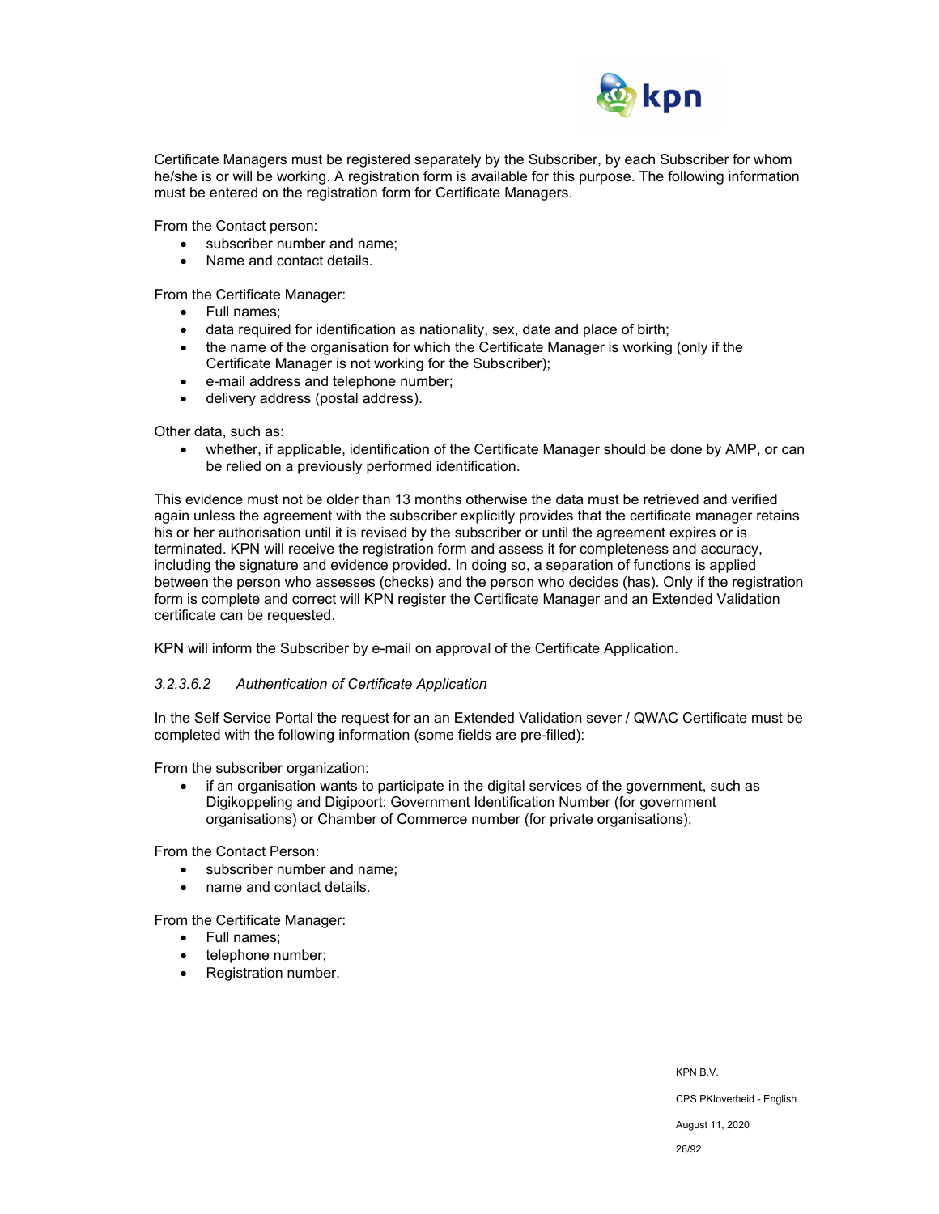

Certificate Managers must be registered separately by the Subscriber, by each Subscriber for whom he/she is or will be working. A registration form is available for this purpose. The following information must be entered on the registration form for Certificate Managers.

From the Contact person:

- subscriber number and name;
- Name and contact details.

From the Certificate Manager:

- Full names:
- data required for identification as nationality, sex, date and place of birth;
- the name of the organisation for which the Certificate Manager is working (only if the Certificate Manager is not working for the Subscriber);
- e-mail address and telephone number;
- delivery address (postal address).

Other data, such as:

 whether, if applicable, identification of the Certificate Manager should be done by AMP, or can be relied on a previously performed identification.

This evidence must not be older than 13 months otherwise the data must be retrieved and verified again unless the agreement with the subscriber explicitly provides that the certificate manager retains his or her authorisation until it is revised by the subscriber or until the agreement expires or is terminated. KPN will receive the registration form and assess it for completeness and accuracy, including the signature and evidence provided. In doing so, a separation of functions is applied between the person who assesses (checks) and the person who decides (has). Only if the registration form is complete and correct will KPN register the Certificate Manager and an Extended Validation certificate can be requested.

KPN will inform the Subscriber by e-mail on approval of the Certificate Application.

#### *3.2.3.6.2 Authentication of Certificate Application*

In the Self Service Portal the request for an an Extended Validation sever / QWAC Certificate must be completed with the following information (some fields are pre-filled):

From the subscriber organization:

• if an organisation wants to participate in the digital services of the government, such as Digikoppeling and Digipoort: Government Identification Number (for government organisations) or Chamber of Commerce number (for private organisations);

From the Contact Person:

- subscriber number and name:
- name and contact details.

From the Certificate Manager:

- Full names:
- telephone number;
- Registration number.

KPN B.V. CPS PKIoverheid - English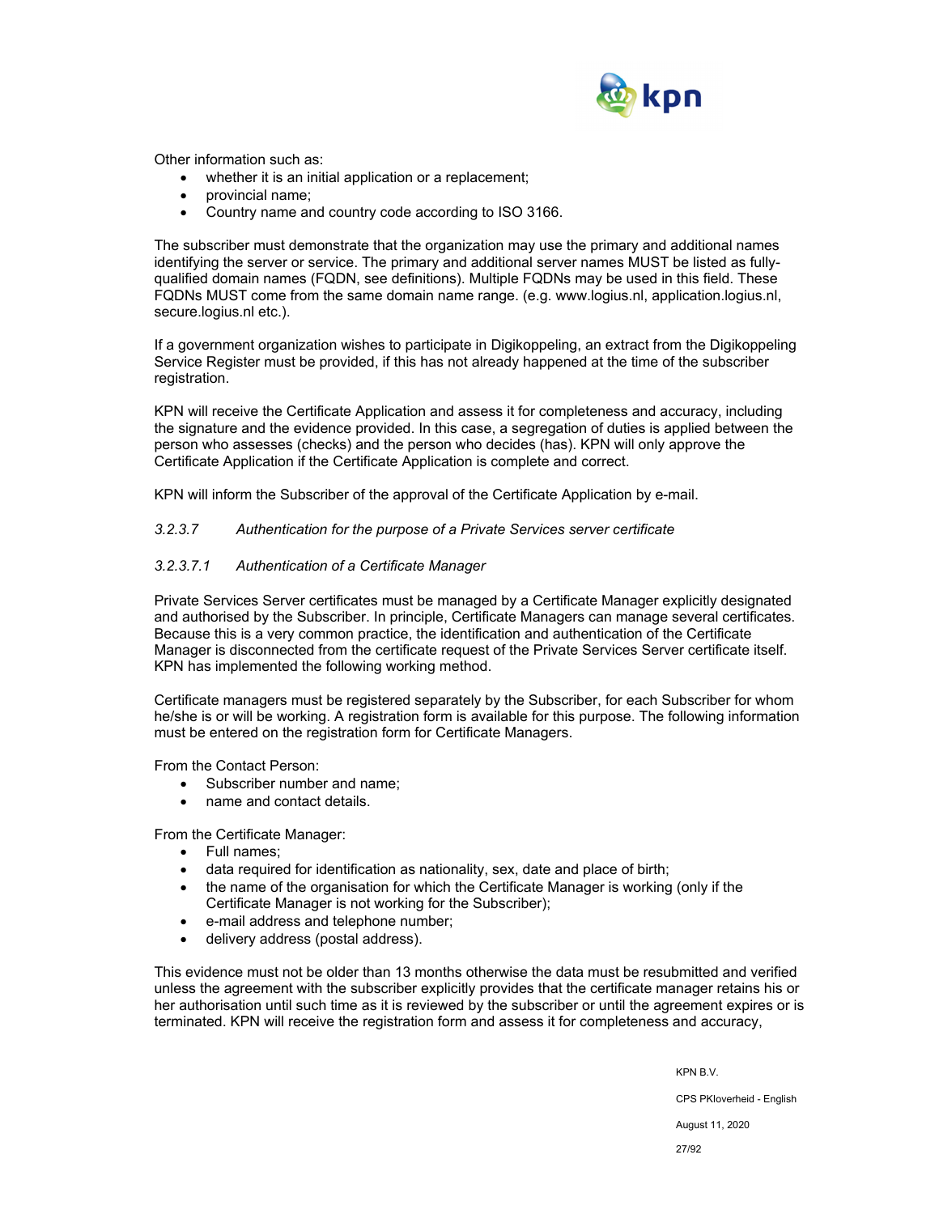

Other information such as:

- whether it is an initial application or a replacement;
- provincial name;
- Country name and country code according to ISO 3166.

The subscriber must demonstrate that the organization may use the primary and additional names identifying the server or service. The primary and additional server names MUST be listed as fullyqualified domain names (FQDN, see definitions). Multiple FQDNs may be used in this field. These FQDNs MUST come from the same domain name range. (e.g. www.logius.nl, application.logius.nl, secure.logius.nl etc.).

If a government organization wishes to participate in Digikoppeling, an extract from the Digikoppeling Service Register must be provided, if this has not already happened at the time of the subscriber registration.

KPN will receive the Certificate Application and assess it for completeness and accuracy, including the signature and the evidence provided. In this case, a segregation of duties is applied between the person who assesses (checks) and the person who decides (has). KPN will only approve the Certificate Application if the Certificate Application is complete and correct.

KPN will inform the Subscriber of the approval of the Certificate Application by e-mail.

#### *3.2.3.7 Authentication for the purpose of a Private Services server certificate*

#### *3.2.3.7.1 Authentication of a Certificate Manager*

Private Services Server certificates must be managed by a Certificate Manager explicitly designated and authorised by the Subscriber. In principle, Certificate Managers can manage several certificates. Because this is a very common practice, the identification and authentication of the Certificate Manager is disconnected from the certificate request of the Private Services Server certificate itself. KPN has implemented the following working method.

Certificate managers must be registered separately by the Subscriber, for each Subscriber for whom he/she is or will be working. A registration form is available for this purpose. The following information must be entered on the registration form for Certificate Managers.

From the Contact Person:

- Subscriber number and name:
- name and contact details.

From the Certificate Manager:

- Full names;
- data required for identification as nationality, sex, date and place of birth;
- the name of the organisation for which the Certificate Manager is working (only if the Certificate Manager is not working for the Subscriber);
- e-mail address and telephone number;
- delivery address (postal address).

This evidence must not be older than 13 months otherwise the data must be resubmitted and verified unless the agreement with the subscriber explicitly provides that the certificate manager retains his or her authorisation until such time as it is reviewed by the subscriber or until the agreement expires or is terminated. KPN will receive the registration form and assess it for completeness and accuracy,

KPN B.V.

CPS PKIoverheid - English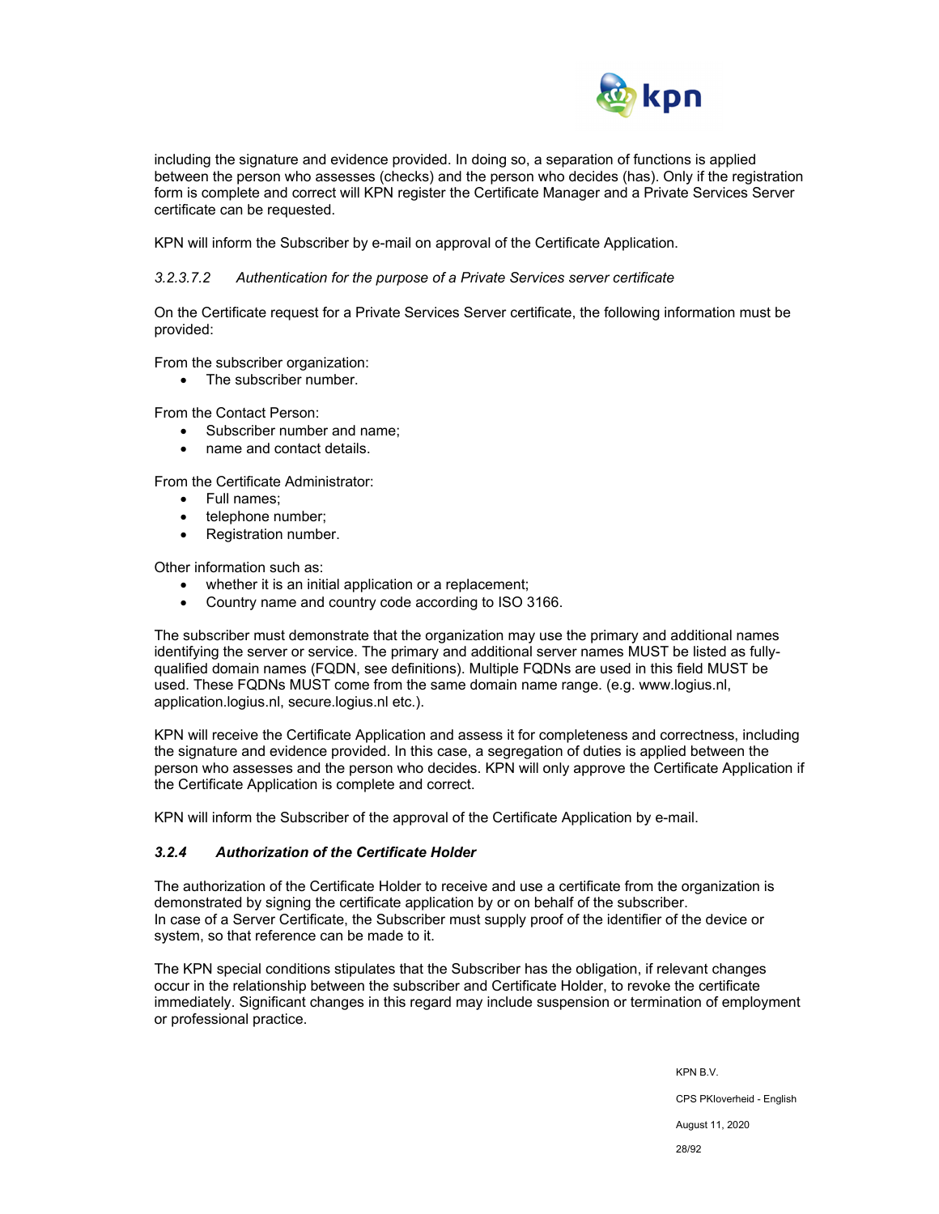

including the signature and evidence provided. In doing so, a separation of functions is applied between the person who assesses (checks) and the person who decides (has). Only if the registration form is complete and correct will KPN register the Certificate Manager and a Private Services Server certificate can be requested.

KPN will inform the Subscriber by e-mail on approval of the Certificate Application.

### *3.2.3.7.2 Authentication for the purpose of a Private Services server certificate*

On the Certificate request for a Private Services Server certificate, the following information must be provided:

From the subscriber organization:

• The subscriber number.

From the Contact Person:

- Subscriber number and name;
- name and contact details.

From the Certificate Administrator:

- Full names:
- telephone number;
- Registration number.

Other information such as:

- whether it is an initial application or a replacement;
- Country name and country code according to ISO 3166.

The subscriber must demonstrate that the organization may use the primary and additional names identifying the server or service. The primary and additional server names MUST be listed as fullyqualified domain names (FQDN, see definitions). Multiple FQDNs are used in this field MUST be used. These FQDNs MUST come from the same domain name range. (e.g. www.logius.nl, application.logius.nl, secure.logius.nl etc.).

KPN will receive the Certificate Application and assess it for completeness and correctness, including the signature and evidence provided. In this case, a segregation of duties is applied between the person who assesses and the person who decides. KPN will only approve the Certificate Application if the Certificate Application is complete and correct.

KPN will inform the Subscriber of the approval of the Certificate Application by e-mail.

## *3.2.4 Authorization of the Certificate Holder*

The authorization of the Certificate Holder to receive and use a certificate from the organization is demonstrated by signing the certificate application by or on behalf of the subscriber. In case of a Server Certificate, the Subscriber must supply proof of the identifier of the device or system, so that reference can be made to it.

The KPN special conditions stipulates that the Subscriber has the obligation, if relevant changes occur in the relationship between the subscriber and Certificate Holder, to revoke the certificate immediately. Significant changes in this regard may include suspension or termination of employment or professional practice.

> KPN B.V. CPS PKIoverheid - English August 11, 2020 28/92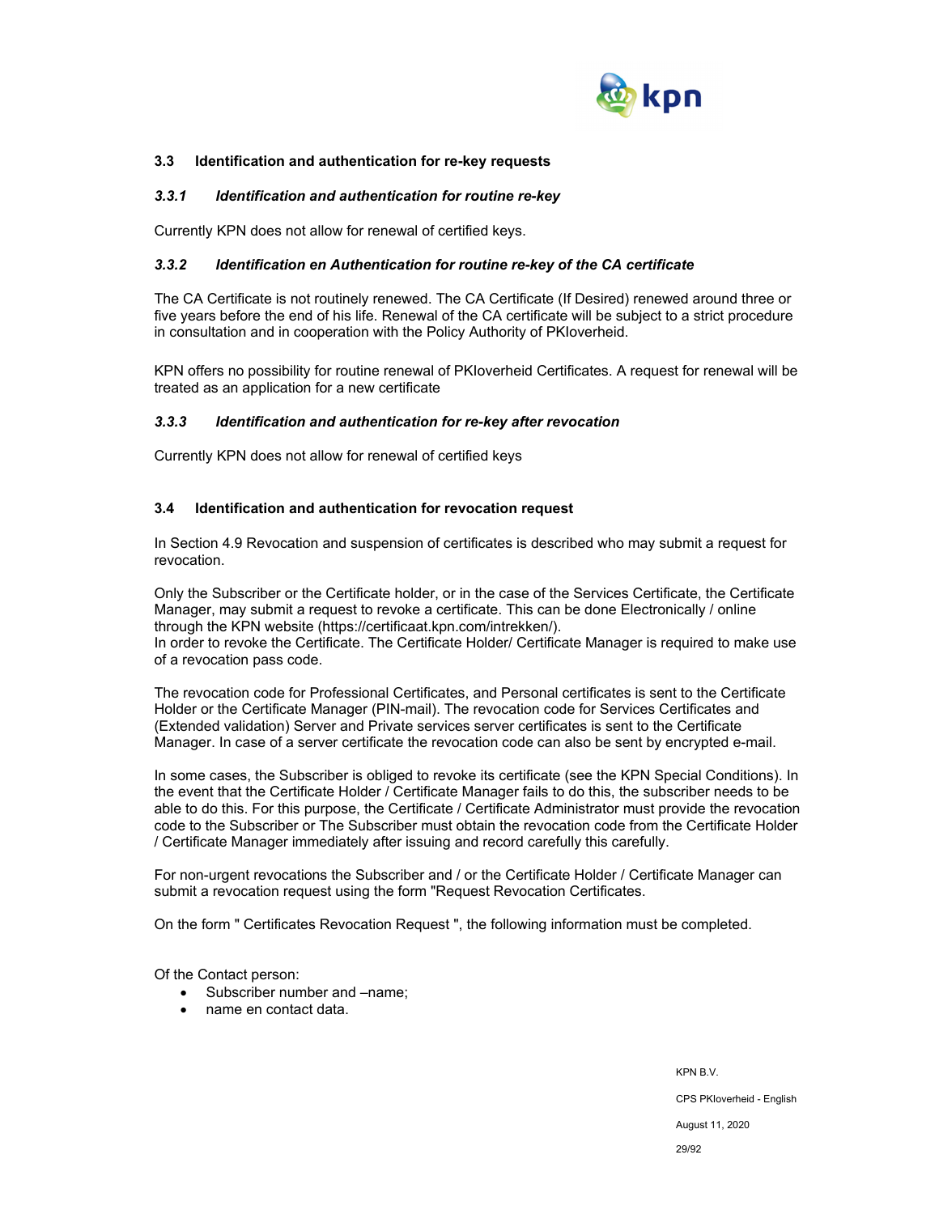

### **3.3 Identification and authentication for re-key requests**

#### *3.3.1 Identification and authentication for routine re-key*

Currently KPN does not allow for renewal of certified keys.

### *3.3.2 Identification en Authentication for routine re-key of the CA certificate*

The CA Certificate is not routinely renewed. The CA Certificate (If Desired) renewed around three or five years before the end of his life. Renewal of the CA certificate will be subject to a strict procedure in consultation and in cooperation with the Policy Authority of PKIoverheid.

KPN offers no possibility for routine renewal of PKIoverheid Certificates. A request for renewal will be treated as an application for a new certificate

### *3.3.3 Identification and authentication for re-key after revocation*

Currently KPN does not allow for renewal of certified keys

### **3.4 Identification and authentication for revocation request**

In Section 4.9 Revocation and suspension of certificates is described who may submit a request for revocation.

Only the Subscriber or the Certificate holder, or in the case of the Services Certificate, the Certificate Manager, may submit a request to revoke a certificate. This can be done Electronically / online through the KPN website (https://certificaat.kpn.com/intrekken/).

In order to revoke the Certificate. The Certificate Holder/ Certificate Manager is required to make use of a revocation pass code.

The revocation code for Professional Certificates, and Personal certificates is sent to the Certificate Holder or the Certificate Manager (PIN-mail). The revocation code for Services Certificates and (Extended validation) Server and Private services server certificates is sent to the Certificate Manager. In case of a server certificate the revocation code can also be sent by encrypted e-mail.

In some cases, the Subscriber is obliged to revoke its certificate (see the KPN Special Conditions). In the event that the Certificate Holder / Certificate Manager fails to do this, the subscriber needs to be able to do this. For this purpose, the Certificate / Certificate Administrator must provide the revocation code to the Subscriber or The Subscriber must obtain the revocation code from the Certificate Holder / Certificate Manager immediately after issuing and record carefully this carefully.

For non-urgent revocations the Subscriber and / or the Certificate Holder / Certificate Manager can submit a revocation request using the form "Request Revocation Certificates.

On the form " Certificates Revocation Request ", the following information must be completed.

Of the Contact person:

- Subscriber number and –name:
- name en contact data.

KPN B.V. CPS PKIoverheid - English August 11, 2020 29/92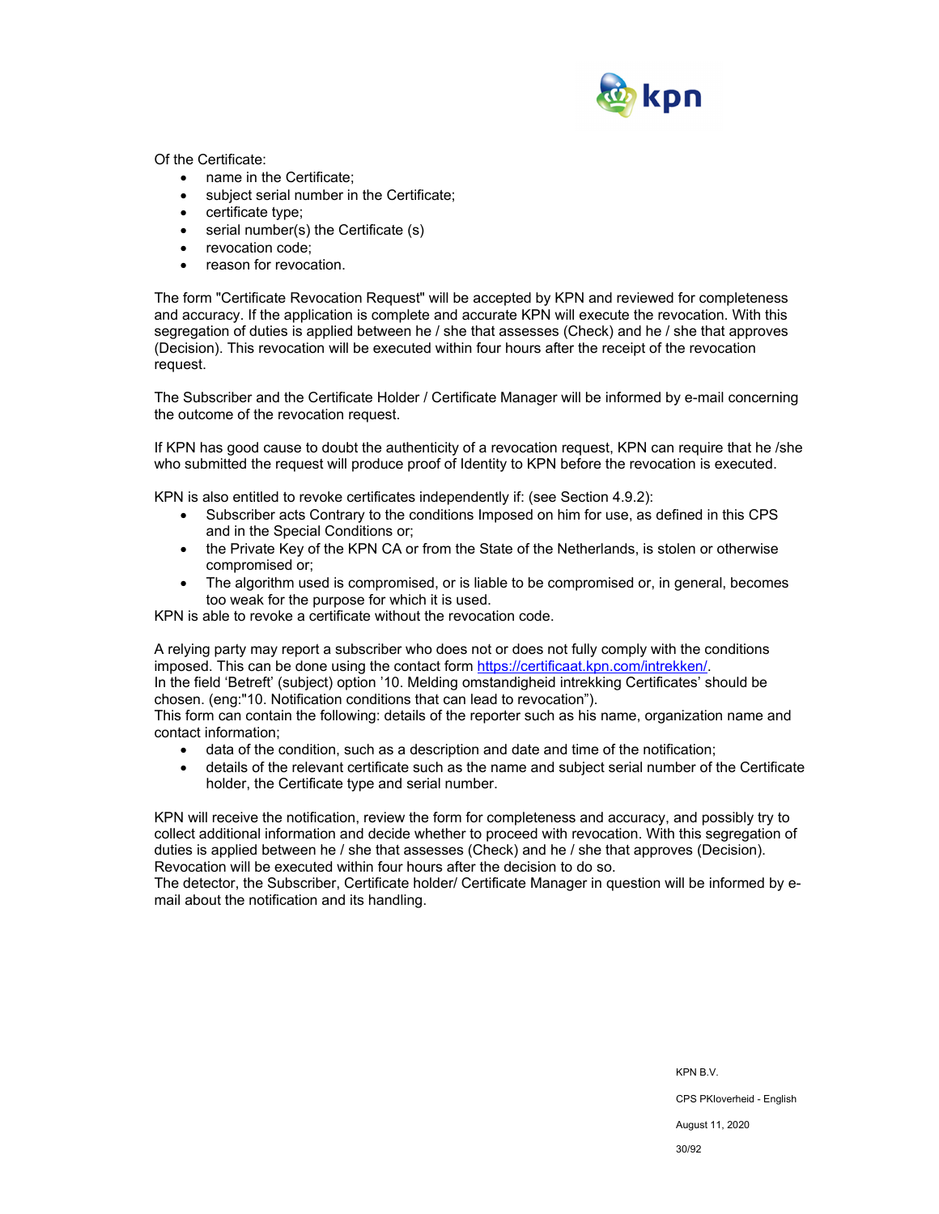

Of the Certificate:

- name in the Certificate;
- subject serial number in the Certificate;
- certificate type;
- serial number(s) the Certificate (s)
- revocation code;
- reason for revocation.

The form "Certificate Revocation Request" will be accepted by KPN and reviewed for completeness and accuracy. If the application is complete and accurate KPN will execute the revocation. With this segregation of duties is applied between he / she that assesses (Check) and he / she that approves (Decision). This revocation will be executed within four hours after the receipt of the revocation request.

The Subscriber and the Certificate Holder / Certificate Manager will be informed by e-mail concerning the outcome of the revocation request.

If KPN has good cause to doubt the authenticity of a revocation request, KPN can require that he /she who submitted the request will produce proof of Identity to KPN before the revocation is executed.

KPN is also entitled to revoke certificates independently if: (see Section 4.9.2):

- Subscriber acts Contrary to the conditions Imposed on him for use, as defined in this CPS and in the Special Conditions or;
- the Private Key of the KPN CA or from the State of the Netherlands, is stolen or otherwise compromised or;
- The algorithm used is compromised, or is liable to be compromised or, in general, becomes too weak for the purpose for which it is used.

KPN is able to revoke a certificate without the revocation code.

A relying party may report a subscriber who does not or does not fully comply with the conditions imposed. This can be done using the contact form https://certificaat.kpn.com/intrekken/. In the field 'Betreft' (subject) option '10. Melding omstandigheid intrekking Certificates' should be chosen. (eng:"10. Notification conditions that can lead to revocation").

This form can contain the following: details of the reporter such as his name, organization name and contact information;

- data of the condition, such as a description and date and time of the notification;
- details of the relevant certificate such as the name and subject serial number of the Certificate holder, the Certificate type and serial number.

KPN will receive the notification, review the form for completeness and accuracy, and possibly try to collect additional information and decide whether to proceed with revocation. With this segregation of duties is applied between he / she that assesses (Check) and he / she that approves (Decision). Revocation will be executed within four hours after the decision to do so.

The detector, the Subscriber, Certificate holder/ Certificate Manager in question will be informed by email about the notification and its handling.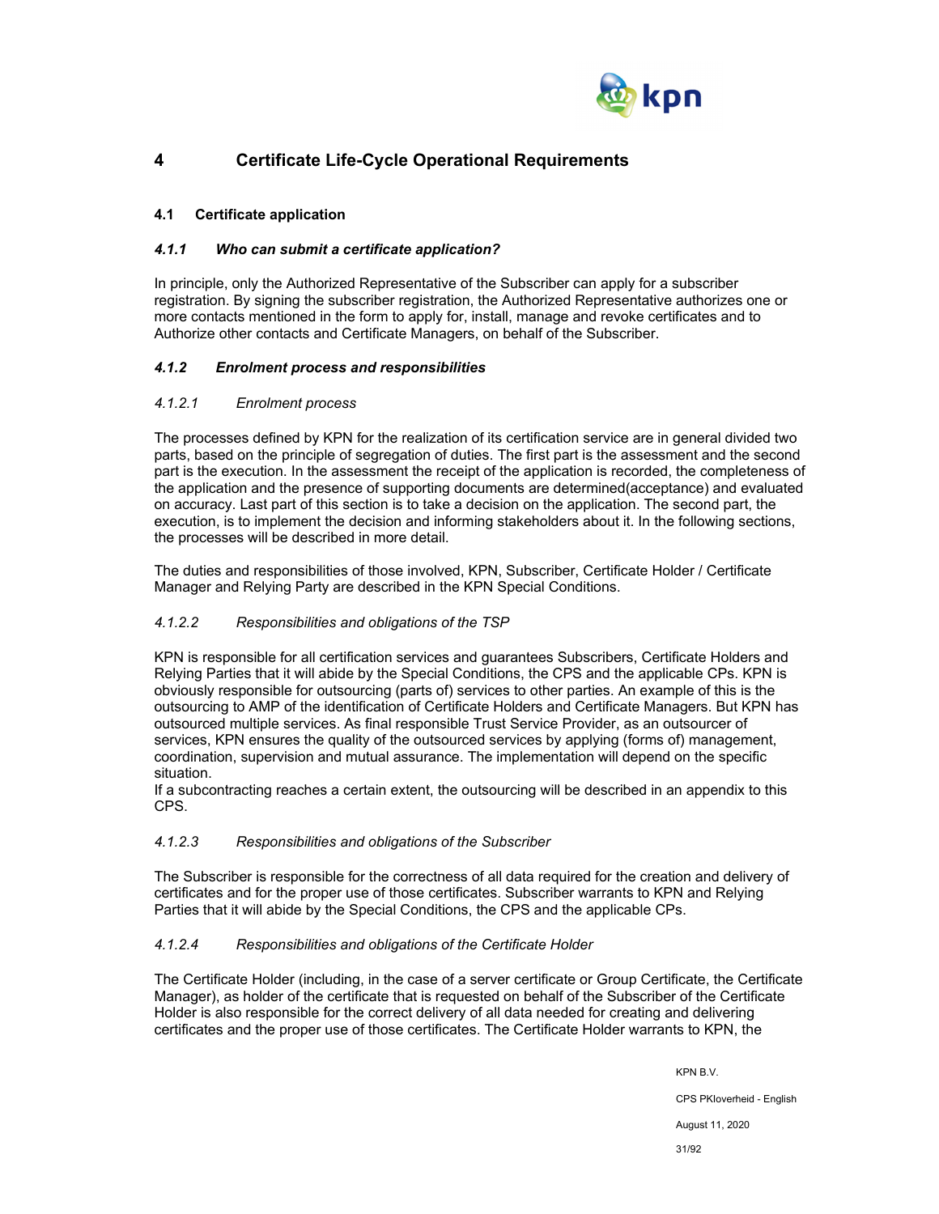

## **4 Certificate Life-Cycle Operational Requirements**

## **4.1 Certificate application**

## *4.1.1 Who can submit a certificate application?*

In principle, only the Authorized Representative of the Subscriber can apply for a subscriber registration. By signing the subscriber registration, the Authorized Representative authorizes one or more contacts mentioned in the form to apply for, install, manage and revoke certificates and to Authorize other contacts and Certificate Managers, on behalf of the Subscriber.

## *4.1.2 Enrolment process and responsibilities*

## *4.1.2.1 Enrolment process*

The processes defined by KPN for the realization of its certification service are in general divided two parts, based on the principle of segregation of duties. The first part is the assessment and the second part is the execution. In the assessment the receipt of the application is recorded, the completeness of the application and the presence of supporting documents are determined(acceptance) and evaluated on accuracy. Last part of this section is to take a decision on the application. The second part, the execution, is to implement the decision and informing stakeholders about it. In the following sections, the processes will be described in more detail.

The duties and responsibilities of those involved, KPN, Subscriber, Certificate Holder / Certificate Manager and Relying Party are described in the KPN Special Conditions.

## *4.1.2.2 Responsibilities and obligations of the TSP*

KPN is responsible for all certification services and guarantees Subscribers, Certificate Holders and Relying Parties that it will abide by the Special Conditions, the CPS and the applicable CPs. KPN is obviously responsible for outsourcing (parts of) services to other parties. An example of this is the outsourcing to AMP of the identification of Certificate Holders and Certificate Managers. But KPN has outsourced multiple services. As final responsible Trust Service Provider, as an outsourcer of services, KPN ensures the quality of the outsourced services by applying (forms of) management, coordination, supervision and mutual assurance. The implementation will depend on the specific situation.

If a subcontracting reaches a certain extent, the outsourcing will be described in an appendix to this CPS.

## *4.1.2.3 Responsibilities and obligations of the Subscriber*

The Subscriber is responsible for the correctness of all data required for the creation and delivery of certificates and for the proper use of those certificates. Subscriber warrants to KPN and Relying Parties that it will abide by the Special Conditions, the CPS and the applicable CPs.

## *4.1.2.4 Responsibilities and obligations of the Certificate Holder*

The Certificate Holder (including, in the case of a server certificate or Group Certificate, the Certificate Manager), as holder of the certificate that is requested on behalf of the Subscriber of the Certificate Holder is also responsible for the correct delivery of all data needed for creating and delivering certificates and the proper use of those certificates. The Certificate Holder warrants to KPN, the

> KPN B.V. CPS PKIoverheid - English August 11, 2020 31/92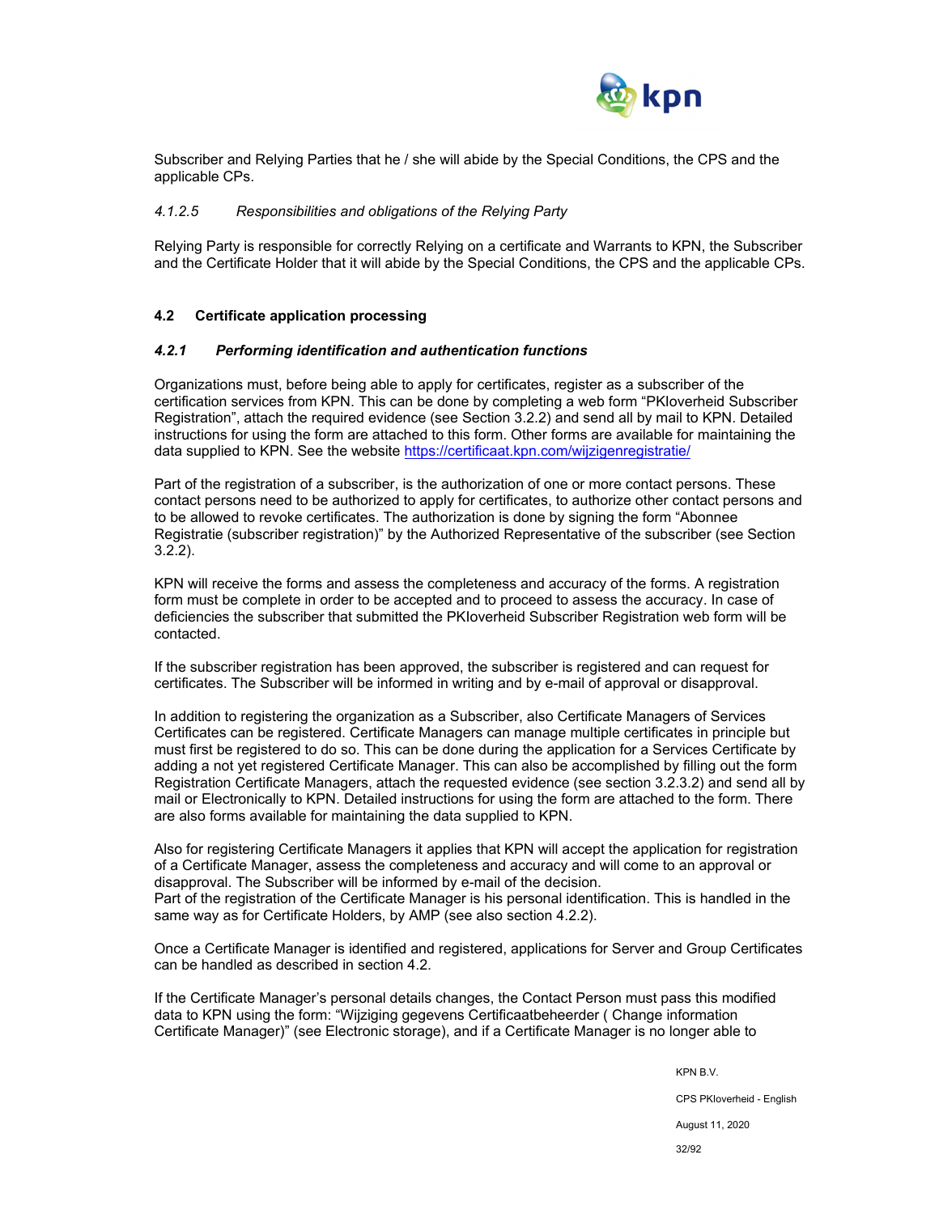

Subscriber and Relying Parties that he / she will abide by the Special Conditions, the CPS and the applicable CPs.

#### *4.1.2.5 Responsibilities and obligations of the Relying Party*

Relying Party is responsible for correctly Relying on a certificate and Warrants to KPN, the Subscriber and the Certificate Holder that it will abide by the Special Conditions, the CPS and the applicable CPs.

### **4.2 Certificate application processing**

#### *4.2.1 Performing identification and authentication functions*

Organizations must, before being able to apply for certificates, register as a subscriber of the certification services from KPN. This can be done by completing a web form "PKIoverheid Subscriber Registration", attach the required evidence (see Section 3.2.2) and send all by mail to KPN. Detailed instructions for using the form are attached to this form. Other forms are available for maintaining the data supplied to KPN. See the website https://certificaat.kpn.com/wijzigenregistratie/

Part of the registration of a subscriber, is the authorization of one or more contact persons. These contact persons need to be authorized to apply for certificates, to authorize other contact persons and to be allowed to revoke certificates. The authorization is done by signing the form "Abonnee Registratie (subscriber registration)" by the Authorized Representative of the subscriber (see Section 3.2.2).

KPN will receive the forms and assess the completeness and accuracy of the forms. A registration form must be complete in order to be accepted and to proceed to assess the accuracy. In case of deficiencies the subscriber that submitted the PKIoverheid Subscriber Registration web form will be contacted.

If the subscriber registration has been approved, the subscriber is registered and can request for certificates. The Subscriber will be informed in writing and by e-mail of approval or disapproval.

In addition to registering the organization as a Subscriber, also Certificate Managers of Services Certificates can be registered. Certificate Managers can manage multiple certificates in principle but must first be registered to do so. This can be done during the application for a Services Certificate by adding a not yet registered Certificate Manager. This can also be accomplished by filling out the form Registration Certificate Managers, attach the requested evidence (see section 3.2.3.2) and send all by mail or Electronically to KPN. Detailed instructions for using the form are attached to the form. There are also forms available for maintaining the data supplied to KPN.

Also for registering Certificate Managers it applies that KPN will accept the application for registration of a Certificate Manager, assess the completeness and accuracy and will come to an approval or disapproval. The Subscriber will be informed by e-mail of the decision. Part of the registration of the Certificate Manager is his personal identification. This is handled in the same way as for Certificate Holders, by AMP (see also section 4.2.2).

Once a Certificate Manager is identified and registered, applications for Server and Group Certificates can be handled as described in section 4.2.

If the Certificate Manager's personal details changes, the Contact Person must pass this modified data to KPN using the form: "Wijziging gegevens Certificaatbeheerder ( Change information Certificate Manager)" (see Electronic storage), and if a Certificate Manager is no longer able to

KPN B.V.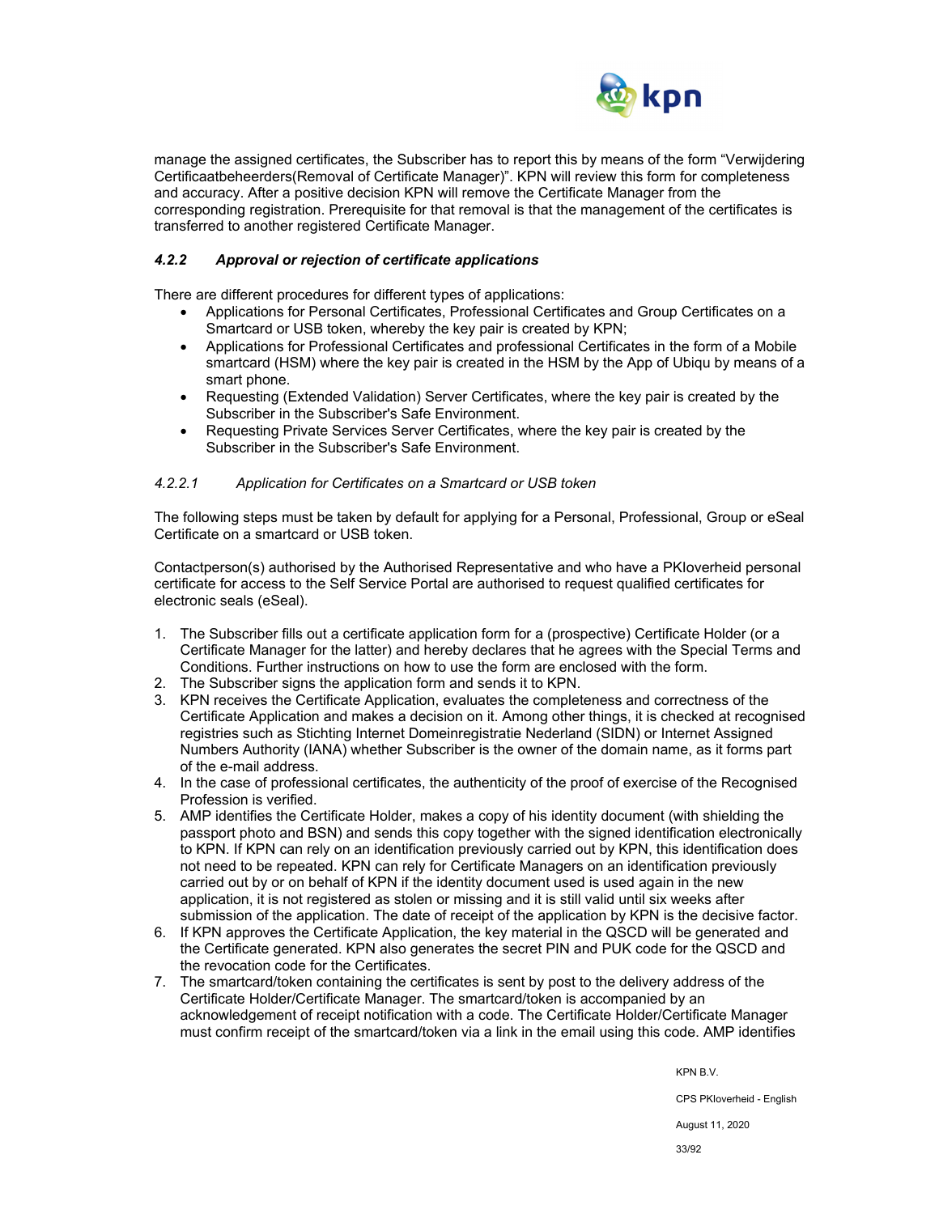

manage the assigned certificates, the Subscriber has to report this by means of the form "Verwijdering Certificaatbeheerders(Removal of Certificate Manager)". KPN will review this form for completeness and accuracy. After a positive decision KPN will remove the Certificate Manager from the corresponding registration. Prerequisite for that removal is that the management of the certificates is transferred to another registered Certificate Manager.

## *4.2.2 Approval or rejection of certificate applications*

There are different procedures for different types of applications:

- Applications for Personal Certificates, Professional Certificates and Group Certificates on a Smartcard or USB token, whereby the key pair is created by KPN;
- Applications for Professional Certificates and professional Certificates in the form of a Mobile smartcard (HSM) where the key pair is created in the HSM by the App of Ubiqu by means of a smart phone.
- Requesting (Extended Validation) Server Certificates, where the key pair is created by the Subscriber in the Subscriber's Safe Environment.
- Requesting Private Services Server Certificates, where the key pair is created by the Subscriber in the Subscriber's Safe Environment.

#### *4.2.2.1 Application for Certificates on a Smartcard or USB token*

The following steps must be taken by default for applying for a Personal, Professional, Group or eSeal Certificate on a smartcard or USB token.

Contactperson(s) authorised by the Authorised Representative and who have a PKIoverheid personal certificate for access to the Self Service Portal are authorised to request qualified certificates for electronic seals (eSeal).

- 1. The Subscriber fills out a certificate application form for a (prospective) Certificate Holder (or a Certificate Manager for the latter) and hereby declares that he agrees with the Special Terms and Conditions. Further instructions on how to use the form are enclosed with the form.
- 2. The Subscriber signs the application form and sends it to KPN.
- 3. KPN receives the Certificate Application, evaluates the completeness and correctness of the Certificate Application and makes a decision on it. Among other things, it is checked at recognised registries such as Stichting Internet Domeinregistratie Nederland (SIDN) or Internet Assigned Numbers Authority (IANA) whether Subscriber is the owner of the domain name, as it forms part of the e-mail address.
- 4. In the case of professional certificates, the authenticity of the proof of exercise of the Recognised Profession is verified.
- 5. AMP identifies the Certificate Holder, makes a copy of his identity document (with shielding the passport photo and BSN) and sends this copy together with the signed identification electronically to KPN. If KPN can rely on an identification previously carried out by KPN, this identification does not need to be repeated. KPN can rely for Certificate Managers on an identification previously carried out by or on behalf of KPN if the identity document used is used again in the new application, it is not registered as stolen or missing and it is still valid until six weeks after submission of the application. The date of receipt of the application by KPN is the decisive factor.
- 6. If KPN approves the Certificate Application, the key material in the QSCD will be generated and the Certificate generated. KPN also generates the secret PIN and PUK code for the QSCD and the revocation code for the Certificates.
- 7. The smartcard/token containing the certificates is sent by post to the delivery address of the Certificate Holder/Certificate Manager. The smartcard/token is accompanied by an acknowledgement of receipt notification with a code. The Certificate Holder/Certificate Manager must confirm receipt of the smartcard/token via a link in the email using this code. AMP identifies

KPN B.V.

CPS PKIoverheid - English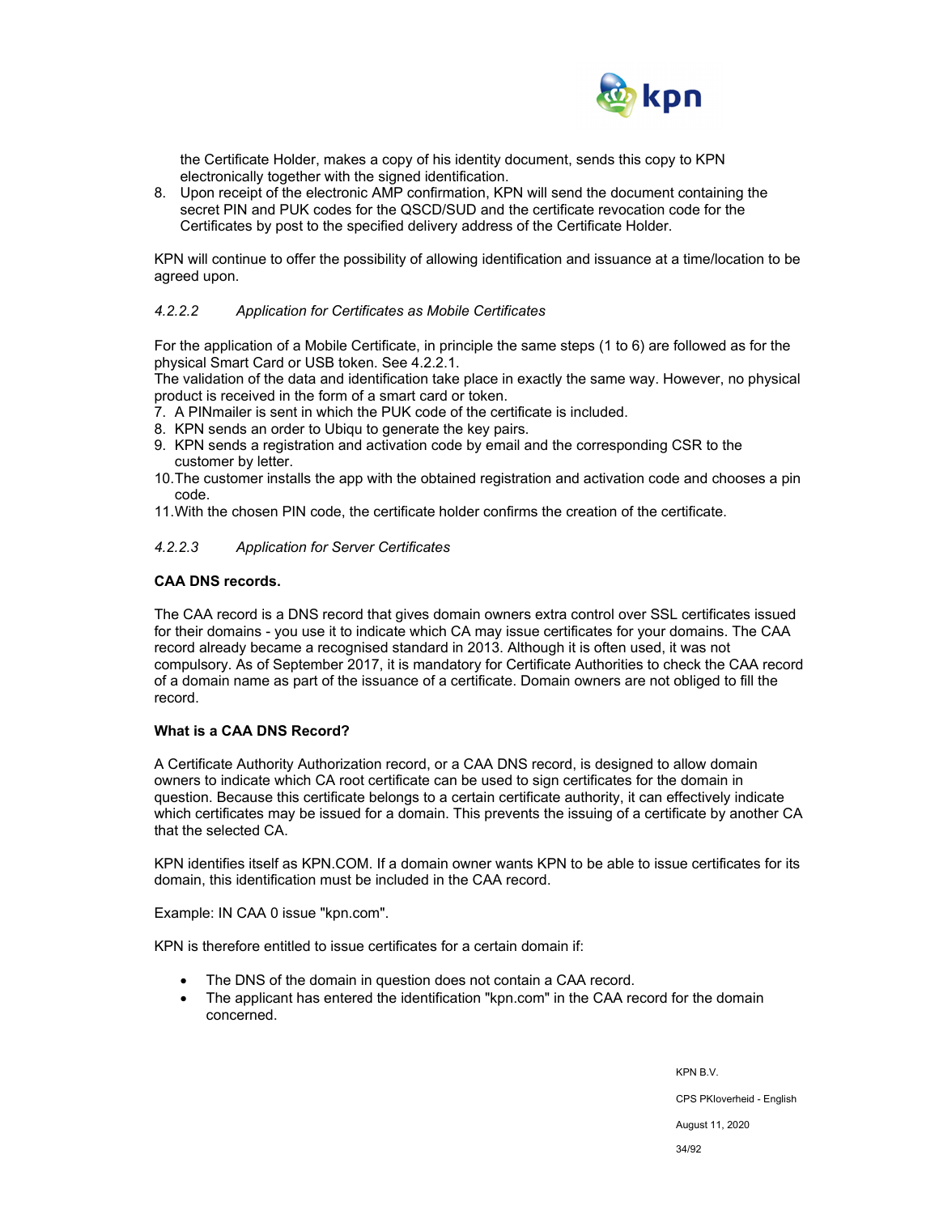

the Certificate Holder, makes a copy of his identity document, sends this copy to KPN electronically together with the signed identification.

8. Upon receipt of the electronic AMP confirmation, KPN will send the document containing the secret PIN and PUK codes for the QSCD/SUD and the certificate revocation code for the Certificates by post to the specified delivery address of the Certificate Holder.

KPN will continue to offer the possibility of allowing identification and issuance at a time/location to be agreed upon.

#### *4.2.2.2 Application for Certificates as Mobile Certificates*

For the application of a Mobile Certificate, in principle the same steps (1 to 6) are followed as for the physical Smart Card or USB token. See 4.2.2.1.

The validation of the data and identification take place in exactly the same way. However, no physical product is received in the form of a smart card or token.

- 7. A PINmailer is sent in which the PUK code of the certificate is included.
- 8. KPN sends an order to Ubiqu to generate the key pairs.
- 9. KPN sends a registration and activation code by email and the corresponding CSR to the customer by letter.
- 10. The customer installs the app with the obtained registration and activation code and chooses a pin code.
- 11. With the chosen PIN code, the certificate holder confirms the creation of the certificate.

### *4.2.2.3 Application for Server Certificates*

#### **CAA DNS records.**

The CAA record is a DNS record that gives domain owners extra control over SSL certificates issued for their domains - you use it to indicate which CA may issue certificates for your domains. The CAA record already became a recognised standard in 2013. Although it is often used, it was not compulsory. As of September 2017, it is mandatory for Certificate Authorities to check the CAA record of a domain name as part of the issuance of a certificate. Domain owners are not obliged to fill the record.

#### **What is a CAA DNS Record?**

A Certificate Authority Authorization record, or a CAA DNS record, is designed to allow domain owners to indicate which CA root certificate can be used to sign certificates for the domain in question. Because this certificate belongs to a certain certificate authority, it can effectively indicate which certificates may be issued for a domain. This prevents the issuing of a certificate by another CA that the selected CA.

KPN identifies itself as KPN.COM. If a domain owner wants KPN to be able to issue certificates for its domain, this identification must be included in the CAA record.

Example: IN CAA 0 issue "kpn.com".

KPN is therefore entitled to issue certificates for a certain domain if:

- The DNS of the domain in question does not contain a CAA record.
- The applicant has entered the identification "kpn.com" in the CAA record for the domain concerned.

KPN B.V. CPS PKIoverheid - English August 11, 2020

34/92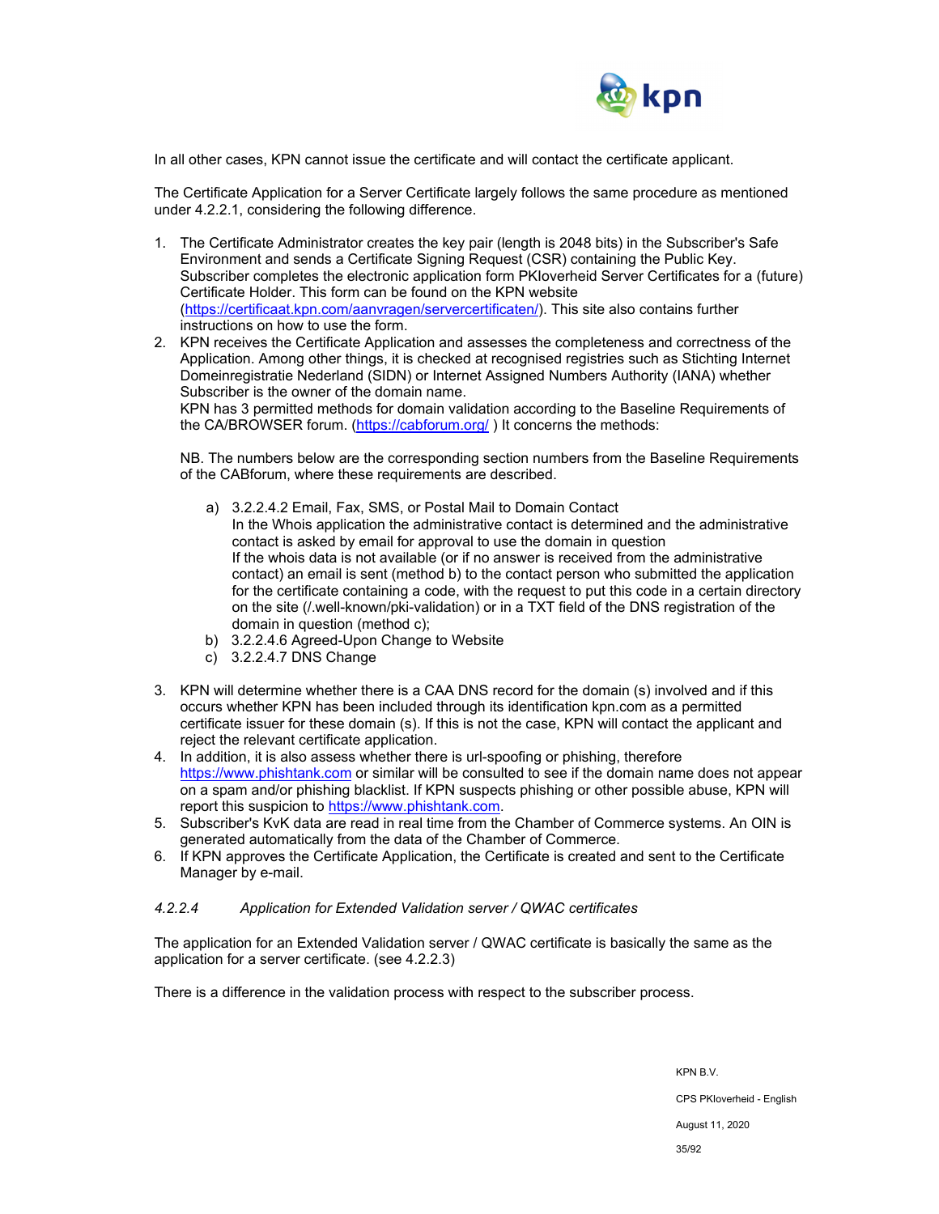

In all other cases, KPN cannot issue the certificate and will contact the certificate applicant.

The Certificate Application for a Server Certificate largely follows the same procedure as mentioned under 4.2.2.1, considering the following difference.

- 1. The Certificate Administrator creates the key pair (length is 2048 bits) in the Subscriber's Safe Environment and sends a Certificate Signing Request (CSR) containing the Public Key. Subscriber completes the electronic application form PKIoverheid Server Certificates for a (future) Certificate Holder. This form can be found on the KPN website (https://certificaat.kpn.com/aanvragen/servercertificaten/). This site also contains further instructions on how to use the form.
- 2. KPN receives the Certificate Application and assesses the completeness and correctness of the Application. Among other things, it is checked at recognised registries such as Stichting Internet Domeinregistratie Nederland (SIDN) or Internet Assigned Numbers Authority (IANA) whether Subscriber is the owner of the domain name.

KPN has 3 permitted methods for domain validation according to the Baseline Requirements of the CA/BROWSER forum. (https://cabforum.org/) It concerns the methods:

NB. The numbers below are the corresponding section numbers from the Baseline Requirements of the CABforum, where these requirements are described.

- a) 3.2.2.4.2 Email, Fax, SMS, or Postal Mail to Domain Contact In the Whois application the administrative contact is determined and the administrative contact is asked by email for approval to use the domain in question If the whois data is not available (or if no answer is received from the administrative contact) an email is sent (method b) to the contact person who submitted the application for the certificate containing a code, with the request to put this code in a certain directory on the site (/.well-known/pki-validation) or in a TXT field of the DNS registration of the domain in question (method c);
- b) 3.2.2.4.6 Agreed-Upon Change to Website
- c) 3.2.2.4.7 DNS Change
- 3. KPN will determine whether there is a CAA DNS record for the domain (s) involved and if this occurs whether KPN has been included through its identification kpn.com as a permitted certificate issuer for these domain (s). If this is not the case, KPN will contact the applicant and reject the relevant certificate application.
- 4. In addition, it is also assess whether there is url-spoofing or phishing, therefore https://www.phishtank.com or similar will be consulted to see if the domain name does not appear on a spam and/or phishing blacklist. If KPN suspects phishing or other possible abuse, KPN will report this suspicion to https://www.phishtank.com.
- 5. Subscriber's KvK data are read in real time from the Chamber of Commerce systems. An OIN is generated automatically from the data of the Chamber of Commerce.
- 6. If KPN approves the Certificate Application, the Certificate is created and sent to the Certificate Manager by e-mail.

#### *4.2.2.4 Application for Extended Validation server / QWAC certificates*

The application for an Extended Validation server / QWAC certificate is basically the same as the application for a server certificate. (see 4.2.2.3)

There is a difference in the validation process with respect to the subscriber process.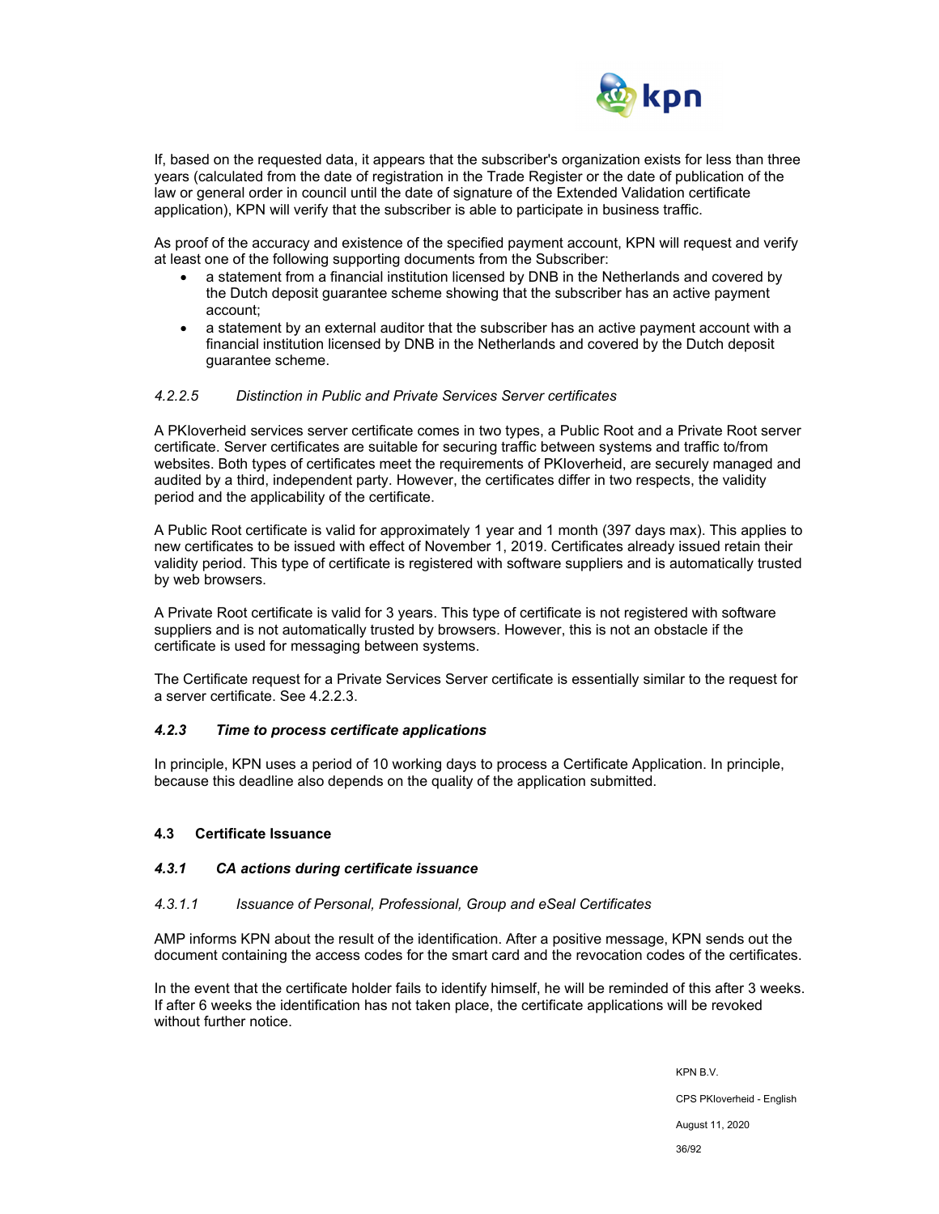

If, based on the requested data, it appears that the subscriber's organization exists for less than three years (calculated from the date of registration in the Trade Register or the date of publication of the law or general order in council until the date of signature of the Extended Validation certificate application), KPN will verify that the subscriber is able to participate in business traffic.

As proof of the accuracy and existence of the specified payment account, KPN will request and verify at least one of the following supporting documents from the Subscriber:

- a statement from a financial institution licensed by DNB in the Netherlands and covered by the Dutch deposit guarantee scheme showing that the subscriber has an active payment account;
- a statement by an external auditor that the subscriber has an active payment account with a financial institution licensed by DNB in the Netherlands and covered by the Dutch deposit guarantee scheme.

### *4.2.2.5 Distinction in Public and Private Services Server certificates*

A PKIoverheid services server certificate comes in two types, a Public Root and a Private Root server certificate. Server certificates are suitable for securing traffic between systems and traffic to/from websites. Both types of certificates meet the requirements of PKIoverheid, are securely managed and audited by a third, independent party. However, the certificates differ in two respects, the validity period and the applicability of the certificate.

A Public Root certificate is valid for approximately 1 year and 1 month (397 days max). This applies to new certificates to be issued with effect of November 1, 2019. Certificates already issued retain their validity period. This type of certificate is registered with software suppliers and is automatically trusted by web browsers.

A Private Root certificate is valid for 3 years. This type of certificate is not registered with software suppliers and is not automatically trusted by browsers. However, this is not an obstacle if the certificate is used for messaging between systems.

The Certificate request for a Private Services Server certificate is essentially similar to the request for a server certificate. See 4.2.2.3.

#### *4.2.3 Time to process certificate applications*

In principle, KPN uses a period of 10 working days to process a Certificate Application. In principle, because this deadline also depends on the quality of the application submitted.

#### **4.3 Certificate Issuance**

#### *4.3.1 CA actions during certificate issuance*

#### *4.3.1.1 Issuance of Personal, Professional, Group and eSeal Certificates*

AMP informs KPN about the result of the identification. After a positive message, KPN sends out the document containing the access codes for the smart card and the revocation codes of the certificates.

In the event that the certificate holder fails to identify himself, he will be reminded of this after 3 weeks. If after 6 weeks the identification has not taken place, the certificate applications will be revoked without further notice

> KPN B.V. CPS PKIoverheid - English August 11, 2020 36/92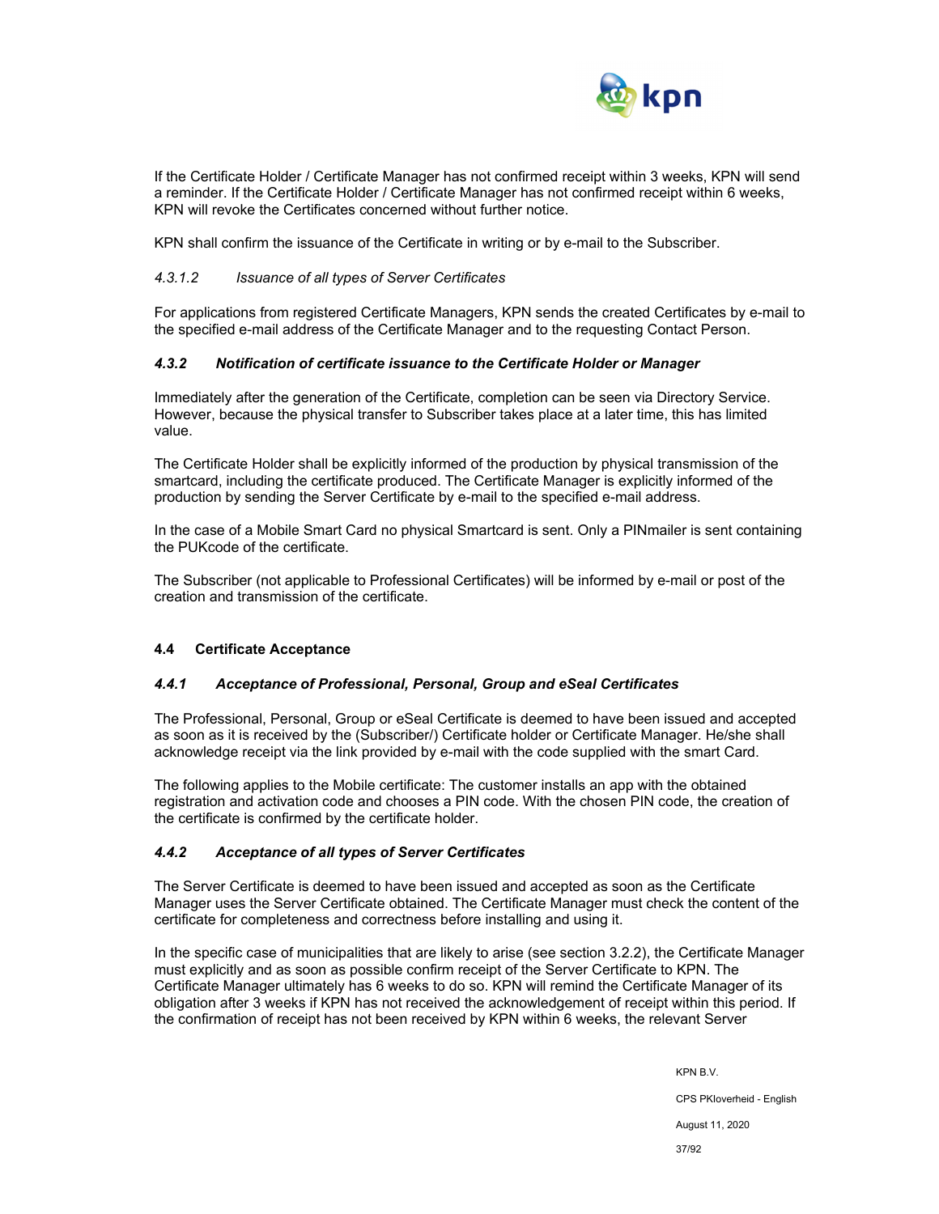

If the Certificate Holder / Certificate Manager has not confirmed receipt within 3 weeks, KPN will send a reminder. If the Certificate Holder / Certificate Manager has not confirmed receipt within 6 weeks, KPN will revoke the Certificates concerned without further notice.

KPN shall confirm the issuance of the Certificate in writing or by e-mail to the Subscriber.

#### *4.3.1.2 Issuance of all types of Server Certificates*

For applications from registered Certificate Managers, KPN sends the created Certificates by e-mail to the specified e-mail address of the Certificate Manager and to the requesting Contact Person.

#### *4.3.2 Notification of certificate issuance to the Certificate Holder or Manager*

Immediately after the generation of the Certificate, completion can be seen via Directory Service. However, because the physical transfer to Subscriber takes place at a later time, this has limited value.

The Certificate Holder shall be explicitly informed of the production by physical transmission of the smartcard, including the certificate produced. The Certificate Manager is explicitly informed of the production by sending the Server Certificate by e-mail to the specified e-mail address.

In the case of a Mobile Smart Card no physical Smartcard is sent. Only a PINmailer is sent containing the PUKcode of the certificate.

The Subscriber (not applicable to Professional Certificates) will be informed by e-mail or post of the creation and transmission of the certificate.

## **4.4 Certificate Acceptance**

#### *4.4.1 Acceptance of Professional, Personal, Group and eSeal Certificates*

The Professional, Personal, Group or eSeal Certificate is deemed to have been issued and accepted as soon as it is received by the (Subscriber/) Certificate holder or Certificate Manager. He/she shall acknowledge receipt via the link provided by e-mail with the code supplied with the smart Card.

The following applies to the Mobile certificate: The customer installs an app with the obtained registration and activation code and chooses a PIN code. With the chosen PIN code, the creation of the certificate is confirmed by the certificate holder.

#### *4.4.2 Acceptance of all types of Server Certificates*

The Server Certificate is deemed to have been issued and accepted as soon as the Certificate Manager uses the Server Certificate obtained. The Certificate Manager must check the content of the certificate for completeness and correctness before installing and using it.

In the specific case of municipalities that are likely to arise (see section 3.2.2), the Certificate Manager must explicitly and as soon as possible confirm receipt of the Server Certificate to KPN. The Certificate Manager ultimately has 6 weeks to do so. KPN will remind the Certificate Manager of its obligation after 3 weeks if KPN has not received the acknowledgement of receipt within this period. If the confirmation of receipt has not been received by KPN within 6 weeks, the relevant Server

> KPN B.V. CPS PKIoverheid - English August 11, 2020 37/92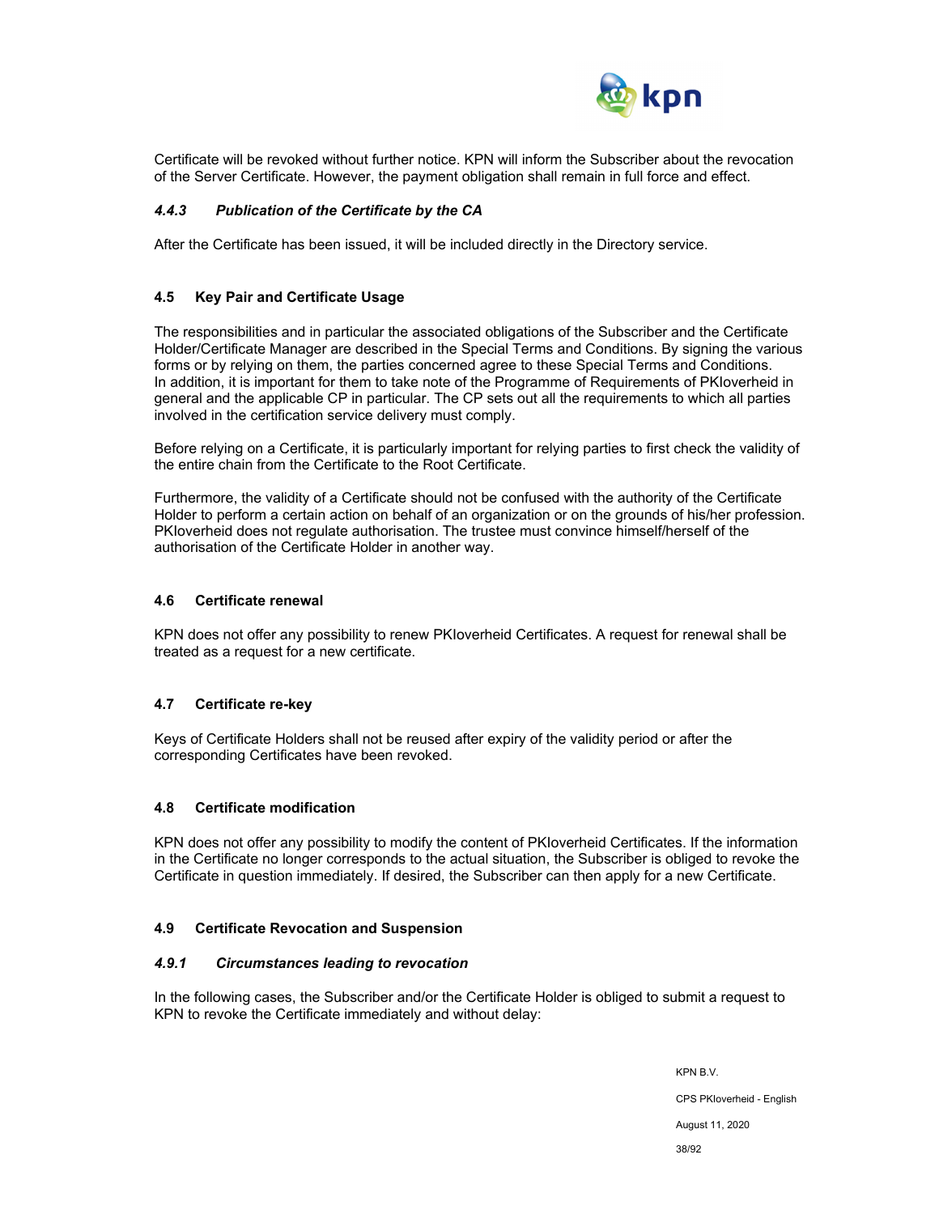

Certificate will be revoked without further notice. KPN will inform the Subscriber about the revocation of the Server Certificate. However, the payment obligation shall remain in full force and effect.

### *4.4.3 Publication of the Certificate by the CA*

After the Certificate has been issued, it will be included directly in the Directory service.

#### **4.5 Key Pair and Certificate Usage**

The responsibilities and in particular the associated obligations of the Subscriber and the Certificate Holder/Certificate Manager are described in the Special Terms and Conditions. By signing the various forms or by relying on them, the parties concerned agree to these Special Terms and Conditions. In addition, it is important for them to take note of the Programme of Requirements of PKIoverheid in general and the applicable CP in particular. The CP sets out all the requirements to which all parties involved in the certification service delivery must comply.

Before relying on a Certificate, it is particularly important for relying parties to first check the validity of the entire chain from the Certificate to the Root Certificate.

Furthermore, the validity of a Certificate should not be confused with the authority of the Certificate Holder to perform a certain action on behalf of an organization or on the grounds of his/her profession. PKIoverheid does not regulate authorisation. The trustee must convince himself/herself of the authorisation of the Certificate Holder in another way.

#### **4.6 Certificate renewal**

KPN does not offer any possibility to renew PKIoverheid Certificates. A request for renewal shall be treated as a request for a new certificate.

#### **4.7 Certificate re-key**

Keys of Certificate Holders shall not be reused after expiry of the validity period or after the corresponding Certificates have been revoked.

#### **4.8 Certificate modification**

KPN does not offer any possibility to modify the content of PKIoverheid Certificates. If the information in the Certificate no longer corresponds to the actual situation, the Subscriber is obliged to revoke the Certificate in question immediately. If desired, the Subscriber can then apply for a new Certificate.

#### **4.9 Certificate Revocation and Suspension**

#### *4.9.1 Circumstances leading to revocation*

In the following cases, the Subscriber and/or the Certificate Holder is obliged to submit a request to KPN to revoke the Certificate immediately and without delay:

> KPN B.V. CPS PKIoverheid - English August 11, 2020 38/92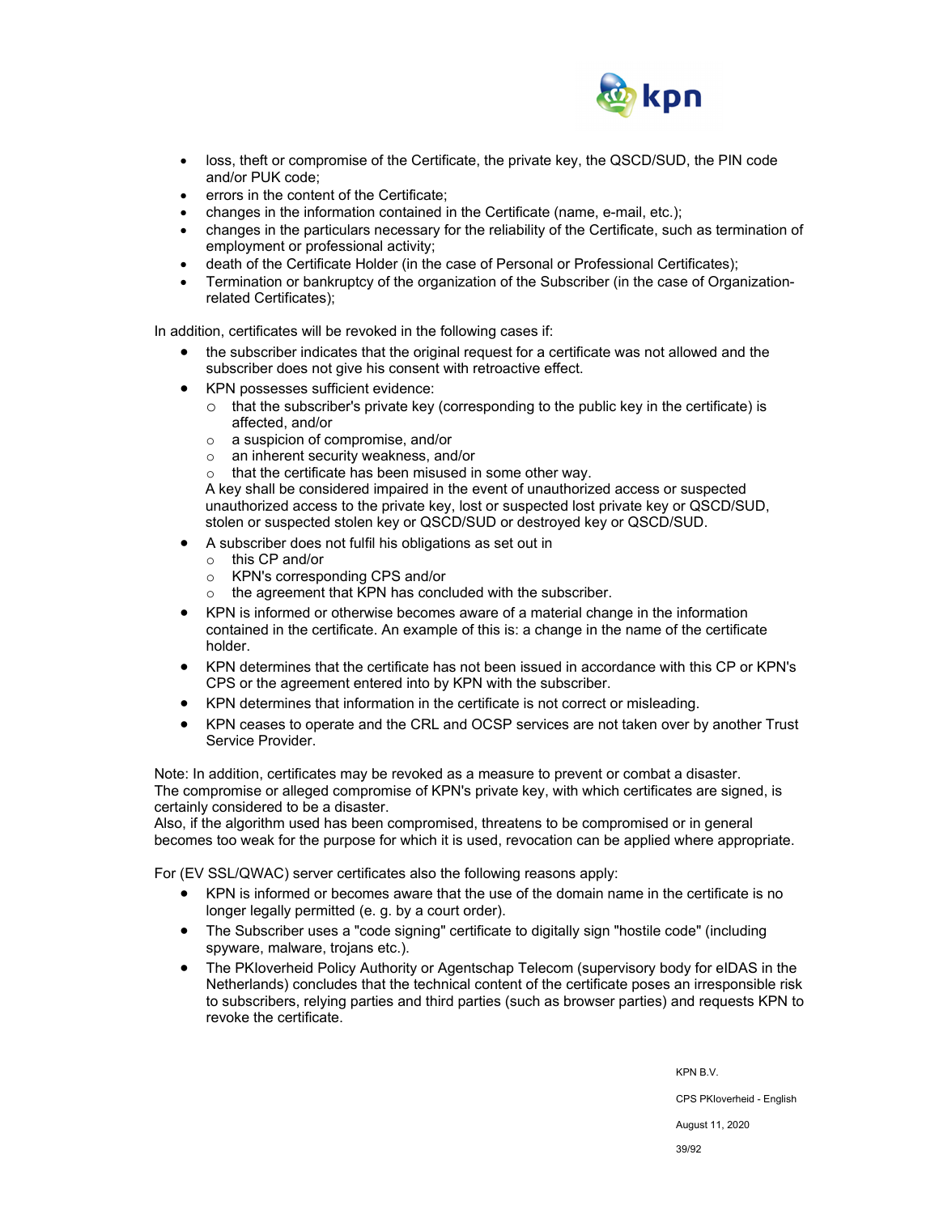

- loss, theft or compromise of the Certificate, the private key, the QSCD/SUD, the PIN code and/or PUK code;
- errors in the content of the Certificate;
- changes in the information contained in the Certificate (name, e-mail, etc.);
- changes in the particulars necessary for the reliability of the Certificate, such as termination of employment or professional activity;
- death of the Certificate Holder (in the case of Personal or Professional Certificates);
- Termination or bankruptcy of the organization of the Subscriber (in the case of Organizationrelated Certificates);

In addition, certificates will be revoked in the following cases if:

- the subscriber indicates that the original request for a certificate was not allowed and the subscriber does not give his consent with retroactive effect.
- KPN possesses sufficient evidence:
	- $\circ$  that the subscriber's private key (corresponding to the public key in the certificate) is affected, and/or
	- o a suspicion of compromise, and/or
	- o an inherent security weakness, and/or
	- o that the certificate has been misused in some other way.

A key shall be considered impaired in the event of unauthorized access or suspected unauthorized access to the private key, lost or suspected lost private key or QSCD/SUD, stolen or suspected stolen key or QSCD/SUD or destroyed key or QSCD/SUD.

- A subscriber does not fulfil his obligations as set out in
	- o this CP and/or
	- o KPN's corresponding CPS and/or
	- o the agreement that KPN has concluded with the subscriber.
- KPN is informed or otherwise becomes aware of a material change in the information contained in the certificate. An example of this is: a change in the name of the certificate holder.
- KPN determines that the certificate has not been issued in accordance with this CP or KPN's CPS or the agreement entered into by KPN with the subscriber.
- KPN determines that information in the certificate is not correct or misleading.
- KPN ceases to operate and the CRL and OCSP services are not taken over by another Trust Service Provider.

Note: In addition, certificates may be revoked as a measure to prevent or combat a disaster. The compromise or alleged compromise of KPN's private key, with which certificates are signed, is certainly considered to be a disaster.

Also, if the algorithm used has been compromised, threatens to be compromised or in general becomes too weak for the purpose for which it is used, revocation can be applied where appropriate.

For (EV SSL/QWAC) server certificates also the following reasons apply:

- KPN is informed or becomes aware that the use of the domain name in the certificate is no longer legally permitted (e. g. by a court order).
- The Subscriber uses a "code signing" certificate to digitally sign "hostile code" (including spyware, malware, trojans etc.).
- The PKIoverheid Policy Authority or Agentschap Telecom (supervisory body for eIDAS in the Netherlands) concludes that the technical content of the certificate poses an irresponsible risk to subscribers, relying parties and third parties (such as browser parties) and requests KPN to revoke the certificate.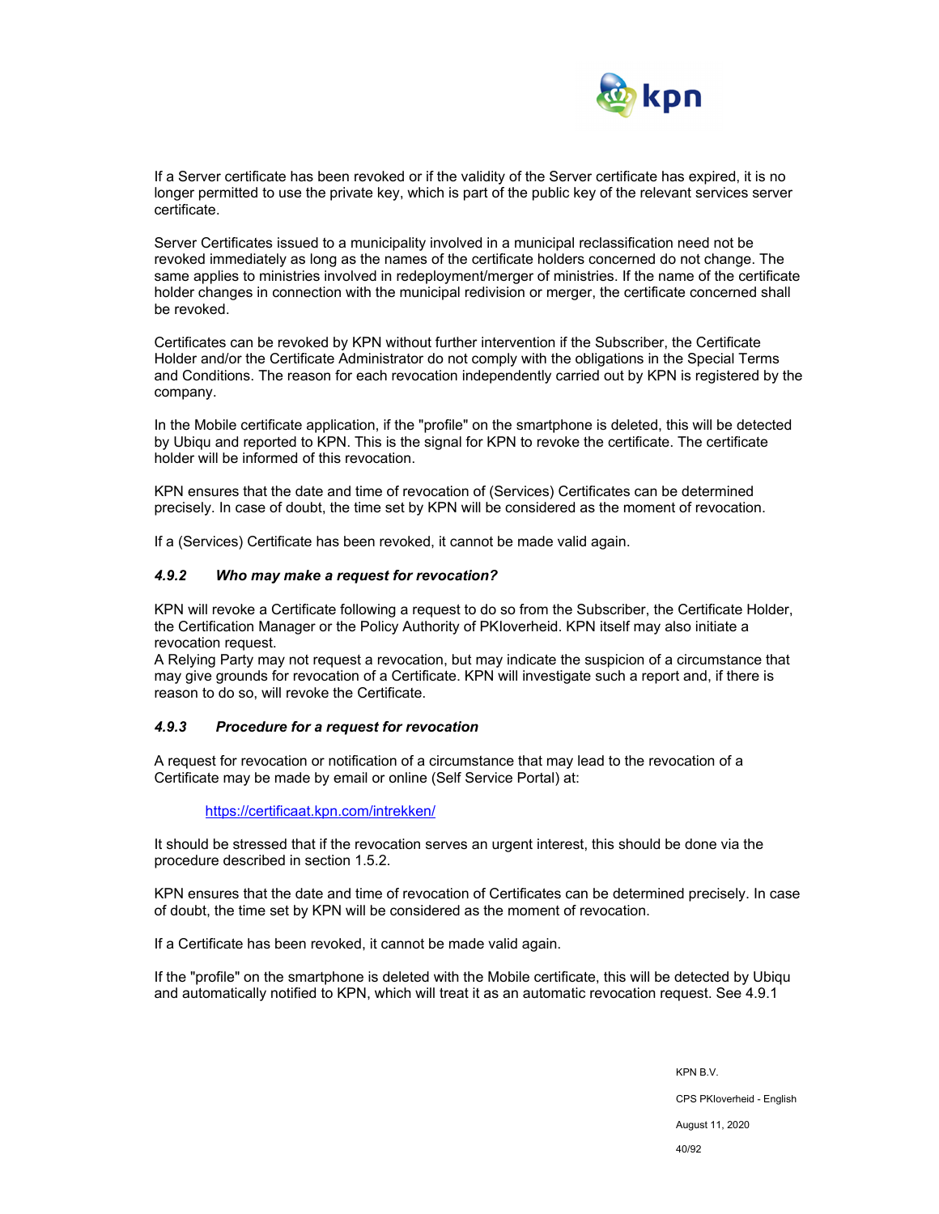

If a Server certificate has been revoked or if the validity of the Server certificate has expired, it is no longer permitted to use the private key, which is part of the public key of the relevant services server certificate.

Server Certificates issued to a municipality involved in a municipal reclassification need not be revoked immediately as long as the names of the certificate holders concerned do not change. The same applies to ministries involved in redeployment/merger of ministries. If the name of the certificate holder changes in connection with the municipal redivision or merger, the certificate concerned shall be revoked.

Certificates can be revoked by KPN without further intervention if the Subscriber, the Certificate Holder and/or the Certificate Administrator do not comply with the obligations in the Special Terms and Conditions. The reason for each revocation independently carried out by KPN is registered by the company.

In the Mobile certificate application, if the "profile" on the smartphone is deleted, this will be detected by Ubiqu and reported to KPN. This is the signal for KPN to revoke the certificate. The certificate holder will be informed of this revocation.

KPN ensures that the date and time of revocation of (Services) Certificates can be determined precisely. In case of doubt, the time set by KPN will be considered as the moment of revocation.

If a (Services) Certificate has been revoked, it cannot be made valid again.

#### *4.9.2 Who may make a request for revocation?*

KPN will revoke a Certificate following a request to do so from the Subscriber, the Certificate Holder, the Certification Manager or the Policy Authority of PKIoverheid. KPN itself may also initiate a revocation request.

A Relying Party may not request a revocation, but may indicate the suspicion of a circumstance that may give grounds for revocation of a Certificate. KPN will investigate such a report and, if there is reason to do so, will revoke the Certificate.

#### *4.9.3 Procedure for a request for revocation*

A request for revocation or notification of a circumstance that may lead to the revocation of a Certificate may be made by email or online (Self Service Portal) at:

https://certificaat.kpn.com/intrekken/

It should be stressed that if the revocation serves an urgent interest, this should be done via the procedure described in section 1.5.2.

KPN ensures that the date and time of revocation of Certificates can be determined precisely. In case of doubt, the time set by KPN will be considered as the moment of revocation.

If a Certificate has been revoked, it cannot be made valid again.

If the "profile" on the smartphone is deleted with the Mobile certificate, this will be detected by Ubiqu and automatically notified to KPN, which will treat it as an automatic revocation request. See 4.9.1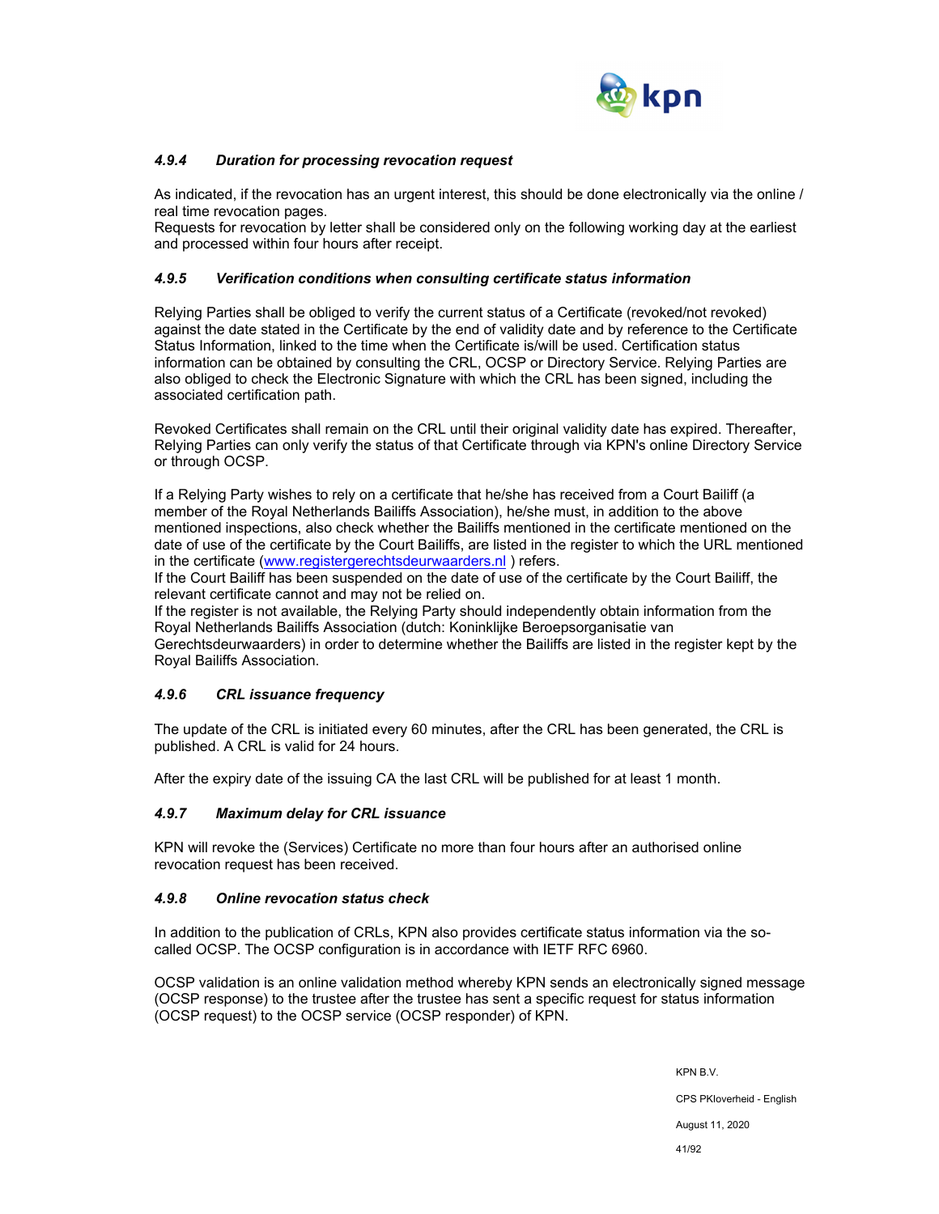

## *4.9.4 Duration for processing revocation request*

As indicated, if the revocation has an urgent interest, this should be done electronically via the online / real time revocation pages.

Requests for revocation by letter shall be considered only on the following working day at the earliest and processed within four hours after receipt.

### *4.9.5 Verification conditions when consulting certificate status information*

Relying Parties shall be obliged to verify the current status of a Certificate (revoked/not revoked) against the date stated in the Certificate by the end of validity date and by reference to the Certificate Status Information, linked to the time when the Certificate is/will be used. Certification status information can be obtained by consulting the CRL, OCSP or Directory Service. Relying Parties are also obliged to check the Electronic Signature with which the CRL has been signed, including the associated certification path.

Revoked Certificates shall remain on the CRL until their original validity date has expired. Thereafter, Relying Parties can only verify the status of that Certificate through via KPN's online Directory Service or through OCSP.

If a Relying Party wishes to rely on a certificate that he/she has received from a Court Bailiff (a member of the Royal Netherlands Bailiffs Association), he/she must, in addition to the above mentioned inspections, also check whether the Bailiffs mentioned in the certificate mentioned on the date of use of the certificate by the Court Bailiffs, are listed in the register to which the URL mentioned in the certificate (www.registergerechtsdeurwaarders.nl ) refers.

If the Court Bailiff has been suspended on the date of use of the certificate by the Court Bailiff, the relevant certificate cannot and may not be relied on.

If the register is not available, the Relying Party should independently obtain information from the Royal Netherlands Bailiffs Association (dutch: Koninklijke Beroepsorganisatie van

Gerechtsdeurwaarders) in order to determine whether the Bailiffs are listed in the register kept by the Royal Bailiffs Association.

## *4.9.6 CRL issuance frequency*

The update of the CRL is initiated every 60 minutes, after the CRL has been generated, the CRL is published. A CRL is valid for 24 hours.

After the expiry date of the issuing CA the last CRL will be published for at least 1 month.

## *4.9.7 Maximum delay for CRL issuance*

KPN will revoke the (Services) Certificate no more than four hours after an authorised online revocation request has been received.

#### *4.9.8 Online revocation status check*

In addition to the publication of CRLs, KPN also provides certificate status information via the socalled OCSP. The OCSP configuration is in accordance with IETF RFC 6960.

OCSP validation is an online validation method whereby KPN sends an electronically signed message (OCSP response) to the trustee after the trustee has sent a specific request for status information (OCSP request) to the OCSP service (OCSP responder) of KPN.

> KPN B.V. CPS PKIoverheid - English August 11, 2020 41/92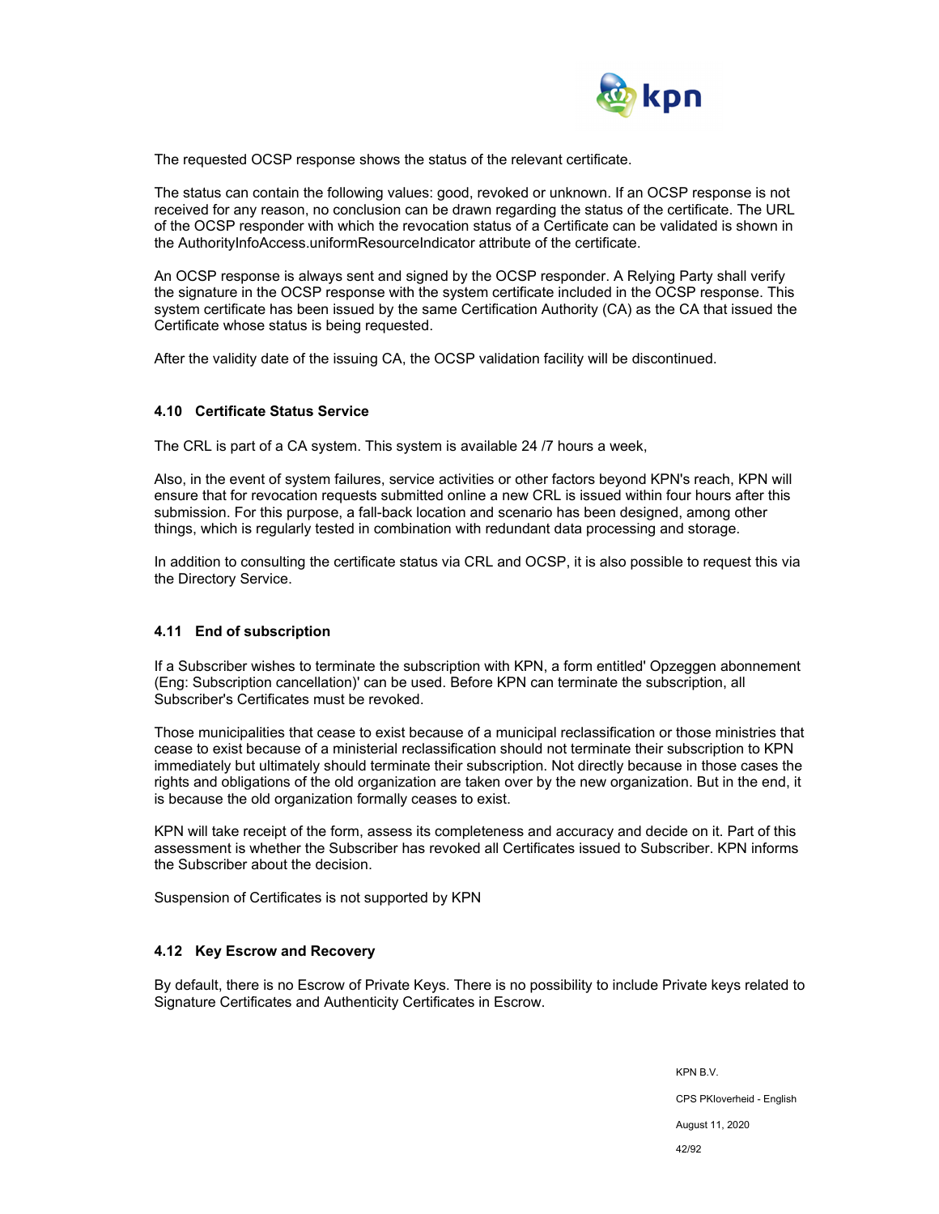

The requested OCSP response shows the status of the relevant certificate.

The status can contain the following values: good, revoked or unknown. If an OCSP response is not received for any reason, no conclusion can be drawn regarding the status of the certificate. The URL of the OCSP responder with which the revocation status of a Certificate can be validated is shown in the AuthorityInfoAccess.uniformResourceIndicator attribute of the certificate.

An OCSP response is always sent and signed by the OCSP responder. A Relying Party shall verify the signature in the OCSP response with the system certificate included in the OCSP response. This system certificate has been issued by the same Certification Authority (CA) as the CA that issued the Certificate whose status is being requested.

After the validity date of the issuing CA, the OCSP validation facility will be discontinued.

#### **4.10 Certificate Status Service**

The CRL is part of a CA system. This system is available 24 /7 hours a week,

Also, in the event of system failures, service activities or other factors beyond KPN's reach, KPN will ensure that for revocation requests submitted online a new CRL is issued within four hours after this submission. For this purpose, a fall-back location and scenario has been designed, among other things, which is regularly tested in combination with redundant data processing and storage.

In addition to consulting the certificate status via CRL and OCSP, it is also possible to request this via the Directory Service.

#### **4.11 End of subscription**

If a Subscriber wishes to terminate the subscription with KPN, a form entitled' Opzeggen abonnement (Eng: Subscription cancellation)' can be used. Before KPN can terminate the subscription, all Subscriber's Certificates must be revoked.

Those municipalities that cease to exist because of a municipal reclassification or those ministries that cease to exist because of a ministerial reclassification should not terminate their subscription to KPN immediately but ultimately should terminate their subscription. Not directly because in those cases the rights and obligations of the old organization are taken over by the new organization. But in the end, it is because the old organization formally ceases to exist.

KPN will take receipt of the form, assess its completeness and accuracy and decide on it. Part of this assessment is whether the Subscriber has revoked all Certificates issued to Subscriber. KPN informs the Subscriber about the decision.

Suspension of Certificates is not supported by KPN

#### **4.12 Key Escrow and Recovery**

By default, there is no Escrow of Private Keys. There is no possibility to include Private keys related to Signature Certificates and Authenticity Certificates in Escrow.

> KPN B.V. CPS PKIoverheid - English August 11, 2020 42/92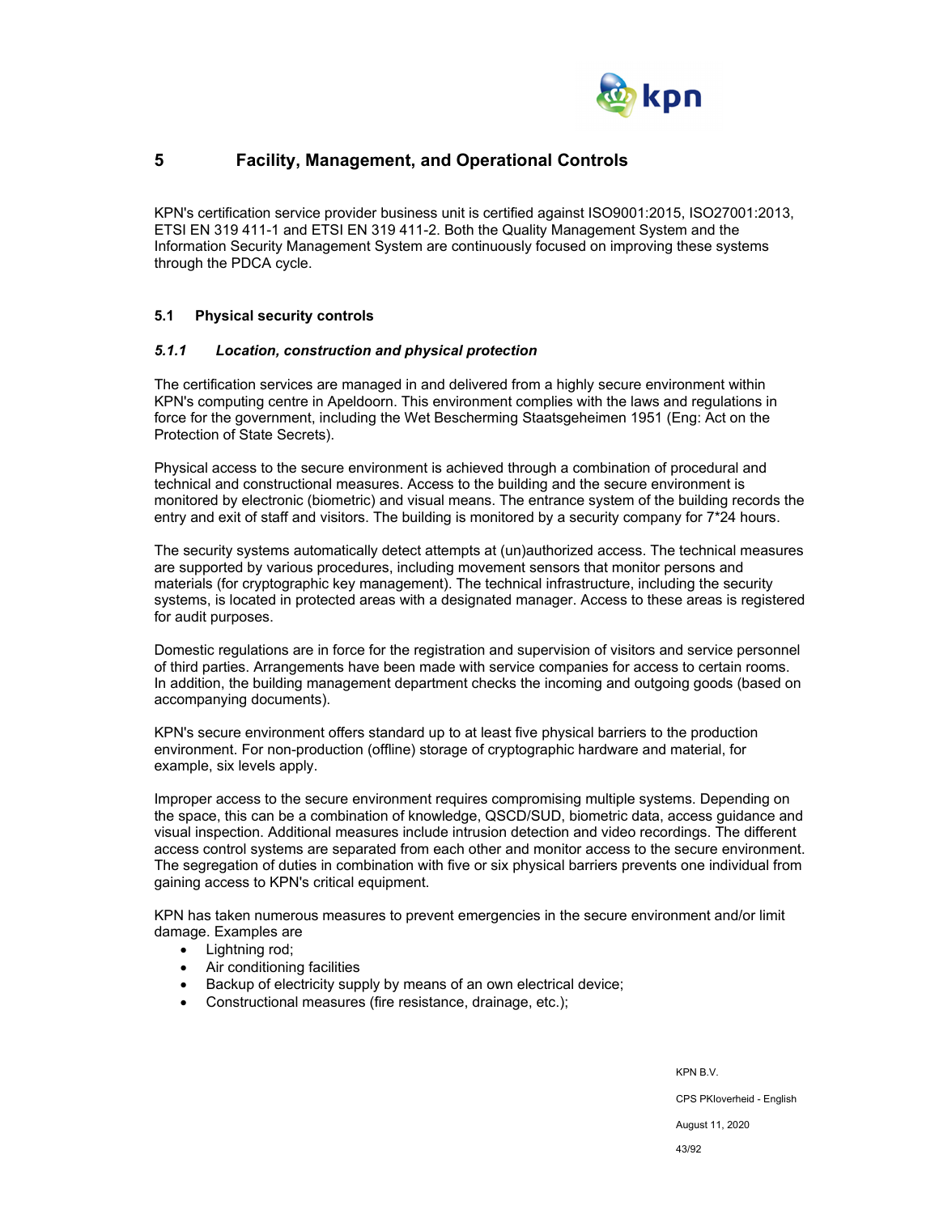

# **5 Facility, Management, and Operational Controls**

KPN's certification service provider business unit is certified against ISO9001:2015, ISO27001:2013, ETSI EN 319 411-1 and ETSI EN 319 411-2. Both the Quality Management System and the Information Security Management System are continuously focused on improving these systems through the PDCA cycle.

#### **5.1 Physical security controls**

#### *5.1.1 Location, construction and physical protection*

The certification services are managed in and delivered from a highly secure environment within KPN's computing centre in Apeldoorn. This environment complies with the laws and regulations in force for the government, including the Wet Bescherming Staatsgeheimen 1951 (Eng: Act on the Protection of State Secrets).

Physical access to the secure environment is achieved through a combination of procedural and technical and constructional measures. Access to the building and the secure environment is monitored by electronic (biometric) and visual means. The entrance system of the building records the entry and exit of staff and visitors. The building is monitored by a security company for 7\*24 hours.

The security systems automatically detect attempts at (un)authorized access. The technical measures are supported by various procedures, including movement sensors that monitor persons and materials (for cryptographic key management). The technical infrastructure, including the security systems, is located in protected areas with a designated manager. Access to these areas is registered for audit purposes.

Domestic regulations are in force for the registration and supervision of visitors and service personnel of third parties. Arrangements have been made with service companies for access to certain rooms. In addition, the building management department checks the incoming and outgoing goods (based on accompanying documents).

KPN's secure environment offers standard up to at least five physical barriers to the production environment. For non-production (offline) storage of cryptographic hardware and material, for example, six levels apply.

Improper access to the secure environment requires compromising multiple systems. Depending on the space, this can be a combination of knowledge, QSCD/SUD, biometric data, access guidance and visual inspection. Additional measures include intrusion detection and video recordings. The different access control systems are separated from each other and monitor access to the secure environment. The segregation of duties in combination with five or six physical barriers prevents one individual from gaining access to KPN's critical equipment.

KPN has taken numerous measures to prevent emergencies in the secure environment and/or limit damage. Examples are

- Lightning rod;
- Air conditioning facilities
- Backup of electricity supply by means of an own electrical device;
- Constructional measures (fire resistance, drainage, etc.);

KPN B.V. CPS PKIoverheid - English August 11, 2020 43/92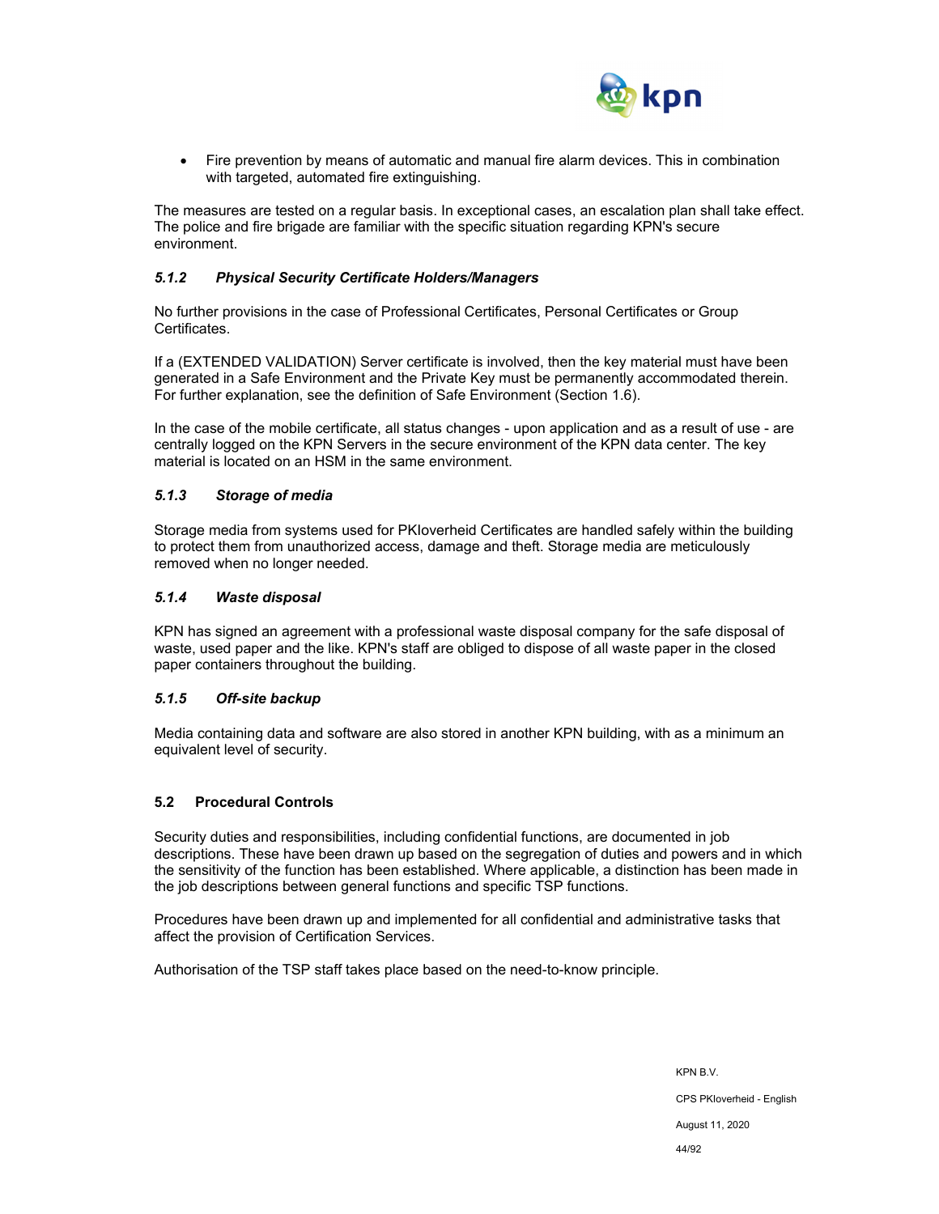

 Fire prevention by means of automatic and manual fire alarm devices. This in combination with targeted, automated fire extinguishing.

The measures are tested on a regular basis. In exceptional cases, an escalation plan shall take effect. The police and fire brigade are familiar with the specific situation regarding KPN's secure environment.

#### *5.1.2 Physical Security Certificate Holders/Managers*

No further provisions in the case of Professional Certificates, Personal Certificates or Group Certificates.

If a (EXTENDED VALIDATION) Server certificate is involved, then the key material must have been generated in a Safe Environment and the Private Key must be permanently accommodated therein. For further explanation, see the definition of Safe Environment (Section 1.6).

In the case of the mobile certificate, all status changes - upon application and as a result of use - are centrally logged on the KPN Servers in the secure environment of the KPN data center. The key material is located on an HSM in the same environment.

#### *5.1.3 Storage of media*

Storage media from systems used for PKIoverheid Certificates are handled safely within the building to protect them from unauthorized access, damage and theft. Storage media are meticulously removed when no longer needed.

#### *5.1.4 Waste disposal*

KPN has signed an agreement with a professional waste disposal company for the safe disposal of waste, used paper and the like. KPN's staff are obliged to dispose of all waste paper in the closed paper containers throughout the building.

#### *5.1.5 Off-site backup*

Media containing data and software are also stored in another KPN building, with as a minimum an equivalent level of security.

#### **5.2 Procedural Controls**

Security duties and responsibilities, including confidential functions, are documented in job descriptions. These have been drawn up based on the segregation of duties and powers and in which the sensitivity of the function has been established. Where applicable, a distinction has been made in the job descriptions between general functions and specific TSP functions.

Procedures have been drawn up and implemented for all confidential and administrative tasks that affect the provision of Certification Services.

Authorisation of the TSP staff takes place based on the need-to-know principle.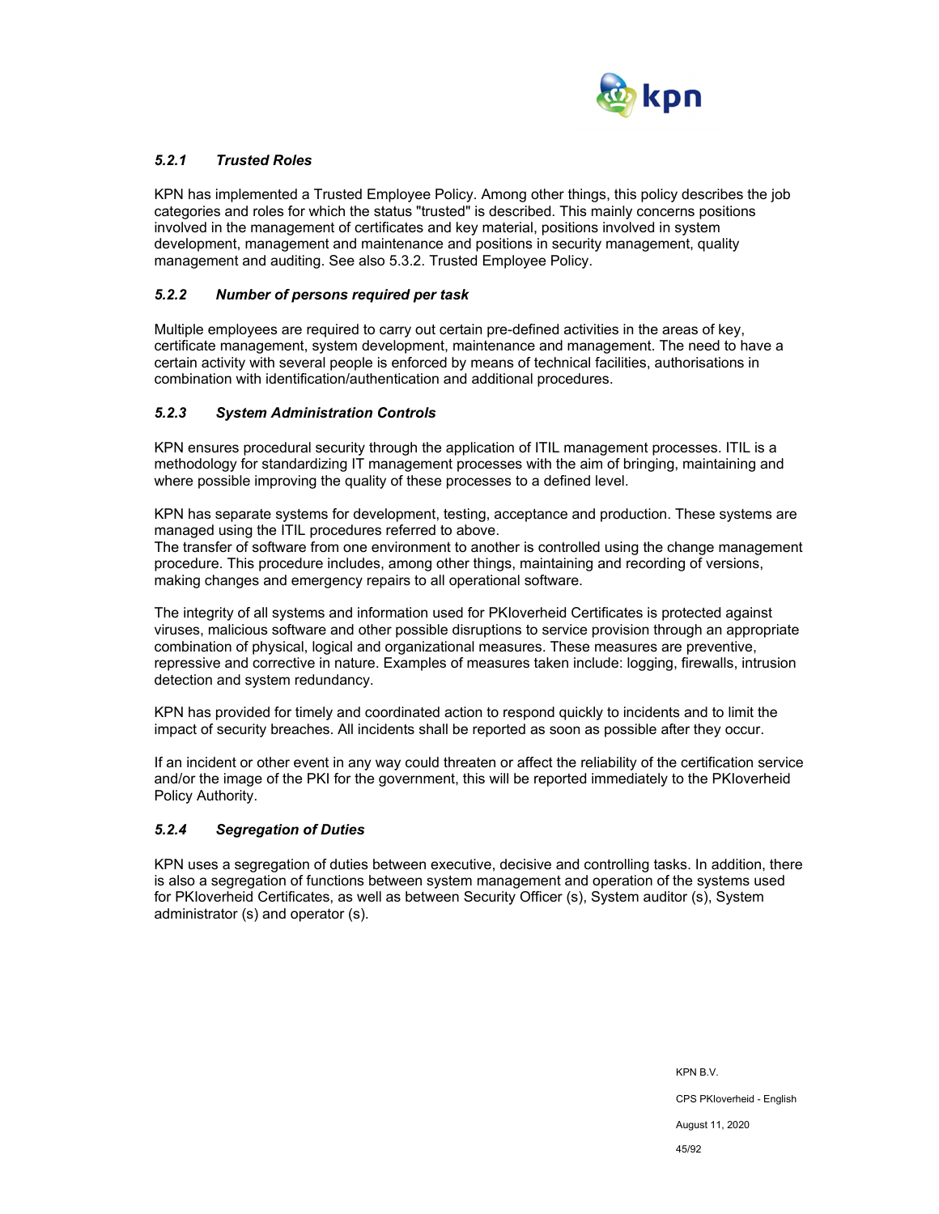

# *5.2.1 Trusted Roles*

KPN has implemented a Trusted Employee Policy. Among other things, this policy describes the job categories and roles for which the status "trusted" is described. This mainly concerns positions involved in the management of certificates and key material, positions involved in system development, management and maintenance and positions in security management, quality management and auditing. See also 5.3.2. Trusted Employee Policy.

### *5.2.2 Number of persons required per task*

Multiple employees are required to carry out certain pre-defined activities in the areas of key, certificate management, system development, maintenance and management. The need to have a certain activity with several people is enforced by means of technical facilities, authorisations in combination with identification/authentication and additional procedures.

#### *5.2.3 System Administration Controls*

KPN ensures procedural security through the application of ITIL management processes. ITIL is a methodology for standardizing IT management processes with the aim of bringing, maintaining and where possible improving the quality of these processes to a defined level.

KPN has separate systems for development, testing, acceptance and production. These systems are managed using the ITIL procedures referred to above.

The transfer of software from one environment to another is controlled using the change management procedure. This procedure includes, among other things, maintaining and recording of versions, making changes and emergency repairs to all operational software.

The integrity of all systems and information used for PKIoverheid Certificates is protected against viruses, malicious software and other possible disruptions to service provision through an appropriate combination of physical, logical and organizational measures. These measures are preventive, repressive and corrective in nature. Examples of measures taken include: logging, firewalls, intrusion detection and system redundancy.

KPN has provided for timely and coordinated action to respond quickly to incidents and to limit the impact of security breaches. All incidents shall be reported as soon as possible after they occur.

If an incident or other event in any way could threaten or affect the reliability of the certification service and/or the image of the PKI for the government, this will be reported immediately to the PKIoverheid Policy Authority.

#### *5.2.4 Segregation of Duties*

KPN uses a segregation of duties between executive, decisive and controlling tasks. In addition, there is also a segregation of functions between system management and operation of the systems used for PKIoverheid Certificates, as well as between Security Officer (s), System auditor (s), System administrator (s) and operator (s).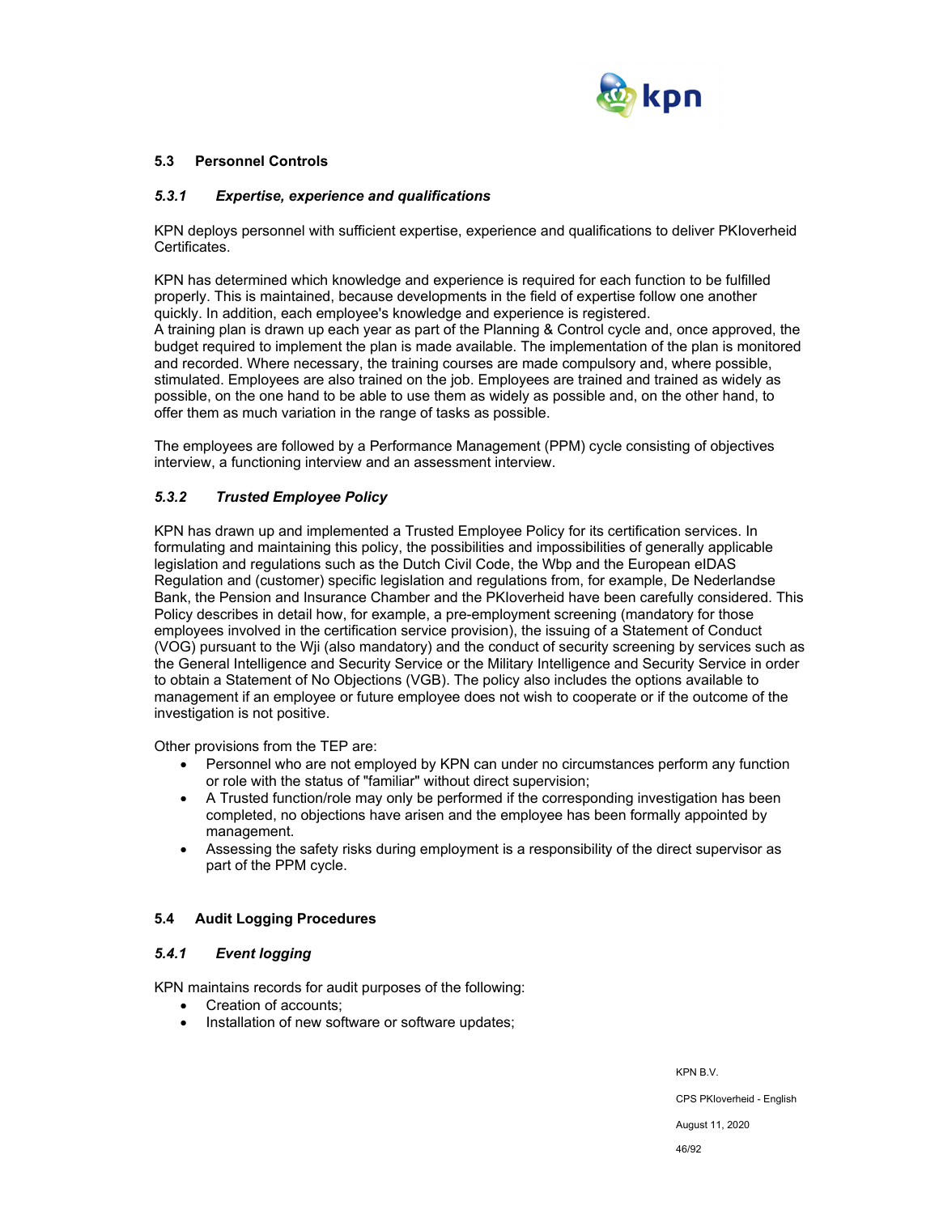

### **5.3 Personnel Controls**

#### *5.3.1 Expertise, experience and qualifications*

KPN deploys personnel with sufficient expertise, experience and qualifications to deliver PKIoverheid Certificates.

KPN has determined which knowledge and experience is required for each function to be fulfilled properly. This is maintained, because developments in the field of expertise follow one another quickly. In addition, each employee's knowledge and experience is registered. A training plan is drawn up each year as part of the Planning & Control cycle and, once approved, the budget required to implement the plan is made available. The implementation of the plan is monitored and recorded. Where necessary, the training courses are made compulsory and, where possible, stimulated. Employees are also trained on the job. Employees are trained and trained as widely as possible, on the one hand to be able to use them as widely as possible and, on the other hand, to offer them as much variation in the range of tasks as possible.

The employees are followed by a Performance Management (PPM) cycle consisting of objectives interview, a functioning interview and an assessment interview.

# *5.3.2 Trusted Employee Policy*

KPN has drawn up and implemented a Trusted Employee Policy for its certification services. In formulating and maintaining this policy, the possibilities and impossibilities of generally applicable legislation and regulations such as the Dutch Civil Code, the Wbp and the European eIDAS Regulation and (customer) specific legislation and regulations from, for example, De Nederlandse Bank, the Pension and Insurance Chamber and the PKIoverheid have been carefully considered. This Policy describes in detail how, for example, a pre-employment screening (mandatory for those employees involved in the certification service provision), the issuing of a Statement of Conduct (VOG) pursuant to the Wji (also mandatory) and the conduct of security screening by services such as the General Intelligence and Security Service or the Military Intelligence and Security Service in order to obtain a Statement of No Objections (VGB). The policy also includes the options available to management if an employee or future employee does not wish to cooperate or if the outcome of the investigation is not positive.

Other provisions from the TEP are:

- Personnel who are not employed by KPN can under no circumstances perform any function or role with the status of "familiar" without direct supervision;
- A Trusted function/role may only be performed if the corresponding investigation has been completed, no objections have arisen and the employee has been formally appointed by management.
- Assessing the safety risks during employment is a responsibility of the direct supervisor as part of the PPM cycle.

## **5.4 Audit Logging Procedures**

## *5.4.1 Event logging*

KPN maintains records for audit purposes of the following:

- Creation of accounts;
- Installation of new software or software updates;

KPN B.V.

CPS PKIoverheid - English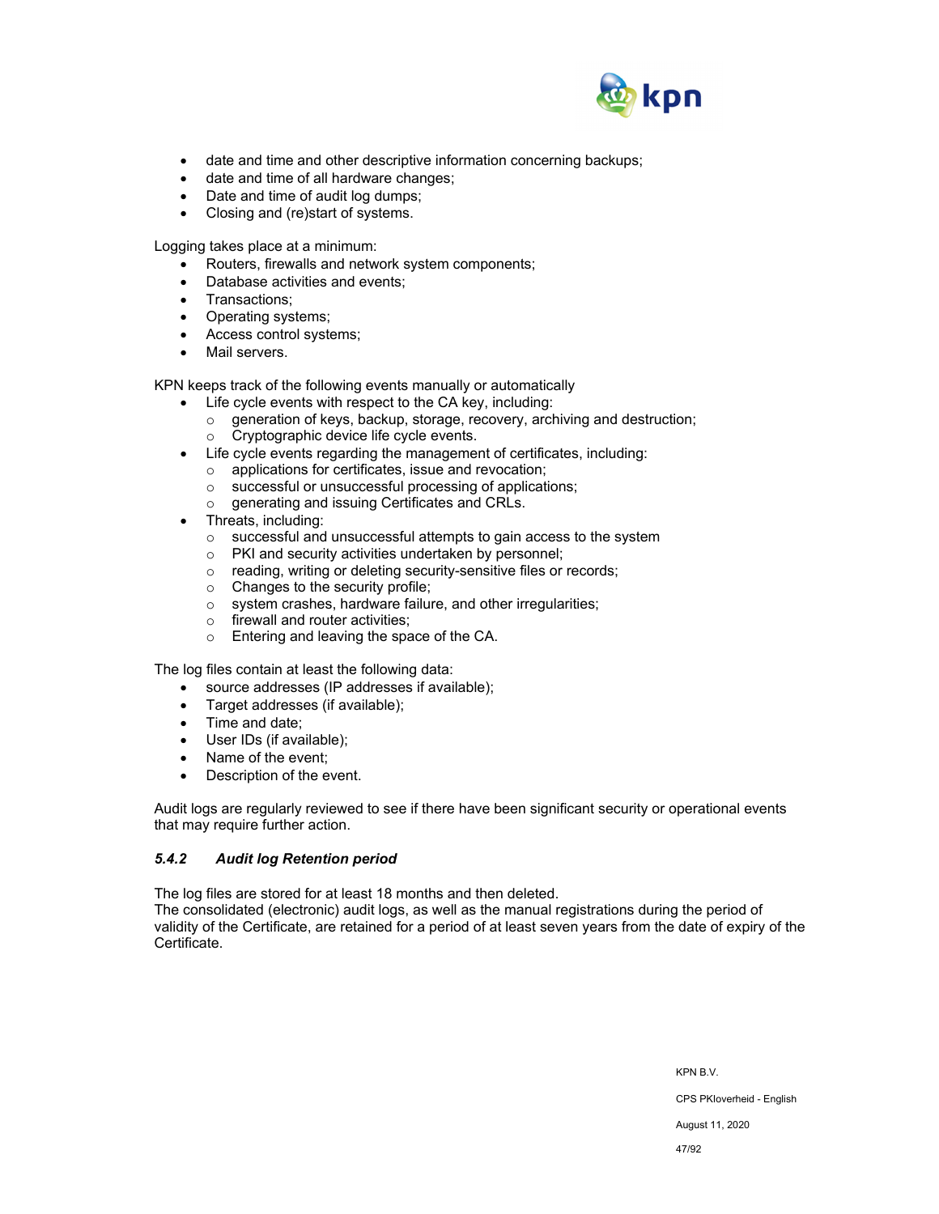

- date and time and other descriptive information concerning backups;
- date and time of all hardware changes;
- Date and time of audit log dumps;
- Closing and (re)start of systems.

Logging takes place at a minimum:

- Routers, firewalls and network system components;
- Database activities and events:
- Transactions;
- Operating systems;
- Access control systems;
- Mail servers.

KPN keeps track of the following events manually or automatically

- Life cycle events with respect to the CA key, including:
	- o generation of keys, backup, storage, recovery, archiving and destruction; o Cryptographic device life cycle events.
- Life cycle events regarding the management of certificates, including:
	- o applications for certificates, issue and revocation;
		- o successful or unsuccessful processing of applications;
	- o generating and issuing Certificates and CRLs.
- Threats, including:
	- o successful and unsuccessful attempts to gain access to the system
	- o PKI and security activities undertaken by personnel;
	- o reading, writing or deleting security-sensitive files or records;
	- o Changes to the security profile;
	- o system crashes, hardware failure, and other irregularities;
	- $\circ$  firewall and router activities;
	- o Entering and leaving the space of the CA.

The log files contain at least the following data:

- source addresses (IP addresses if available);
- Target addresses (if available);
- Time and date;
- User IDs (if available);
- Name of the event;
- Description of the event.

Audit logs are regularly reviewed to see if there have been significant security or operational events that may require further action.

## *5.4.2 Audit log Retention period*

The log files are stored for at least 18 months and then deleted.

The consolidated (electronic) audit logs, as well as the manual registrations during the period of validity of the Certificate, are retained for a period of at least seven years from the date of expiry of the Certificate.

> KPN B.V. CPS PKIoverheid - English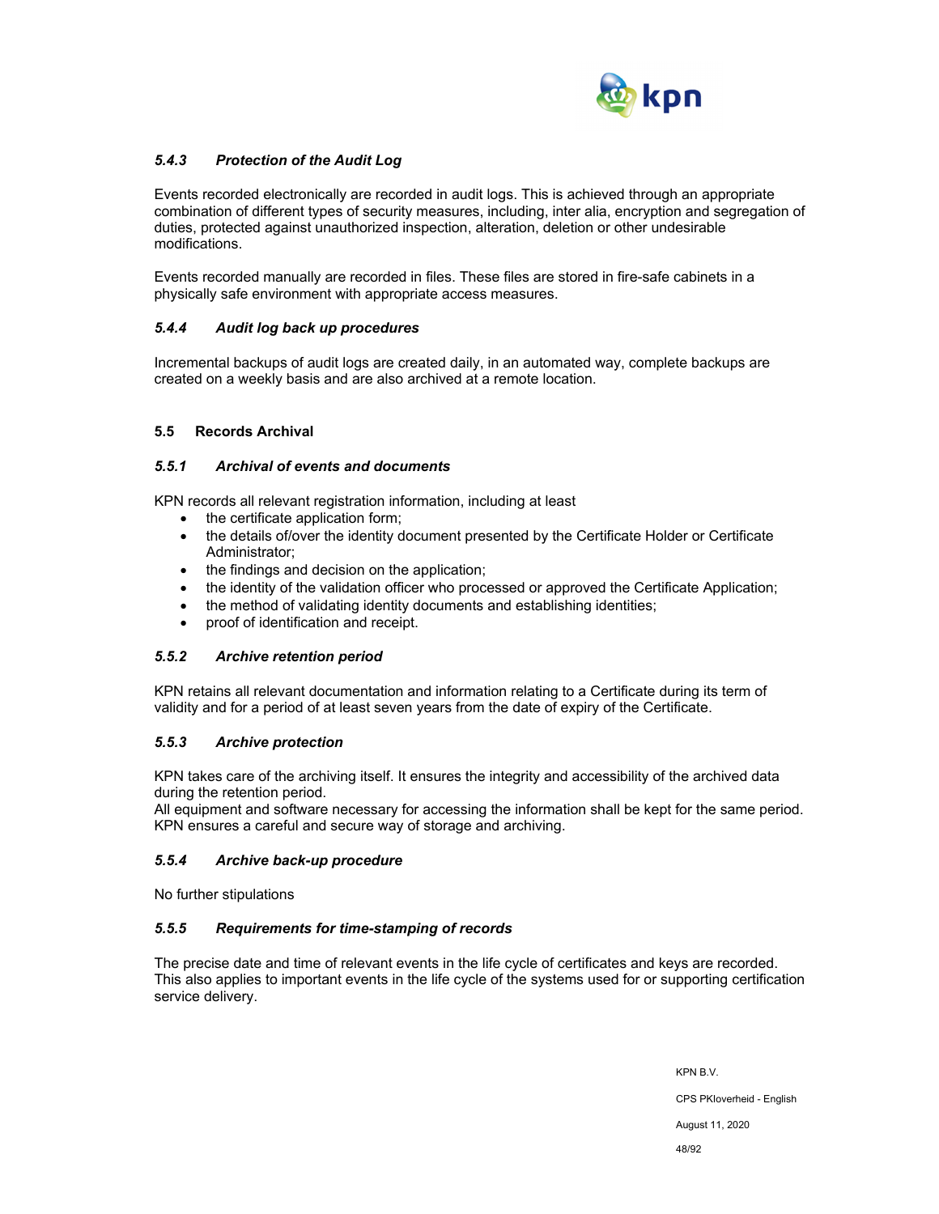

# *5.4.3 Protection of the Audit Log*

Events recorded electronically are recorded in audit logs. This is achieved through an appropriate combination of different types of security measures, including, inter alia, encryption and segregation of duties, protected against unauthorized inspection, alteration, deletion or other undesirable modifications.

Events recorded manually are recorded in files. These files are stored in fire-safe cabinets in a physically safe environment with appropriate access measures.

#### *5.4.4 Audit log back up procedures*

Incremental backups of audit logs are created daily, in an automated way, complete backups are created on a weekly basis and are also archived at a remote location.

#### **5.5 Records Archival**

#### *5.5.1 Archival of events and documents*

KPN records all relevant registration information, including at least

- the certificate application form:
- the details of/over the identity document presented by the Certificate Holder or Certificate Administrator;
- the findings and decision on the application;
- the identity of the validation officer who processed or approved the Certificate Application;
- the method of validating identity documents and establishing identities;
- proof of identification and receipt.

#### *5.5.2 Archive retention period*

KPN retains all relevant documentation and information relating to a Certificate during its term of validity and for a period of at least seven years from the date of expiry of the Certificate.

## *5.5.3 Archive protection*

KPN takes care of the archiving itself. It ensures the integrity and accessibility of the archived data during the retention period.

All equipment and software necessary for accessing the information shall be kept for the same period. KPN ensures a careful and secure way of storage and archiving.

#### *5.5.4 Archive back-up procedure*

No further stipulations

#### *5.5.5 Requirements for time-stamping of records*

The precise date and time of relevant events in the life cycle of certificates and keys are recorded. This also applies to important events in the life cycle of the systems used for or supporting certification service delivery.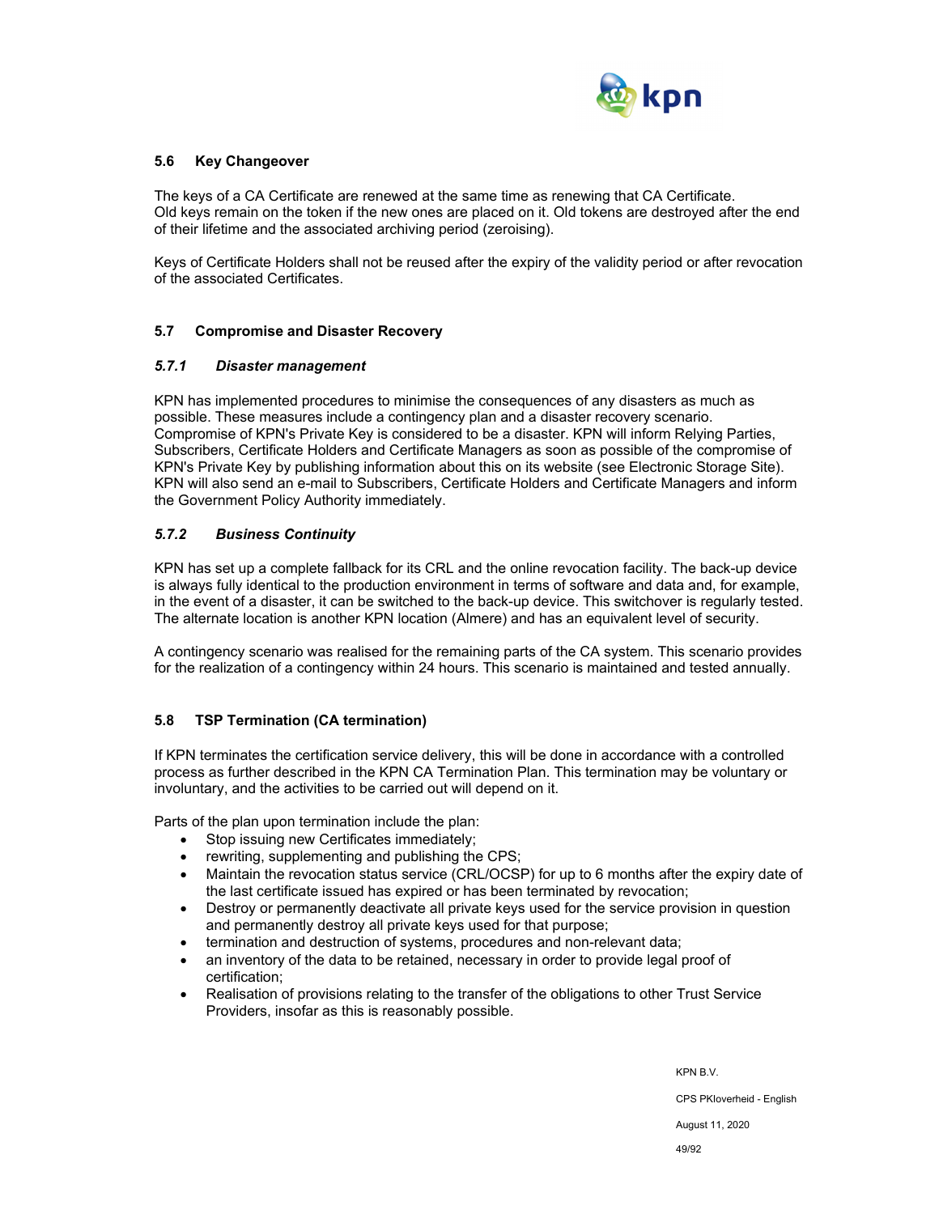

## **5.6 Key Changeover**

The keys of a CA Certificate are renewed at the same time as renewing that CA Certificate. Old keys remain on the token if the new ones are placed on it. Old tokens are destroyed after the end of their lifetime and the associated archiving period (zeroising).

Keys of Certificate Holders shall not be reused after the expiry of the validity period or after revocation of the associated Certificates.

#### **5.7 Compromise and Disaster Recovery**

#### *5.7.1 Disaster management*

KPN has implemented procedures to minimise the consequences of any disasters as much as possible. These measures include a contingency plan and a disaster recovery scenario. Compromise of KPN's Private Key is considered to be a disaster. KPN will inform Relying Parties, Subscribers, Certificate Holders and Certificate Managers as soon as possible of the compromise of KPN's Private Key by publishing information about this on its website (see Electronic Storage Site). KPN will also send an e-mail to Subscribers, Certificate Holders and Certificate Managers and inform the Government Policy Authority immediately.

## *5.7.2 Business Continuity*

KPN has set up a complete fallback for its CRL and the online revocation facility. The back-up device is always fully identical to the production environment in terms of software and data and, for example, in the event of a disaster, it can be switched to the back-up device. This switchover is regularly tested. The alternate location is another KPN location (Almere) and has an equivalent level of security.

A contingency scenario was realised for the remaining parts of the CA system. This scenario provides for the realization of a contingency within 24 hours. This scenario is maintained and tested annually.

## **5.8 TSP Termination (CA termination)**

If KPN terminates the certification service delivery, this will be done in accordance with a controlled process as further described in the KPN CA Termination Plan. This termination may be voluntary or involuntary, and the activities to be carried out will depend on it.

Parts of the plan upon termination include the plan:

- Stop issuing new Certificates immediately;
- rewriting, supplementing and publishing the CPS;
- Maintain the revocation status service (CRL/OCSP) for up to 6 months after the expiry date of the last certificate issued has expired or has been terminated by revocation;
- Destroy or permanently deactivate all private keys used for the service provision in question and permanently destroy all private keys used for that purpose;
- termination and destruction of systems, procedures and non-relevant data;
- an inventory of the data to be retained, necessary in order to provide legal proof of certification;
- Realisation of provisions relating to the transfer of the obligations to other Trust Service Providers, insofar as this is reasonably possible.

KPN B.V. CPS PKIoverheid - English August 11, 2020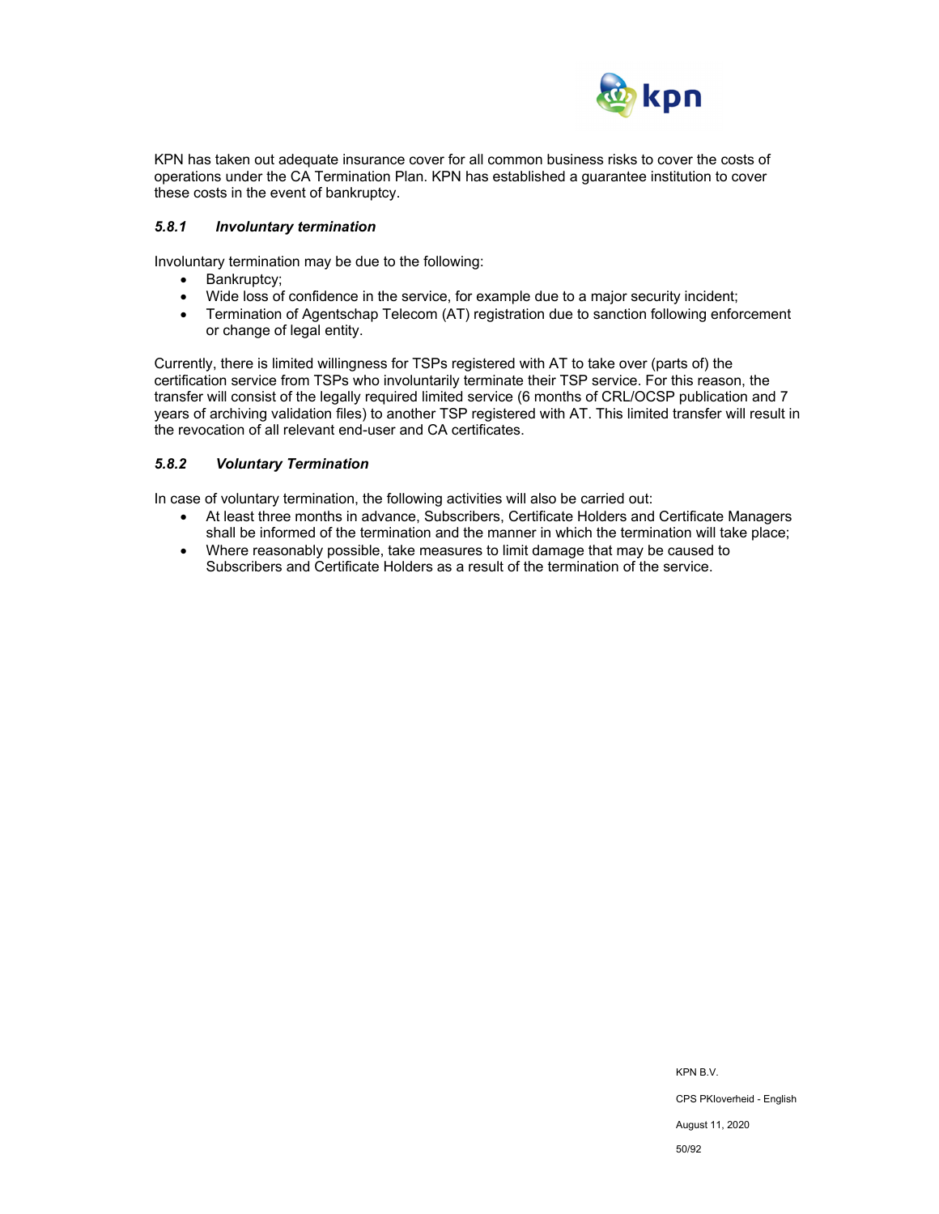

KPN has taken out adequate insurance cover for all common business risks to cover the costs of operations under the CA Termination Plan. KPN has established a guarantee institution to cover these costs in the event of bankruptcy.

#### *5.8.1 Involuntary termination*

Involuntary termination may be due to the following:

- Bankruptcy;
- Wide loss of confidence in the service, for example due to a major security incident;
- Termination of Agentschap Telecom (AT) registration due to sanction following enforcement or change of legal entity.

Currently, there is limited willingness for TSPs registered with AT to take over (parts of) the certification service from TSPs who involuntarily terminate their TSP service. For this reason, the transfer will consist of the legally required limited service (6 months of CRL/OCSP publication and 7 years of archiving validation files) to another TSP registered with AT. This limited transfer will result in the revocation of all relevant end-user and CA certificates.

# *5.8.2 Voluntary Termination*

In case of voluntary termination, the following activities will also be carried out:

- At least three months in advance, Subscribers, Certificate Holders and Certificate Managers shall be informed of the termination and the manner in which the termination will take place;
- Where reasonably possible, take measures to limit damage that may be caused to Subscribers and Certificate Holders as a result of the termination of the service.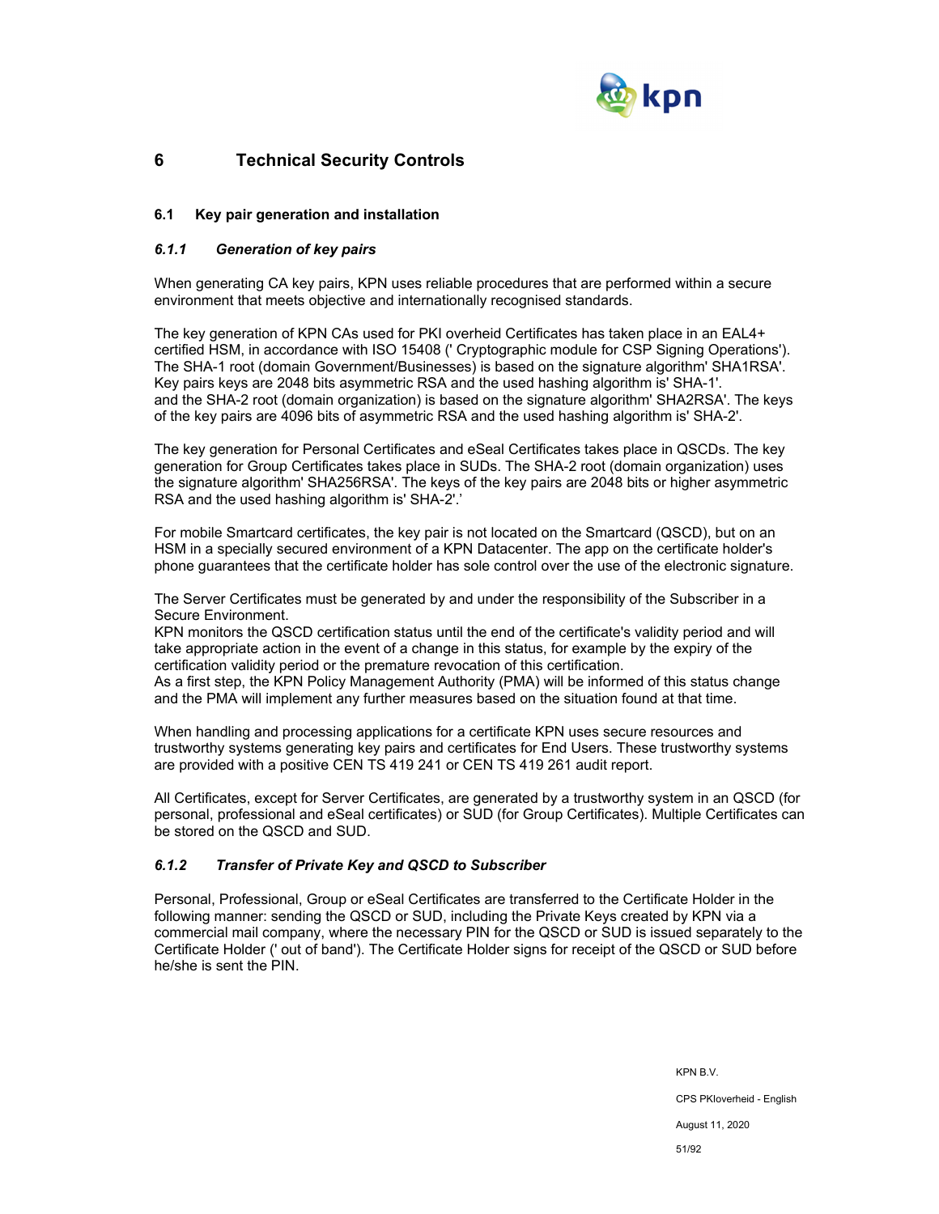

# **6 Technical Security Controls**

## **6.1 Key pair generation and installation**

# *6.1.1 Generation of key pairs*

When generating CA key pairs, KPN uses reliable procedures that are performed within a secure environment that meets objective and internationally recognised standards.

The key generation of KPN CAs used for PKI overheid Certificates has taken place in an EAL4+ certified HSM, in accordance with ISO 15408 (' Cryptographic module for CSP Signing Operations'). The SHA-1 root (domain Government/Businesses) is based on the signature algorithm' SHA1RSA'. Key pairs keys are 2048 bits asymmetric RSA and the used hashing algorithm is' SHA-1'. and the SHA-2 root (domain organization) is based on the signature algorithm' SHA2RSA'. The keys of the key pairs are 4096 bits of asymmetric RSA and the used hashing algorithm is' SHA-2'.

The key generation for Personal Certificates and eSeal Certificates takes place in QSCDs. The key generation for Group Certificates takes place in SUDs. The SHA-2 root (domain organization) uses the signature algorithm' SHA256RSA'. The keys of the key pairs are 2048 bits or higher asymmetric RSA and the used hashing algorithm is' SHA-2'.'

For mobile Smartcard certificates, the key pair is not located on the Smartcard (QSCD), but on an HSM in a specially secured environment of a KPN Datacenter. The app on the certificate holder's phone guarantees that the certificate holder has sole control over the use of the electronic signature.

The Server Certificates must be generated by and under the responsibility of the Subscriber in a Secure Environment.

KPN monitors the QSCD certification status until the end of the certificate's validity period and will take appropriate action in the event of a change in this status, for example by the expiry of the certification validity period or the premature revocation of this certification.

As a first step, the KPN Policy Management Authority (PMA) will be informed of this status change and the PMA will implement any further measures based on the situation found at that time.

When handling and processing applications for a certificate KPN uses secure resources and trustworthy systems generating key pairs and certificates for End Users. These trustworthy systems are provided with a positive CEN TS 419 241 or CEN TS 419 261 audit report.

All Certificates, except for Server Certificates, are generated by a trustworthy system in an QSCD (for personal, professional and eSeal certificates) or SUD (for Group Certificates). Multiple Certificates can be stored on the QSCD and SUD.

## *6.1.2 Transfer of Private Key and QSCD to Subscriber*

Personal, Professional, Group or eSeal Certificates are transferred to the Certificate Holder in the following manner: sending the QSCD or SUD, including the Private Keys created by KPN via a commercial mail company, where the necessary PIN for the QSCD or SUD is issued separately to the Certificate Holder (' out of band'). The Certificate Holder signs for receipt of the QSCD or SUD before he/she is sent the PIN.

> KPN B.V. CPS PKIoverheid - English August 11, 2020 51/92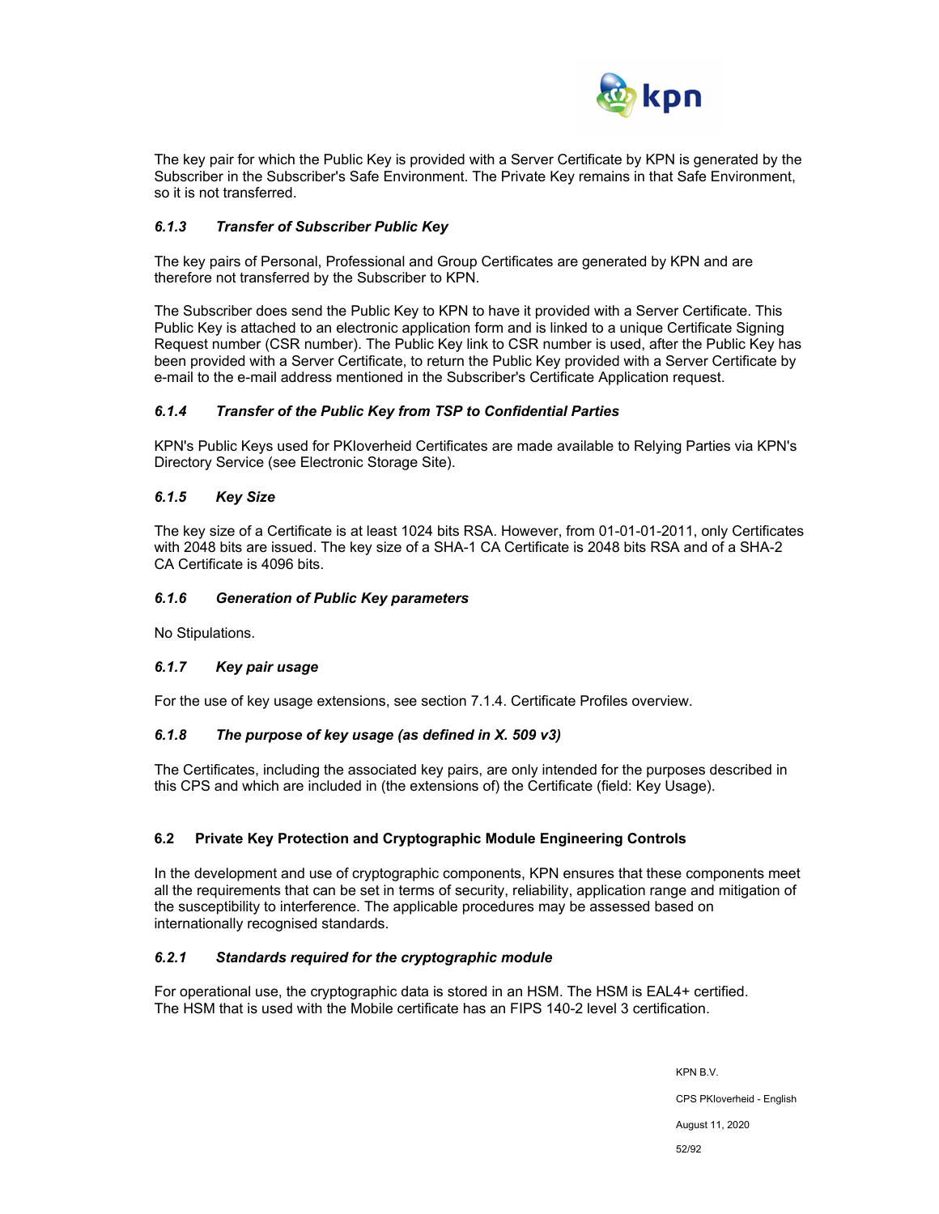

The key pair for which the Public Key is provided with a Server Certificate by KPN is generated by the Subscriber in the Subscriber's Safe Environment. The Private Key remains in that Safe Environment, so it is not transferred.

## *6.1.3 Transfer of Subscriber Public Key*

The key pairs of Personal, Professional and Group Certificates are generated by KPN and are therefore not transferred by the Subscriber to KPN.

The Subscriber does send the Public Key to KPN to have it provided with a Server Certificate. This Public Key is attached to an electronic application form and is linked to a unique Certificate Signing Request number (CSR number). The Public Key link to CSR number is used, after the Public Key has been provided with a Server Certificate, to return the Public Key provided with a Server Certificate by e-mail to the e-mail address mentioned in the Subscriber's Certificate Application request.

## *6.1.4 Transfer of the Public Key from TSP to Confidential Parties*

KPN's Public Keys used for PKIoverheid Certificates are made available to Relying Parties via KPN's Directory Service (see Electronic Storage Site).

## *6.1.5 Key Size*

The key size of a Certificate is at least 1024 bits RSA. However, from 01-01-01-2011, only Certificates with 2048 bits are issued. The key size of a SHA-1 CA Certificate is 2048 bits RSA and of a SHA-2 CA Certificate is 4096 bits.

#### *6.1.6 Generation of Public Key parameters*

No Stipulations.

## *6.1.7 Key pair usage*

For the use of key usage extensions, see section 7.1.4. Certificate Profiles overview.

## *6.1.8 The purpose of key usage (as defined in X. 509 v3)*

The Certificates, including the associated key pairs, are only intended for the purposes described in this CPS and which are included in (the extensions of) the Certificate (field: Key Usage).

## **6.2 Private Key Protection and Cryptographic Module Engineering Controls**

In the development and use of cryptographic components, KPN ensures that these components meet all the requirements that can be set in terms of security, reliability, application range and mitigation of the susceptibility to interference. The applicable procedures may be assessed based on internationally recognised standards.

## *6.2.1 Standards required for the cryptographic module*

For operational use, the cryptographic data is stored in an HSM. The HSM is EAL4+ certified. The HSM that is used with the Mobile certificate has an FIPS 140-2 level 3 certification.

> KPN B.V. CPS PKIoverheid - English August 11, 2020 52/92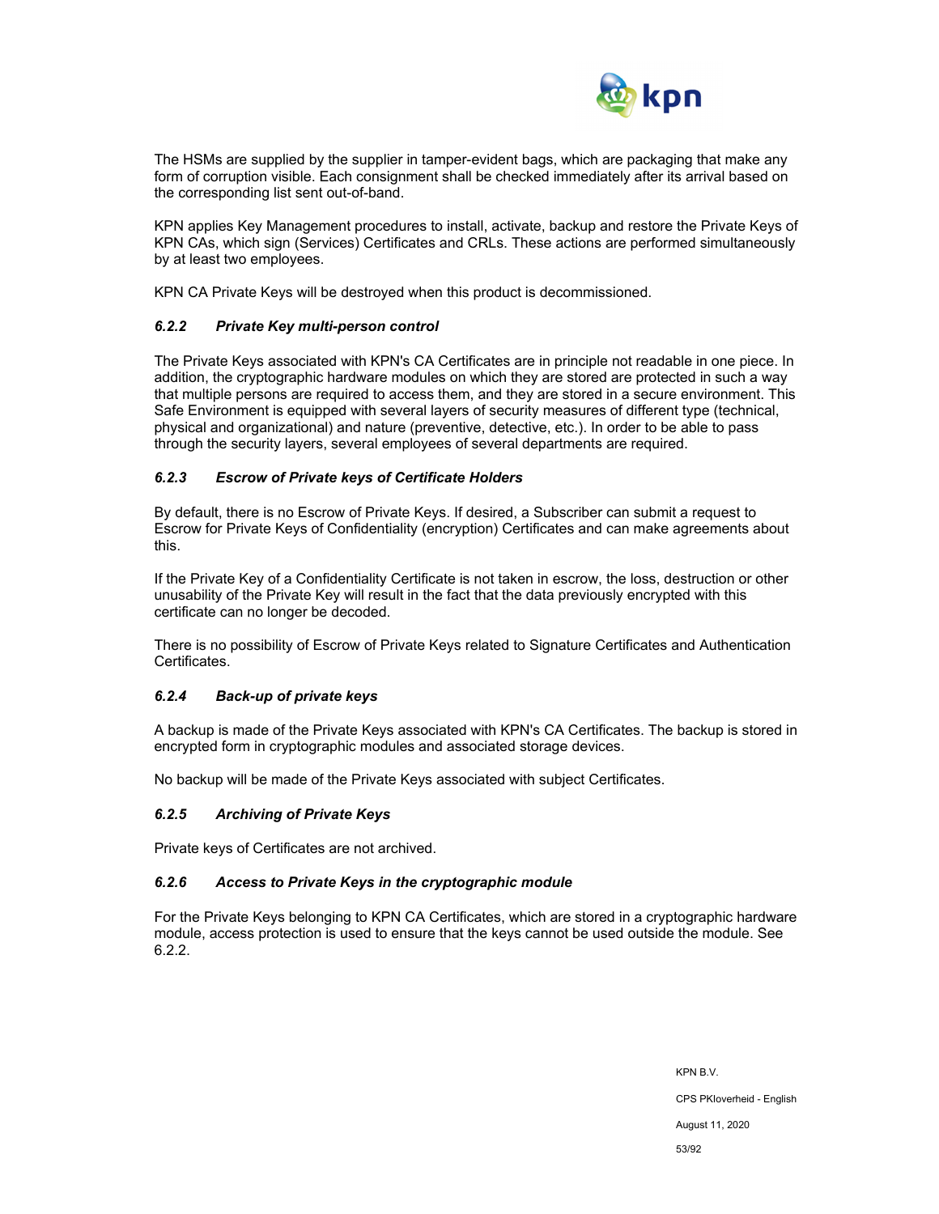

The HSMs are supplied by the supplier in tamper-evident bags, which are packaging that make any form of corruption visible. Each consignment shall be checked immediately after its arrival based on the corresponding list sent out-of-band.

KPN applies Key Management procedures to install, activate, backup and restore the Private Keys of KPN CAs, which sign (Services) Certificates and CRLs. These actions are performed simultaneously by at least two employees.

KPN CA Private Keys will be destroyed when this product is decommissioned.

#### *6.2.2 Private Key multi-person control*

The Private Keys associated with KPN's CA Certificates are in principle not readable in one piece. In addition, the cryptographic hardware modules on which they are stored are protected in such a way that multiple persons are required to access them, and they are stored in a secure environment. This Safe Environment is equipped with several layers of security measures of different type (technical, physical and organizational) and nature (preventive, detective, etc.). In order to be able to pass through the security layers, several employees of several departments are required.

## *6.2.3 Escrow of Private keys of Certificate Holders*

By default, there is no Escrow of Private Keys. If desired, a Subscriber can submit a request to Escrow for Private Keys of Confidentiality (encryption) Certificates and can make agreements about this.

If the Private Key of a Confidentiality Certificate is not taken in escrow, the loss, destruction or other unusability of the Private Key will result in the fact that the data previously encrypted with this certificate can no longer be decoded.

There is no possibility of Escrow of Private Keys related to Signature Certificates and Authentication Certificates.

## *6.2.4 Back-up of private keys*

A backup is made of the Private Keys associated with KPN's CA Certificates. The backup is stored in encrypted form in cryptographic modules and associated storage devices.

No backup will be made of the Private Keys associated with subject Certificates.

## *6.2.5 Archiving of Private Keys*

Private keys of Certificates are not archived.

#### *6.2.6 Access to Private Keys in the cryptographic module*

For the Private Keys belonging to KPN CA Certificates, which are stored in a cryptographic hardware module, access protection is used to ensure that the keys cannot be used outside the module. See 6.2.2.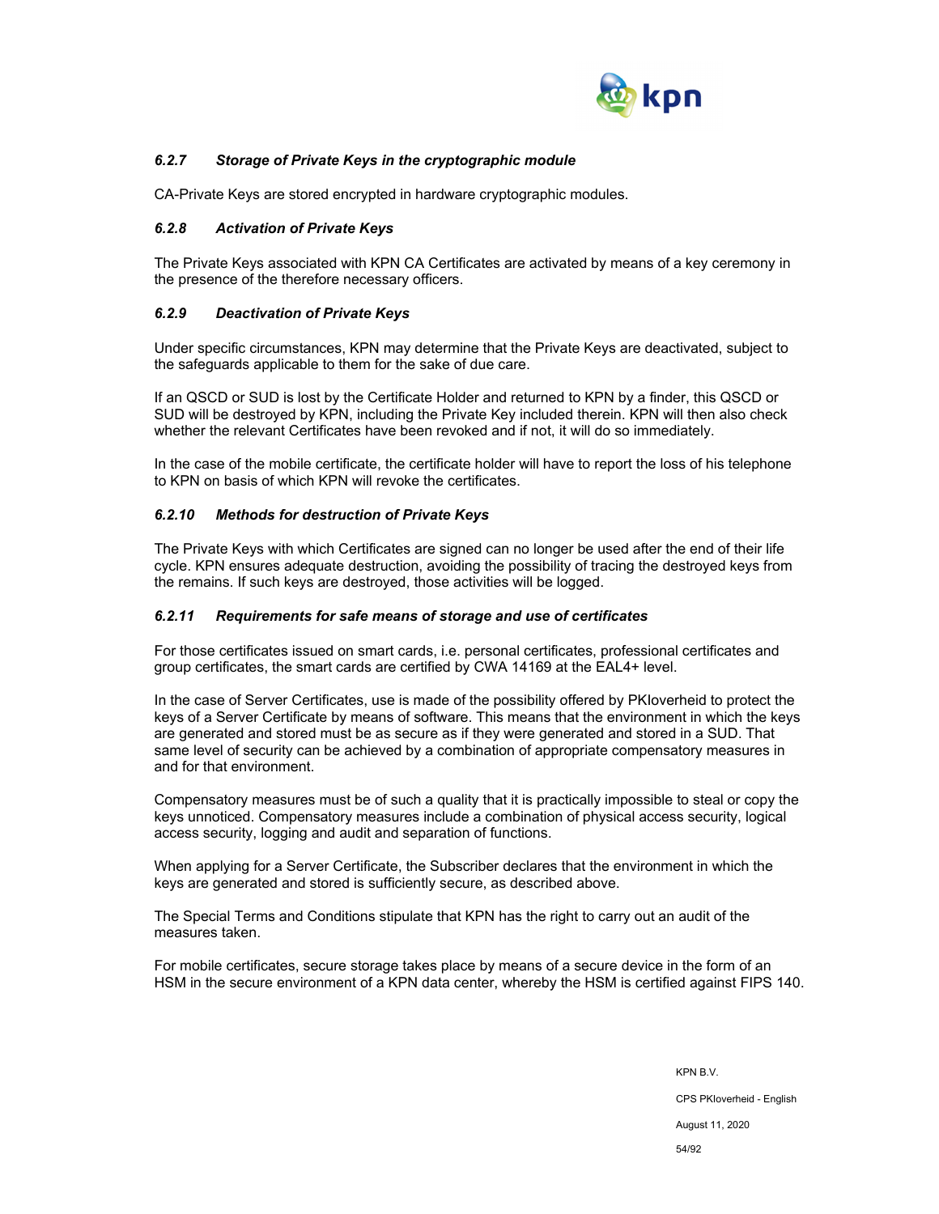

# *6.2.7 Storage of Private Keys in the cryptographic module*

CA-Private Keys are stored encrypted in hardware cryptographic modules.

#### *6.2.8 Activation of Private Keys*

The Private Keys associated with KPN CA Certificates are activated by means of a key ceremony in the presence of the therefore necessary officers.

#### *6.2.9 Deactivation of Private Keys*

Under specific circumstances, KPN may determine that the Private Keys are deactivated, subject to the safeguards applicable to them for the sake of due care.

If an QSCD or SUD is lost by the Certificate Holder and returned to KPN by a finder, this QSCD or SUD will be destroyed by KPN, including the Private Key included therein. KPN will then also check whether the relevant Certificates have been revoked and if not, it will do so immediately.

In the case of the mobile certificate, the certificate holder will have to report the loss of his telephone to KPN on basis of which KPN will revoke the certificates.

#### *6.2.10 Methods for destruction of Private Keys*

The Private Keys with which Certificates are signed can no longer be used after the end of their life cycle. KPN ensures adequate destruction, avoiding the possibility of tracing the destroyed keys from the remains. If such keys are destroyed, those activities will be logged.

#### *6.2.11 Requirements for safe means of storage and use of certificates*

For those certificates issued on smart cards, i.e. personal certificates, professional certificates and group certificates, the smart cards are certified by CWA 14169 at the EAL4+ level.

In the case of Server Certificates, use is made of the possibility offered by PKIoverheid to protect the keys of a Server Certificate by means of software. This means that the environment in which the keys are generated and stored must be as secure as if they were generated and stored in a SUD. That same level of security can be achieved by a combination of appropriate compensatory measures in and for that environment.

Compensatory measures must be of such a quality that it is practically impossible to steal or copy the keys unnoticed. Compensatory measures include a combination of physical access security, logical access security, logging and audit and separation of functions.

When applying for a Server Certificate, the Subscriber declares that the environment in which the keys are generated and stored is sufficiently secure, as described above.

The Special Terms and Conditions stipulate that KPN has the right to carry out an audit of the measures taken.

For mobile certificates, secure storage takes place by means of a secure device in the form of an HSM in the secure environment of a KPN data center, whereby the HSM is certified against FIPS 140.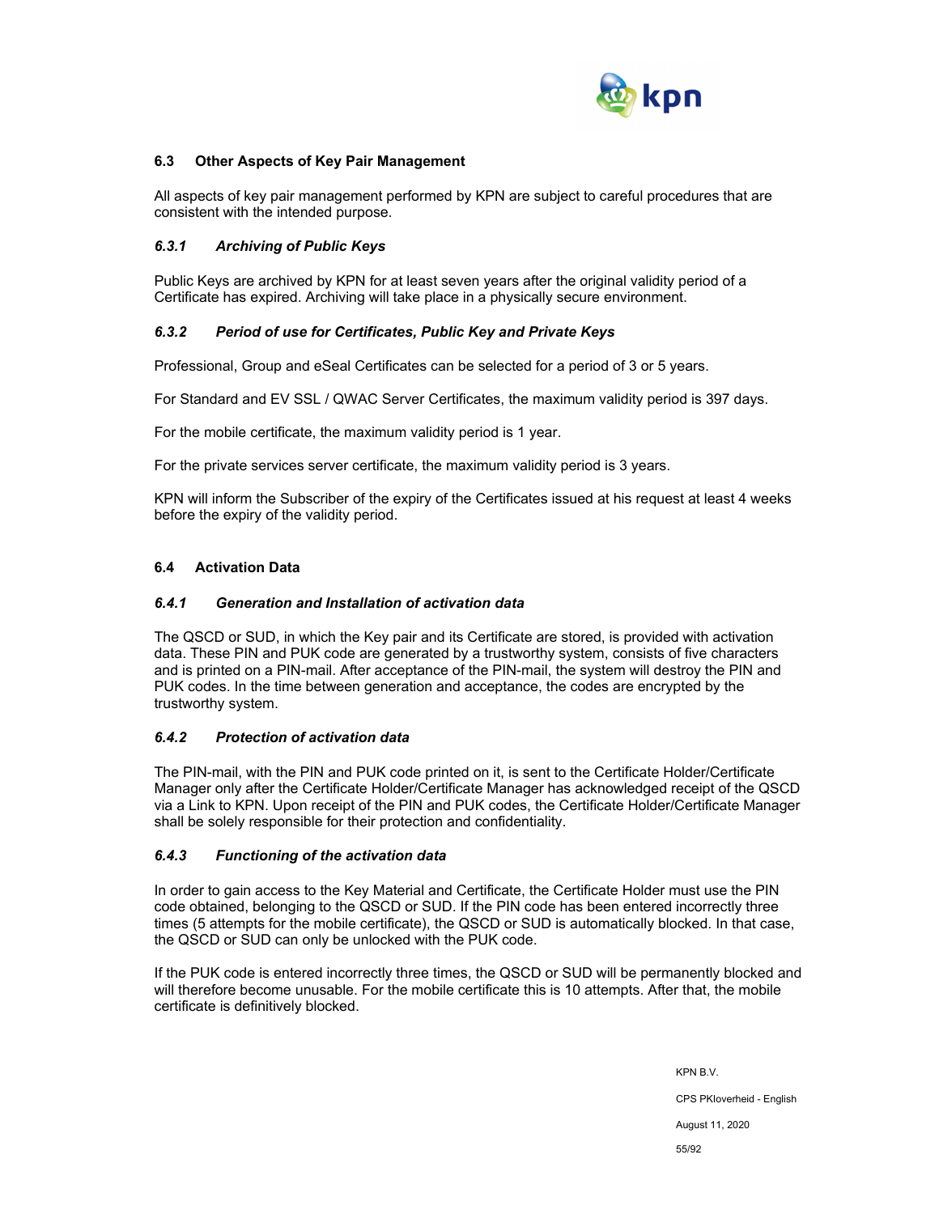

### **6.3 Other Aspects of Key Pair Management**

All aspects of key pair management performed by KPN are subject to careful procedures that are consistent with the intended purpose.

#### *6.3.1 Archiving of Public Keys*

Public Keys are archived by KPN for at least seven years after the original validity period of a Certificate has expired. Archiving will take place in a physically secure environment.

#### *6.3.2 Period of use for Certificates, Public Key and Private Keys*

Professional, Group and eSeal Certificates can be selected for a period of 3 or 5 years.

For Standard and EV SSL / QWAC Server Certificates, the maximum validity period is 397 days.

For the mobile certificate, the maximum validity period is 1 year.

For the private services server certificate, the maximum validity period is 3 years.

KPN will inform the Subscriber of the expiry of the Certificates issued at his request at least 4 weeks before the expiry of the validity period.

#### **6.4 Activation Data**

#### *6.4.1 Generation and Installation of activation data*

The QSCD or SUD, in which the Key pair and its Certificate are stored, is provided with activation data. These PIN and PUK code are generated by a trustworthy system, consists of five characters and is printed on a PIN-mail. After acceptance of the PIN-mail, the system will destroy the PIN and PUK codes. In the time between generation and acceptance, the codes are encrypted by the trustworthy system.

#### *6.4.2 Protection of activation data*

The PIN-mail, with the PIN and PUK code printed on it, is sent to the Certificate Holder/Certificate Manager only after the Certificate Holder/Certificate Manager has acknowledged receipt of the QSCD via a Link to KPN. Upon receipt of the PIN and PUK codes, the Certificate Holder/Certificate Manager shall be solely responsible for their protection and confidentiality.

#### *6.4.3 Functioning of the activation data*

In order to gain access to the Key Material and Certificate, the Certificate Holder must use the PIN code obtained, belonging to the QSCD or SUD. If the PIN code has been entered incorrectly three times (5 attempts for the mobile certificate), the QSCD or SUD is automatically blocked. In that case, the QSCD or SUD can only be unlocked with the PUK code.

If the PUK code is entered incorrectly three times, the QSCD or SUD will be permanently blocked and will therefore become unusable. For the mobile certificate this is 10 attempts. After that, the mobile certificate is definitively blocked.

> KPN B.V. CPS PKIoverheid - English August 11, 2020 55/92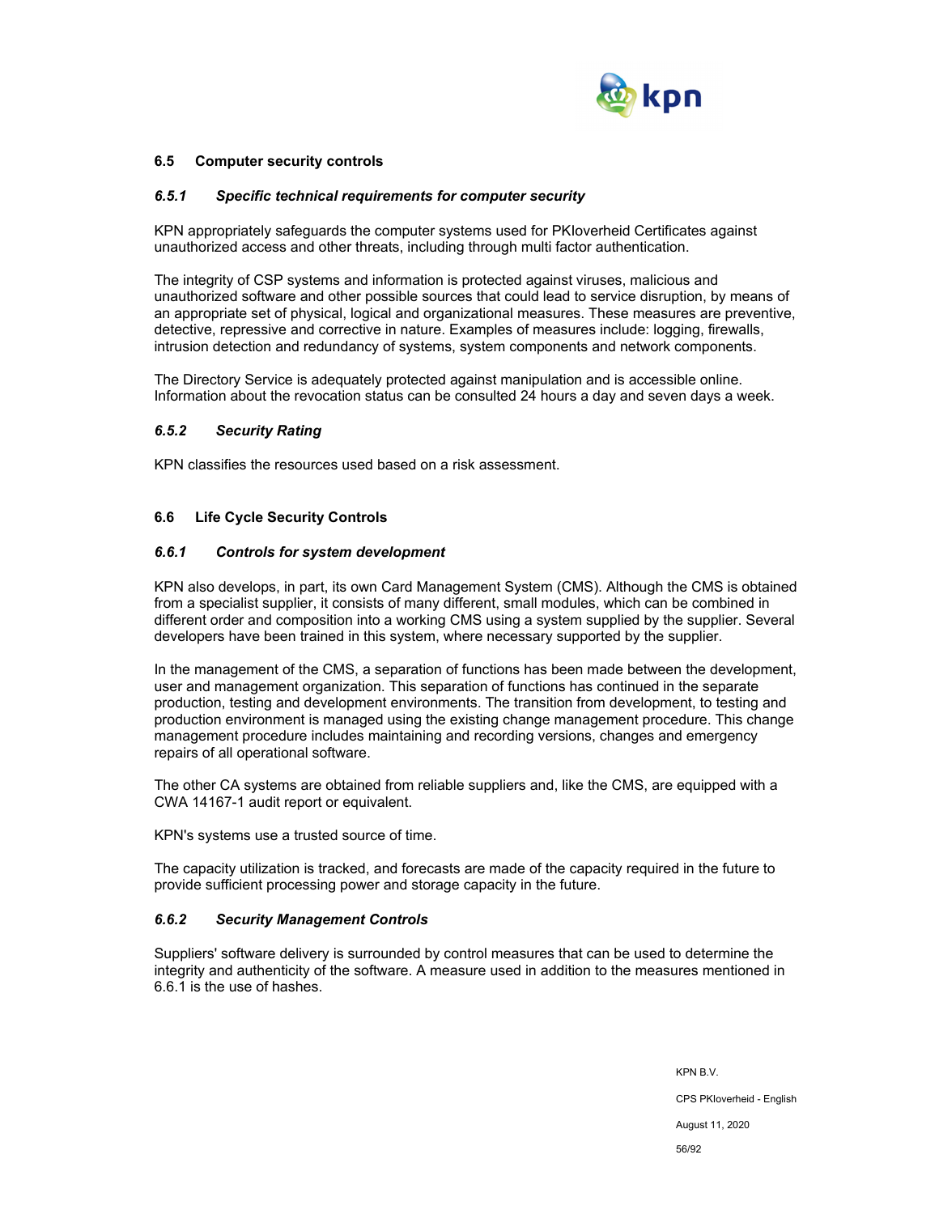

#### **6.5 Computer security controls**

#### *6.5.1 Specific technical requirements for computer security*

KPN appropriately safeguards the computer systems used for PKIoverheid Certificates against unauthorized access and other threats, including through multi factor authentication.

The integrity of CSP systems and information is protected against viruses, malicious and unauthorized software and other possible sources that could lead to service disruption, by means of an appropriate set of physical, logical and organizational measures. These measures are preventive, detective, repressive and corrective in nature. Examples of measures include: logging, firewalls, intrusion detection and redundancy of systems, system components and network components.

The Directory Service is adequately protected against manipulation and is accessible online. Information about the revocation status can be consulted 24 hours a day and seven days a week.

#### *6.5.2 Security Rating*

KPN classifies the resources used based on a risk assessment.

#### **6.6 Life Cycle Security Controls**

#### *6.6.1 Controls for system development*

KPN also develops, in part, its own Card Management System (CMS). Although the CMS is obtained from a specialist supplier, it consists of many different, small modules, which can be combined in different order and composition into a working CMS using a system supplied by the supplier. Several developers have been trained in this system, where necessary supported by the supplier.

In the management of the CMS, a separation of functions has been made between the development, user and management organization. This separation of functions has continued in the separate production, testing and development environments. The transition from development, to testing and production environment is managed using the existing change management procedure. This change management procedure includes maintaining and recording versions, changes and emergency repairs of all operational software.

The other CA systems are obtained from reliable suppliers and, like the CMS, are equipped with a CWA 14167-1 audit report or equivalent.

KPN's systems use a trusted source of time.

The capacity utilization is tracked, and forecasts are made of the capacity required in the future to provide sufficient processing power and storage capacity in the future.

#### *6.6.2 Security Management Controls*

Suppliers' software delivery is surrounded by control measures that can be used to determine the integrity and authenticity of the software. A measure used in addition to the measures mentioned in 6.6.1 is the use of hashes.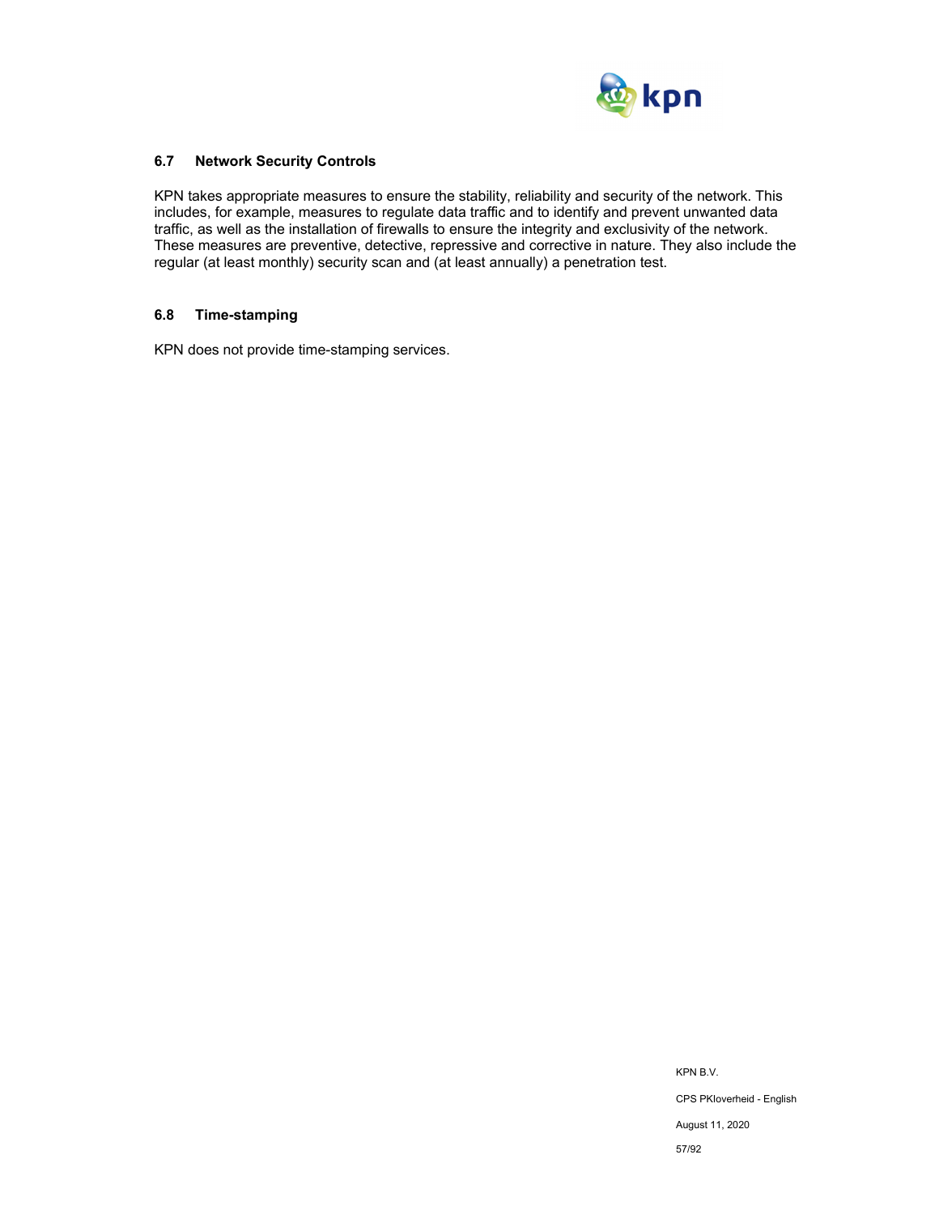

## **6.7 Network Security Controls**

KPN takes appropriate measures to ensure the stability, reliability and security of the network. This includes, for example, measures to regulate data traffic and to identify and prevent unwanted data traffic, as well as the installation of firewalls to ensure the integrity and exclusivity of the network. These measures are preventive, detective, repressive and corrective in nature. They also include the regular (at least monthly) security scan and (at least annually) a penetration test.

## **6.8 Time-stamping**

KPN does not provide time-stamping services.

KPN B.V. CPS PKIoverheid - English August 11, 2020 57/92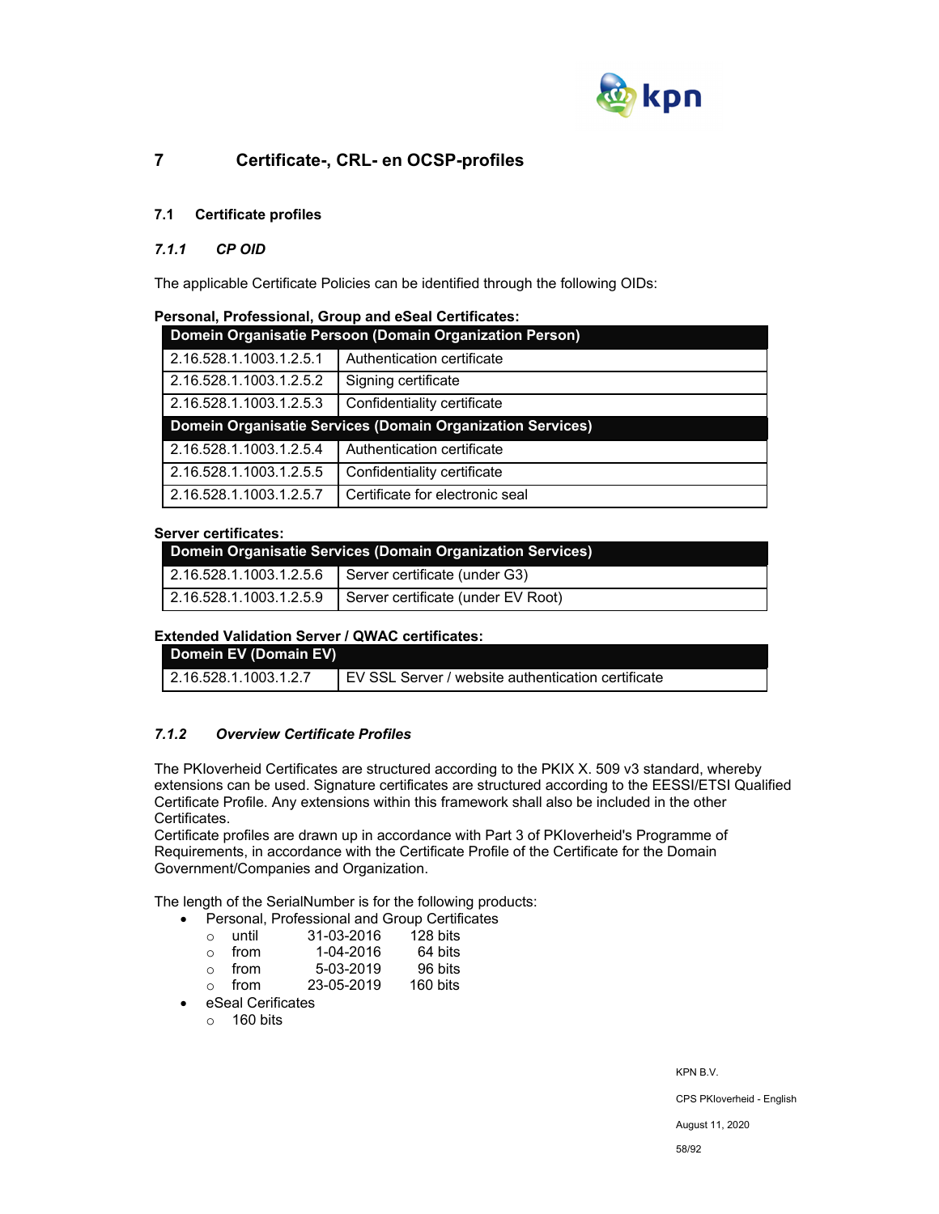

# **7 Certificate-, CRL- en OCSP-profiles**

# **7.1 Certificate profiles**

## *7.1.1 CP OID*

The applicable Certificate Policies can be identified through the following OIDs:

| Personal, Professional, Group and eSeal Certificates: |  |  |
|-------------------------------------------------------|--|--|
| Beach, Assembled: Beach, and Beach, Assembled Bea     |  |  |

| Domein Organisatie Persoon (Domain Organization Person) |                                                            |  |  |
|---------------------------------------------------------|------------------------------------------------------------|--|--|
| 2.16.528.1.1003.1.2.5.1                                 | Authentication certificate                                 |  |  |
| 2.16.528.1.1003.1.2.5.2                                 | Signing certificate                                        |  |  |
| 2.16.528.1.1003.1.2.5.3                                 | Confidentiality certificate                                |  |  |
|                                                         | Domein Organisatie Services (Domain Organization Services) |  |  |
|                                                         |                                                            |  |  |
| 2.16.528.1.1003.1.2.5.4                                 | Authentication certificate                                 |  |  |
| 2.16.528.1.1003.1.2.5.5                                 | Confidentiality certificate                                |  |  |

#### **Server certificates:**

| Domein Organisatie Services (Domain Organization Services) |                                                       |  |
|------------------------------------------------------------|-------------------------------------------------------|--|
|                                                            | 2.16.528.1.1003.1.2.5.6 Server certificate (under G3) |  |
| $\vert$ 2.16.528.1.1003.1.2.5.9                            | Server certificate (under EV Root)                    |  |

## **Extended Validation Server / QWAC certificates:**

| Domein EV (Domain EV)   |                                                    |
|-------------------------|----------------------------------------------------|
| L 2.16.528.1.1003.1.2.7 | EV SSL Server / website authentication certificate |

## *7.1.2 Overview Certificate Profiles*

The PKIoverheid Certificates are structured according to the PKIX X. 509 v3 standard, whereby extensions can be used. Signature certificates are structured according to the EESSI/ETSI Qualified Certificate Profile. Any extensions within this framework shall also be included in the other Certificates.

Certificate profiles are drawn up in accordance with Part 3 of PKIoverheid's Programme of Requirements, in accordance with the Certificate Profile of the Certificate for the Domain Government/Companies and Organization.

The length of the SerialNumber is for the following products:

- Personal, Professional and Group Certificates<br>  $\circ$  until  $31-03-2016$  128 bits
	- o until 31-03-2016 128 bits o from 1-04-2016 64 bits
	- 5-03-2019 96 bits<br>23-05-2019 160 bits
	- $\circ$  from 23-05-2019
- eSeal Cerificates
	- $\circ$  160 bits

KPN B.V.

CPS PKIoverheid - English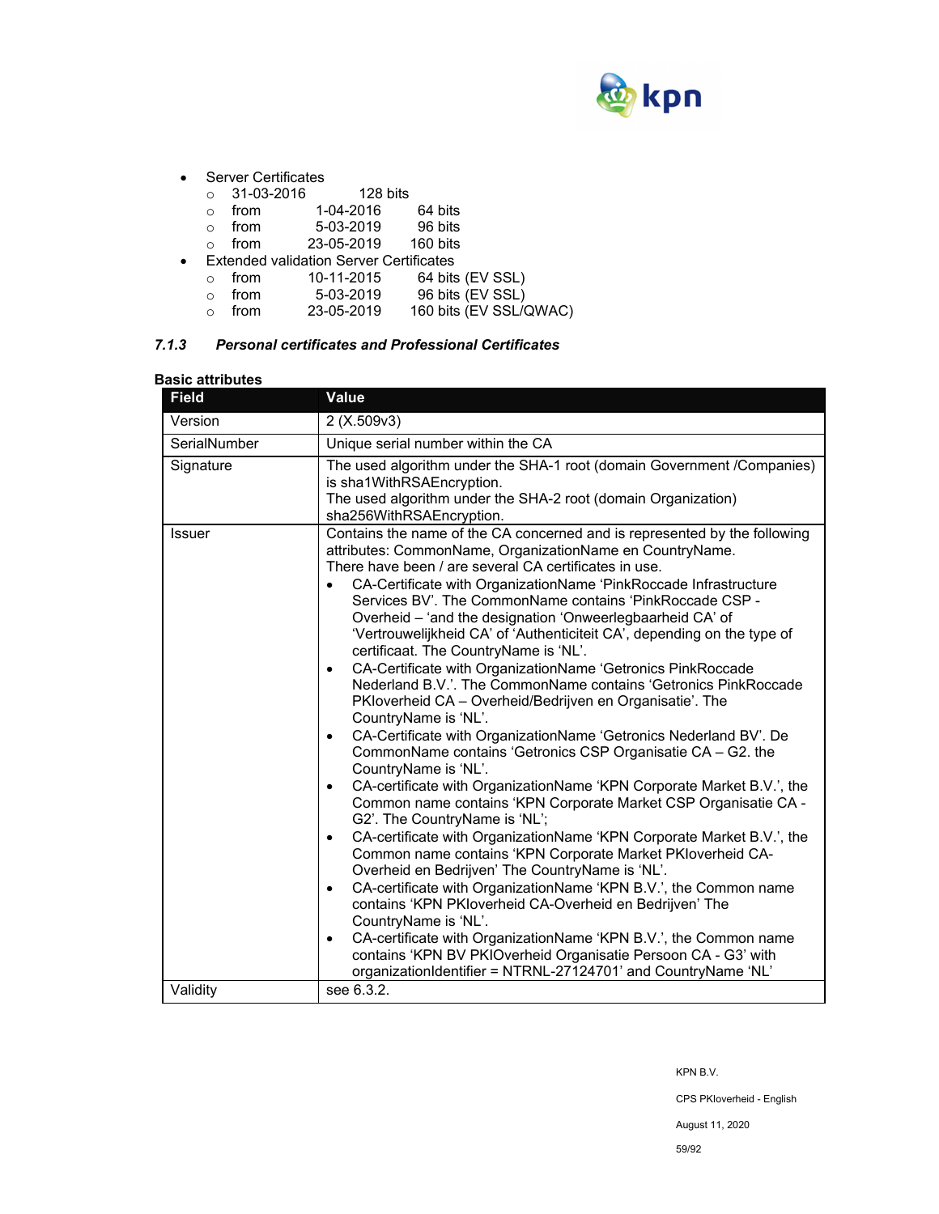

- Server Certificates
	- o 31-03-2016 128 bits

| from      | 1-04-2016 | 64 bits                           |
|-----------|-----------|-----------------------------------|
| $f_{max}$ | E 00.0010 | $\Omega$ $\Omega$ $\sim$ $\Omega$ |

- $\circ$  from 5-03-2019 96 bits
- o from 23-05-2019 160 bits
- Extended validation Server Certificates
	- o from 10-11-2015 64 bits (EV SSL)
	- o from 5-03-2019 96 bits (EV SSL)
	- o from 23-05-2019 160 bits (EV SSL/QWAC)

# *7.1.3 Personal certificates and Professional Certificates*

## **Basic attributes**

| Version<br>2 (X.509v3)<br>SerialNumber<br>Unique serial number within the CA<br>Signature<br>The used algorithm under the SHA-1 root (domain Government /Companies)<br>is sha1WithRSAEncryption.<br>The used algorithm under the SHA-2 root (domain Organization)<br>sha256WithRSAEncryption.<br>Contains the name of the CA concerned and is represented by the following<br><b>Issuer</b><br>attributes: CommonName, OrganizationName en CountryName.<br>There have been / are several CA certificates in use.<br>CA-Certificate with OrganizationName 'PinkRoccade Infrastructure<br>Services BV'. The CommonName contains 'PinkRoccade CSP -<br>Overheid - 'and the designation 'Onweerlegbaarheid CA' of<br>'Vertrouwelijkheid CA' of 'Authenticiteit CA', depending on the type of<br>certificaat. The CountryName is 'NL'.<br>CA-Certificate with OrganizationName 'Getronics PinkRoccade<br>$\bullet$<br>Nederland B.V.'. The CommonName contains 'Getronics PinkRoccade<br>PKloverheid CA - Overheid/Bedrijven en Organisatie'. The<br>CountryName is 'NL'.<br>CA-Certificate with OrganizationName 'Getronics Nederland BV'. De<br>$\bullet$<br>CommonName contains 'Getronics CSP Organisatie CA - G2. the<br>CountryName is 'NL'.<br>CA-certificate with OrganizationName 'KPN Corporate Market B.V.', the<br>$\bullet$<br>Common name contains 'KPN Corporate Market CSP Organisatie CA -<br>G2'. The CountryName is 'NL';<br>CA-certificate with OrganizationName 'KPN Corporate Market B.V.', the<br>$\bullet$<br>Common name contains 'KPN Corporate Market PKloverheid CA-<br>Overheid en Bedrijven' The CountryName is 'NL'.<br>CA-certificate with OrganizationName 'KPN B.V.', the Common name<br>$\bullet$<br>contains 'KPN PKIoverheid CA-Overheid en Bedrijven' The<br>CountryName is 'NL'.<br>CA-certificate with OrganizationName 'KPN B.V.', the Common name<br>$\bullet$<br>contains 'KPN BV PKIOverheid Organisatie Persoon CA - G3' with<br>organizationIdentifier = NTRNL-27124701' and CountryName 'NL'<br>see 6.3.2.<br>Validity | <b>Field</b> | <b>Value</b> |
|------------------------------------------------------------------------------------------------------------------------------------------------------------------------------------------------------------------------------------------------------------------------------------------------------------------------------------------------------------------------------------------------------------------------------------------------------------------------------------------------------------------------------------------------------------------------------------------------------------------------------------------------------------------------------------------------------------------------------------------------------------------------------------------------------------------------------------------------------------------------------------------------------------------------------------------------------------------------------------------------------------------------------------------------------------------------------------------------------------------------------------------------------------------------------------------------------------------------------------------------------------------------------------------------------------------------------------------------------------------------------------------------------------------------------------------------------------------------------------------------------------------------------------------------------------------------------------------------------------------------------------------------------------------------------------------------------------------------------------------------------------------------------------------------------------------------------------------------------------------------------------------------------------------------------------------------------------------------------------------------------------------------------------------------------------------|--------------|--------------|
|                                                                                                                                                                                                                                                                                                                                                                                                                                                                                                                                                                                                                                                                                                                                                                                                                                                                                                                                                                                                                                                                                                                                                                                                                                                                                                                                                                                                                                                                                                                                                                                                                                                                                                                                                                                                                                                                                                                                                                                                                                                                  |              |              |
|                                                                                                                                                                                                                                                                                                                                                                                                                                                                                                                                                                                                                                                                                                                                                                                                                                                                                                                                                                                                                                                                                                                                                                                                                                                                                                                                                                                                                                                                                                                                                                                                                                                                                                                                                                                                                                                                                                                                                                                                                                                                  |              |              |
|                                                                                                                                                                                                                                                                                                                                                                                                                                                                                                                                                                                                                                                                                                                                                                                                                                                                                                                                                                                                                                                                                                                                                                                                                                                                                                                                                                                                                                                                                                                                                                                                                                                                                                                                                                                                                                                                                                                                                                                                                                                                  |              |              |
|                                                                                                                                                                                                                                                                                                                                                                                                                                                                                                                                                                                                                                                                                                                                                                                                                                                                                                                                                                                                                                                                                                                                                                                                                                                                                                                                                                                                                                                                                                                                                                                                                                                                                                                                                                                                                                                                                                                                                                                                                                                                  |              |              |
|                                                                                                                                                                                                                                                                                                                                                                                                                                                                                                                                                                                                                                                                                                                                                                                                                                                                                                                                                                                                                                                                                                                                                                                                                                                                                                                                                                                                                                                                                                                                                                                                                                                                                                                                                                                                                                                                                                                                                                                                                                                                  |              |              |

KPN B.V.

CPS PKIoverheid - English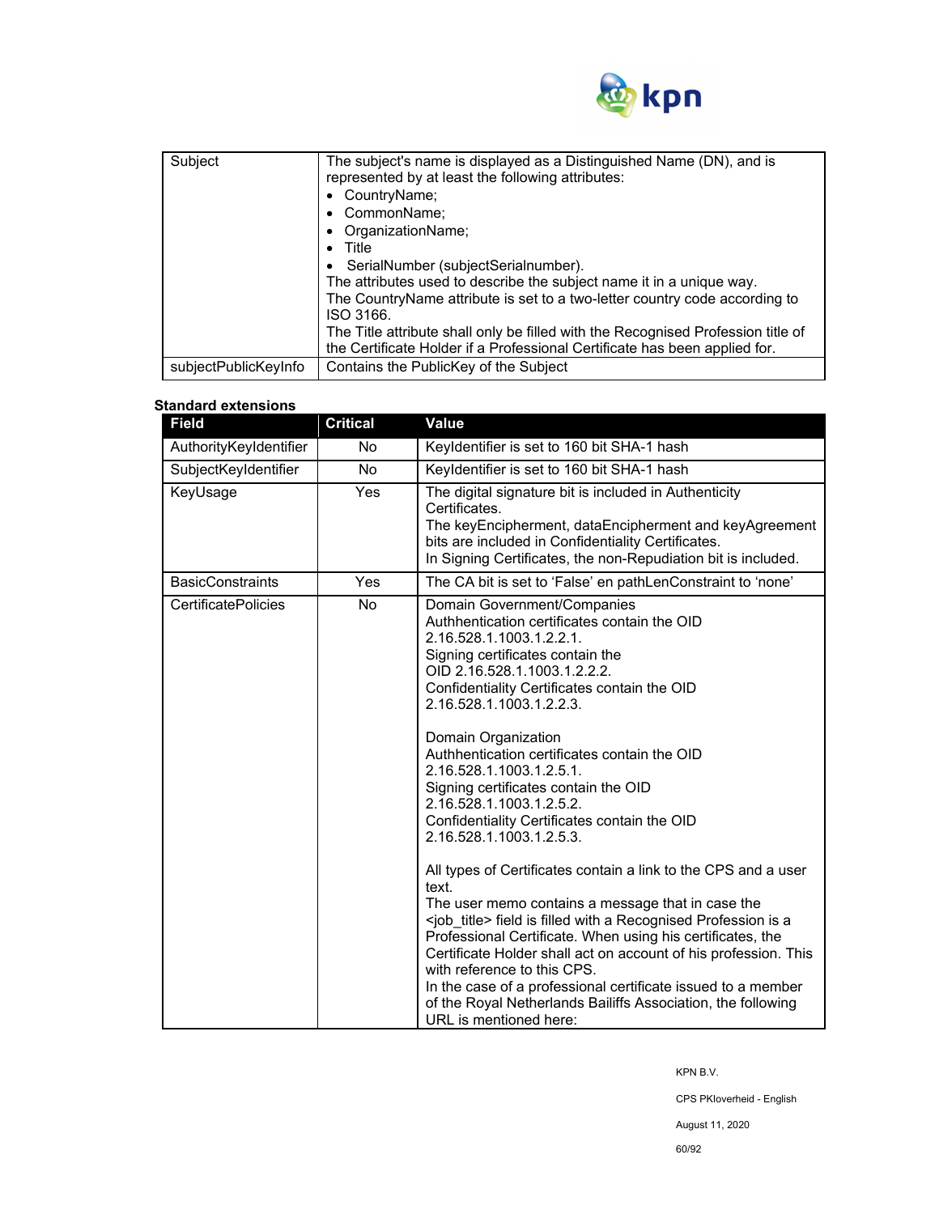

| Subject              | The subject's name is displayed as a Distinguished Name (DN), and is<br>represented by at least the following attributes:<br>• CountryName;<br>• CommonName;<br>OrganizationName;<br>Title<br>SerialNumber (subjectSerialnumber).<br>The attributes used to describe the subject name it in a unique way.<br>The CountryName attribute is set to a two-letter country code according to<br>ISO 3166.<br>The Title attribute shall only be filled with the Recognised Profession title of<br>the Certificate Holder if a Professional Certificate has been applied for. |
|----------------------|------------------------------------------------------------------------------------------------------------------------------------------------------------------------------------------------------------------------------------------------------------------------------------------------------------------------------------------------------------------------------------------------------------------------------------------------------------------------------------------------------------------------------------------------------------------------|
| subjectPublicKeyInfo | Contains the PublicKey of the Subject                                                                                                                                                                                                                                                                                                                                                                                                                                                                                                                                  |

# **Standard extensions**

| <b>Field</b>               | <b>Critical</b> | <b>Value</b>                                                                                                                                                                                                                                                                                                                                                                                                                                                                                                                                                                                                                                                                                                                                                                                                                                                                                                                                                                                                                                         |
|----------------------------|-----------------|------------------------------------------------------------------------------------------------------------------------------------------------------------------------------------------------------------------------------------------------------------------------------------------------------------------------------------------------------------------------------------------------------------------------------------------------------------------------------------------------------------------------------------------------------------------------------------------------------------------------------------------------------------------------------------------------------------------------------------------------------------------------------------------------------------------------------------------------------------------------------------------------------------------------------------------------------------------------------------------------------------------------------------------------------|
| AuthorityKeyIdentifier     | No.             | Keyldentifier is set to 160 bit SHA-1 hash                                                                                                                                                                                                                                                                                                                                                                                                                                                                                                                                                                                                                                                                                                                                                                                                                                                                                                                                                                                                           |
| SubjectKeyIdentifier       | No              | Keyldentifier is set to 160 bit SHA-1 hash                                                                                                                                                                                                                                                                                                                                                                                                                                                                                                                                                                                                                                                                                                                                                                                                                                                                                                                                                                                                           |
| KeyUsage                   | <b>Yes</b>      | The digital signature bit is included in Authenticity<br>Certificates.<br>The keyEncipherment, dataEncipherment and keyAgreement<br>bits are included in Confidentiality Certificates.<br>In Signing Certificates, the non-Repudiation bit is included.                                                                                                                                                                                                                                                                                                                                                                                                                                                                                                                                                                                                                                                                                                                                                                                              |
| <b>BasicConstraints</b>    | Yes             | The CA bit is set to 'False' en pathLenConstraint to 'none'                                                                                                                                                                                                                                                                                                                                                                                                                                                                                                                                                                                                                                                                                                                                                                                                                                                                                                                                                                                          |
| <b>CertificatePolicies</b> | No              | Domain Government/Companies<br>Authhentication certificates contain the OID<br>2.16.528.1.1003.1.2.2.1.<br>Signing certificates contain the<br>OID 2.16.528.1.1003.1.2.2.2.<br>Confidentiality Certificates contain the OID<br>2.16.528.1.1003.1.2.2.3.<br>Domain Organization<br>Authhentication certificates contain the OID<br>2.16.528.1.1003.1.2.5.1.<br>Signing certificates contain the OID<br>2.16.528.1.1003.1.2.5.2.<br>Confidentiality Certificates contain the OID<br>2.16.528.1.1003.1.2.5.3.<br>All types of Certificates contain a link to the CPS and a user<br>text.<br>The user memo contains a message that in case the<br><job title=""> field is filled with a Recognised Profession is a<br/>Professional Certificate. When using his certificates, the<br/>Certificate Holder shall act on account of his profession. This<br/>with reference to this CPS.<br/>In the case of a professional certificate issued to a member<br/>of the Royal Netherlands Bailiffs Association, the following<br/>URL is mentioned here:</job> |

KPN B.V.

CPS PKIoverheid - English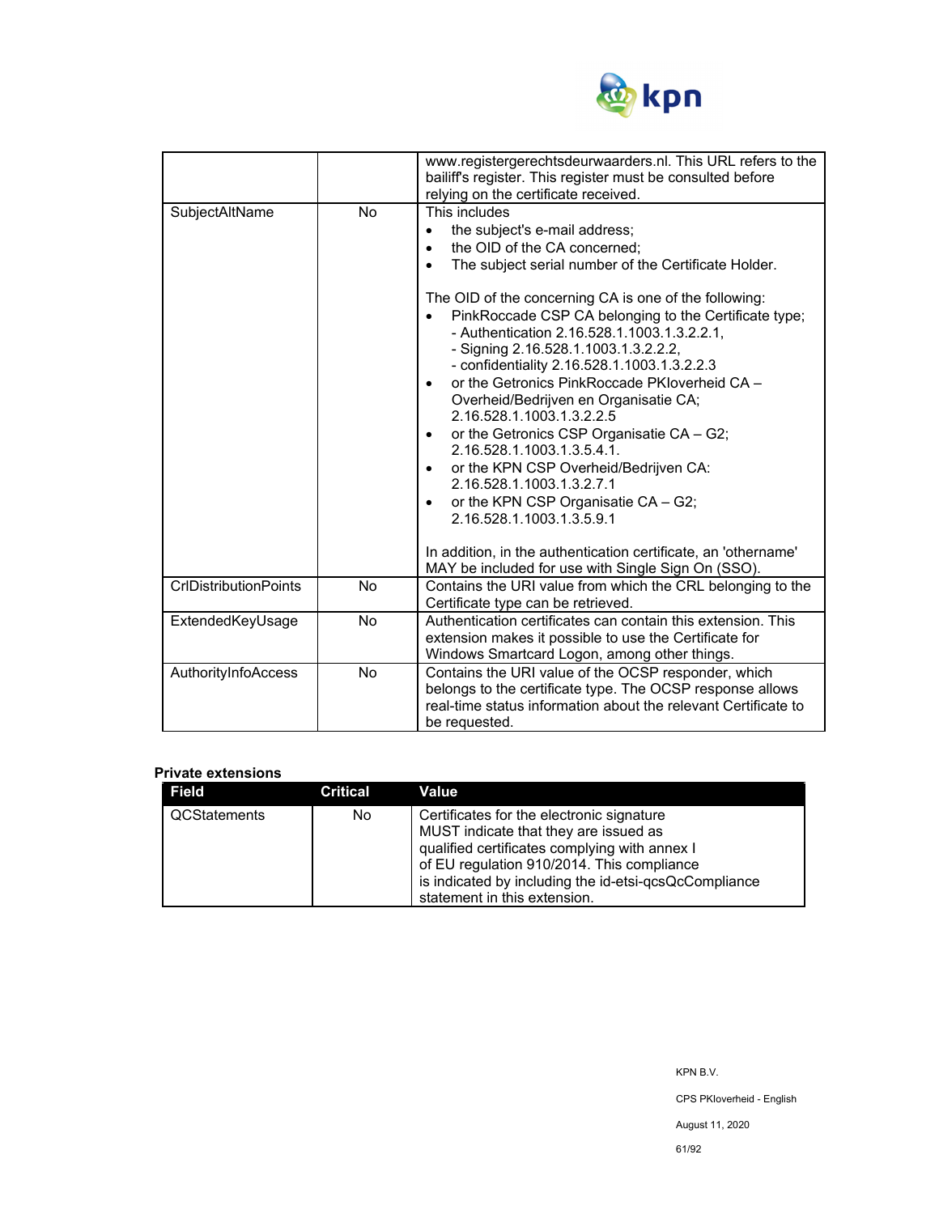

|                              |           | www.registergerechtsdeurwaarders.nl. This URL refers to the<br>bailiff's register. This register must be consulted before                                                                                                                                                                                                                                                                                                                                                                                                                                                                                                                                                                                                                                                                                                                                                                                                                                      |
|------------------------------|-----------|----------------------------------------------------------------------------------------------------------------------------------------------------------------------------------------------------------------------------------------------------------------------------------------------------------------------------------------------------------------------------------------------------------------------------------------------------------------------------------------------------------------------------------------------------------------------------------------------------------------------------------------------------------------------------------------------------------------------------------------------------------------------------------------------------------------------------------------------------------------------------------------------------------------------------------------------------------------|
| SubjectAltName               | <b>No</b> | relying on the certificate received.<br>This includes<br>the subject's e-mail address;<br>the OID of the CA concerned;<br>$\bullet$<br>The subject serial number of the Certificate Holder.<br>The OID of the concerning CA is one of the following:<br>PinkRoccade CSP CA belonging to the Certificate type;<br>- Authentication 2.16.528.1.1003.1.3.2.2.1,<br>- Signing 2.16.528.1.1003.1.3.2.2.2,<br>- confidentiality 2.16.528.1.1003.1.3.2.2.3<br>or the Getronics PinkRoccade PKIoverheid CA -<br>Overheid/Bedrijven en Organisatie CA;<br>2.16.528.1.1003.1.3.2.2.5<br>or the Getronics CSP Organisatie CA - G2;<br>$\bullet$<br>2.16.528.1.1003.1.3.5.4.1.<br>or the KPN CSP Overheid/Bedrijven CA:<br>$\bullet$<br>2.16.528.1.1003.1.3.2.7.1<br>or the KPN CSP Organisatie CA - G2;<br>$\bullet$<br>2.16.528.1.1003.1.3.5.9.1<br>In addition, in the authentication certificate, an 'othername'<br>MAY be included for use with Single Sign On (SSO). |
| <b>CrIDistributionPoints</b> | <b>No</b> | Contains the URI value from which the CRL belonging to the<br>Certificate type can be retrieved.                                                                                                                                                                                                                                                                                                                                                                                                                                                                                                                                                                                                                                                                                                                                                                                                                                                               |
| ExtendedKeyUsage             | <b>No</b> | Authentication certificates can contain this extension. This<br>extension makes it possible to use the Certificate for<br>Windows Smartcard Logon, among other things.                                                                                                                                                                                                                                                                                                                                                                                                                                                                                                                                                                                                                                                                                                                                                                                         |
| AuthorityInfoAccess          | No        | Contains the URI value of the OCSP responder, which<br>belongs to the certificate type. The OCSP response allows<br>real-time status information about the relevant Certificate to<br>be requested.                                                                                                                                                                                                                                                                                                                                                                                                                                                                                                                                                                                                                                                                                                                                                            |

#### **Private extensions**

| <b>Field</b> | <b>Critical</b> | Value                                                 |
|--------------|-----------------|-------------------------------------------------------|
| QCStatements | No              | Certificates for the electronic signature             |
|              |                 | MUST indicate that they are issued as                 |
|              |                 | qualified certificates complying with annex I         |
|              |                 | of EU regulation 910/2014. This compliance            |
|              |                 | is indicated by including the id-etsi-qcsQcCompliance |
|              |                 | statement in this extension.                          |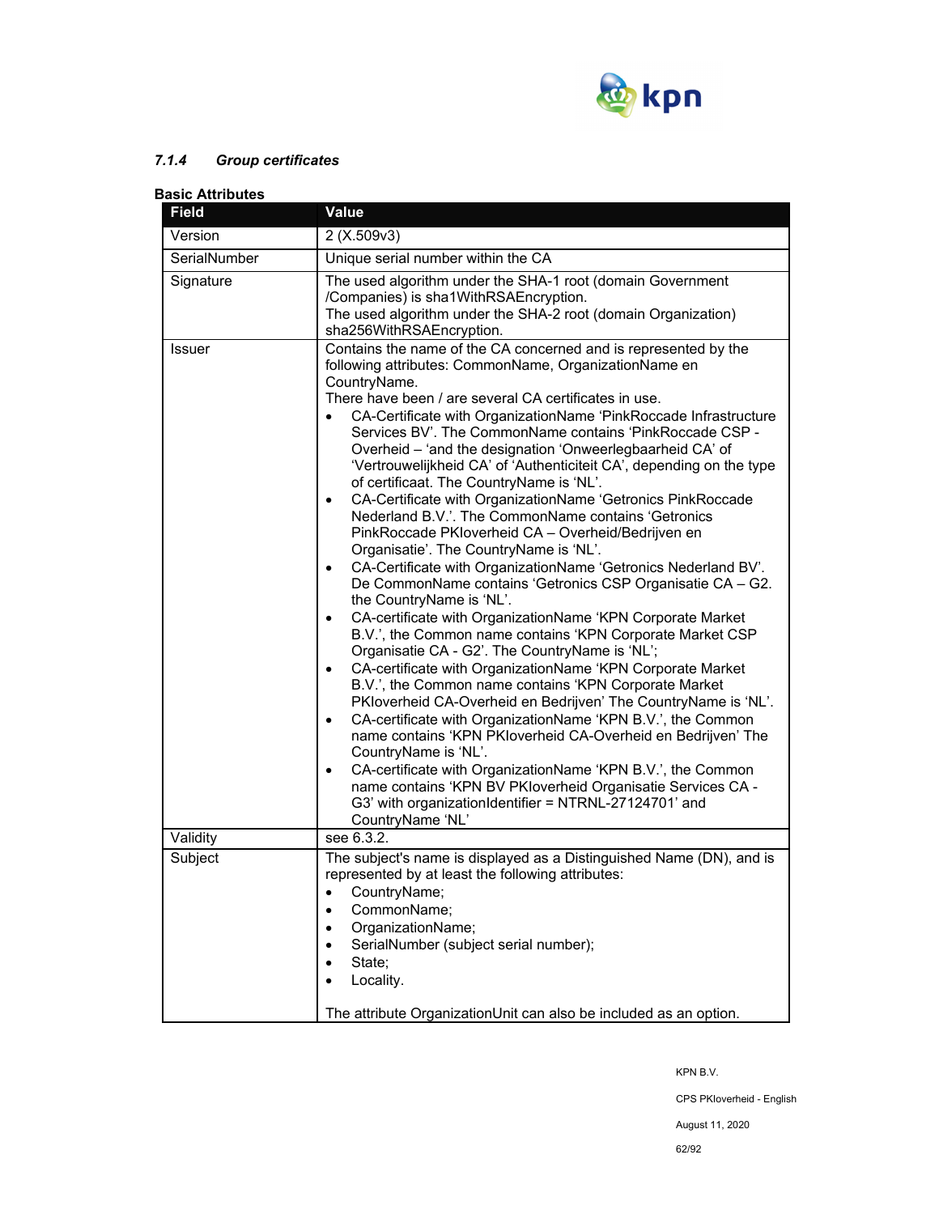

# *7.1.4 Group certificates*

| <b>Basic Attributes</b> |                                                                                                                                                                                                                                                                                                                                                                                                                                                                                                                                                                                                                                                                                                                                                                                                                                                                                                                                                                                                                                                                                                                                                                                                                                                                                                                                                                                                                                                                                                                                                                                                                                                                                                                                 |  |
|-------------------------|---------------------------------------------------------------------------------------------------------------------------------------------------------------------------------------------------------------------------------------------------------------------------------------------------------------------------------------------------------------------------------------------------------------------------------------------------------------------------------------------------------------------------------------------------------------------------------------------------------------------------------------------------------------------------------------------------------------------------------------------------------------------------------------------------------------------------------------------------------------------------------------------------------------------------------------------------------------------------------------------------------------------------------------------------------------------------------------------------------------------------------------------------------------------------------------------------------------------------------------------------------------------------------------------------------------------------------------------------------------------------------------------------------------------------------------------------------------------------------------------------------------------------------------------------------------------------------------------------------------------------------------------------------------------------------------------------------------------------------|--|
| <b>Field</b>            | <b>Value</b>                                                                                                                                                                                                                                                                                                                                                                                                                                                                                                                                                                                                                                                                                                                                                                                                                                                                                                                                                                                                                                                                                                                                                                                                                                                                                                                                                                                                                                                                                                                                                                                                                                                                                                                    |  |
| Version                 | 2(X.509v3)                                                                                                                                                                                                                                                                                                                                                                                                                                                                                                                                                                                                                                                                                                                                                                                                                                                                                                                                                                                                                                                                                                                                                                                                                                                                                                                                                                                                                                                                                                                                                                                                                                                                                                                      |  |
| SerialNumber            | Unique serial number within the CA                                                                                                                                                                                                                                                                                                                                                                                                                                                                                                                                                                                                                                                                                                                                                                                                                                                                                                                                                                                                                                                                                                                                                                                                                                                                                                                                                                                                                                                                                                                                                                                                                                                                                              |  |
| Signature               | The used algorithm under the SHA-1 root (domain Government<br>/Companies) is sha1WithRSAEncryption.<br>The used algorithm under the SHA-2 root (domain Organization)<br>sha256WithRSAEncryption.                                                                                                                                                                                                                                                                                                                                                                                                                                                                                                                                                                                                                                                                                                                                                                                                                                                                                                                                                                                                                                                                                                                                                                                                                                                                                                                                                                                                                                                                                                                                |  |
| <b>Issuer</b>           | Contains the name of the CA concerned and is represented by the<br>following attributes: CommonName, OrganizationName en<br>CountryName.<br>There have been / are several CA certificates in use.<br>CA-Certificate with OrganizationName 'PinkRoccade Infrastructure<br>$\bullet$<br>Services BV'. The CommonName contains 'PinkRoccade CSP -<br>Overheid - 'and the designation 'Onweerlegbaarheid CA' of<br>'Vertrouwelijkheid CA' of 'Authenticiteit CA', depending on the type<br>of certificaat. The CountryName is 'NL'.<br>CA-Certificate with OrganizationName 'Getronics PinkRoccade<br>٠<br>Nederland B.V.'. The CommonName contains 'Getronics<br>PinkRoccade PKIoverheid CA - Overheid/Bedrijven en<br>Organisatie'. The CountryName is 'NL'.<br>CA-Certificate with OrganizationName 'Getronics Nederland BV'.<br>$\bullet$<br>De CommonName contains 'Getronics CSP Organisatie CA - G2.<br>the CountryName is 'NL'.<br>CA-certificate with OrganizationName 'KPN Corporate Market<br>$\bullet$<br>B.V.', the Common name contains 'KPN Corporate Market CSP<br>Organisatie CA - G2'. The CountryName is 'NL';<br>CA-certificate with OrganizationName 'KPN Corporate Market<br>$\bullet$<br>B.V.', the Common name contains 'KPN Corporate Market<br>PKloverheid CA-Overheid en Bedrijven' The CountryName is 'NL'.<br>CA-certificate with OrganizationName 'KPN B.V.', the Common<br>$\bullet$<br>name contains 'KPN PKloverheid CA-Overheid en Bedrijven' The<br>CountryName is 'NL'.<br>CA-certificate with OrganizationName 'KPN B.V.', the Common<br>$\bullet$<br>name contains 'KPN BV PKloverheid Organisatie Services CA -<br>G3' with organizationIdentifier = NTRNL-27124701' and<br>CountryName 'NL' |  |
| Validity                | see $6.3.2$ .                                                                                                                                                                                                                                                                                                                                                                                                                                                                                                                                                                                                                                                                                                                                                                                                                                                                                                                                                                                                                                                                                                                                                                                                                                                                                                                                                                                                                                                                                                                                                                                                                                                                                                                   |  |
| Subject                 | The subject's name is displayed as a Distinguished Name (DN), and is<br>represented by at least the following attributes:<br>CountryName;<br>$\bullet$<br>CommonName;<br>OrganizationName;<br>SerialNumber (subject serial number);<br>State;<br>Locality.<br>The attribute OrganizationUnit can also be included as an option.                                                                                                                                                                                                                                                                                                                                                                                                                                                                                                                                                                                                                                                                                                                                                                                                                                                                                                                                                                                                                                                                                                                                                                                                                                                                                                                                                                                                 |  |

KPN B.V.

CPS PKIoverheid - English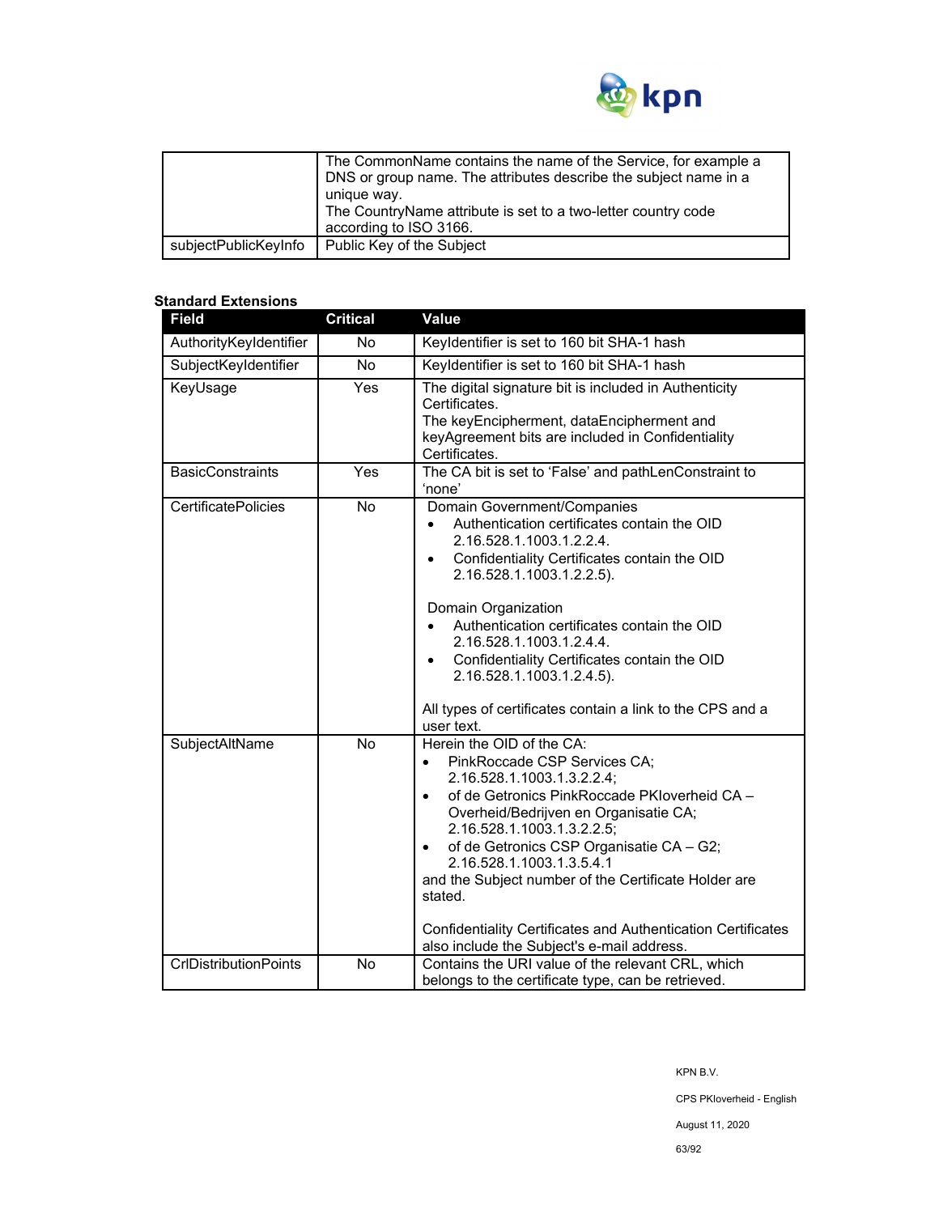

|                      | The CommonName contains the name of the Service, for example a<br>DNS or group name. The attributes describe the subject name in a<br>unique way.<br>The CountryName attribute is set to a two-letter country code<br>according to ISO 3166. |
|----------------------|----------------------------------------------------------------------------------------------------------------------------------------------------------------------------------------------------------------------------------------------|
| subjectPublicKeyInfo | Public Key of the Subject                                                                                                                                                                                                                    |

### **Standard Extensions**

| <b>Field</b>                 | <b>Critical</b> | <b>Value</b>                                                                                                                                                                                                                                                                                                                                                                                                                                                                                                           |
|------------------------------|-----------------|------------------------------------------------------------------------------------------------------------------------------------------------------------------------------------------------------------------------------------------------------------------------------------------------------------------------------------------------------------------------------------------------------------------------------------------------------------------------------------------------------------------------|
| AuthorityKeyIdentifier       | <b>No</b>       | Keyldentifier is set to 160 bit SHA-1 hash                                                                                                                                                                                                                                                                                                                                                                                                                                                                             |
| SubjectKeyIdentifier         | No              | Keyldentifier is set to 160 bit SHA-1 hash                                                                                                                                                                                                                                                                                                                                                                                                                                                                             |
| KeyUsage                     | Yes             | The digital signature bit is included in Authenticity<br>Certificates.<br>The keyEncipherment, dataEncipherment and<br>keyAgreement bits are included in Confidentiality<br>Certificates.                                                                                                                                                                                                                                                                                                                              |
| <b>BasicConstraints</b>      | Yes             | The CA bit is set to 'False' and pathLenConstraint to<br>'none'                                                                                                                                                                                                                                                                                                                                                                                                                                                        |
| <b>CertificatePolicies</b>   | No              | Domain Government/Companies<br>Authentication certificates contain the OID<br>$\bullet$<br>2.16.528.1.1003.1.2.2.4.<br>Confidentiality Certificates contain the OID<br>$\bullet$<br>2.16.528.1.1003.1.2.2.5).<br>Domain Organization<br>Authentication certificates contain the OID<br>2.16.528.1.1003.1.2.4.4.<br>Confidentiality Certificates contain the OID<br>$\bullet$<br>2.16.528.1.1003.1.2.4.5).<br>All types of certificates contain a link to the CPS and a<br>user text.                                   |
| SubjectAltName               | No              | Herein the OID of the CA:<br>PinkRoccade CSP Services CA;<br>$\bullet$<br>2.16.528.1.1003.1.3.2.2.4;<br>of de Getronics PinkRoccade PKIoverheid CA -<br>$\bullet$<br>Overheid/Bedrijven en Organisatie CA;<br>2.16.528.1.1003.1.3.2.2.5;<br>of de Getronics CSP Organisatie CA - G2;<br>$\bullet$<br>2.16.528.1.1003.1.3.5.4.1<br>and the Subject number of the Certificate Holder are<br>stated.<br><b>Confidentiality Certificates and Authentication Certificates</b><br>also include the Subject's e-mail address. |
| <b>CrIDistributionPoints</b> | No              | Contains the URI value of the relevant CRL, which<br>belongs to the certificate type, can be retrieved.                                                                                                                                                                                                                                                                                                                                                                                                                |

CPS PKIoverheid - English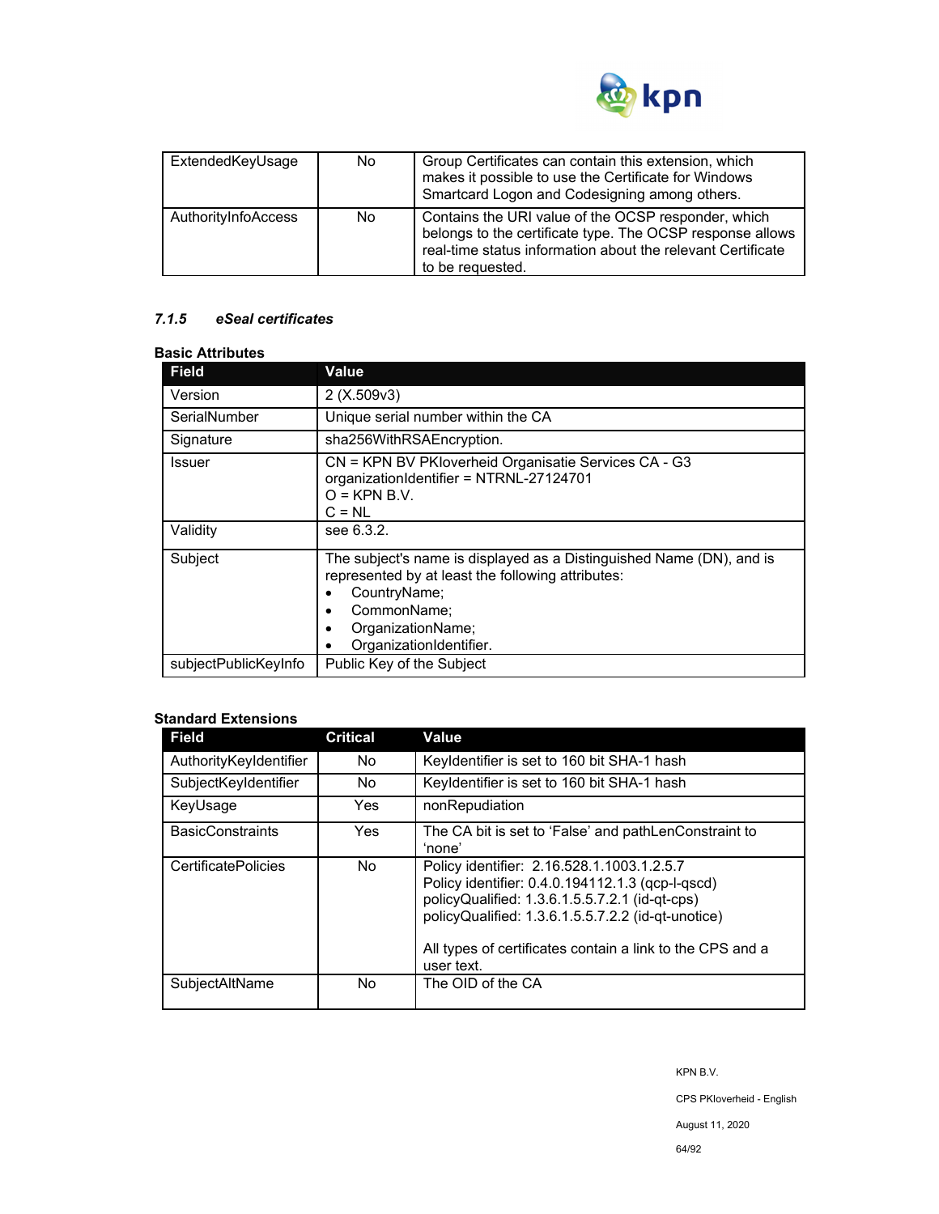

| ExtendedKeyUsage    | No. | Group Certificates can contain this extension, which<br>makes it possible to use the Certificate for Windows<br>Smartcard Logon and Codesigning among others.                                       |
|---------------------|-----|-----------------------------------------------------------------------------------------------------------------------------------------------------------------------------------------------------|
| AuthorityInfoAccess | No. | Contains the URI value of the OCSP responder, which<br>belongs to the certificate type. The OCSP response allows<br>real-time status information about the relevant Certificate<br>to be requested. |

## *7.1.5 eSeal certificates*

# **Basic Attributes**

| <b>Field</b>         | Value                                                                                                                                                                                                                 |
|----------------------|-----------------------------------------------------------------------------------------------------------------------------------------------------------------------------------------------------------------------|
| Version              | 2(X.509v3)                                                                                                                                                                                                            |
| SerialNumber         | Unique serial number within the CA                                                                                                                                                                                    |
| Signature            | sha256WithRSAEncryption.                                                                                                                                                                                              |
| <b>Issuer</b>        | CN = KPN BV PKloverheid Organisatie Services CA - G3<br>organizationIdentifier = NTRNL-27124701<br>$O =$ KPN B.V.<br>$C = NL$                                                                                         |
| Validity             | see 6.3.2.                                                                                                                                                                                                            |
| Subject              | The subject's name is displayed as a Distinguished Name (DN), and is<br>represented by at least the following attributes:<br>CountryName;<br>CommonName:<br>$\bullet$<br>OrganizationName;<br>OrganizationIdentifier. |
| subjectPublicKeyInfo | Public Key of the Subject                                                                                                                                                                                             |

## **Standard Extensions**

| <b>Field</b>               | <b>Critical</b> | Value                                                                                                                                                                                                                                                                             |
|----------------------------|-----------------|-----------------------------------------------------------------------------------------------------------------------------------------------------------------------------------------------------------------------------------------------------------------------------------|
| AuthorityKeyIdentifier     | No.             | Keyldentifier is set to 160 bit SHA-1 hash                                                                                                                                                                                                                                        |
| SubjectKeyIdentifier       | No.             | Keyldentifier is set to 160 bit SHA-1 hash                                                                                                                                                                                                                                        |
| KeyUsage                   | Yes             | nonRepudiation                                                                                                                                                                                                                                                                    |
| <b>BasicConstraints</b>    | Yes.            | The CA bit is set to 'False' and pathLenConstraint to<br>'none'                                                                                                                                                                                                                   |
| <b>CertificatePolicies</b> | No.             | Policy identifier: 2.16.528.1.1003.1.2.5.7<br>Policy identifier: 0.4.0.194112.1.3 (qcp-l-qscd)<br>policyQualified: 1.3.6.1.5.5.7.2.1 (id-qt-cps)<br>policyQualified: 1.3.6.1.5.5.7.2.2 (id-qt-unotice)<br>All types of certificates contain a link to the CPS and a<br>user text. |
| SubjectAltName             | No.             | The OID of the CA                                                                                                                                                                                                                                                                 |

CPS PKIoverheid - English

August 11, 2020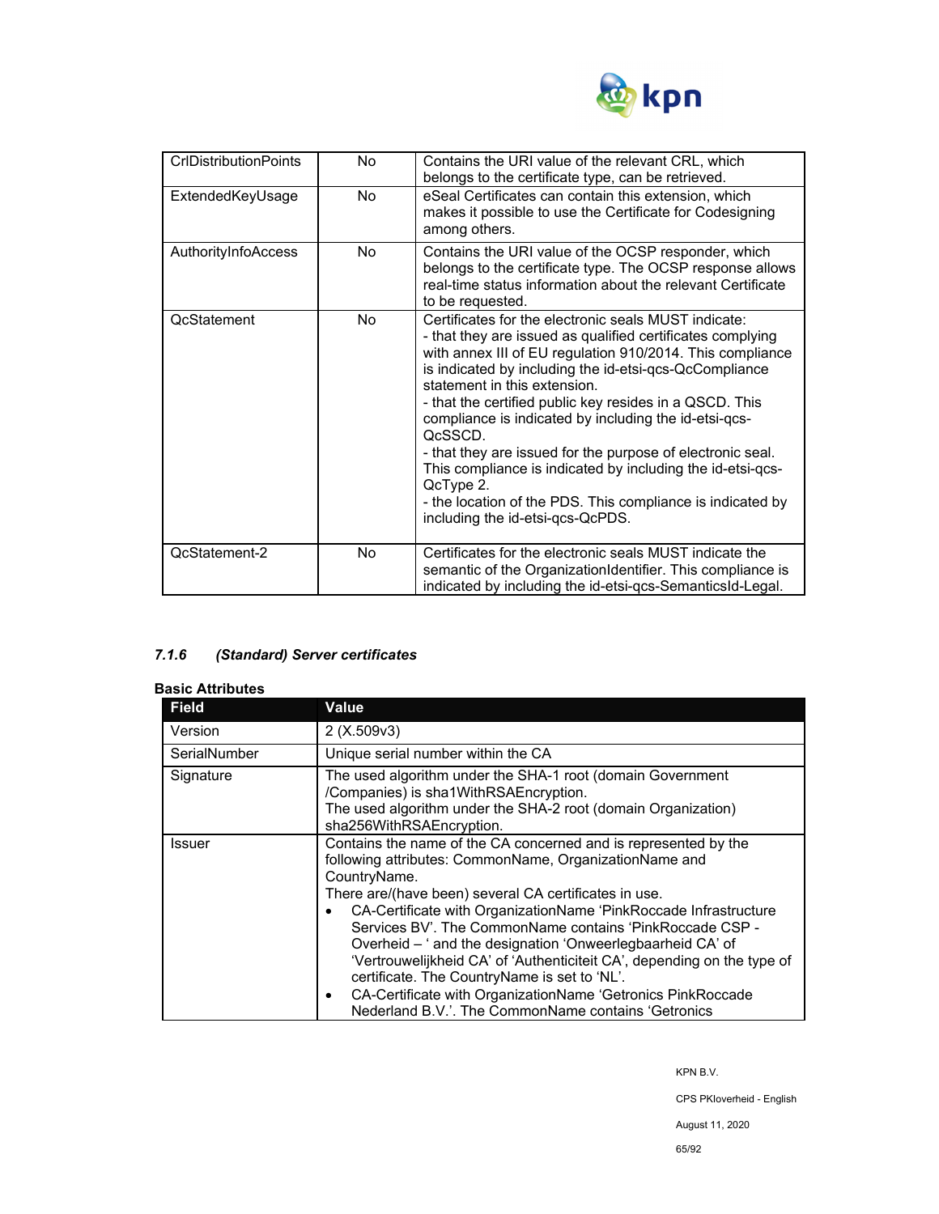

| <b>CrIDistributionPoints</b> | No.            | Contains the URI value of the relevant CRL, which<br>belongs to the certificate type, can be retrieved.                                                                                                                                                                                                                                                                                                                                                                                                                                                                                                                                             |
|------------------------------|----------------|-----------------------------------------------------------------------------------------------------------------------------------------------------------------------------------------------------------------------------------------------------------------------------------------------------------------------------------------------------------------------------------------------------------------------------------------------------------------------------------------------------------------------------------------------------------------------------------------------------------------------------------------------------|
| ExtendedKeyUsage             | No.            | eSeal Certificates can contain this extension, which<br>makes it possible to use the Certificate for Codesigning<br>among others.                                                                                                                                                                                                                                                                                                                                                                                                                                                                                                                   |
| AuthorityInfoAccess          | No.            | Contains the URI value of the OCSP responder, which<br>belongs to the certificate type. The OCSP response allows<br>real-time status information about the relevant Certificate<br>to be requested.                                                                                                                                                                                                                                                                                                                                                                                                                                                 |
| <b>OcStatement</b>           | N <sub>0</sub> | Certificates for the electronic seals MUST indicate:<br>- that they are issued as qualified certificates complying<br>with annex III of EU regulation 910/2014. This compliance<br>is indicated by including the id-etsi-qcs-QcCompliance<br>statement in this extension.<br>- that the certified public key resides in a QSCD. This<br>compliance is indicated by including the id-etsi-qcs-<br>OcSSCD.<br>- that they are issued for the purpose of electronic seal.<br>This compliance is indicated by including the id-etsi-qcs-<br>QcType 2.<br>- the location of the PDS. This compliance is indicated by<br>including the id-etsi-qcs-QcPDS. |
| QcStatement-2                | <b>No</b>      | Certificates for the electronic seals MUST indicate the<br>semantic of the OrganizationIdentifier. This compliance is<br>indicated by including the id-etsi-qcs-SemanticsId-Legal.                                                                                                                                                                                                                                                                                                                                                                                                                                                                  |

# *7.1.6 (Standard) Server certificates*

#### **Basic Attributes**

| <b>Field</b> | <b>Value</b>                                                                                                                                                                                                                                                                                                                                                                                                                                                                                                                                                                                                                                                   |  |
|--------------|----------------------------------------------------------------------------------------------------------------------------------------------------------------------------------------------------------------------------------------------------------------------------------------------------------------------------------------------------------------------------------------------------------------------------------------------------------------------------------------------------------------------------------------------------------------------------------------------------------------------------------------------------------------|--|
| Version      | 2(X.509v3)                                                                                                                                                                                                                                                                                                                                                                                                                                                                                                                                                                                                                                                     |  |
| SerialNumber | Unique serial number within the CA                                                                                                                                                                                                                                                                                                                                                                                                                                                                                                                                                                                                                             |  |
| Signature    | The used algorithm under the SHA-1 root (domain Government<br>/Companies) is sha1WithRSAEncryption.<br>The used algorithm under the SHA-2 root (domain Organization)<br>sha256WithRSAEncryption.                                                                                                                                                                                                                                                                                                                                                                                                                                                               |  |
| Issuer       | Contains the name of the CA concerned and is represented by the<br>following attributes: CommonName, OrganizationName and<br>CountryName.<br>There are/(have been) several CA certificates in use.<br>CA-Certificate with OrganizationName 'PinkRoccade Infrastructure<br>Services BV'. The CommonName contains 'PinkRoccade CSP -<br>Overheid - ' and the designation 'Onweerlegbaarheid CA' of<br>'Vertrouwelijkheid CA' of 'Authenticiteit CA', depending on the type of<br>certificate. The CountryName is set to 'NL'.<br>CA-Certificate with OrganizationName 'Getronics PinkRoccade<br>$\bullet$<br>Nederland B.V.'. The CommonName contains 'Getronics |  |

KPN B.V.

CPS PKIoverheid - English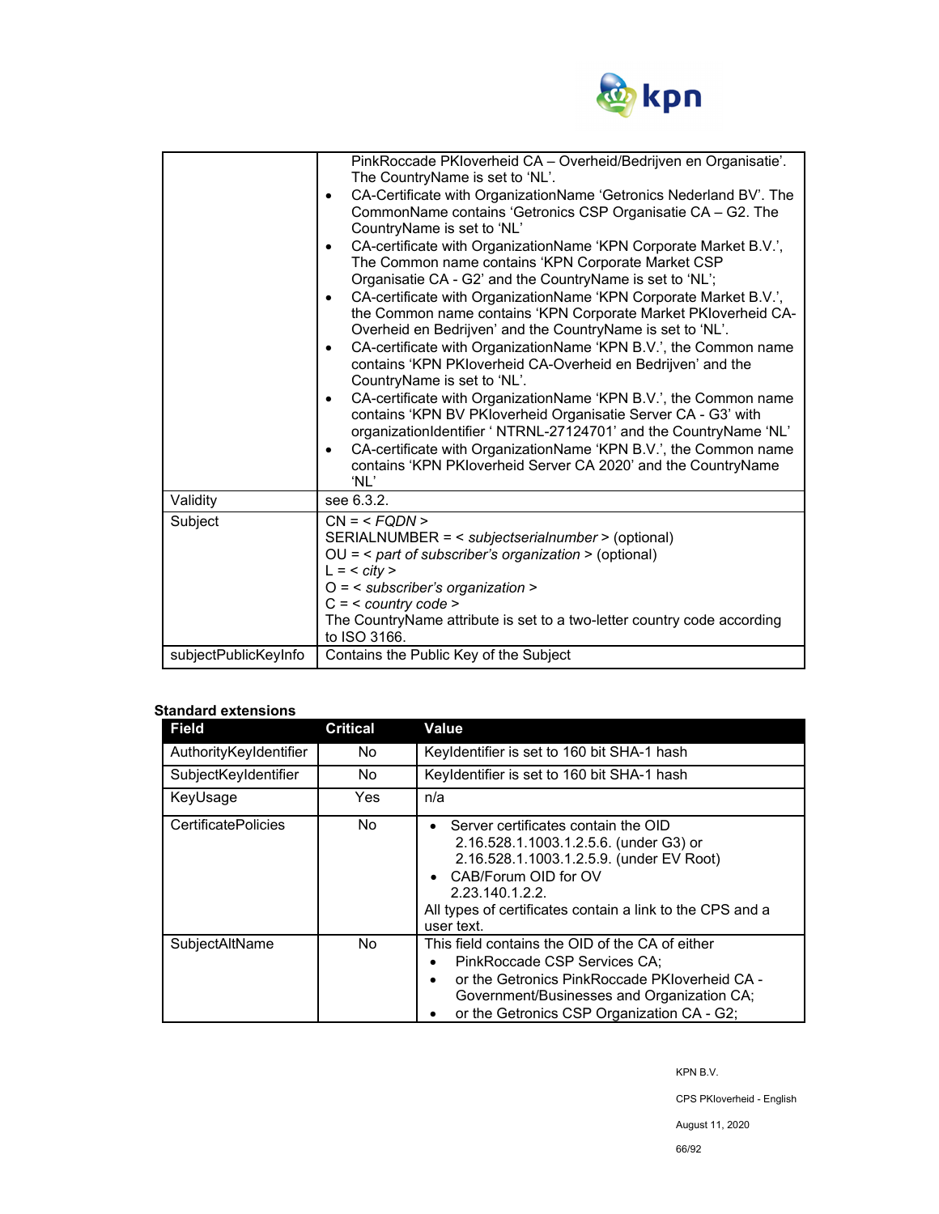

|                      | PinkRoccade PKIoverheid CA - Overheid/Bedrijven en Organisatie'.<br>The CountryName is set to 'NL'.<br>CA-Certificate with OrganizationName 'Getronics Nederland BV'. The<br>$\bullet$<br>CommonName contains 'Getronics CSP Organisatie CA - G2. The<br>CountryName is set to 'NL'<br>CA-certificate with OrganizationName 'KPN Corporate Market B.V.',<br>$\bullet$<br>The Common name contains 'KPN Corporate Market CSP<br>Organisatie CA - G2' and the CountryName is set to 'NL';<br>CA-certificate with OrganizationName 'KPN Corporate Market B.V.',<br>$\bullet$<br>the Common name contains 'KPN Corporate Market PKIoverheid CA-<br>Overheid en Bedrijven' and the CountryName is set to 'NL'.<br>CA-certificate with OrganizationName 'KPN B.V.', the Common name<br>$\bullet$<br>contains 'KPN PKIoverheid CA-Overheid en Bedrijven' and the<br>CountryName is set to 'NL'.<br>CA-certificate with OrganizationName 'KPN B.V.', the Common name<br>٠<br>contains 'KPN BV PKloverheid Organisatie Server CA - G3' with<br>organizationIdentifier ' NTRNL-27124701' and the CountryName 'NL'<br>CA-certificate with OrganizationName 'KPN B.V.', the Common name<br>$\bullet$<br>contains 'KPN PKloverheid Server CA 2020' and the CountryName<br>'NL' |
|----------------------|-------------------------------------------------------------------------------------------------------------------------------------------------------------------------------------------------------------------------------------------------------------------------------------------------------------------------------------------------------------------------------------------------------------------------------------------------------------------------------------------------------------------------------------------------------------------------------------------------------------------------------------------------------------------------------------------------------------------------------------------------------------------------------------------------------------------------------------------------------------------------------------------------------------------------------------------------------------------------------------------------------------------------------------------------------------------------------------------------------------------------------------------------------------------------------------------------------------------------------------------------------------------|
| Validity             | see 6.3.2.                                                                                                                                                                                                                                                                                                                                                                                                                                                                                                                                                                                                                                                                                                                                                                                                                                                                                                                                                                                                                                                                                                                                                                                                                                                        |
| Subject              | $CN = SERIALNUMBER = < subjectserialnumber > (optional)OU = < part of subscriber's organization > (optional)L = < city >O = < subscriber's organization >C = < country code >The CountryName attribute is set to a two-letter country code accordingto ISO 3166.$                                                                                                                                                                                                                                                                                                                                                                                                                                                                                                                                                                                                                                                                                                                                                                                                                                                                                                                                                                                                 |
| subjectPublicKeyInfo | Contains the Public Key of the Subject                                                                                                                                                                                                                                                                                                                                                                                                                                                                                                                                                                                                                                                                                                                                                                                                                                                                                                                                                                                                                                                                                                                                                                                                                            |

## **Standard extensions**

| <b>Field</b>               | <b>Critical</b> | Value                                                                                                                                                                                                                                                                     |
|----------------------------|-----------------|---------------------------------------------------------------------------------------------------------------------------------------------------------------------------------------------------------------------------------------------------------------------------|
| AuthorityKeyIdentifier     | No.             | Keyldentifier is set to 160 bit SHA-1 hash                                                                                                                                                                                                                                |
| SubjectKeyIdentifier       | No.             | Keyldentifier is set to 160 bit SHA-1 hash                                                                                                                                                                                                                                |
| KeyUsage                   | Yes.            | n/a                                                                                                                                                                                                                                                                       |
| <b>CertificatePolicies</b> | No.             | Server certificates contain the OID<br>$\bullet$<br>2.16.528.1.1003.1.2.5.6. (under G3) or<br>2.16.528.1.1003.1.2.5.9. (under EV Root)<br>CAB/Forum OID for OV<br>$\bullet$<br>2.23.140.1.2.2.<br>All types of certificates contain a link to the CPS and a<br>user text. |
| SubjectAltName             | No.             | This field contains the OID of the CA of either<br>PinkRoccade CSP Services CA:<br>٠<br>or the Getronics PinkRoccade PKIoverheid CA -<br>$\bullet$<br>Government/Businesses and Organization CA;<br>or the Getronics CSP Organization CA - G2;                            |

KPN B.V.

CPS PKIoverheid - English

August 11, 2020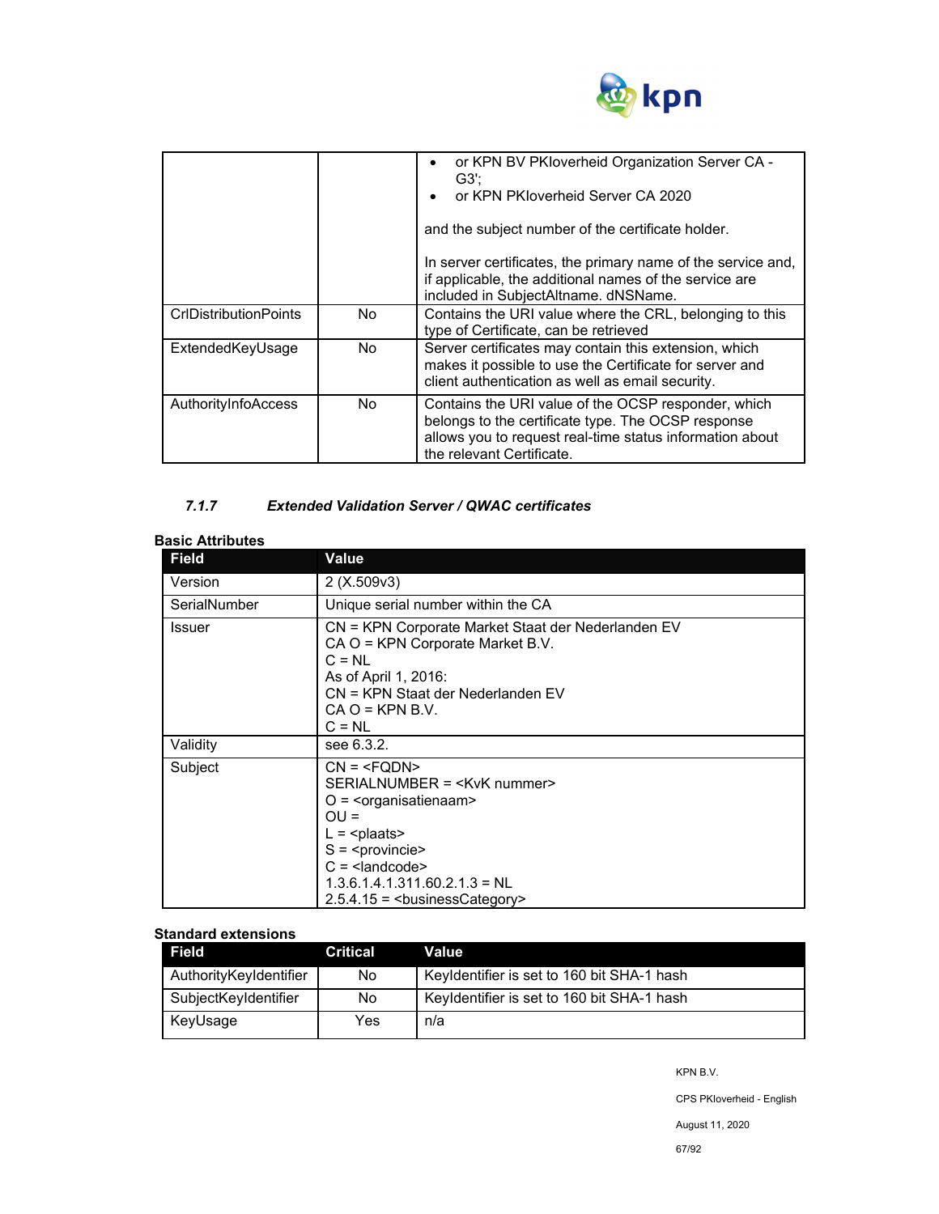

|                              |     | or KPN BV PKloverheid Organization Server CA -<br>٠<br>G3':<br>or KPN PKloverheid Server CA 2020<br>and the subject number of the certificate holder.<br>In server certificates, the primary name of the service and,<br>if applicable, the additional names of the service are<br>included in SubjectAltname. dNSName. |
|------------------------------|-----|-------------------------------------------------------------------------------------------------------------------------------------------------------------------------------------------------------------------------------------------------------------------------------------------------------------------------|
| <b>CrIDistributionPoints</b> | No. | Contains the URI value where the CRL, belonging to this<br>type of Certificate, can be retrieved                                                                                                                                                                                                                        |
| ExtendedKeyUsage             | No. | Server certificates may contain this extension, which<br>makes it possible to use the Certificate for server and<br>client authentication as well as email security.                                                                                                                                                    |
| AuthorityInfoAccess          | No. | Contains the URI value of the OCSP responder, which<br>belongs to the certificate type. The OCSP response<br>allows you to request real-time status information about<br>the relevant Certificate.                                                                                                                      |

# *7.1.7 Extended Validation Server / QWAC certificates*

| <b>Basic Attributes</b> |                                                                                                                                                                                                  |
|-------------------------|--------------------------------------------------------------------------------------------------------------------------------------------------------------------------------------------------|
| <b>Field</b>            | Value                                                                                                                                                                                            |
| Version                 | 2(X.509v3)                                                                                                                                                                                       |
| SerialNumber            | Unique serial number within the CA                                                                                                                                                               |
| Issuer                  | CN = KPN Corporate Market Staat der Nederlanden EV<br>CA O = KPN Corporate Market B.V.<br>$C = NL$<br>As of April 1, 2016:<br>CN = KPN Staat der Nederlanden EV<br>$CA O = KPN B.V.$<br>$C = NL$ |
| Validity                | see 6.3.2.                                                                                                                                                                                       |
| Subject                 | $CN = SERIALNUMBER = O = \langleorganisatienaam>OU =L = S = C = 1.3.6.1.4.1.311.60.2.1.3 = NL2.5.4.15 = businessCategory>$                                                                       |

#### **Standard extensions**

| Field                  | Critical | Value                                      |
|------------------------|----------|--------------------------------------------|
| AuthorityKeyIdentifier | No       | Keyldentifier is set to 160 bit SHA-1 hash |
| SubjectKeyIdentifier   | No       | Keyldentifier is set to 160 bit SHA-1 hash |
| KeyUsage               | Yes      | n/a                                        |

KPN B.V.

CPS PKIoverheid - English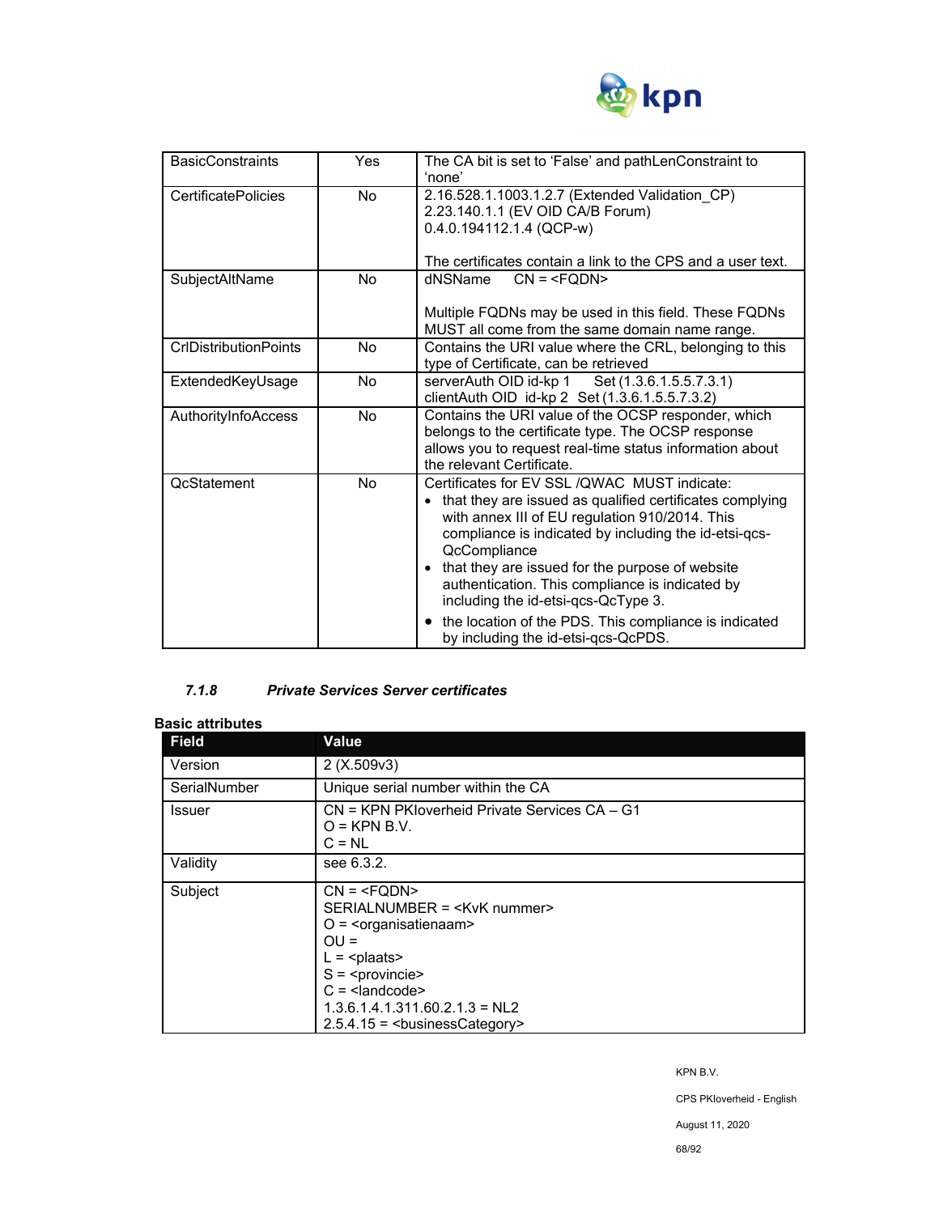

| <b>BasicConstraints</b>      | <b>Yes</b> | The CA bit is set to 'False' and pathLenConstraint to<br>'none'                                                                                                                                                                                                                                                                                                                                                                                                                        |
|------------------------------|------------|----------------------------------------------------------------------------------------------------------------------------------------------------------------------------------------------------------------------------------------------------------------------------------------------------------------------------------------------------------------------------------------------------------------------------------------------------------------------------------------|
| <b>CertificatePolicies</b>   | No.        | 2.16.528.1.1003.1.2.7 (Extended Validation CP)<br>2.23.140.1.1 (EV OID CA/B Forum)<br>$0.4.0.194112.1.4$ (QCP-w)<br>The certificates contain a link to the CPS and a user text.                                                                                                                                                                                                                                                                                                        |
| SubjectAltName               | No         | dNSName<br>$CN = Multiple FQDNs may be used in this field. These FQDNsMUST all come from the same domain name range.$                                                                                                                                                                                                                                                                                                                                                                  |
| <b>CrIDistributionPoints</b> | <b>No</b>  | Contains the URI value where the CRL, belonging to this<br>type of Certificate, can be retrieved                                                                                                                                                                                                                                                                                                                                                                                       |
| ExtendedKeyUsage             | No         | serverAuth OID id-kp 1 Set (1.3.6.1.5.5.7.3.1)<br>clientAuth OID id-kp 2 Set (1.3.6.1.5.5.7.3.2)                                                                                                                                                                                                                                                                                                                                                                                       |
| AuthorityInfoAccess          | <b>No</b>  | Contains the URI value of the OCSP responder, which<br>belongs to the certificate type. The OCSP response<br>allows you to request real-time status information about<br>the relevant Certificate.                                                                                                                                                                                                                                                                                     |
| <b>QcStatement</b>           | No         | Certificates for EV SSL / QWAC MUST indicate:<br>that they are issued as qualified certificates complying<br>with annex III of EU regulation 910/2014. This<br>compliance is indicated by including the id-etsi-qcs-<br>QcCompliance<br>that they are issued for the purpose of website<br>authentication. This compliance is indicated by<br>including the id-etsi-qcs-QcType 3.<br>the location of the PDS. This compliance is indicated<br>٠<br>by including the id-etsi-qcs-QcPDS. |

## *7.1.8 Private Services Server certificates*

#### **Basic attributes**

| <b>Field</b> | <b>Value</b>                                                                                                                      |
|--------------|-----------------------------------------------------------------------------------------------------------------------------------|
| Version      | 2(X.509v3)                                                                                                                        |
| SerialNumber | Unique serial number within the CA                                                                                                |
| Issuer       | CN = KPN PKloverheid Private Services CA - G1<br>$Q = KPN B.V.$<br>$C = NL$                                                       |
| Validity     | see 6.3.2.                                                                                                                        |
| Subject      | $CN = SERIALNUMBER = O = \langleorganisatienaam>OU =L = plaatsS = C = 1.3.6.1.4.1.311.60.2.1.3 = NL22.5.4.15 = businessCategory>$ |

KPN B.V.

CPS PKIoverheid - English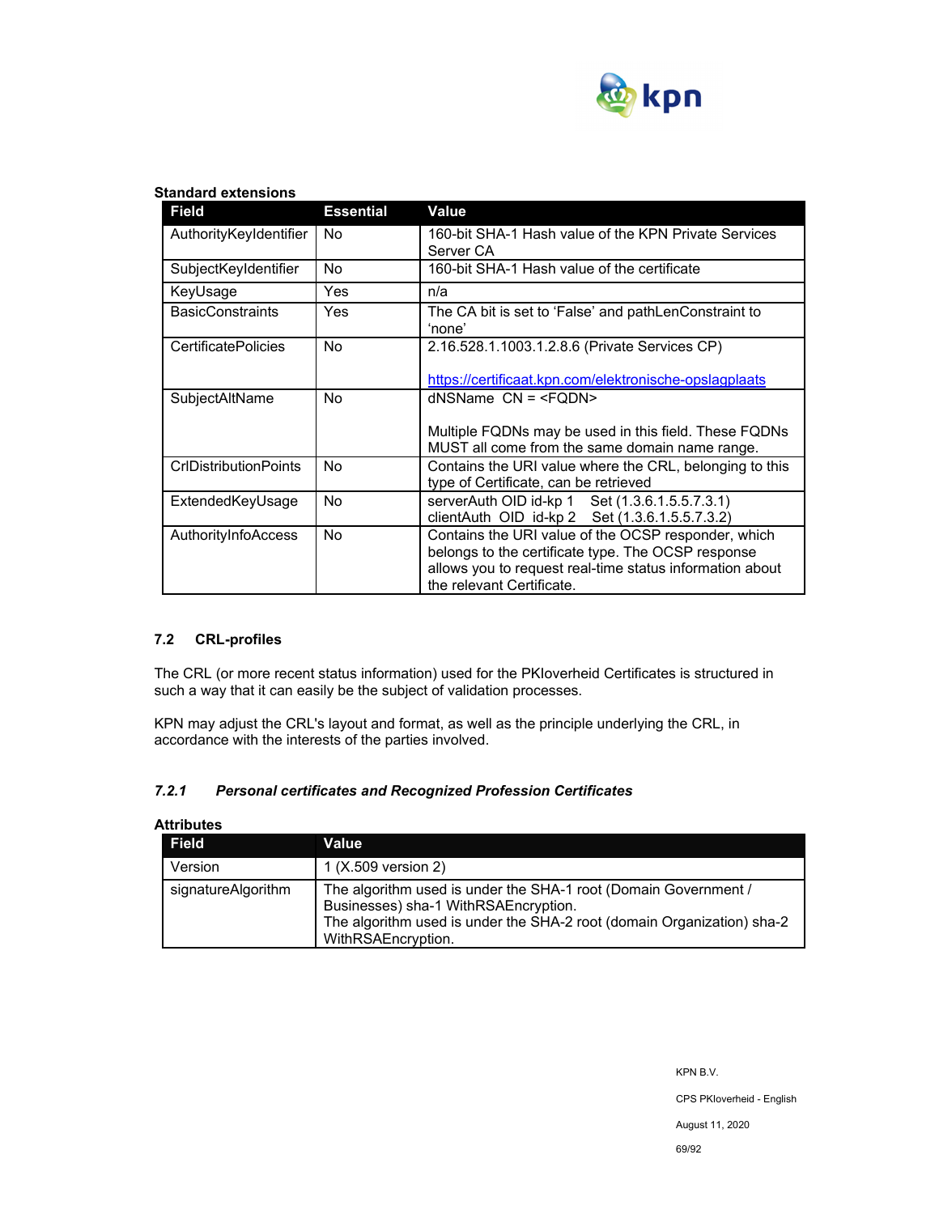

#### **Standard extensions**

| <b>Field</b>               | <b>Essential</b> | Value                                                                                                                                                                                              |
|----------------------------|------------------|----------------------------------------------------------------------------------------------------------------------------------------------------------------------------------------------------|
| AuthorityKeyIdentifier     | No               | 160-bit SHA-1 Hash value of the KPN Private Services<br>Server CA                                                                                                                                  |
| SubjectKeyIdentifier       | No.              | 160-bit SHA-1 Hash value of the certificate                                                                                                                                                        |
| KeyUsage                   | <b>Yes</b>       | n/a                                                                                                                                                                                                |
| <b>BasicConstraints</b>    | Yes.             | The CA bit is set to 'False' and pathLenConstraint to<br>'none'                                                                                                                                    |
| <b>CertificatePolicies</b> | No.              | 2.16.528.1.1003.1.2.8.6 (Private Services CP)                                                                                                                                                      |
|                            |                  | https://certificaat.kpn.com/elektronische-opslagplaats                                                                                                                                             |
| SubjectAltName             | No               | $d$ NSName $CN = $                                                                                                                                                                                 |
|                            |                  | Multiple FQDNs may be used in this field. These FQDNs<br>MUST all come from the same domain name range.                                                                                            |
| CrlDistributionPoints      | No               | Contains the URI value where the CRL, belonging to this<br>type of Certificate, can be retrieved                                                                                                   |
| ExtendedKeyUsage           | No               | serverAuth OID id-kp 1 Set (1.3.6.1.5.5.7.3.1)<br>clientAuth OID id-kp 2 Set (1.3.6.1.5.5.7.3.2)                                                                                                   |
| AuthorityInfoAccess        | No.              | Contains the URI value of the OCSP responder, which<br>belongs to the certificate type. The OCSP response<br>allows you to request real-time status information about<br>the relevant Certificate. |

#### **7.2 CRL-profiles**

The CRL (or more recent status information) used for the PKIoverheid Certificates is structured in such a way that it can easily be the subject of validation processes.

KPN may adjust the CRL's layout and format, as well as the principle underlying the CRL, in accordance with the interests of the parties involved.

#### *7.2.1 Personal certificates and Recognized Profession Certificates*

| <b>Field</b>       | Value                                                                                                                                                                                                   |
|--------------------|---------------------------------------------------------------------------------------------------------------------------------------------------------------------------------------------------------|
| Version            | 1 (X.509 version 2)                                                                                                                                                                                     |
| signatureAlgorithm | The algorithm used is under the SHA-1 root (Domain Government /<br>Businesses) sha-1 WithRSAEncryption.<br>The algorithm used is under the SHA-2 root (domain Organization) sha-2<br>WithRSAEncryption. |

# **Attributes**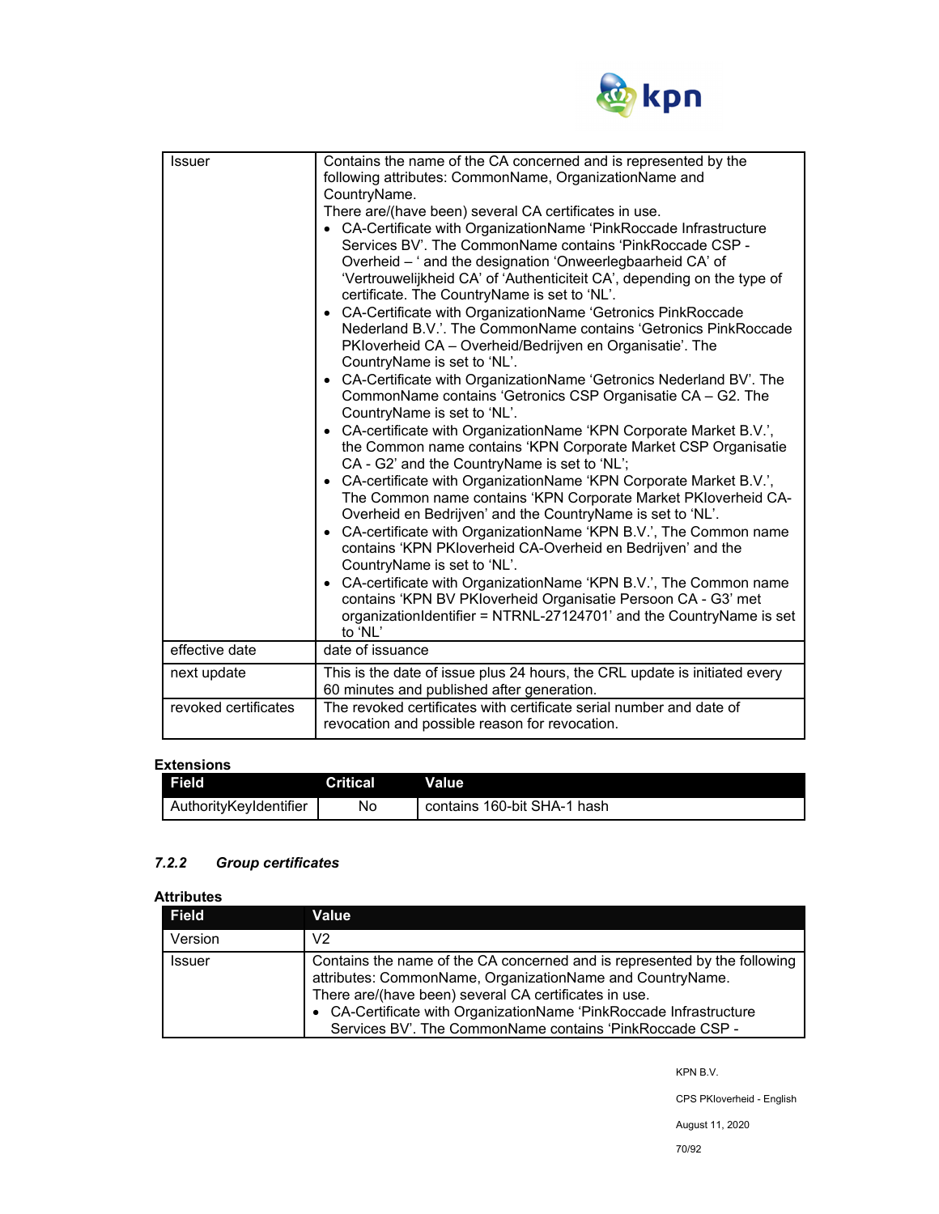

| <b>Issuer</b>        | Contains the name of the CA concerned and is represented by the<br>following attributes: CommonName, OrganizationName and<br>CountryName.<br>There are/(have been) several CA certificates in use.<br>• CA-Certificate with OrganizationName 'PinkRoccade Infrastructure<br>Services BV'. The CommonName contains 'PinkRoccade CSP -<br>Overheid - ' and the designation 'Onweerlegbaarheid CA' of<br>'Vertrouwelijkheid CA' of 'Authenticiteit CA', depending on the type of<br>certificate. The CountryName is set to 'NL'.<br>• CA-Certificate with OrganizationName 'Getronics PinkRoccade<br>Nederland B.V.'. The CommonName contains 'Getronics PinkRoccade<br>PKloverheid CA – Overheid/Bedrijven en Organisatie'. The<br>CountryName is set to 'NL'.<br>• CA-Certificate with OrganizationName 'Getronics Nederland BV'. The<br>CommonName contains 'Getronics CSP Organisatie CA - G2. The<br>CountryName is set to 'NL'.<br>• CA-certificate with OrganizationName 'KPN Corporate Market B.V.',<br>the Common name contains 'KPN Corporate Market CSP Organisatie<br>CA - G2' and the CountryName is set to 'NL';<br>• CA-certificate with OrganizationName 'KPN Corporate Market B.V.',<br>The Common name contains 'KPN Corporate Market PKIoverheid CA-<br>Overheid en Bedrijven' and the CountryName is set to 'NL'. |
|----------------------|------------------------------------------------------------------------------------------------------------------------------------------------------------------------------------------------------------------------------------------------------------------------------------------------------------------------------------------------------------------------------------------------------------------------------------------------------------------------------------------------------------------------------------------------------------------------------------------------------------------------------------------------------------------------------------------------------------------------------------------------------------------------------------------------------------------------------------------------------------------------------------------------------------------------------------------------------------------------------------------------------------------------------------------------------------------------------------------------------------------------------------------------------------------------------------------------------------------------------------------------------------------------------------------------------------------------------------|
|                      | • CA-certificate with OrganizationName 'KPN B.V.', The Common name<br>contains 'KPN PKIoverheid CA-Overheid en Bedrijven' and the<br>CountryName is set to 'NL'.<br>CA-certificate with OrganizationName 'KPN B.V.', The Common name<br>contains 'KPN BV PKloverheid Organisatie Persoon CA - G3' met<br>organizationIdentifier = NTRNL-27124701' and the CountryName is set                                                                                                                                                                                                                                                                                                                                                                                                                                                                                                                                                                                                                                                                                                                                                                                                                                                                                                                                                       |
|                      | to 'NL'                                                                                                                                                                                                                                                                                                                                                                                                                                                                                                                                                                                                                                                                                                                                                                                                                                                                                                                                                                                                                                                                                                                                                                                                                                                                                                                            |
| effective date       | date of issuance                                                                                                                                                                                                                                                                                                                                                                                                                                                                                                                                                                                                                                                                                                                                                                                                                                                                                                                                                                                                                                                                                                                                                                                                                                                                                                                   |
| next update          | This is the date of issue plus 24 hours, the CRL update is initiated every<br>60 minutes and published after generation.                                                                                                                                                                                                                                                                                                                                                                                                                                                                                                                                                                                                                                                                                                                                                                                                                                                                                                                                                                                                                                                                                                                                                                                                           |
| revoked certificates | The revoked certificates with certificate serial number and date of<br>revocation and possible reason for revocation.                                                                                                                                                                                                                                                                                                                                                                                                                                                                                                                                                                                                                                                                                                                                                                                                                                                                                                                                                                                                                                                                                                                                                                                                              |

## **Extensions**

| <b>Field</b>           | Critical | Value                       |
|------------------------|----------|-----------------------------|
| AuthorityKeyIdentifier | No       | contains 160-bit SHA-1 hash |

# *7.2.2 Group certificates*

# **Attributes**

| <b>Field</b>  | Value                                                                                                                                                                                                                                                                                                                             |
|---------------|-----------------------------------------------------------------------------------------------------------------------------------------------------------------------------------------------------------------------------------------------------------------------------------------------------------------------------------|
| Version       | V2                                                                                                                                                                                                                                                                                                                                |
| <b>Issuer</b> | Contains the name of the CA concerned and is represented by the following<br>attributes: CommonName, OrganizationName and CountryName.<br>There are/(have been) several CA certificates in use.<br>• CA-Certificate with OrganizationName 'PinkRoccade Infrastructure<br>Services BV'. The CommonName contains 'PinkRoccade CSP - |

KPN B.V.

CPS PKIoverheid - English

August 11, 2020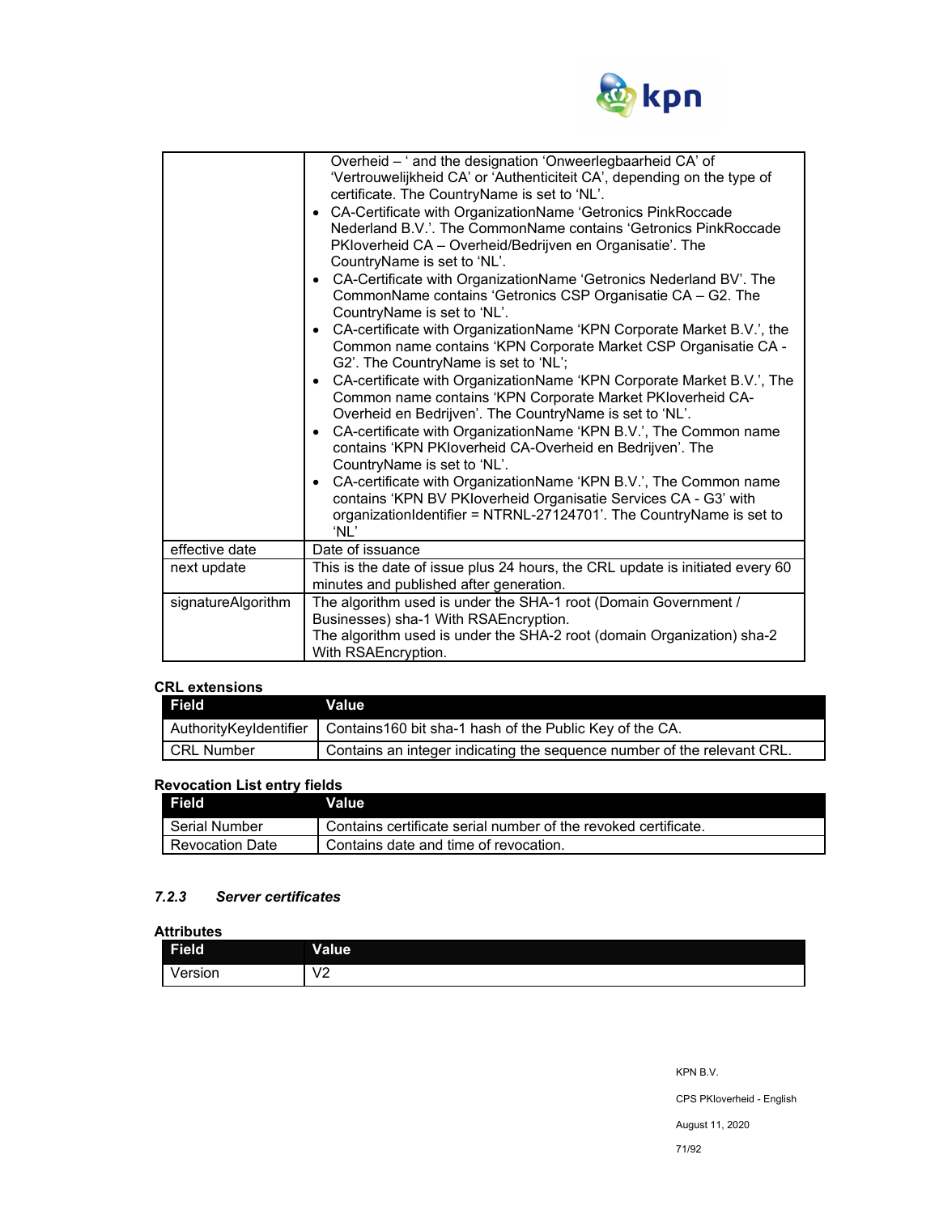

|                    | Overheid - ' and the designation 'Onweerlegbaarheid CA' of<br>'Vertrouwelijkheid CA' or 'Authenticiteit CA', depending on the type of<br>certificate. The CountryName is set to 'NL'.<br>• CA-Certificate with OrganizationName 'Getronics PinkRoccade<br>Nederland B.V.'. The CommonName contains 'Getronics PinkRoccade<br>PKloverheid CA - Overheid/Bedrijven en Organisatie'. The<br>CountryName is set to 'NL'.<br>• CA-Certificate with OrganizationName 'Getronics Nederland BV'. The<br>CommonName contains 'Getronics CSP Organisatie CA - G2. The<br>CountryName is set to 'NL'.<br>• CA-certificate with OrganizationName 'KPN Corporate Market B.V.', the<br>Common name contains 'KPN Corporate Market CSP Organisatie CA -<br>G2'. The CountryName is set to 'NL';<br>• CA-certificate with OrganizationName 'KPN Corporate Market B.V.', The<br>Common name contains 'KPN Corporate Market PKIoverheid CA-<br>Overheid en Bedrijven'. The CountryName is set to 'NL'.<br>CA-certificate with OrganizationName 'KPN B.V.', The Common name<br>$\bullet$<br>contains 'KPN PKIoverheid CA-Overheid en Bedrijven'. The<br>CountryName is set to 'NL'.<br>CA-certificate with OrganizationName 'KPN B.V.', The Common name<br>$\bullet$<br>contains 'KPN BV PKIoverheid Organisatie Services CA - G3' with<br>organizationIdentifier = NTRNL-27124701'. The CountryName is set to<br>'NL' |
|--------------------|-----------------------------------------------------------------------------------------------------------------------------------------------------------------------------------------------------------------------------------------------------------------------------------------------------------------------------------------------------------------------------------------------------------------------------------------------------------------------------------------------------------------------------------------------------------------------------------------------------------------------------------------------------------------------------------------------------------------------------------------------------------------------------------------------------------------------------------------------------------------------------------------------------------------------------------------------------------------------------------------------------------------------------------------------------------------------------------------------------------------------------------------------------------------------------------------------------------------------------------------------------------------------------------------------------------------------------------------------------------------------------------------------------|
| effective date     | Date of issuance                                                                                                                                                                                                                                                                                                                                                                                                                                                                                                                                                                                                                                                                                                                                                                                                                                                                                                                                                                                                                                                                                                                                                                                                                                                                                                                                                                                    |
| next update        | This is the date of issue plus 24 hours, the CRL update is initiated every 60<br>minutes and published after generation.                                                                                                                                                                                                                                                                                                                                                                                                                                                                                                                                                                                                                                                                                                                                                                                                                                                                                                                                                                                                                                                                                                                                                                                                                                                                            |
| signatureAlgorithm | The algorithm used is under the SHA-1 root (Domain Government /<br>Businesses) sha-1 With RSAEncryption.<br>The algorithm used is under the SHA-2 root (domain Organization) sha-2<br>With RSAEncryption.                                                                                                                                                                                                                                                                                                                                                                                                                                                                                                                                                                                                                                                                                                                                                                                                                                                                                                                                                                                                                                                                                                                                                                                           |

# **CRL extensions**

| <b>Field</b>           | <b>Value</b>                                                            |
|------------------------|-------------------------------------------------------------------------|
| AuthorityKeyIdentifier | Contains 160 bit sha-1 hash of the Public Key of the CA.                |
| <b>I</b> CRL Number    | Contains an integer indicating the sequence number of the relevant CRL. |

# **Revocation List entry fields**

| <b>Field</b>    | Value                                                          |
|-----------------|----------------------------------------------------------------|
| Serial Number   | Contains certificate serial number of the revoked certificate. |
| Revocation Date | Contains date and time of revocation.                          |

# *7.2.3 Server certificates*

## **Attributes**

| <b>Field</b> | <b>Value</b>              |
|--------------|---------------------------|
| ersion/      | $\sqrt{2}$<br>v<br>◡<br>- |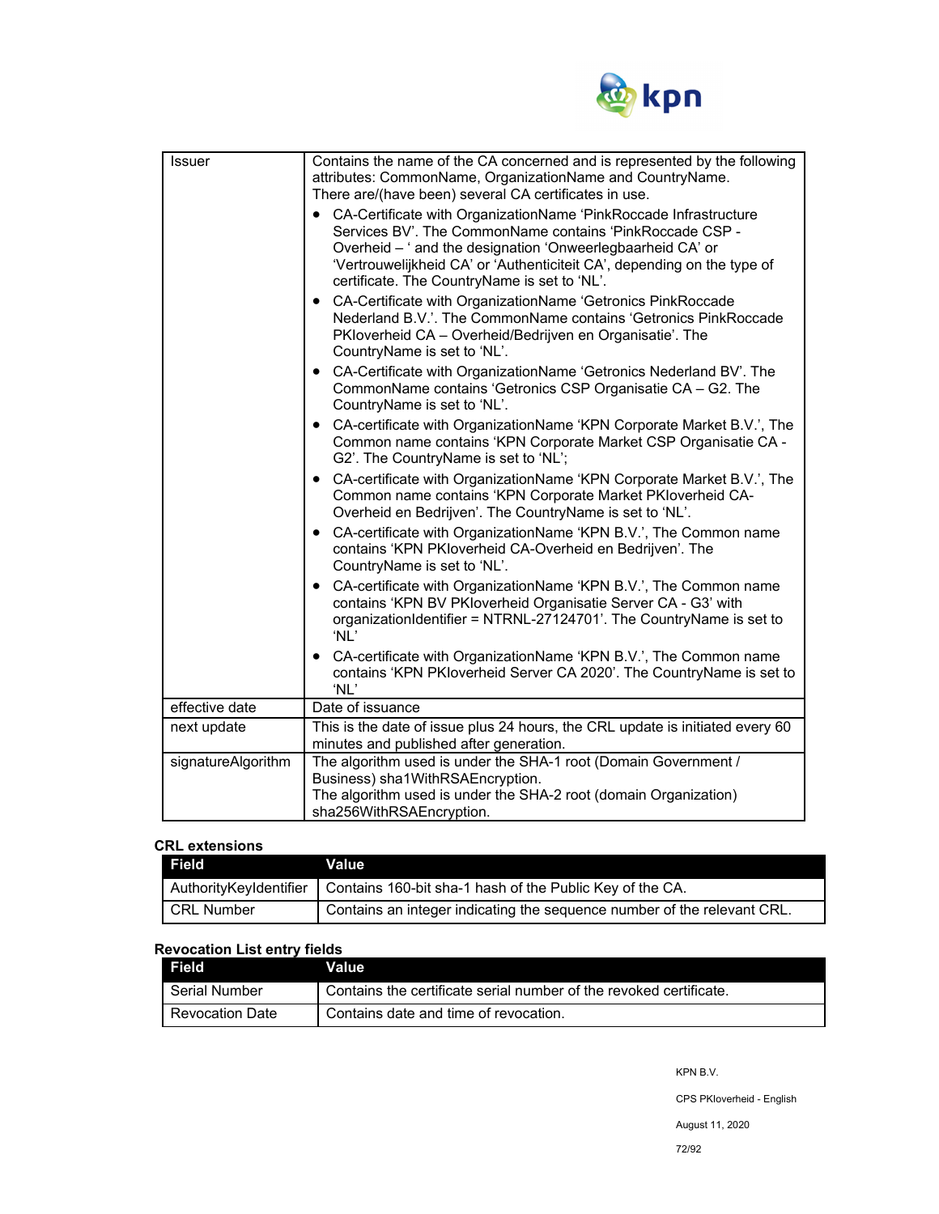

| Contains the name of the CA concerned and is represented by the following<br>attributes: CommonName, OrganizationName and CountryName.                                                                     |  |
|------------------------------------------------------------------------------------------------------------------------------------------------------------------------------------------------------------|--|
| CA-Certificate with OrganizationName 'PinkRoccade Infrastructure<br>Services BV'. The CommonName contains 'PinkRoccade CSP -<br>'Vertrouwelijkheid CA' or 'Authenticiteit CA', depending on the type of    |  |
| CA-Certificate with OrganizationName 'Getronics PinkRoccade<br>Nederland B.V.'. The CommonName contains 'Getronics PinkRoccade                                                                             |  |
| CA-Certificate with OrganizationName 'Getronics Nederland BV'. The<br>CommonName contains 'Getronics CSP Organisatie CA - G2. The                                                                          |  |
| • CA-certificate with OrganizationName 'KPN Corporate Market B.V.', The<br>Common name contains 'KPN Corporate Market CSP Organisatie CA -                                                                 |  |
| • CA-certificate with OrganizationName 'KPN Corporate Market B.V.', The<br>Common name contains 'KPN Corporate Market PKIoverheid CA-                                                                      |  |
| CA-certificate with OrganizationName 'KPN B.V.', The Common name                                                                                                                                           |  |
| • CA-certificate with OrganizationName 'KPN B.V.', The Common name<br>contains 'KPN BV PKIoverheid Organisatie Server CA - G3' with<br>organizationIdentifier = NTRNL-27124701'. The CountryName is set to |  |
| CA-certificate with OrganizationName 'KPN B.V.', The Common name<br>contains 'KPN PKIoverheid Server CA 2020'. The CountryName is set to                                                                   |  |
|                                                                                                                                                                                                            |  |
| This is the date of issue plus 24 hours, the CRL update is initiated every 60<br>minutes and published after generation.                                                                                   |  |
| The algorithm used is under the SHA-1 root (Domain Government /<br>The algorithm used is under the SHA-2 root (domain Organization)                                                                        |  |
|                                                                                                                                                                                                            |  |

#### **CRL extensions**

| <b>Field</b>                  | Value                                                                   |
|-------------------------------|-------------------------------------------------------------------------|
| <b>AuthorityKeyIdentifier</b> | Contains 160-bit sha-1 hash of the Public Key of the CA.                |
| <b>CRL Number</b>             | Contains an integer indicating the sequence number of the relevant CRL. |

# **Revocation List entry fields**

| <b>Field</b>    | Value                                                              |
|-----------------|--------------------------------------------------------------------|
| I Serial Number | Contains the certificate serial number of the revoked certificate. |
| Revocation Date | Contains date and time of revocation.                              |

KPN B.V.

CPS PKIoverheid - English

August 11, 2020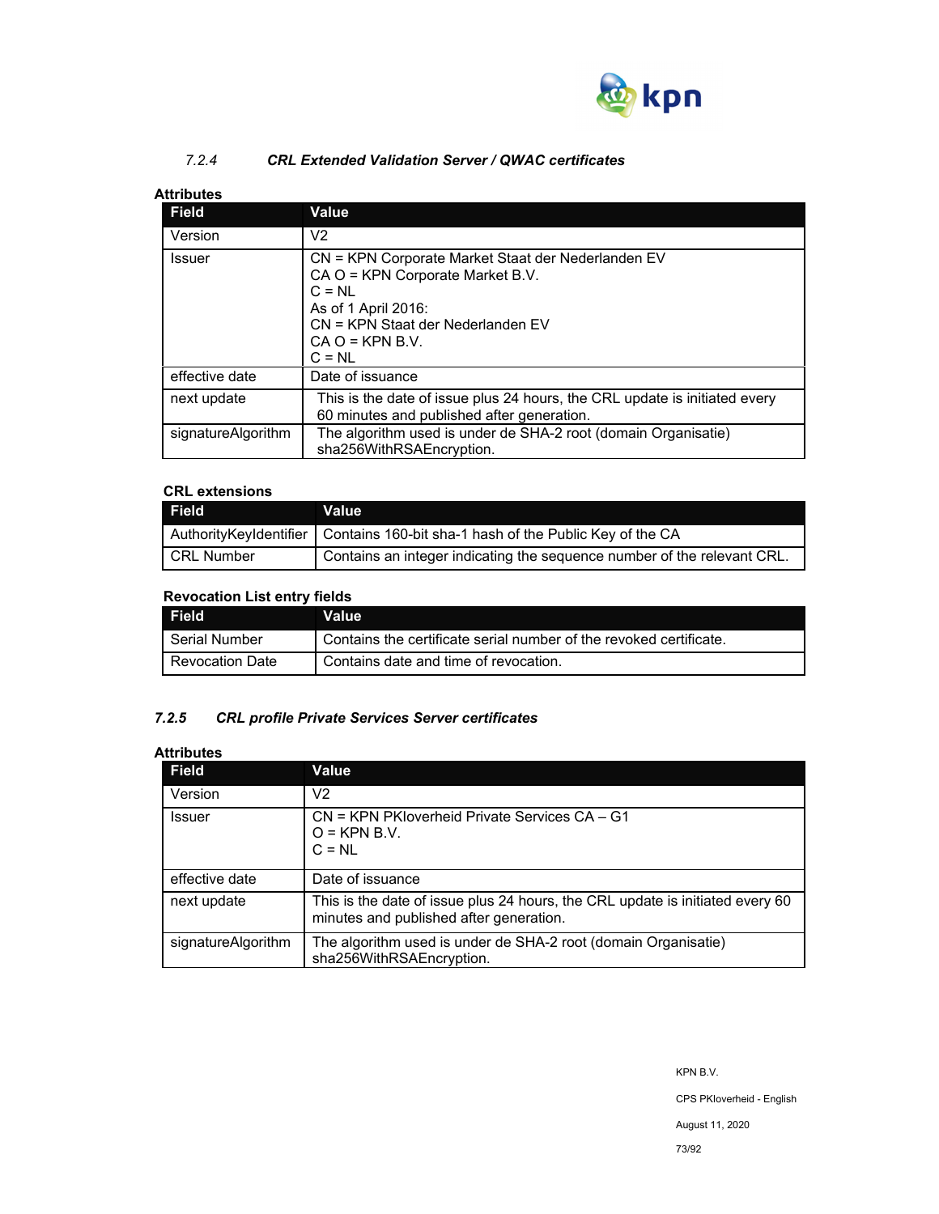

## *7.2.4 CRL Extended Validation Server / QWAC certificates*

## **Attributes**

| Field              | <b>Value</b>                                                                                                                                                                                    |
|--------------------|-------------------------------------------------------------------------------------------------------------------------------------------------------------------------------------------------|
| Version            | V <sub>2</sub>                                                                                                                                                                                  |
| Issuer             | CN = KPN Corporate Market Staat der Nederlanden EV<br>CA O = KPN Corporate Market B.V.<br>$C = NI$<br>As of 1 April 2016:<br>CN = KPN Staat der Nederlanden EV<br>$CA O = KPN B.V.$<br>$C = NL$ |
| effective date     | Date of issuance                                                                                                                                                                                |
| next update        | This is the date of issue plus 24 hours, the CRL update is initiated every<br>60 minutes and published after generation.                                                                        |
| signatureAlgorithm | The algorithm used is under de SHA-2 root (domain Organisatie)<br>sha256WithRSAEncryption.                                                                                                      |

## **CRL extensions**

| Field             | <b>Value</b>                                                                     |
|-------------------|----------------------------------------------------------------------------------|
|                   | AuthorityKeyIdentifier   Contains 160-bit sha-1 hash of the Public Key of the CA |
| <b>CRL Number</b> | Contains an integer indicating the sequence number of the relevant CRL.          |

## **Revocation List entry fields**

| <b>Field</b>           | <b>Value</b>                                                       |
|------------------------|--------------------------------------------------------------------|
| Serial Number          | Contains the certificate serial number of the revoked certificate. |
| <b>Revocation Date</b> | Contains date and time of revocation.                              |

## *7.2.5 CRL profile Private Services Server certificates*

## **Attributes**

| <b>Field</b>       | Value                                                                                                                    |
|--------------------|--------------------------------------------------------------------------------------------------------------------------|
| Version            | V2                                                                                                                       |
| Issuer             | CN = KPN PKloverheid Private Services CA - G1<br>$O =$ KPN B.V.<br>$C = NI$                                              |
| effective date     | Date of issuance                                                                                                         |
| next update        | This is the date of issue plus 24 hours, the CRL update is initiated every 60<br>minutes and published after generation. |
| signatureAlgorithm | The algorithm used is under de SHA-2 root (domain Organisatie)<br>sha256WithRSAEncryption.                               |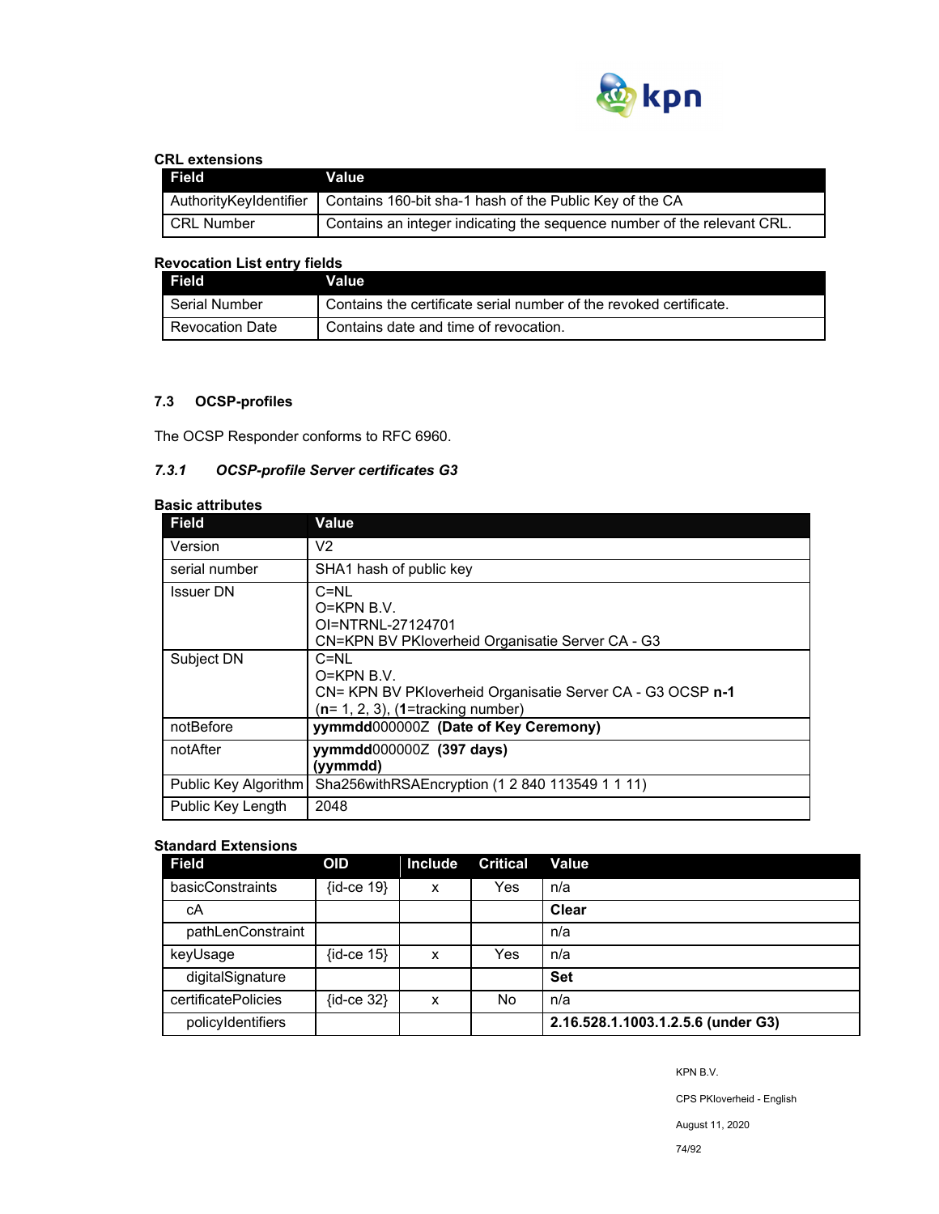

#### **CRL extensions**

| Field                  | Value                                                                   |
|------------------------|-------------------------------------------------------------------------|
| AuthorityKeyIdentifier | Contains 160-bit sha-1 hash of the Public Key of the CA                 |
| CRL Number             | Contains an integer indicating the sequence number of the relevant CRL. |

## **Revocation List entry fields**

| <b>Field</b>           | Value'                                                             |
|------------------------|--------------------------------------------------------------------|
| Serial Number          | Contains the certificate serial number of the revoked certificate. |
| <b>Revocation Date</b> | Contains date and time of revocation.                              |

## **7.3 OCSP-profiles**

The OCSP Responder conforms to RFC 6960.

## *7.3.1 OCSP-profile Server certificates G3*

| <b>Basic attributes</b> |                                                                                                                              |  |  |  |
|-------------------------|------------------------------------------------------------------------------------------------------------------------------|--|--|--|
| <b>Field</b>            | Value                                                                                                                        |  |  |  |
| Version                 | V2                                                                                                                           |  |  |  |
| serial number           | SHA1 hash of public key                                                                                                      |  |  |  |
| <b>Issuer DN</b>        | $C=NI$<br>$O=KPN$ B.V.<br>OI=NTRNL-27124701<br>CN=KPN BV PKIoverheid Organisatie Server CA - G3                              |  |  |  |
| Subject DN              | $C=NI$<br>O=KPN B.V.<br>CN= KPN BV PKloverheid Organisatie Server CA - G3 OCSP n-1<br>$(n=1, 2, 3)$ , $(1=$ tracking number) |  |  |  |
| notBefore               | yymmdd0000002 (Date of Key Ceremony)                                                                                         |  |  |  |
| notAfter                | yymmdd0000002 (397 days)<br>(yymmdd)                                                                                         |  |  |  |
| Public Key Algorithm    | Sha256withRSAEncryption (1 2 840 113549 1 1 11)                                                                              |  |  |  |
| Public Key Length       | 2048                                                                                                                         |  |  |  |

## **Standard Extensions**

| <b>Field</b>        | <b>OID</b>     | <b>Include</b> | <b>Critical</b> | Value                              |
|---------------------|----------------|----------------|-----------------|------------------------------------|
| basicConstraints    | $\{id-ce 19\}$ | X              | Yes             | n/a                                |
| cА                  |                |                |                 | Clear                              |
| pathLenConstraint   |                |                |                 | n/a                                |
| keyUsage            | $\{id-ce 15\}$ | x              | Yes             | n/a                                |
| digitalSignature    |                |                |                 | <b>Set</b>                         |
| certificatePolicies | $\{id-ce 32\}$ | x              | No              | n/a                                |
| policyIdentifiers   |                |                |                 | 2.16.528.1.1003.1.2.5.6 (under G3) |

KPN B.V.

CPS PKIoverheid - English

August 11, 2020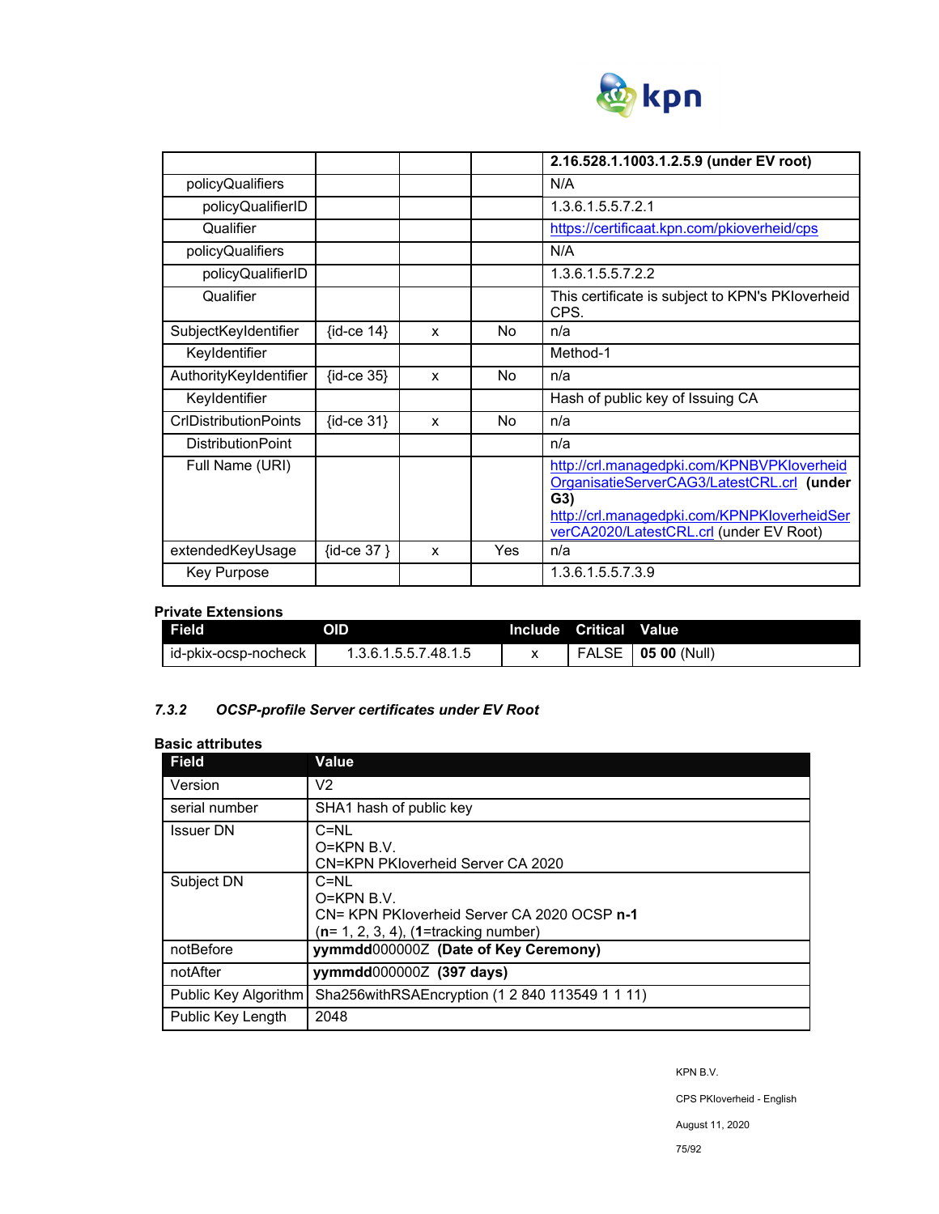

|                              |                |   |           | 2.16.528.1.1003.1.2.5.9 (under EV root)                                                                                                                                                   |
|------------------------------|----------------|---|-----------|-------------------------------------------------------------------------------------------------------------------------------------------------------------------------------------------|
| policyQualifiers             |                |   |           | N/A                                                                                                                                                                                       |
| policyQualifierID            |                |   |           | 1.3.6.1.5.5.7.2.1                                                                                                                                                                         |
| Qualifier                    |                |   |           | https://certificaat.kpn.com/pkioverheid/cps                                                                                                                                               |
| policyQualifiers             |                |   |           | N/A                                                                                                                                                                                       |
| policyQualifierID            |                |   |           | 1.3.6.1.5.5.7.2.2                                                                                                                                                                         |
| Qualifier                    |                |   |           | This certificate is subject to KPN's PKloverheid<br>CPS.                                                                                                                                  |
| SubjectKeyIdentifier         | $\{id-ce 14\}$ | X | No        | n/a                                                                                                                                                                                       |
| Keyldentifier                |                |   |           | Method-1                                                                                                                                                                                  |
| AuthorityKeyIdentifier       | $\{id-ce 35\}$ | X | No        | n/a                                                                                                                                                                                       |
| Keyldentifier                |                |   |           | Hash of public key of Issuing CA                                                                                                                                                          |
| <b>CrIDistributionPoints</b> | $\{id-ce 31\}$ | x | <b>No</b> | n/a                                                                                                                                                                                       |
| <b>DistributionPoint</b>     |                |   |           | n/a                                                                                                                                                                                       |
| Full Name (URI)              |                |   |           | http://crl.managedpki.com/KPNBVPKloverheid<br>OrganisatieServerCAG3/LatestCRL.crl (under<br>G3)<br>http://crl.managedpki.com/KPNPKloverheidSer<br>verCA2020/LatestCRL.crl (under EV Root) |
| extendedKeyUsage             | {id-ce 37 }    | X | Yes       | n/a                                                                                                                                                                                       |
| Key Purpose                  |                |   |           | 1.3.6.1.5.5.7.3.9                                                                                                                                                                         |

### **Private Extensions**

| <b>Field</b>         | OID                  | Include Critical | <b>Value</b>         |
|----------------------|----------------------|------------------|----------------------|
| id-pkix-ocsp-nocheck | 1.3.6.1.5.5.7.48.1.5 | <b>FALSE</b>     | $\vert$ 05 00 (Null) |

## *7.3.2 OCSP-profile Server certificates under EV Root*

| <b>Basic attributes</b> |
|-------------------------|
|                         |

| <b>Field</b>         | Value                                                                                                               |
|----------------------|---------------------------------------------------------------------------------------------------------------------|
| Version              | V2                                                                                                                  |
| serial number        | SHA1 hash of public key                                                                                             |
| <b>Issuer DN</b>     | $C=NU$<br>$O=KPN B.V.$<br>CN=KPN PKloverheid Server CA 2020                                                         |
| Subject DN           | $C=NU$<br>$O=KPN B.V.$<br>CN= KPN PKloverheid Server CA 2020 OCSP n-1<br>$(n= 1, 2, 3, 4)$ , $(1=$ tracking number) |
| notBefore            | yymmdd0000002 (Date of Key Ceremony)                                                                                |
| notAfter             | vymmdd0000002 (397 days)                                                                                            |
| Public Key Algorithm | Sha256withRSAEncryption (1 2 840 113549 1 1 11)                                                                     |
| Public Key Length    | 2048                                                                                                                |

KPN B.V.

CPS PKIoverheid - English

August 11, 2020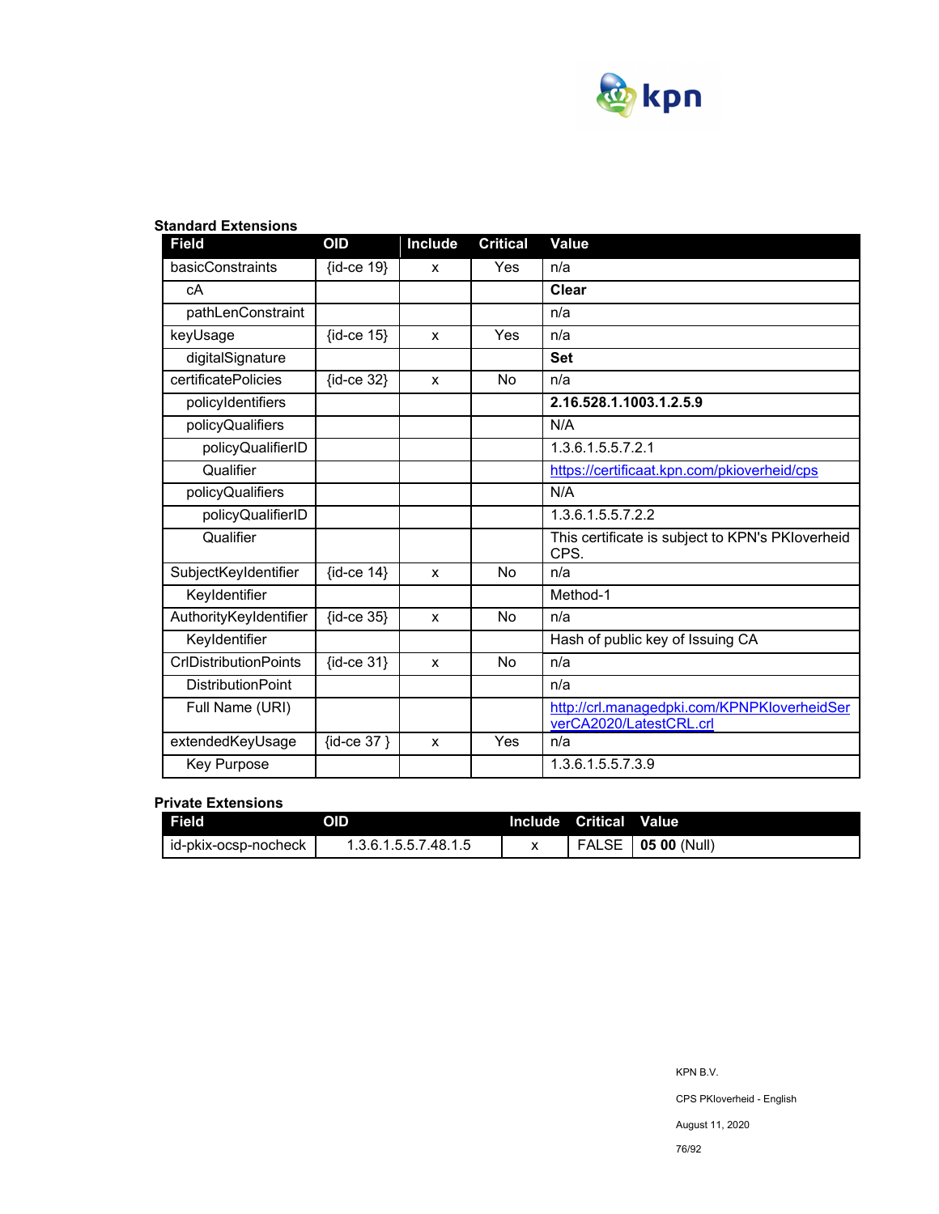

| <b>Field</b>                 | OID                | <b>Include</b> | <b>Critical</b> | <b>Value</b>                                                           |
|------------------------------|--------------------|----------------|-----------------|------------------------------------------------------------------------|
| basicConstraints             | $\{id-ce 19\}$     | X              | Yes             | n/a                                                                    |
| cA                           |                    |                |                 | Clear                                                                  |
| pathLenConstraint            |                    |                |                 | n/a                                                                    |
| keyUsage                     | $\{id-ce 15\}$     | X              | Yes             | n/a                                                                    |
| digitalSignature             |                    |                |                 | <b>Set</b>                                                             |
| certificatePolicies          | $\{id-ce 32\}$     | X              | <b>No</b>       | n/a                                                                    |
| policyIdentifiers            |                    |                |                 | 2.16.528.1.1003.1.2.5.9                                                |
| policyQualifiers             |                    |                |                 | N/A                                                                    |
| policyQualifierID            |                    |                |                 | 1.3.6.1.5.5.7.2.1                                                      |
| Qualifier                    |                    |                |                 | https://certificaat.kpn.com/pkioverheid/cps                            |
| policyQualifiers             |                    |                |                 | N/A                                                                    |
| policyQualifierID            |                    |                |                 | 1.3.6.1.5.5.7.2.2                                                      |
| Qualifier                    |                    |                |                 | This certificate is subject to KPN's PKIoverheid<br>CPS.               |
| SubjectKeyIdentifier         | $\{id-ce 14\}$     | X              | No              | n/a                                                                    |
| Keyldentifier                |                    |                |                 | Method-1                                                               |
| AuthorityKeyIdentifier       | $\{id$ -ce 35 $\}$ | X              | No              | n/a                                                                    |
| Keyldentifier                |                    |                |                 | Hash of public key of Issuing CA                                       |
| <b>CrIDistributionPoints</b> | $\{id-ce 31\}$     | X              | No              | n/a                                                                    |
| <b>DistributionPoint</b>     |                    |                |                 | n/a                                                                    |
| Full Name (URI)              |                    |                |                 | http://crl.managedpki.com/KPNPKloverheidSer<br>verCA2020/LatestCRL.crl |
| extendedKeyUsage             | {id-ce 37 }        | X              | Yes             | n/a                                                                    |
| Key Purpose                  |                    |                |                 | 1.3.6.1.5.5.7.3.9                                                      |

## **Standard Extensions**

## **Private Extensions**

| Field                | OID                  | Include Critical | <b>Value</b>         |
|----------------------|----------------------|------------------|----------------------|
| id-pkix-ocsp-nocheck | 1.3.6.1.5.5.7.48.1.5 |                  | FALSE   05 00 (Null) |

76/92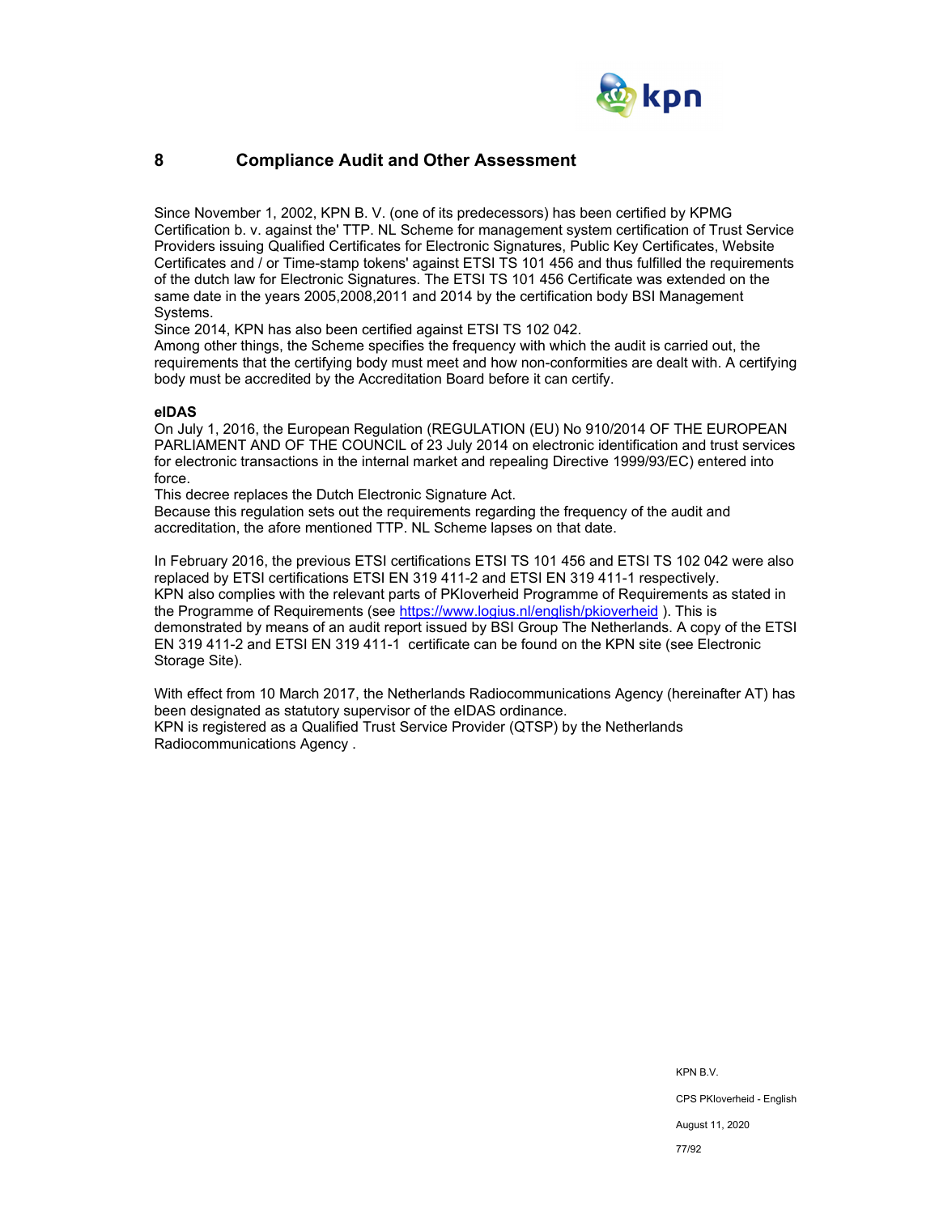

## **8 Compliance Audit and Other Assessment**

Since November 1, 2002, KPN B. V. (one of its predecessors) has been certified by KPMG Certification b. v. against the' TTP. NL Scheme for management system certification of Trust Service Providers issuing Qualified Certificates for Electronic Signatures, Public Key Certificates, Website Certificates and / or Time-stamp tokens' against ETSI TS 101 456 and thus fulfilled the requirements of the dutch law for Electronic Signatures. The ETSI TS 101 456 Certificate was extended on the same date in the years 2005,2008,2011 and 2014 by the certification body BSI Management Systems.

Since 2014, KPN has also been certified against ETSI TS 102 042.

Among other things, the Scheme specifies the frequency with which the audit is carried out, the requirements that the certifying body must meet and how non-conformities are dealt with. A certifying body must be accredited by the Accreditation Board before it can certify.

#### **eIDAS**

On July 1, 2016, the European Regulation (REGULATION (EU) No 910/2014 OF THE EUROPEAN PARLIAMENT AND OF THE COUNCIL of 23 July 2014 on electronic identification and trust services for electronic transactions in the internal market and repealing Directive 1999/93/EC) entered into force.

This decree replaces the Dutch Electronic Signature Act.

Because this regulation sets out the requirements regarding the frequency of the audit and accreditation, the afore mentioned TTP. NL Scheme lapses on that date.

In February 2016, the previous ETSI certifications ETSI TS 101 456 and ETSI TS 102 042 were also replaced by ETSI certifications ETSI EN 319 411-2 and ETSI EN 319 411-1 respectively. KPN also complies with the relevant parts of PKIoverheid Programme of Requirements as stated in the Programme of Requirements (see https://www.logius.nl/english/pkioverheid ). This is demonstrated by means of an audit report issued by BSI Group The Netherlands. A copy of the ETSI EN 319 411-2 and ETSI EN 319 411-1 certificate can be found on the KPN site (see Electronic Storage Site).

With effect from 10 March 2017, the Netherlands Radiocommunications Agency (hereinafter AT) has been designated as statutory supervisor of the eIDAS ordinance. KPN is registered as a Qualified Trust Service Provider (QTSP) by the Netherlands Radiocommunications Agency .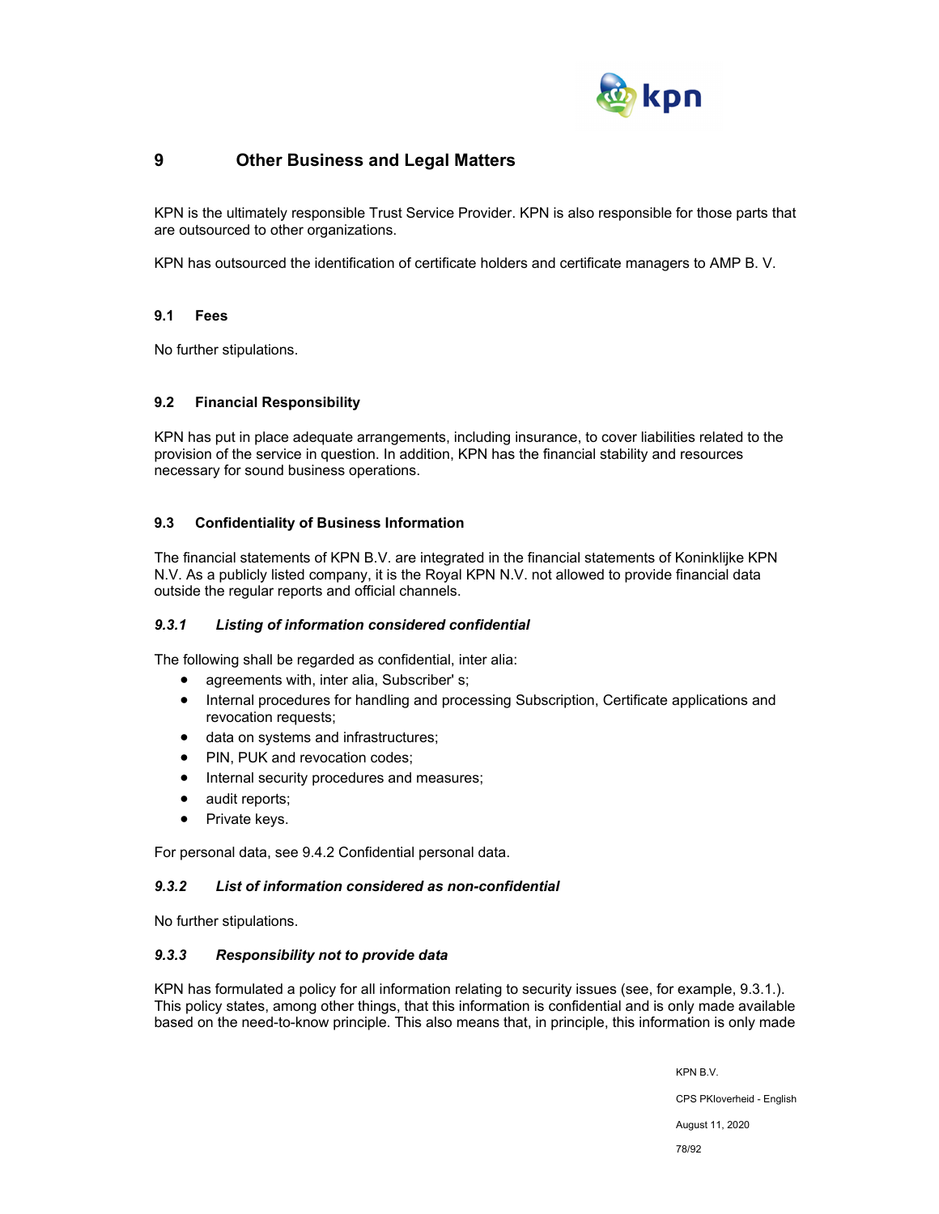

## **9 Other Business and Legal Matters**

KPN is the ultimately responsible Trust Service Provider. KPN is also responsible for those parts that are outsourced to other organizations.

KPN has outsourced the identification of certificate holders and certificate managers to AMP B. V.

## **9.1 Fees**

No further stipulations.

## **9.2 Financial Responsibility**

KPN has put in place adequate arrangements, including insurance, to cover liabilities related to the provision of the service in question. In addition, KPN has the financial stability and resources necessary for sound business operations.

## **9.3 Confidentiality of Business Information**

The financial statements of KPN B.V. are integrated in the financial statements of Koninklijke KPN N.V. As a publicly listed company, it is the Royal KPN N.V. not allowed to provide financial data outside the regular reports and official channels.

## *9.3.1 Listing of information considered confidential*

The following shall be regarded as confidential, inter alia:

- agreements with, inter alia, Subscriber' s;
- Internal procedures for handling and processing Subscription, Certificate applications and revocation requests;
- data on systems and infrastructures;
- PIN, PUK and revocation codes;
- Internal security procedures and measures;
- audit reports;
- Private keys.

For personal data, see 9.4.2 Confidential personal data.

#### *9.3.2 List of information considered as non-confidential*

No further stipulations.

#### *9.3.3 Responsibility not to provide data*

KPN has formulated a policy for all information relating to security issues (see, for example, 9.3.1.). This policy states, among other things, that this information is confidential and is only made available based on the need-to-know principle. This also means that, in principle, this information is only made

KPN B.V.

CPS PKIoverheid - English

August 11, 2020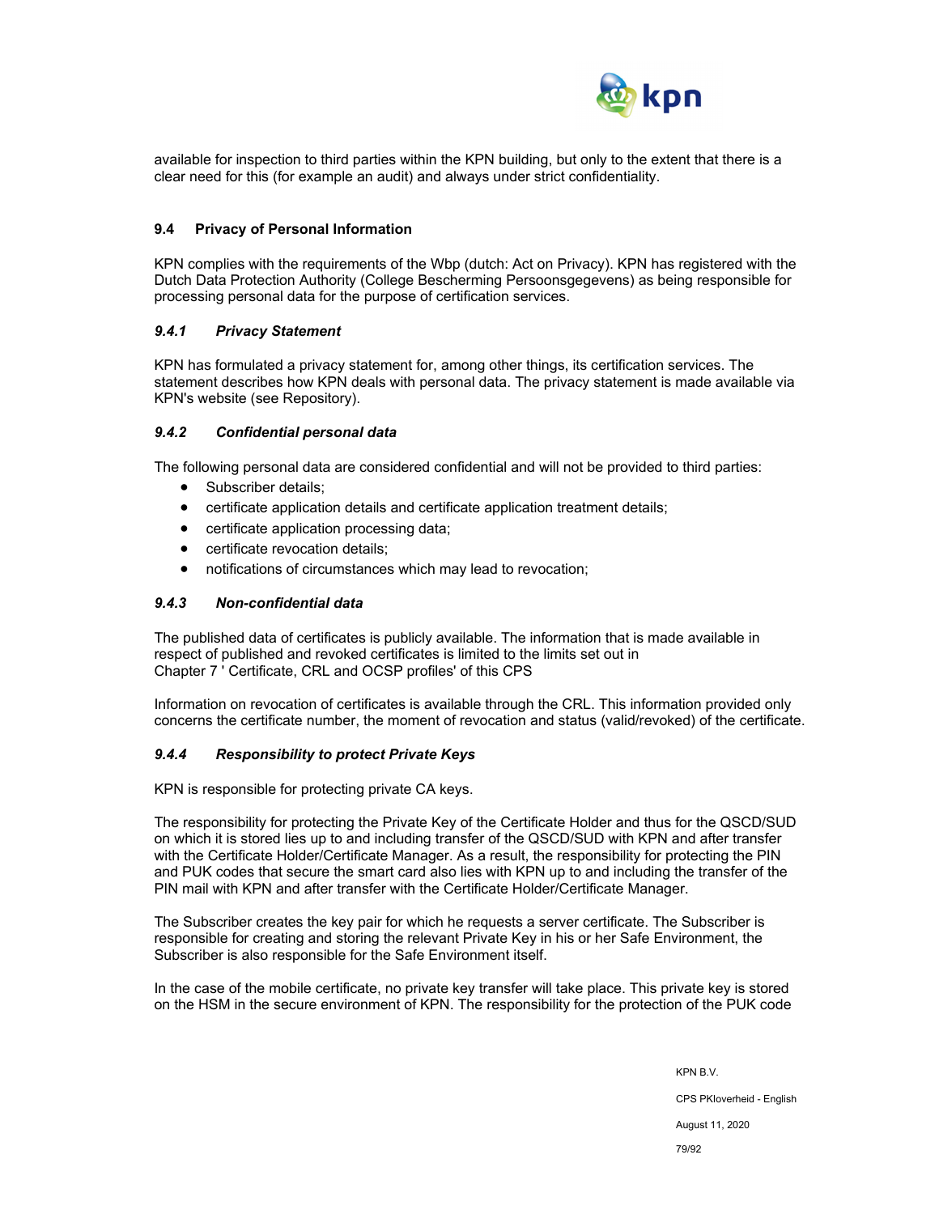

available for inspection to third parties within the KPN building, but only to the extent that there is a clear need for this (for example an audit) and always under strict confidentiality.

#### **9.4 Privacy of Personal Information**

KPN complies with the requirements of the Wbp (dutch: Act on Privacy). KPN has registered with the Dutch Data Protection Authority (College Bescherming Persoonsgegevens) as being responsible for processing personal data for the purpose of certification services.

#### *9.4.1 Privacy Statement*

KPN has formulated a privacy statement for, among other things, its certification services. The statement describes how KPN deals with personal data. The privacy statement is made available via KPN's website (see Repository).

#### *9.4.2 Confidential personal data*

The following personal data are considered confidential and will not be provided to third parties:

- Subscriber details:
- certificate application details and certificate application treatment details;
- certificate application processing data;
- certificate revocation details;
- notifications of circumstances which may lead to revocation;

#### *9.4.3 Non-confidential data*

The published data of certificates is publicly available. The information that is made available in respect of published and revoked certificates is limited to the limits set out in Chapter 7 ' Certificate, CRL and OCSP profiles' of this CPS

Information on revocation of certificates is available through the CRL. This information provided only concerns the certificate number, the moment of revocation and status (valid/revoked) of the certificate.

#### *9.4.4 Responsibility to protect Private Keys*

KPN is responsible for protecting private CA keys.

The responsibility for protecting the Private Key of the Certificate Holder and thus for the QSCD/SUD on which it is stored lies up to and including transfer of the QSCD/SUD with KPN and after transfer with the Certificate Holder/Certificate Manager. As a result, the responsibility for protecting the PIN and PUK codes that secure the smart card also lies with KPN up to and including the transfer of the PIN mail with KPN and after transfer with the Certificate Holder/Certificate Manager.

The Subscriber creates the key pair for which he requests a server certificate. The Subscriber is responsible for creating and storing the relevant Private Key in his or her Safe Environment, the Subscriber is also responsible for the Safe Environment itself.

In the case of the mobile certificate, no private key transfer will take place. This private key is stored on the HSM in the secure environment of KPN. The responsibility for the protection of the PUK code

> KPN B.V. CPS PKIoverheid - English August 11, 2020 79/92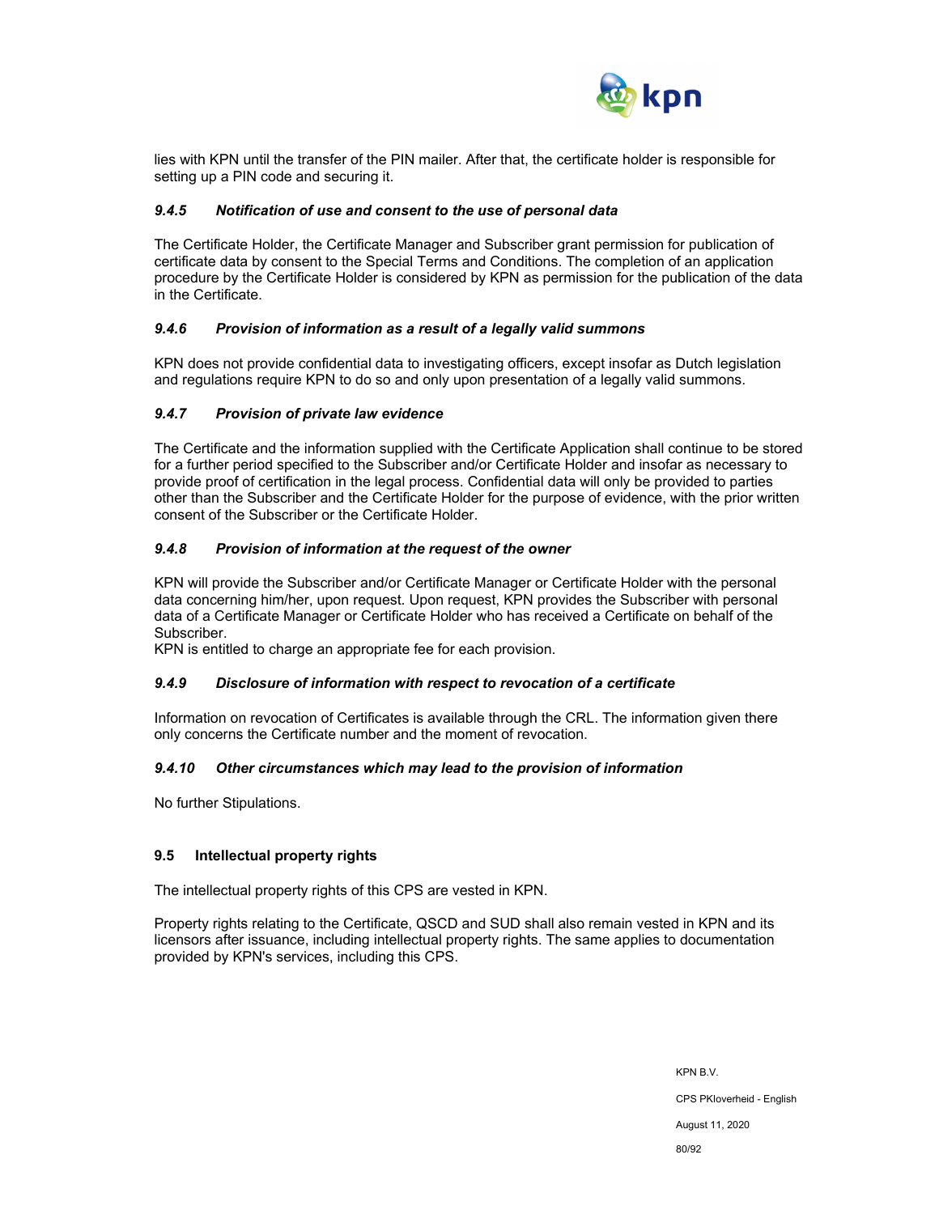

lies with KPN until the transfer of the PIN mailer. After that, the certificate holder is responsible for setting up a PIN code and securing it.

### *9.4.5 Notification of use and consent to the use of personal data*

The Certificate Holder, the Certificate Manager and Subscriber grant permission for publication of certificate data by consent to the Special Terms and Conditions. The completion of an application procedure by the Certificate Holder is considered by KPN as permission for the publication of the data in the Certificate.

#### *9.4.6 Provision of information as a result of a legally valid summons*

KPN does not provide confidential data to investigating officers, except insofar as Dutch legislation and regulations require KPN to do so and only upon presentation of a legally valid summons.

#### *9.4.7 Provision of private law evidence*

The Certificate and the information supplied with the Certificate Application shall continue to be stored for a further period specified to the Subscriber and/or Certificate Holder and insofar as necessary to provide proof of certification in the legal process. Confidential data will only be provided to parties other than the Subscriber and the Certificate Holder for the purpose of evidence, with the prior written consent of the Subscriber or the Certificate Holder.

#### *9.4.8 Provision of information at the request of the owner*

KPN will provide the Subscriber and/or Certificate Manager or Certificate Holder with the personal data concerning him/her, upon request. Upon request, KPN provides the Subscriber with personal data of a Certificate Manager or Certificate Holder who has received a Certificate on behalf of the Subscriber.

KPN is entitled to charge an appropriate fee for each provision.

#### *9.4.9 Disclosure of information with respect to revocation of a certificate*

Information on revocation of Certificates is available through the CRL. The information given there only concerns the Certificate number and the moment of revocation.

#### *9.4.10 Other circumstances which may lead to the provision of information*

No further Stipulations.

## **9.5 Intellectual property rights**

The intellectual property rights of this CPS are vested in KPN.

Property rights relating to the Certificate, QSCD and SUD shall also remain vested in KPN and its licensors after issuance, including intellectual property rights. The same applies to documentation provided by KPN's services, including this CPS.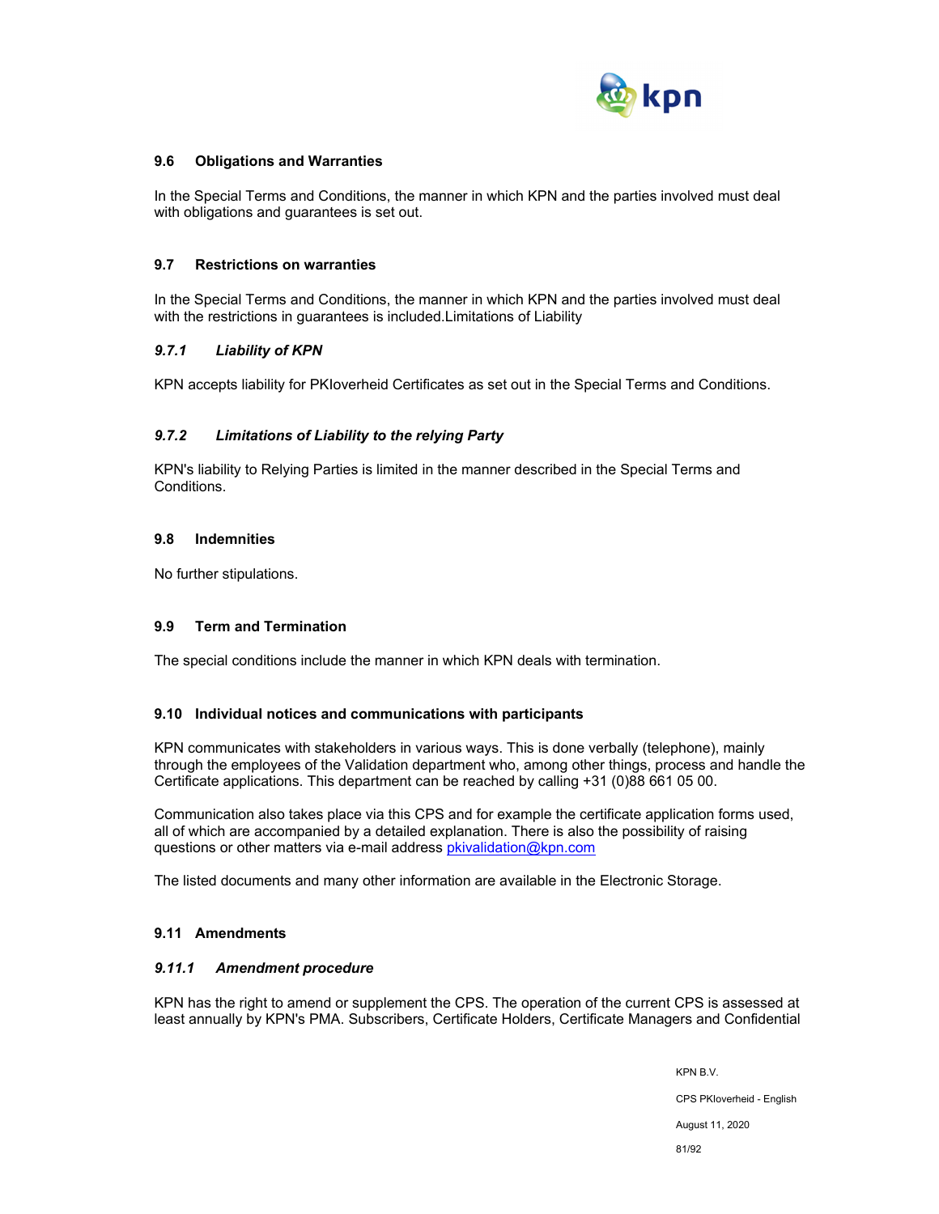

### **9.6 Obligations and Warranties**

In the Special Terms and Conditions, the manner in which KPN and the parties involved must deal with obligations and guarantees is set out.

#### **9.7 Restrictions on warranties**

In the Special Terms and Conditions, the manner in which KPN and the parties involved must deal with the restrictions in guarantees is included.Limitations of Liability

#### *9.7.1 Liability of KPN*

KPN accepts liability for PKIoverheid Certificates as set out in the Special Terms and Conditions.

#### *9.7.2 Limitations of Liability to the relying Party*

KPN's liability to Relying Parties is limited in the manner described in the Special Terms and Conditions.

#### **9.8 Indemnities**

No further stipulations.

#### **9.9 Term and Termination**

The special conditions include the manner in which KPN deals with termination.

#### **9.10 Individual notices and communications with participants**

KPN communicates with stakeholders in various ways. This is done verbally (telephone), mainly through the employees of the Validation department who, among other things, process and handle the Certificate applications. This department can be reached by calling +31 (0)88 661 05 00.

Communication also takes place via this CPS and for example the certificate application forms used, all of which are accompanied by a detailed explanation. There is also the possibility of raising questions or other matters via e-mail address pkivalidation@kpn.com

The listed documents and many other information are available in the Electronic Storage.

## **9.11 Amendments**

#### *9.11.1 Amendment procedure*

KPN has the right to amend or supplement the CPS. The operation of the current CPS is assessed at least annually by KPN's PMA. Subscribers, Certificate Holders, Certificate Managers and Confidential

> KPN B.V. CPS PKIoverheid - English August 11, 2020 81/92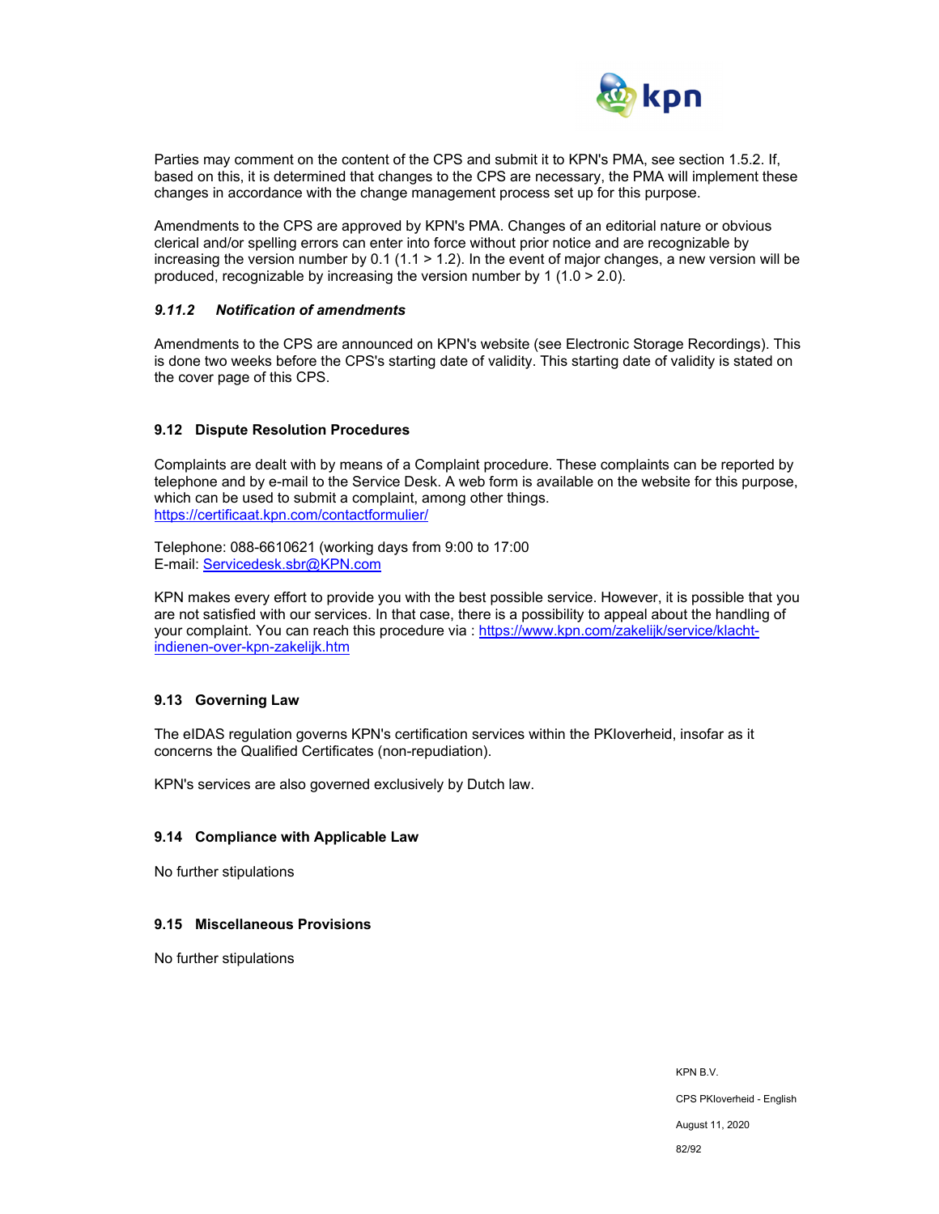

Parties may comment on the content of the CPS and submit it to KPN's PMA, see section 1.5.2. If, based on this, it is determined that changes to the CPS are necessary, the PMA will implement these changes in accordance with the change management process set up for this purpose.

Amendments to the CPS are approved by KPN's PMA. Changes of an editorial nature or obvious clerical and/or spelling errors can enter into force without prior notice and are recognizable by increasing the version number by 0.1 (1.1  $>$  1.2). In the event of major changes, a new version will be produced, recognizable by increasing the version number by 1 (1.0 > 2.0).

## *9.11.2 Notification of amendments*

Amendments to the CPS are announced on KPN's website (see Electronic Storage Recordings). This is done two weeks before the CPS's starting date of validity. This starting date of validity is stated on the cover page of this CPS.

#### **9.12 Dispute Resolution Procedures**

Complaints are dealt with by means of a Complaint procedure. These complaints can be reported by telephone and by e-mail to the Service Desk. A web form is available on the website for this purpose, which can be used to submit a complaint, among other things. https://certificaat.kpn.com/contactformulier/

Telephone: 088-6610621 (working days from 9:00 to 17:00 E-mail: Servicedesk.sbr@KPN.com

KPN makes every effort to provide you with the best possible service. However, it is possible that you are not satisfied with our services. In that case, there is a possibility to appeal about the handling of your complaint. You can reach this procedure via : https://www.kpn.com/zakelijk/service/klachtindienen-over-kpn-zakelijk.htm

## **9.13 Governing Law**

The eIDAS regulation governs KPN's certification services within the PKIoverheid, insofar as it concerns the Qualified Certificates (non-repudiation).

KPN's services are also governed exclusively by Dutch law.

#### **9.14 Compliance with Applicable Law**

No further stipulations

#### **9.15 Miscellaneous Provisions**

No further stipulations

KPN B.V. CPS PKIoverheid - English August 11, 2020 82/92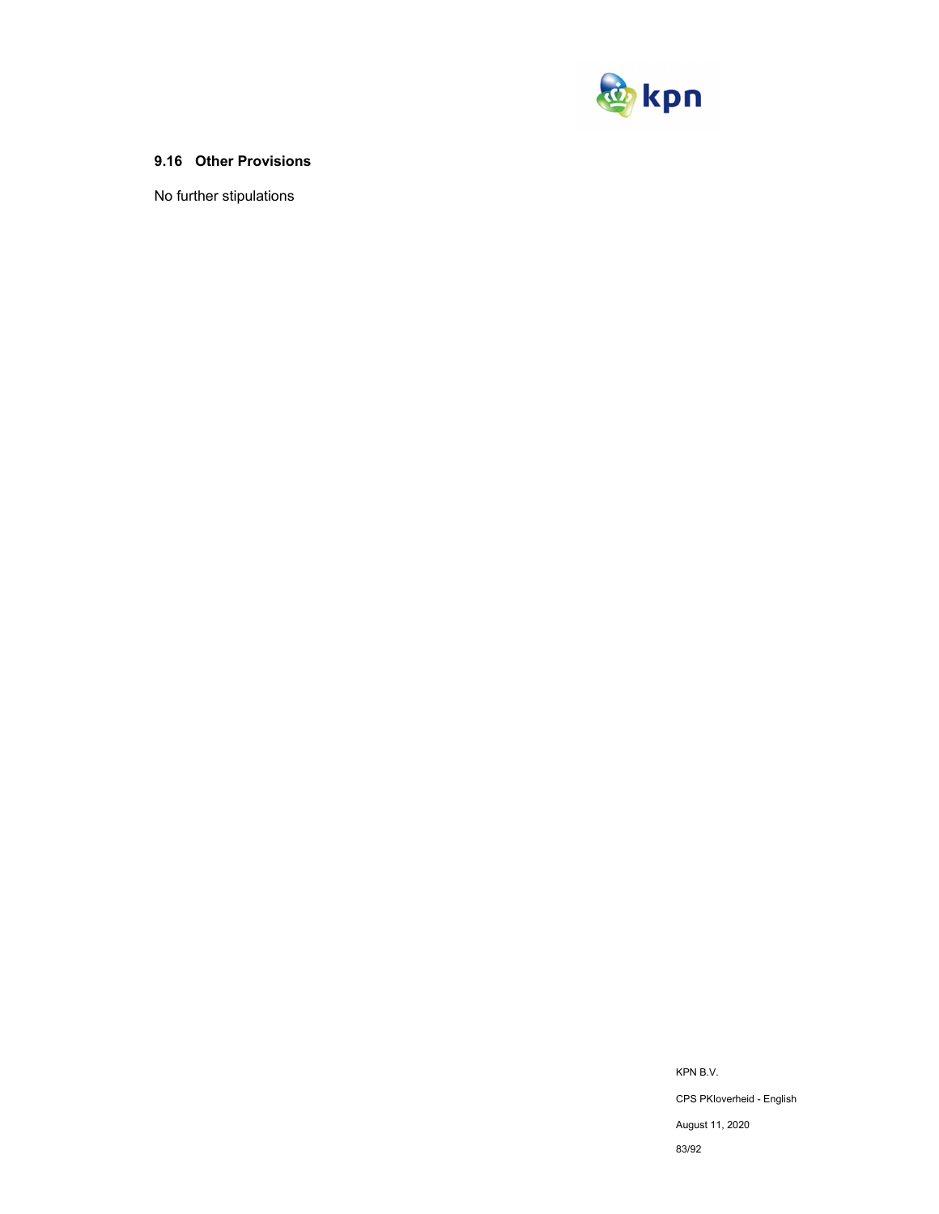

## **9.16 Other Provisions**

No further stipulations

KPN B.V. CPS PKIoverheid - English August 11, 2020 83/92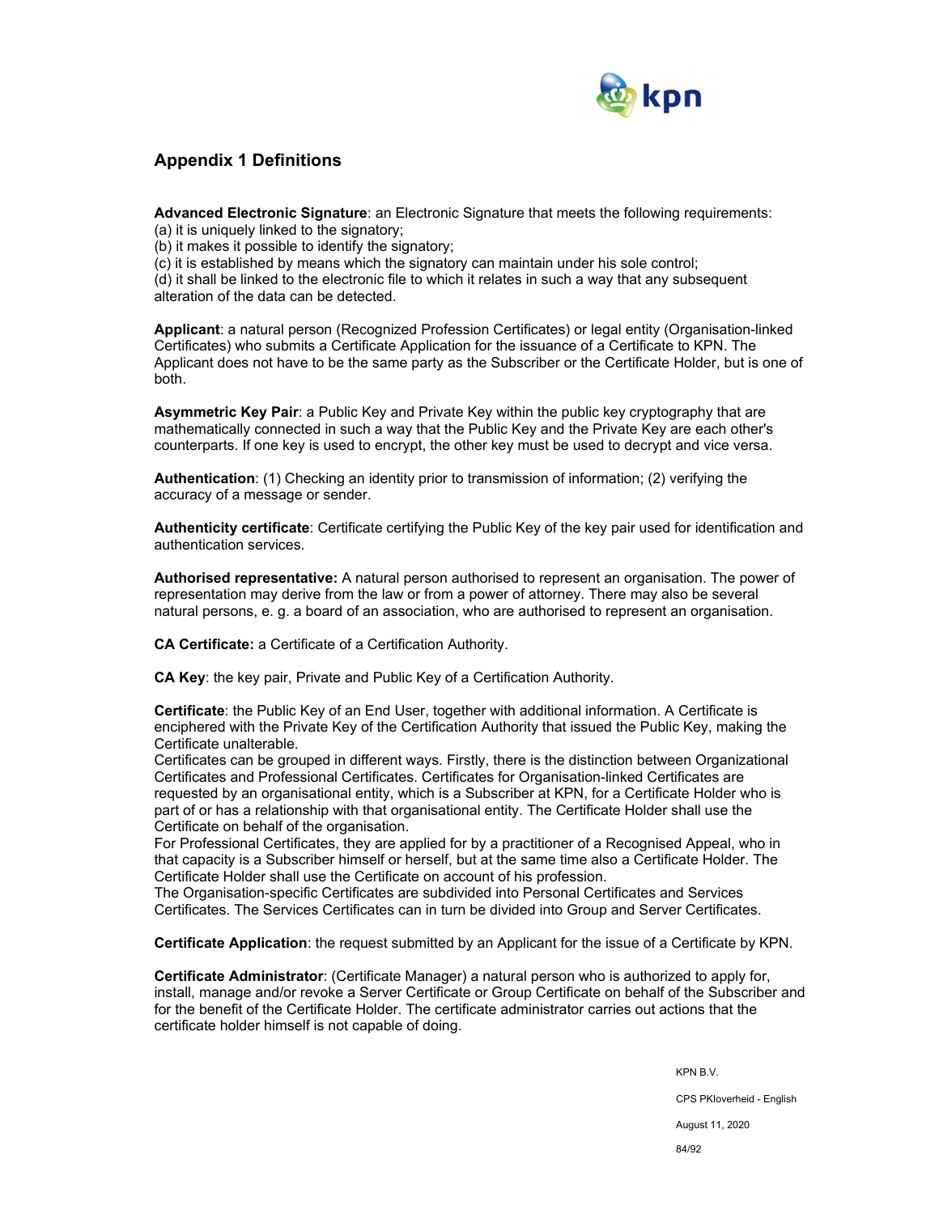

## **Appendix 1 Definitions**

**Advanced Electronic Signature**: an Electronic Signature that meets the following requirements:

(a) it is uniquely linked to the signatory;

(b) it makes it possible to identify the signatory;

(c) it is established by means which the signatory can maintain under his sole control;

(d) it shall be linked to the electronic file to which it relates in such a way that any subsequent alteration of the data can be detected.

**Applicant**: a natural person (Recognized Profession Certificates) or legal entity (Organisation-linked Certificates) who submits a Certificate Application for the issuance of a Certificate to KPN. The Applicant does not have to be the same party as the Subscriber or the Certificate Holder, but is one of both.

**Asymmetric Key Pair**: a Public Key and Private Key within the public key cryptography that are mathematically connected in such a way that the Public Key and the Private Key are each other's counterparts. If one key is used to encrypt, the other key must be used to decrypt and vice versa.

**Authentication**: (1) Checking an identity prior to transmission of information; (2) verifying the accuracy of a message or sender.

**Authenticity certificate**: Certificate certifying the Public Key of the key pair used for identification and authentication services.

**Authorised representative:** A natural person authorised to represent an organisation. The power of representation may derive from the law or from a power of attorney. There may also be several natural persons, e. g. a board of an association, who are authorised to represent an organisation.

**CA Certificate:** a Certificate of a Certification Authority.

**CA Key**: the key pair, Private and Public Key of a Certification Authority.

**Certificate**: the Public Key of an End User, together with additional information. A Certificate is enciphered with the Private Key of the Certification Authority that issued the Public Key, making the Certificate unalterable.

Certificates can be grouped in different ways. Firstly, there is the distinction between Organizational Certificates and Professional Certificates. Certificates for Organisation-linked Certificates are requested by an organisational entity, which is a Subscriber at KPN, for a Certificate Holder who is part of or has a relationship with that organisational entity. The Certificate Holder shall use the Certificate on behalf of the organisation.

For Professional Certificates, they are applied for by a practitioner of a Recognised Appeal, who in that capacity is a Subscriber himself or herself, but at the same time also a Certificate Holder. The Certificate Holder shall use the Certificate on account of his profession.

The Organisation-specific Certificates are subdivided into Personal Certificates and Services Certificates. The Services Certificates can in turn be divided into Group and Server Certificates.

**Certificate Application**: the request submitted by an Applicant for the issue of a Certificate by KPN.

**Certificate Administrator**: (Certificate Manager) a natural person who is authorized to apply for, install, manage and/or revoke a Server Certificate or Group Certificate on behalf of the Subscriber and for the benefit of the Certificate Holder. The certificate administrator carries out actions that the certificate holder himself is not capable of doing.

> KPN B.V. CPS PKIoverheid - English August 11, 2020 84/92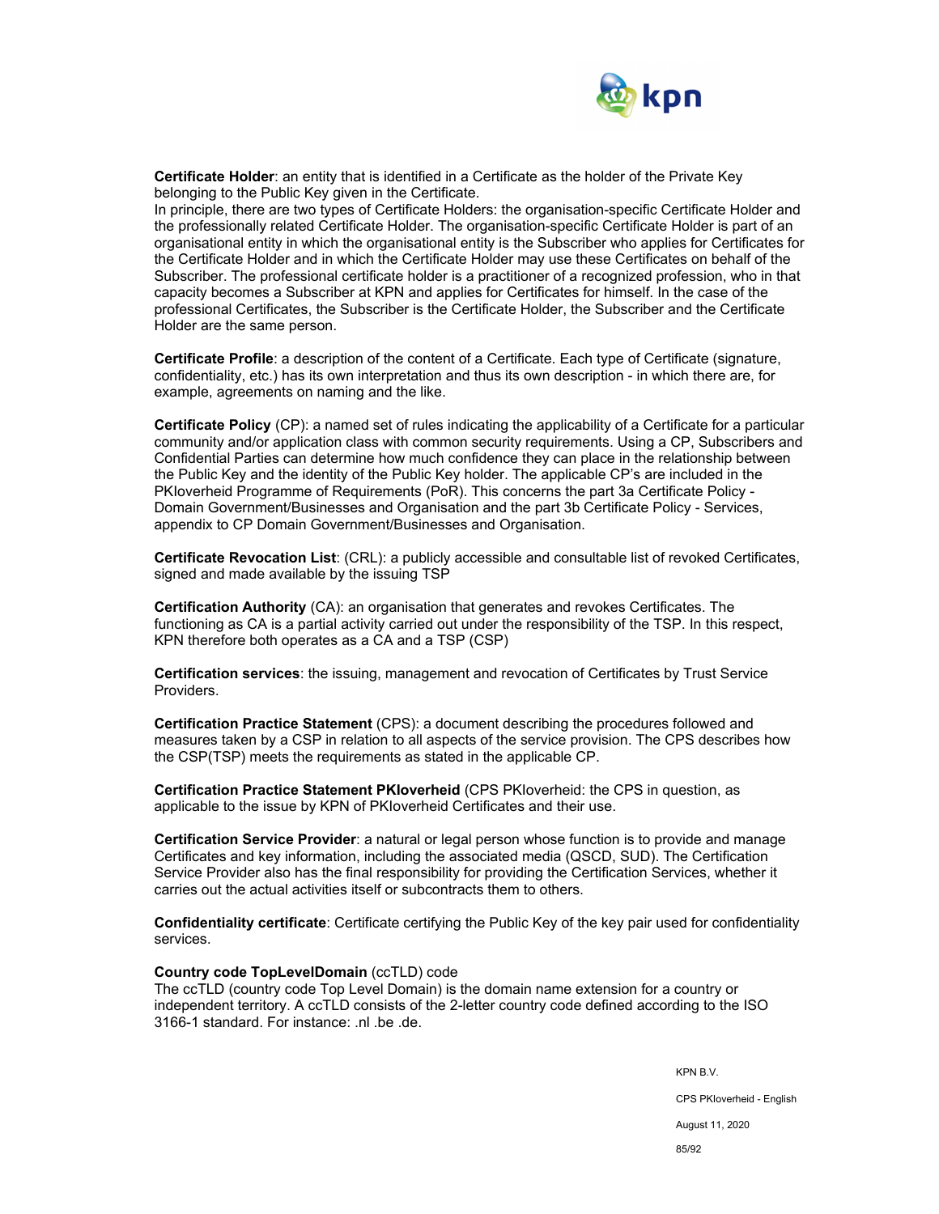

**Certificate Holder**: an entity that is identified in a Certificate as the holder of the Private Key belonging to the Public Key given in the Certificate.

In principle, there are two types of Certificate Holders: the organisation-specific Certificate Holder and the professionally related Certificate Holder. The organisation-specific Certificate Holder is part of an organisational entity in which the organisational entity is the Subscriber who applies for Certificates for the Certificate Holder and in which the Certificate Holder may use these Certificates on behalf of the Subscriber. The professional certificate holder is a practitioner of a recognized profession, who in that capacity becomes a Subscriber at KPN and applies for Certificates for himself. In the case of the professional Certificates, the Subscriber is the Certificate Holder, the Subscriber and the Certificate Holder are the same person.

**Certificate Profile**: a description of the content of a Certificate. Each type of Certificate (signature, confidentiality, etc.) has its own interpretation and thus its own description - in which there are, for example, agreements on naming and the like.

**Certificate Policy** (CP): a named set of rules indicating the applicability of a Certificate for a particular community and/or application class with common security requirements. Using a CP, Subscribers and Confidential Parties can determine how much confidence they can place in the relationship between the Public Key and the identity of the Public Key holder. The applicable CP's are included in the PKIoverheid Programme of Requirements (PoR). This concerns the part 3a Certificate Policy - Domain Government/Businesses and Organisation and the part 3b Certificate Policy - Services, appendix to CP Domain Government/Businesses and Organisation.

**Certificate Revocation List**: (CRL): a publicly accessible and consultable list of revoked Certificates, signed and made available by the issuing TSP

**Certification Authority** (CA): an organisation that generates and revokes Certificates. The functioning as CA is a partial activity carried out under the responsibility of the TSP. In this respect, KPN therefore both operates as a CA and a TSP (CSP)

**Certification services**: the issuing, management and revocation of Certificates by Trust Service Providers.

**Certification Practice Statement** (CPS): a document describing the procedures followed and measures taken by a CSP in relation to all aspects of the service provision. The CPS describes how the CSP(TSP) meets the requirements as stated in the applicable CP.

**Certification Practice Statement PKIoverheid** (CPS PKIoverheid: the CPS in question, as applicable to the issue by KPN of PKIoverheid Certificates and their use.

**Certification Service Provider**: a natural or legal person whose function is to provide and manage Certificates and key information, including the associated media (QSCD, SUD). The Certification Service Provider also has the final responsibility for providing the Certification Services, whether it carries out the actual activities itself or subcontracts them to others.

**Confidentiality certificate**: Certificate certifying the Public Key of the key pair used for confidentiality services.

#### **Country code TopLevelDomain** (ccTLD) code

The ccTLD (country code Top Level Domain) is the domain name extension for a country or independent territory. A ccTLD consists of the 2-letter country code defined according to the ISO 3166-1 standard. For instance: .nl .be .de.

KPN B.V.

CPS PKIoverheid - English

August 11, 2020

85/92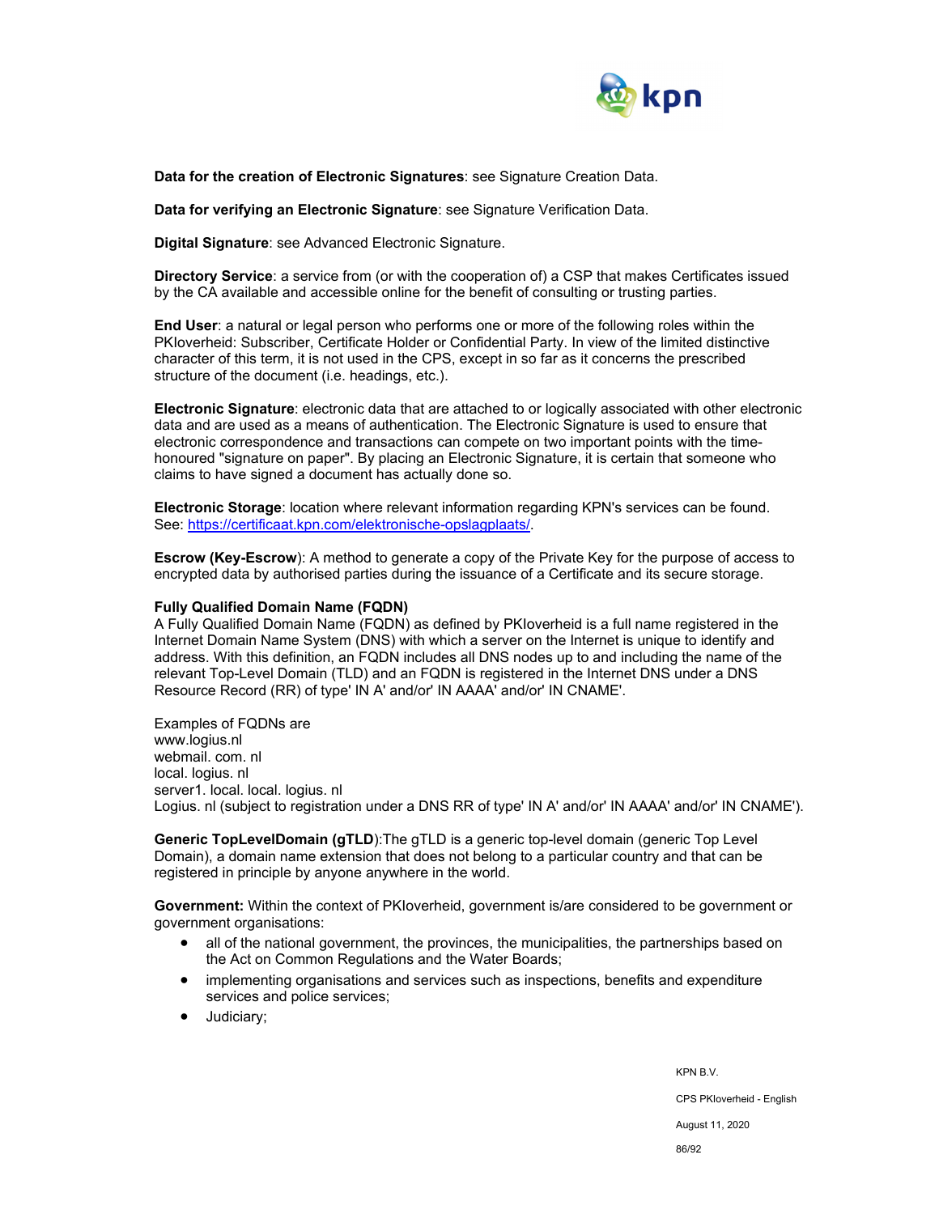

**Data for the creation of Electronic Signatures**: see Signature Creation Data.

**Data for verifying an Electronic Signature**: see Signature Verification Data.

**Digital Signature**: see Advanced Electronic Signature.

**Directory Service**: a service from (or with the cooperation of) a CSP that makes Certificates issued by the CA available and accessible online for the benefit of consulting or trusting parties.

**End User**: a natural or legal person who performs one or more of the following roles within the PKIoverheid: Subscriber, Certificate Holder or Confidential Party. In view of the limited distinctive character of this term, it is not used in the CPS, except in so far as it concerns the prescribed structure of the document (i.e. headings, etc.).

**Electronic Signature**: electronic data that are attached to or logically associated with other electronic data and are used as a means of authentication. The Electronic Signature is used to ensure that electronic correspondence and transactions can compete on two important points with the timehonoured "signature on paper". By placing an Electronic Signature, it is certain that someone who claims to have signed a document has actually done so.

**Electronic Storage**: location where relevant information regarding KPN's services can be found. See: https://certificaat.kpn.com/elektronische-opslagplaats/.

**Escrow (Key-Escrow**): A method to generate a copy of the Private Key for the purpose of access to encrypted data by authorised parties during the issuance of a Certificate and its secure storage.

#### **Fully Qualified Domain Name (FQDN)**

A Fully Qualified Domain Name (FQDN) as defined by PKIoverheid is a full name registered in the Internet Domain Name System (DNS) with which a server on the Internet is unique to identify and address. With this definition, an FQDN includes all DNS nodes up to and including the name of the relevant Top-Level Domain (TLD) and an FQDN is registered in the Internet DNS under a DNS Resource Record (RR) of type' IN A' and/or' IN AAAA' and/or' IN CNAME'.

Examples of FQDNs are www.logius.nl webmail. com. nl local. logius. nl server1. local. local. logius. nl Logius. nl (subject to registration under a DNS RR of type' IN A' and/or' IN AAAA' and/or' IN CNAME').

**Generic TopLevelDomain (gTLD**):The gTLD is a generic top-level domain (generic Top Level Domain), a domain name extension that does not belong to a particular country and that can be registered in principle by anyone anywhere in the world.

**Government:** Within the context of PKIoverheid, government is/are considered to be government or government organisations:

- all of the national government, the provinces, the municipalities, the partnerships based on the Act on Common Regulations and the Water Boards;
- implementing organisations and services such as inspections, benefits and expenditure services and police services;
- Judiciary;

KPN B.V. CPS PKIoverheid - English August 11, 2020 86/92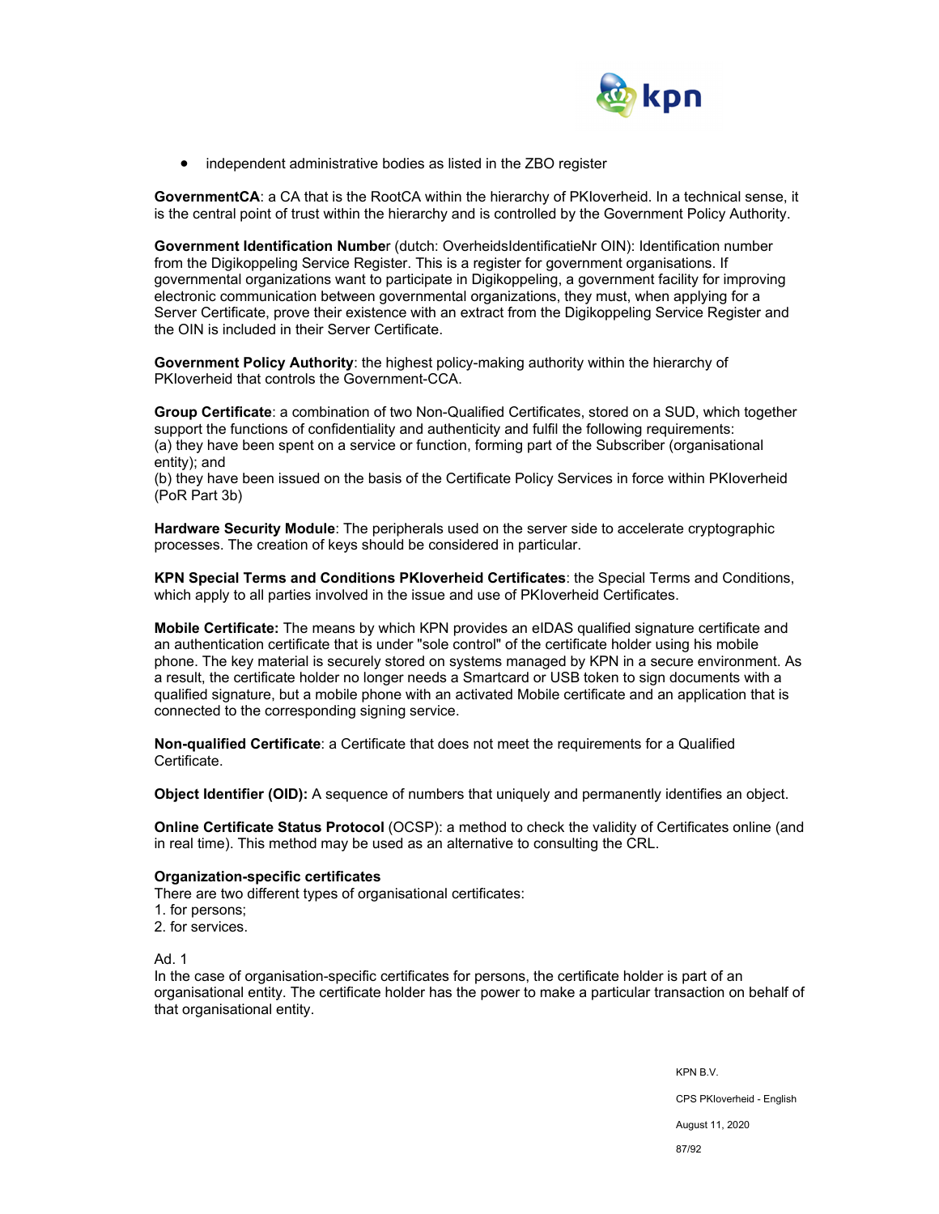

• independent administrative bodies as listed in the ZBO register

**GovernmentCA**: a CA that is the RootCA within the hierarchy of PKIoverheid. In a technical sense, it is the central point of trust within the hierarchy and is controlled by the Government Policy Authority.

**Government Identification Numbe**r (dutch: OverheidsIdentificatieNr OIN): Identification number from the Digikoppeling Service Register. This is a register for government organisations. If governmental organizations want to participate in Digikoppeling, a government facility for improving electronic communication between governmental organizations, they must, when applying for a Server Certificate, prove their existence with an extract from the Digikoppeling Service Register and the OIN is included in their Server Certificate.

**Government Policy Authority**: the highest policy-making authority within the hierarchy of PKIoverheid that controls the Government-CCA.

**Group Certificate**: a combination of two Non-Qualified Certificates, stored on a SUD, which together support the functions of confidentiality and authenticity and fulfil the following requirements: (a) they have been spent on a service or function, forming part of the Subscriber (organisational entity); and

(b) they have been issued on the basis of the Certificate Policy Services in force within PKIoverheid (PoR Part 3b)

**Hardware Security Module**: The peripherals used on the server side to accelerate cryptographic processes. The creation of keys should be considered in particular.

**KPN Special Terms and Conditions PKIoverheid Certificates**: the Special Terms and Conditions, which apply to all parties involved in the issue and use of PKIoverheid Certificates.

**Mobile Certificate:** The means by which KPN provides an eIDAS qualified signature certificate and an authentication certificate that is under "sole control" of the certificate holder using his mobile phone. The key material is securely stored on systems managed by KPN in a secure environment. As a result, the certificate holder no longer needs a Smartcard or USB token to sign documents with a qualified signature, but a mobile phone with an activated Mobile certificate and an application that is connected to the corresponding signing service.

**Non-qualified Certificate**: a Certificate that does not meet the requirements for a Qualified Certificate.

**Object Identifier (OID):** A sequence of numbers that uniquely and permanently identifies an object.

**Online Certificate Status Protocol** (OCSP): a method to check the validity of Certificates online (and in real time). This method may be used as an alternative to consulting the CRL.

#### **Organization-specific certificates**

There are two different types of organisational certificates:

- 1. for persons;
- 2. for services.

Ad. 1

In the case of organisation-specific certificates for persons, the certificate holder is part of an organisational entity. The certificate holder has the power to make a particular transaction on behalf of that organisational entity.

> KPN B.V. CPS PKIoverheid - English August 11, 2020 87/92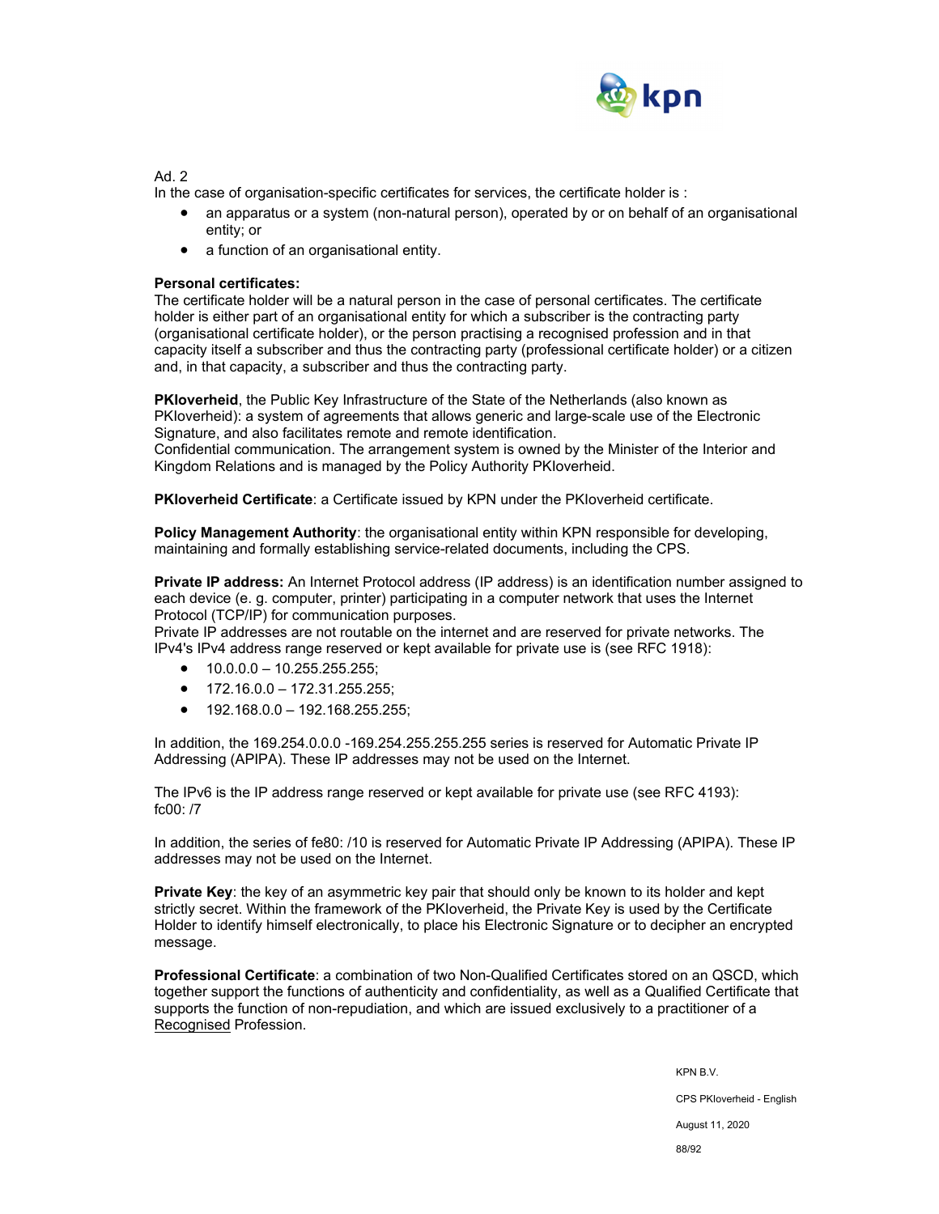

Ad. 2

In the case of organisation-specific certificates for services, the certificate holder is :

- an apparatus or a system (non-natural person), operated by or on behalf of an organisational entity; or
- a function of an organisational entity.

### **Personal certificates:**

The certificate holder will be a natural person in the case of personal certificates. The certificate holder is either part of an organisational entity for which a subscriber is the contracting party (organisational certificate holder), or the person practising a recognised profession and in that capacity itself a subscriber and thus the contracting party (professional certificate holder) or a citizen and, in that capacity, a subscriber and thus the contracting party.

**PKIoverheid**, the Public Key Infrastructure of the State of the Netherlands (also known as PKIoverheid): a system of agreements that allows generic and large-scale use of the Electronic Signature, and also facilitates remote and remote identification.

Confidential communication. The arrangement system is owned by the Minister of the Interior and Kingdom Relations and is managed by the Policy Authority PKIoverheid.

**PKIoverheid Certificate**: a Certificate issued by KPN under the PKIoverheid certificate.

**Policy Management Authority**: the organisational entity within KPN responsible for developing, maintaining and formally establishing service-related documents, including the CPS.

**Private IP address:** An Internet Protocol address (IP address) is an identification number assigned to each device (e. g. computer, printer) participating in a computer network that uses the Internet Protocol (TCP/IP) for communication purposes.

Private IP addresses are not routable on the internet and are reserved for private networks. The IPv4's IPv4 address range reserved or kept available for private use is (see RFC 1918):

- $\bullet$  10.0.0.0 10.255.255.255:
- $\bullet$  172.16.0.0 172.31.255.255;
- $\bullet$  192.168.0.0 192.168.255.255;

In addition, the 169.254.0.0.0 -169.254.255.255.255 series is reserved for Automatic Private IP Addressing (APIPA). These IP addresses may not be used on the Internet.

The IPv6 is the IP address range reserved or kept available for private use (see RFC 4193): fc00: /7

In addition, the series of fe80: /10 is reserved for Automatic Private IP Addressing (APIPA). These IP addresses may not be used on the Internet.

**Private Key**: the key of an asymmetric key pair that should only be known to its holder and kept strictly secret. Within the framework of the PKIoverheid, the Private Key is used by the Certificate Holder to identify himself electronically, to place his Electronic Signature or to decipher an encrypted message.

**Professional Certificate**: a combination of two Non-Qualified Certificates stored on an QSCD, which together support the functions of authenticity and confidentiality, as well as a Qualified Certificate that supports the function of non-repudiation, and which are issued exclusively to a practitioner of a Recognised Profession.

> KPN B.V. CPS PKIoverheid - English August 11, 2020 88/92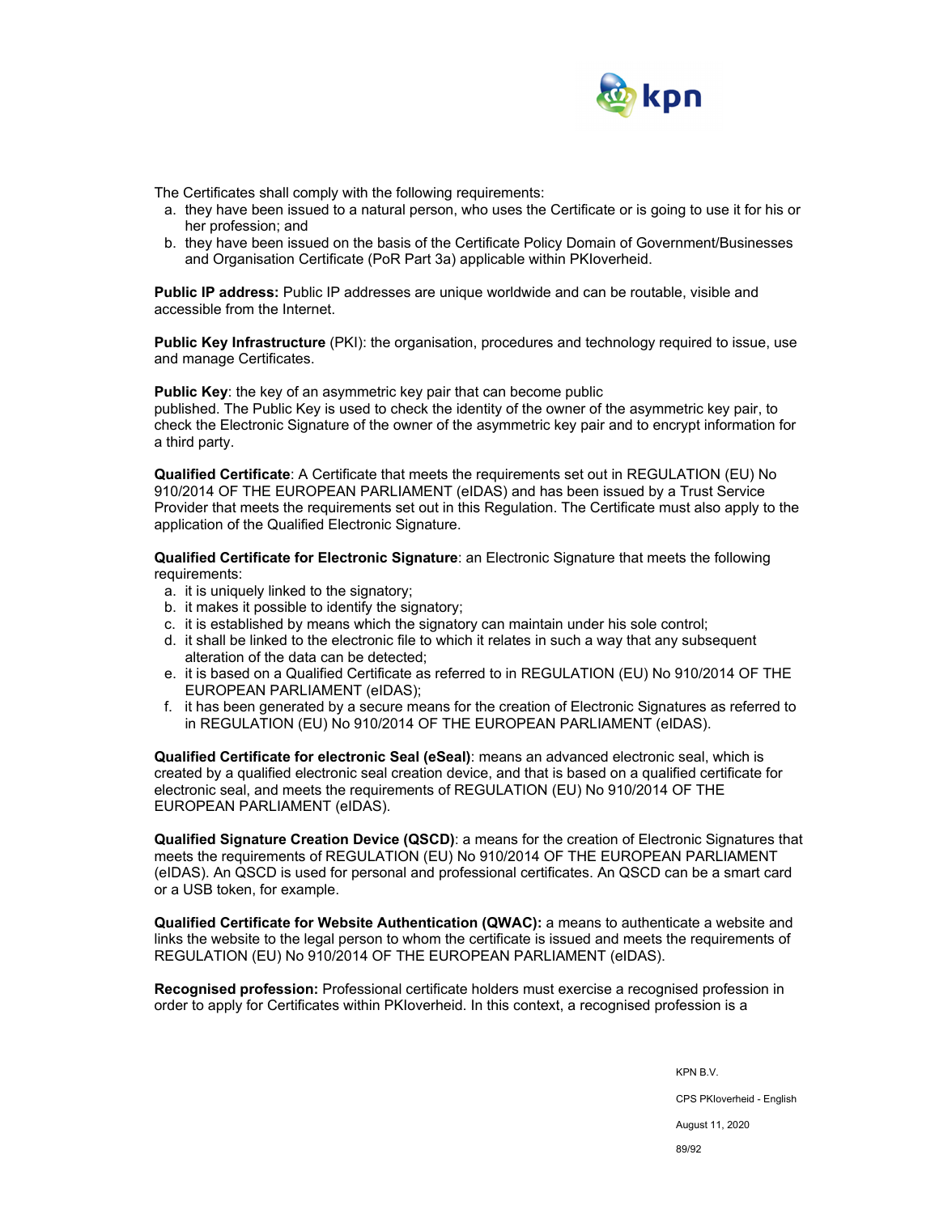

The Certificates shall comply with the following requirements:

- a. they have been issued to a natural person, who uses the Certificate or is going to use it for his or her profession; and
- b. they have been issued on the basis of the Certificate Policy Domain of Government/Businesses and Organisation Certificate (PoR Part 3a) applicable within PKIoverheid.

**Public IP address:** Public IP addresses are unique worldwide and can be routable, visible and accessible from the Internet.

**Public Key Infrastructure** (PKI): the organisation, procedures and technology required to issue, use and manage Certificates.

**Public Key:** the key of an asymmetric key pair that can become public

published. The Public Key is used to check the identity of the owner of the asymmetric key pair, to check the Electronic Signature of the owner of the asymmetric key pair and to encrypt information for a third party.

**Qualified Certificate**: A Certificate that meets the requirements set out in REGULATION (EU) No 910/2014 OF THE EUROPEAN PARLIAMENT (eIDAS) and has been issued by a Trust Service Provider that meets the requirements set out in this Regulation. The Certificate must also apply to the application of the Qualified Electronic Signature.

**Qualified Certificate for Electronic Signature**: an Electronic Signature that meets the following requirements:

- a. it is uniquely linked to the signatory;
- b. it makes it possible to identify the signatory;
- c. it is established by means which the signatory can maintain under his sole control;
- d. it shall be linked to the electronic file to which it relates in such a way that any subsequent alteration of the data can be detected;
- e. it is based on a Qualified Certificate as referred to in REGULATION (EU) No 910/2014 OF THE EUROPEAN PARLIAMENT (eIDAS);
- f. it has been generated by a secure means for the creation of Electronic Signatures as referred to in REGULATION (EU) No 910/2014 OF THE EUROPEAN PARLIAMENT (eIDAS).

**Qualified Certificate for electronic Seal (eSeal)**: means an advanced electronic seal, which is created by a qualified electronic seal creation device, and that is based on a qualified certificate for electronic seal, and meets the requirements of REGULATION (EU) No 910/2014 OF THE EUROPEAN PARLIAMENT (eIDAS).

**Qualified Signature Creation Device (QSCD)**: a means for the creation of Electronic Signatures that meets the requirements of REGULATION (EU) No 910/2014 OF THE EUROPEAN PARLIAMENT (eIDAS). An QSCD is used for personal and professional certificates. An QSCD can be a smart card or a USB token, for example.

**Qualified Certificate for Website Authentication (QWAC):** a means to authenticate a website and links the website to the legal person to whom the certificate is issued and meets the requirements of REGULATION (EU) No 910/2014 OF THE EUROPEAN PARLIAMENT (eIDAS).

**Recognised profession:** Professional certificate holders must exercise a recognised profession in order to apply for Certificates within PKIoverheid. In this context, a recognised profession is a

> KPN B.V. CPS PKIoverheid - English August 11, 2020 89/92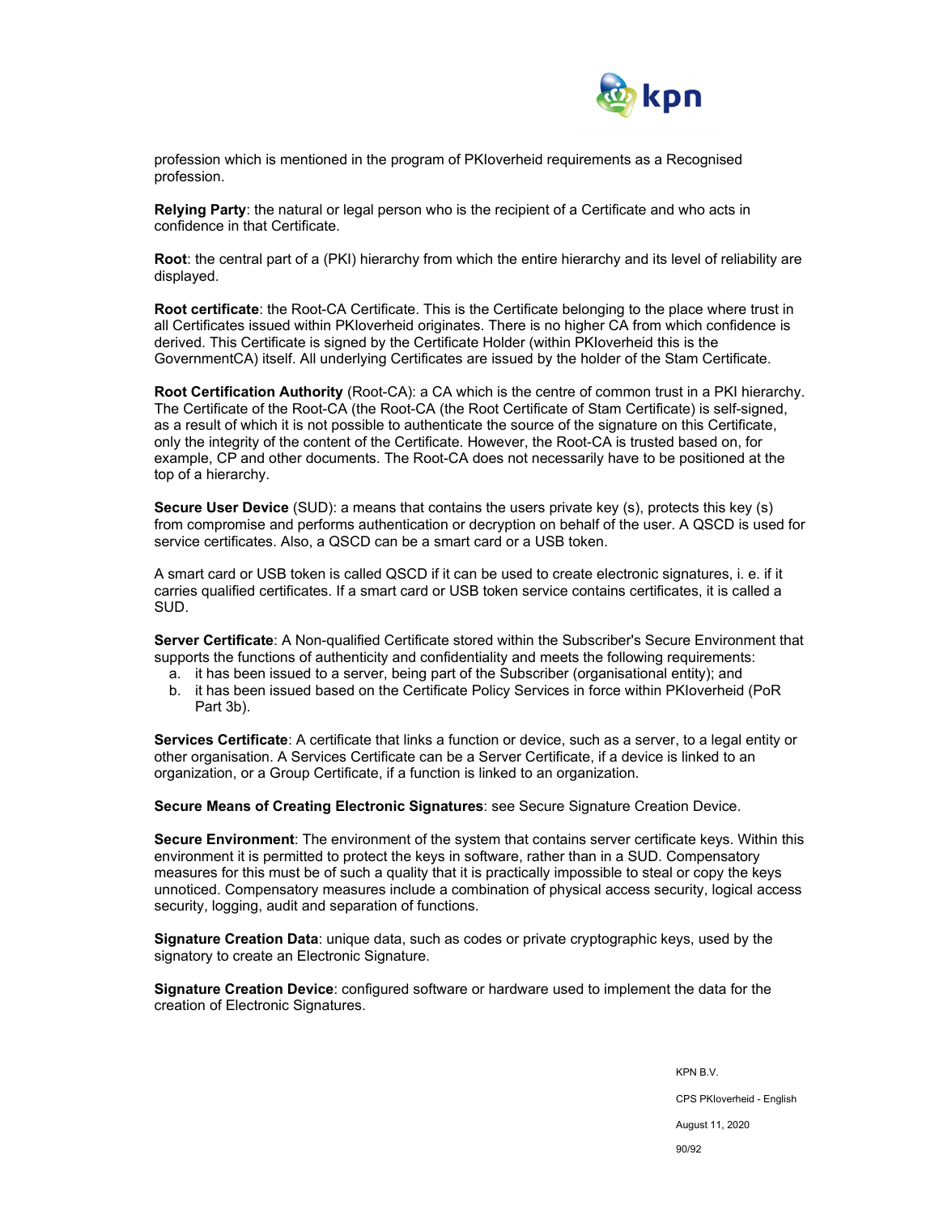

profession which is mentioned in the program of PKIoverheid requirements as a Recognised profession.

**Relying Party**: the natural or legal person who is the recipient of a Certificate and who acts in confidence in that Certificate.

**Root**: the central part of a (PKI) hierarchy from which the entire hierarchy and its level of reliability are displayed.

**Root certificate**: the Root-CA Certificate. This is the Certificate belonging to the place where trust in all Certificates issued within PKIoverheid originates. There is no higher CA from which confidence is derived. This Certificate is signed by the Certificate Holder (within PKIoverheid this is the GovernmentCA) itself. All underlying Certificates are issued by the holder of the Stam Certificate.

**Root Certification Authority** (Root-CA): a CA which is the centre of common trust in a PKI hierarchy. The Certificate of the Root-CA (the Root-CA (the Root Certificate of Stam Certificate) is self-signed, as a result of which it is not possible to authenticate the source of the signature on this Certificate, only the integrity of the content of the Certificate. However, the Root-CA is trusted based on, for example, CP and other documents. The Root-CA does not necessarily have to be positioned at the top of a hierarchy.

**Secure User Device** (SUD): a means that contains the users private key (s), protects this key (s) from compromise and performs authentication or decryption on behalf of the user. A QSCD is used for service certificates. Also, a QSCD can be a smart card or a USB token.

A smart card or USB token is called QSCD if it can be used to create electronic signatures, i. e. if it carries qualified certificates. If a smart card or USB token service contains certificates, it is called a SUD.

**Server Certificate**: A Non-qualified Certificate stored within the Subscriber's Secure Environment that supports the functions of authenticity and confidentiality and meets the following requirements:

- a. it has been issued to a server, being part of the Subscriber (organisational entity); and
- b. it has been issued based on the Certificate Policy Services in force within PKIoverheid (PoR Part 3b).

**Services Certificate**: A certificate that links a function or device, such as a server, to a legal entity or other organisation. A Services Certificate can be a Server Certificate, if a device is linked to an organization, or a Group Certificate, if a function is linked to an organization.

**Secure Means of Creating Electronic Signatures**: see Secure Signature Creation Device.

**Secure Environment**: The environment of the system that contains server certificate keys. Within this environment it is permitted to protect the keys in software, rather than in a SUD. Compensatory measures for this must be of such a quality that it is practically impossible to steal or copy the keys unnoticed. Compensatory measures include a combination of physical access security, logical access security, logging, audit and separation of functions.

**Signature Creation Data**: unique data, such as codes or private cryptographic keys, used by the signatory to create an Electronic Signature.

**Signature Creation Device**: configured software or hardware used to implement the data for the creation of Electronic Signatures.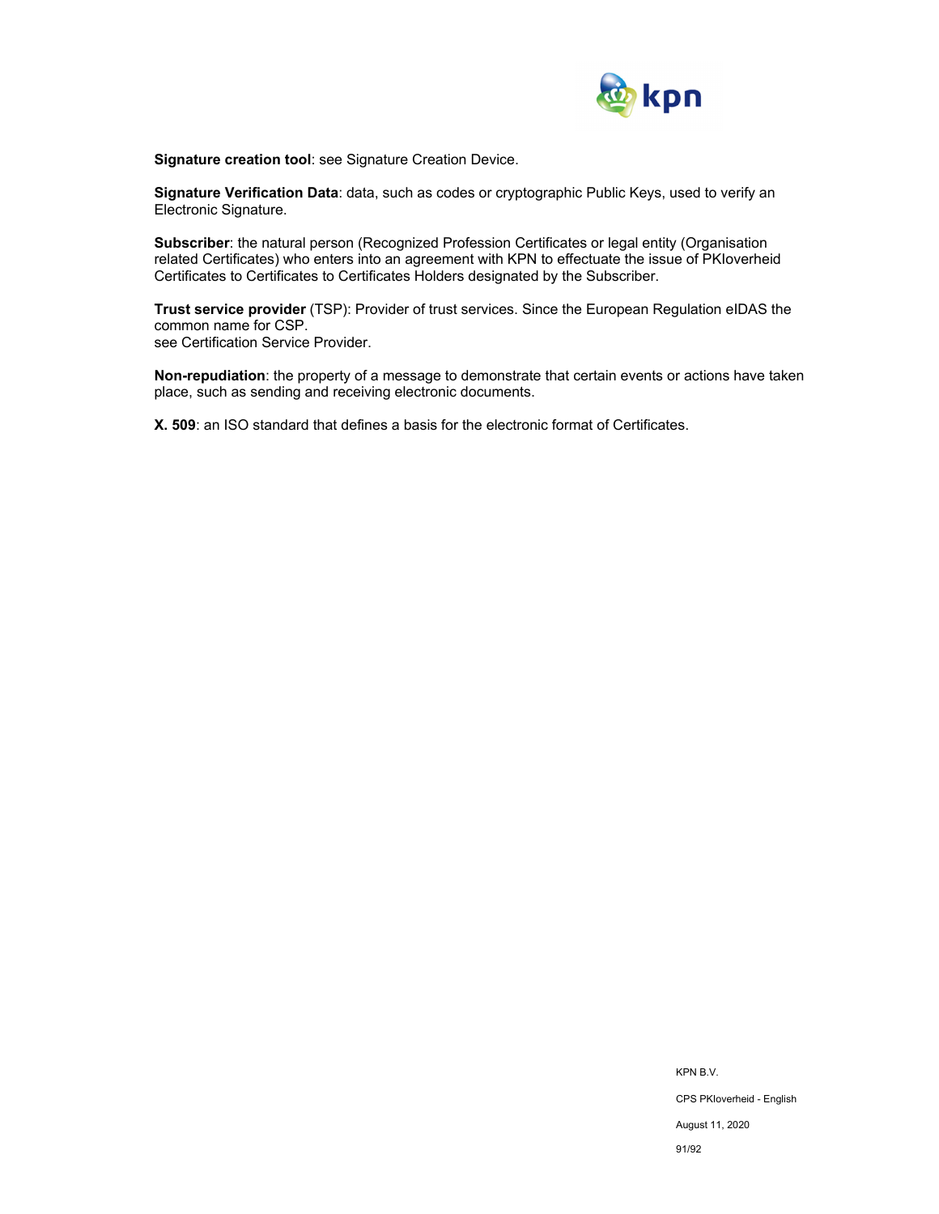

**Signature creation tool**: see Signature Creation Device.

**Signature Verification Data**: data, such as codes or cryptographic Public Keys, used to verify an Electronic Signature.

**Subscriber**: the natural person (Recognized Profession Certificates or legal entity (Organisation related Certificates) who enters into an agreement with KPN to effectuate the issue of PKIoverheid Certificates to Certificates to Certificates Holders designated by the Subscriber.

**Trust service provider** (TSP): Provider of trust services. Since the European Regulation eIDAS the common name for CSP. see Certification Service Provider.

**Non-repudiation**: the property of a message to demonstrate that certain events or actions have taken place, such as sending and receiving electronic documents.

**X. 509**: an ISO standard that defines a basis for the electronic format of Certificates.

KPN B.V. CPS PKIoverheid - English August 11, 2020 91/92